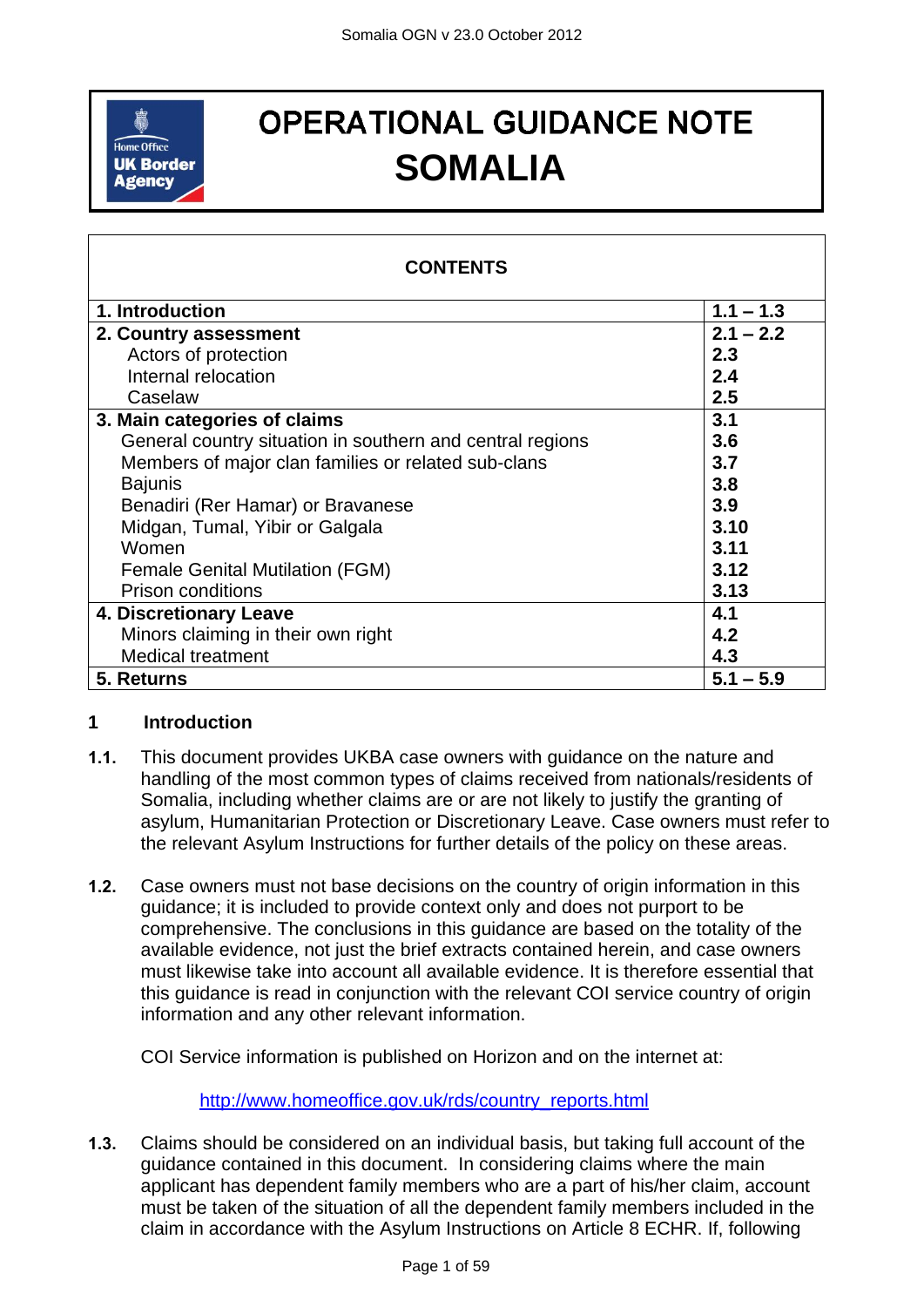

# **OPERATIONAL GUIDANCE NOTE SOMALIA**

<span id="page-0-1"></span>

| <b>CONTENTS</b>                                           |             |
|-----------------------------------------------------------|-------------|
| 1. Introduction                                           | $1.1 - 1.3$ |
| 2. Country assessment                                     | $2.1 - 2.2$ |
| Actors of protection                                      | 2.3         |
| Internal relocation                                       | 2.4         |
| Caselaw                                                   | 2.5         |
| 3. Main categories of claims                              | 3.1         |
| General country situation in southern and central regions | 3.6         |
| Members of major clan families or related sub-clans       | 3.7         |
| <b>Bajunis</b>                                            | 3.8         |
| Benadiri (Rer Hamar) or Bravanese                         | 3.9         |
| Midgan, Tumal, Yibir or Galgala                           | 3.10        |
| Women                                                     | 3.11        |
| <b>Female Genital Mutilation (FGM)</b>                    | 3.12        |
| <b>Prison conditions</b>                                  | 3.13        |
| 4. Discretionary Leave                                    | 4.1         |
| Minors claiming in their own right                        | 4.2         |
| <b>Medical treatment</b>                                  | 4.3         |
| 5. Returns                                                | $5.1 - 5.9$ |

#### <span id="page-0-0"></span>**1 Introduction**

- **1.1.** This document provides UKBA case owners with guidance on the nature and handling of the most common types of claims received from nationals/residents of Somalia, including whether claims are or are not likely to justify the granting of asylum, Humanitarian Protection or Discretionary Leave. Case owners must refer to the relevant Asylum Instructions for further details of the policy on these areas.
- **1.2.** Case owners must not base decisions on the country of origin information in this guidance; it is included to provide context only and does not purport to be comprehensive. The conclusions in this guidance are based on the totality of the available evidence, not just the brief extracts contained herein, and case owners must likewise take into account all available evidence. It is therefore essential that this guidance is read in conjunction with the relevant COI service country of origin information and any other relevant information.

COI Service information is published on Horizon and on the internet at:

[http://www.homeoffice.gov.uk/rds/country\\_reports.html](http://www.homeoffice.gov.uk/rds/country_reports.html)

**1.3.** Claims should be considered on an individual basis, but taking full account of the guidance contained in this document. In considering claims where the main applicant has dependent family members who are a part of his/her claim, account must be taken of the situation of all the dependent family members included in the claim in accordance with the Asylum Instructions on Article 8 ECHR. If, following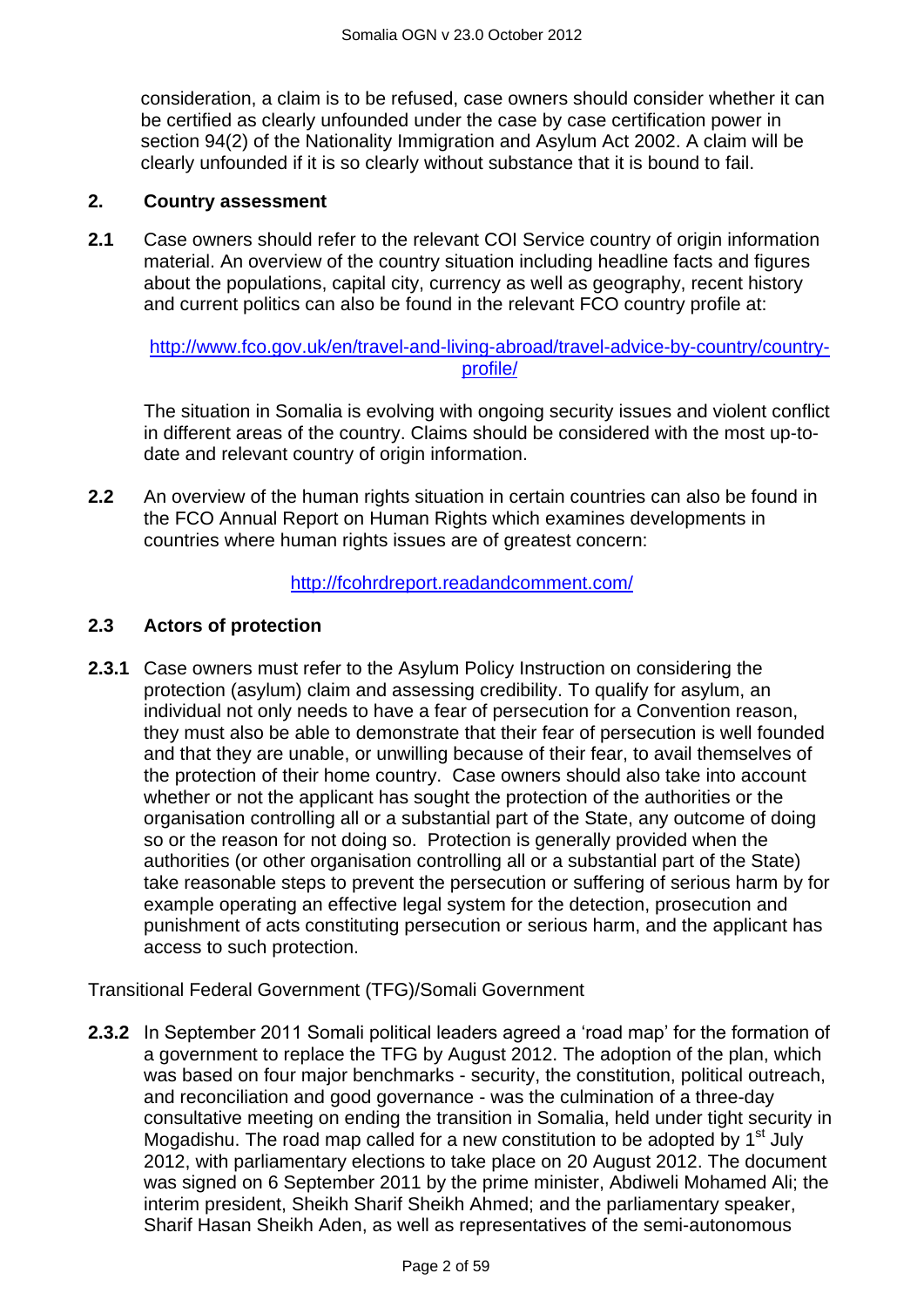consideration, a claim is to be refused, case owners should consider whether it can be certified as clearly unfounded under the case by case certification power in section 94(2) of the Nationality Immigration and Asylum Act 2002. A claim will be clearly unfounded if it is so clearly without substance that it is bound to fail.

#### **2. Country assessment**

**2.1** Case owners should refer to the relevant COI Service country of origin information material. An overview of the country situation including headline facts and figures about the populations, capital city, currency as well as geography, recent history and current politics can also be found in the relevant FCO country profile at:

[http://www.fco.gov.uk/en/travel-and-living-abroad/travel-advice-by-country/country](http://www.fco.gov.uk/en/travel-and-living-abroad/travel-advice-by-country/country-profile/)[profile/](http://www.fco.gov.uk/en/travel-and-living-abroad/travel-advice-by-country/country-profile/)

The situation in Somalia is evolving with ongoing security issues and violent conflict in different areas of the country. Claims should be considered with the most up-todate and relevant country of origin information.

**2.2** An overview of the human rights situation in certain countries can also be found in the FCO Annual Report on Human Rights which examines developments in countries where human rights issues are of greatest concern:

#### <span id="page-1-0"></span><http://fcohrdreport.readandcomment.com/>

#### <span id="page-1-1"></span>**2.3 Actors of protection**

**2.3.1** Case owners must refer to the Asylum Policy Instruction on considering the protection (asylum) claim and assessing credibility. To qualify for asylum, an individual not only needs to have a fear of persecution for a Convention reason, they must also be able to demonstrate that their fear of persecution is well founded and that they are unable, or unwilling because of their fear, to avail themselves of the protection of their home country. Case owners should also take into account whether or not the applicant has sought the protection of the authorities or the organisation controlling all or a substantial part of the State, any outcome of doing so or the reason for not doing so. Protection is generally provided when the authorities (or other organisation controlling all or a substantial part of the State) take reasonable steps to prevent the persecution or suffering of serious harm by for example operating an effective legal system for the detection, prosecution and punishment of acts constituting persecution or serious harm, and the applicant has access to such protection.

Transitional Federal Government (TFG)/Somali Government

**2.3.2** In September 2011 Somali political leaders agreed a "road map" for the formation of a government to replace the TFG by August 2012. The adoption of the plan, which was based on four major benchmarks - security, the constitution, political outreach, and reconciliation and good governance - was the culmination of a three-day consultative meeting on ending the transition in Somalia, held under tight security in Mogadishu. The road map called for a new constitution to be adopted by  $1<sup>st</sup>$  July 2012, with parliamentary elections to take place on 20 August 2012. The document was signed on 6 September 2011 by the prime minister, Abdiweli Mohamed Ali; the interim president, Sheikh Sharif Sheikh Ahmed; and the parliamentary speaker, Sharif Hasan Sheikh Aden, as well as representatives of the semi-autonomous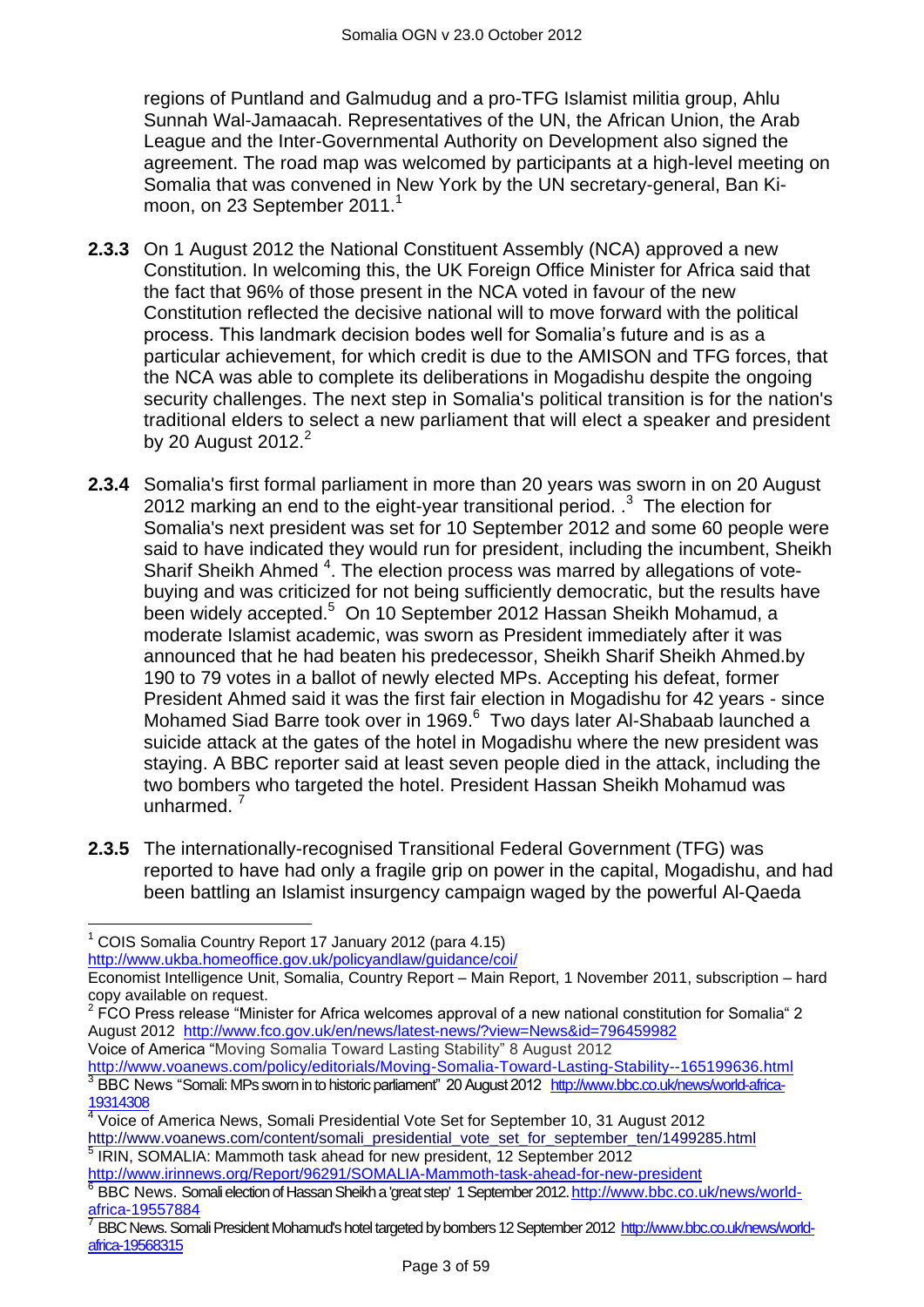regions of Puntland and Galmudug and a pro-TFG Islamist militia group, Ahlu Sunnah Wal-Jamaacah. Representatives of the UN, the African Union, the Arab League and the Inter-Governmental Authority on Development also signed the agreement. The road map was welcomed by participants at a high-level meeting on Somalia that was convened in New York by the UN secretary-general, Ban Kimoon, on 23 September 2011.<sup>1</sup>

- **2.3.3** On 1 August 2012 the National Constituent Assembly (NCA) approved a new Constitution. In welcoming this, the UK Foreign Office Minister for Africa said that the fact that 96% of those present in the NCA voted in favour of the new Constitution reflected the decisive national will to move forward with the political process. This landmark decision bodes well for Somalia"s future and is as a particular achievement, for which credit is due to the AMISON and TFG forces, that the NCA was able to complete its deliberations in Mogadishu despite the ongoing security challenges. The next step in Somalia's political transition is for the nation's traditional elders to select a new parliament that will elect a speaker and president by 20 August 2012.<sup>2</sup>
- **2.3.4** Somalia's first formal parliament in more than 20 years was sworn in on 20 August 2012 marking an end to the eight-year transitional period.  $3^3$  The election for Somalia's next president was set for 10 September 2012 and some 60 people were said to have indicated they would run for president, including the incumbent, Sheikh Sharif Sheikh Ahmed <sup>4</sup>. The election process was marred by allegations of votebuying and was criticized for not being sufficiently democratic, but the results have been widely accepted.<sup>5</sup> On 10 September 2012 Hassan Sheikh Mohamud, a moderate Islamist academic, was sworn as President immediately after it was announced that he had beaten his predecessor, Sheikh Sharif Sheikh Ahmed.by 190 to 79 votes in a ballot of newly elected MPs. Accepting his defeat, former President Ahmed said it was the first fair election in Mogadishu for 42 years - since Mohamed Siad Barre took over in 1969.<sup>6</sup> Two days later Al-Shabaab launched a suicide attack at the gates of the hotel in Mogadishu where the new president was staying. A BBC reporter said at least seven people died in the attack, including the two bombers who targeted the hotel. President Hassan Sheikh Mohamud was unharmed. $<sup>7</sup>$ </sup>
- **2.3.5** The internationally-recognised Transitional Federal Government (TFG) was reported to have had only a fragile grip on power in the capital, Mogadishu, and had been battling an Islamist insurgency campaign waged by the powerful Al-Qaeda

<http://www.ukba.homeoffice.gov.uk/policyandlaw/guidance/coi/>

 $2$  FCO Press release "Minister for Africa welcomes approval of a new national constitution for Somalia" 2 August 2012 <http://www.fco.gov.uk/en/news/latest-news/?view=News&id=796459982> Voice of America "Moving Somalia Toward Lasting Stability" 8 August 2012

<http://www.voanews.com/policy/editorials/Moving-Somalia-Toward-Lasting-Stability--165199636.html> <sup>3</sup> BBC News "Somali: MPs sworn in to historic parliament" 20 August 2012 [http://www.bbc.co.uk/news/world-africa-](http://www.bbc.co.uk/news/world-africa-19314308)[19314308](http://www.bbc.co.uk/news/world-africa-19314308)

5 IRIN, SOMALIA: Mammoth task ahead for new president, 12 September 2012 <http://www.irinnews.org/Report/96291/SOMALIA-Mammoth-task-ahead-for-new-president>

 $\overline{a}$  $1$  COIS Somalia Country Report 17 January 2012 (para 4.15)

Economist Intelligence Unit, Somalia, Country Report – Main Report, 1 November 2011, subscription – hard copy available on request.

<sup>4</sup> Voice of America News, Somali Presidential Vote Set for September 10, 31 August 2012 [http://www.voanews.com/content/somali\\_presidential\\_vote\\_set\\_for\\_september\\_ten/1499285.html](http://www.voanews.com/content/somali_presidential_vote_set_for_september_ten/1499285.html)

<sup>&</sup>lt;sup>6</sup> BBC News. Somali election of Hassan Sheikh a 'great step' 1 September 2012[. http://www.bbc.co.uk/news/world](http://www.bbc.co.uk/news/world-africa-19557884)[africa-19557884](http://www.bbc.co.uk/news/world-africa-19557884)

<sup>7</sup> BBC News. Somali President Mohamud's hotel targeted by bombers 12 September 2012 [http://www.bbc.co.uk/news/world](http://www.bbc.co.uk/news/world-africa-19568315)[africa-19568315](http://www.bbc.co.uk/news/world-africa-19568315)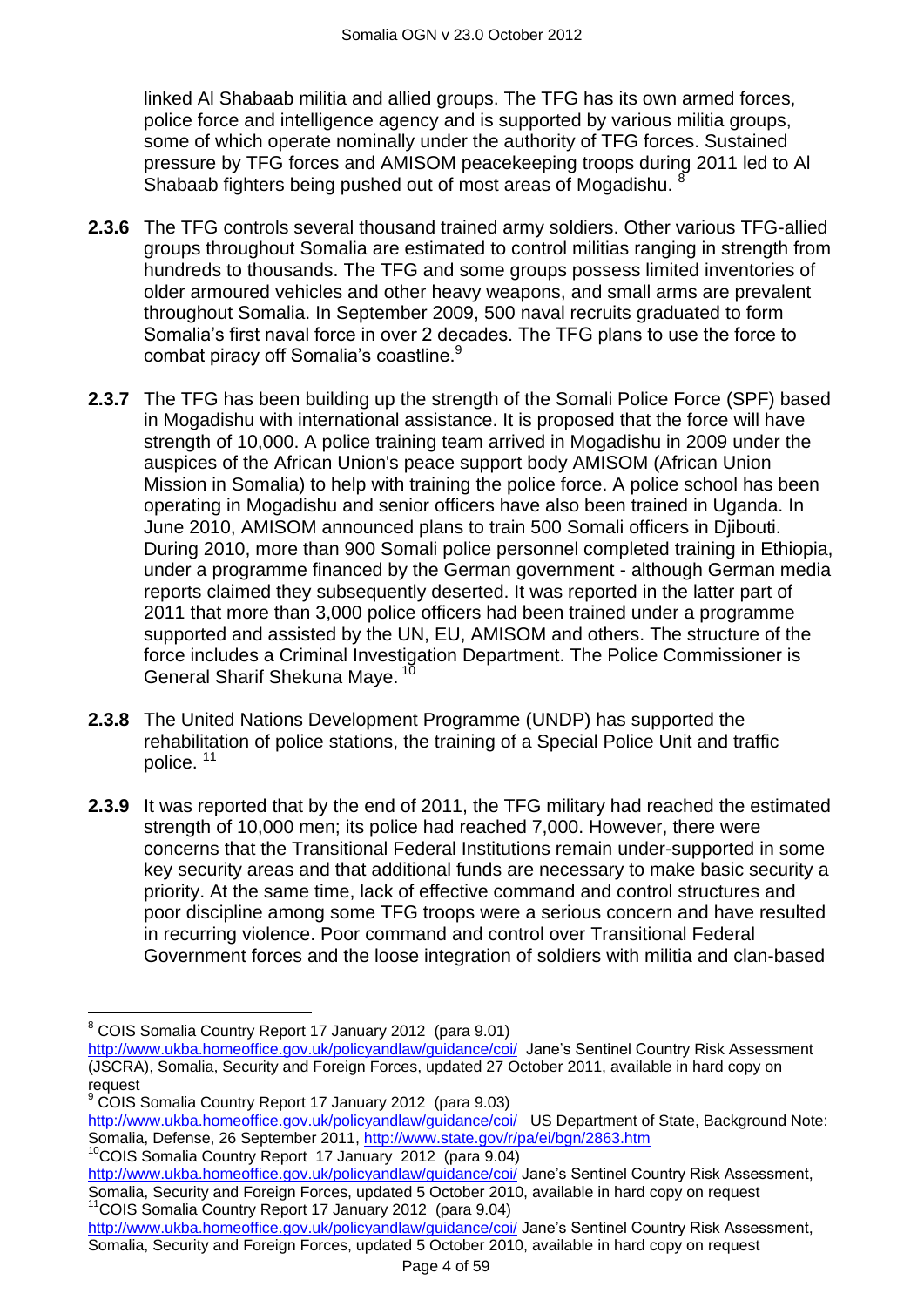linked Al Shabaab militia and allied groups. The TFG has its own armed forces, police force and intelligence agency and is supported by various militia groups, some of which operate nominally under the authority of TFG forces. Sustained pressure by TFG forces and AMISOM peacekeeping troops during 2011 led to Al Shabaab fighters being pushed out of most areas of Mogadishu.

- **2.3.6** The TFG controls several thousand trained army soldiers. Other various TFG-allied groups throughout Somalia are estimated to control militias ranging in strength from hundreds to thousands. The TFG and some groups possess limited inventories of older armoured vehicles and other heavy weapons, and small arms are prevalent throughout Somalia. In September 2009, 500 naval recruits graduated to form Somalia"s first naval force in over 2 decades. The TFG plans to use the force to combat piracy off Somalia's coastline.<sup>9</sup>
- **2.3.7** The TFG has been building up the strength of the Somali Police Force (SPF) based in Mogadishu with international assistance. It is proposed that the force will have strength of 10,000. A police training team arrived in Mogadishu in 2009 under the auspices of the African Union's peace support body AMISOM (African Union Mission in Somalia) to help with training the police force. A police school has been operating in Mogadishu and senior officers have also been trained in Uganda. In June 2010, AMISOM announced plans to train 500 Somali officers in Djibouti. During 2010, more than 900 Somali police personnel completed training in Ethiopia, under a programme financed by the German government - although German media reports claimed they subsequently deserted. It was reported in the latter part of 2011 that more than 3,000 police officers had been trained under a programme supported and assisted by the UN, EU, AMISOM and others. The structure of the force includes a Criminal Investigation Department. The Police Commissioner is General Sharif Shekuna Mave.<sup>10</sup>
- **2.3.8** The United Nations Development Programme (UNDP) has supported the rehabilitation of police stations, the training of a Special Police Unit and traffic police. <sup>11</sup>
- **2.3.9** It was reported that by the end of 2011, the TFG military had reached the estimated strength of 10,000 men; its police had reached 7,000. However, there were concerns that the Transitional Federal Institutions remain under-supported in some key security areas and that additional funds are necessary to make basic security a priority. At the same time, lack of effective command and control structures and poor discipline among some TFG troops were a serious concern and have resulted in recurring violence. Poor command and control over Transitional Federal Government forces and the loose integration of soldiers with militia and clan-based

 $\overline{a}$ <sup>8</sup> COIS Somalia Country Report 17 January 2012 (para 9.01)

<http://www.ukba.homeoffice.gov.uk/policyandlaw/guidance/coi/>Jane's Sentinel Country Risk Assessment (JSCRA), Somalia, Security and Foreign Forces, updated 27 October 2011, available in hard copy on request

<sup>9</sup> COIS Somalia Country Report 17 January 2012 (para 9.03)

<http://www.ukba.homeoffice.gov.uk/policyandlaw/guidance/coi/>US Department of State, Background Note: Somalia, Defense, 26 September 2011,<http://www.state.gov/r/pa/ei/bgn/2863.htm>

<sup>10</sup>COIS Somalia Country Report 17 January 2012 (para 9.04)

<http://www.ukba.homeoffice.gov.uk/policyandlaw/guidance/coi/> Jane's Sentinel Country Risk Assessment, Somalia, Security and Foreign Forces, updated 5 October 2010, available in hard copy on request <sup>11</sup>COIS Somalia Country Report 17 January 2012 (para 9.04)

<http://www.ukba.homeoffice.gov.uk/policyandlaw/guidance/coi/> Jane's Sentinel Country Risk Assessment, Somalia, Security and Foreign Forces, updated 5 October 2010, available in hard copy on request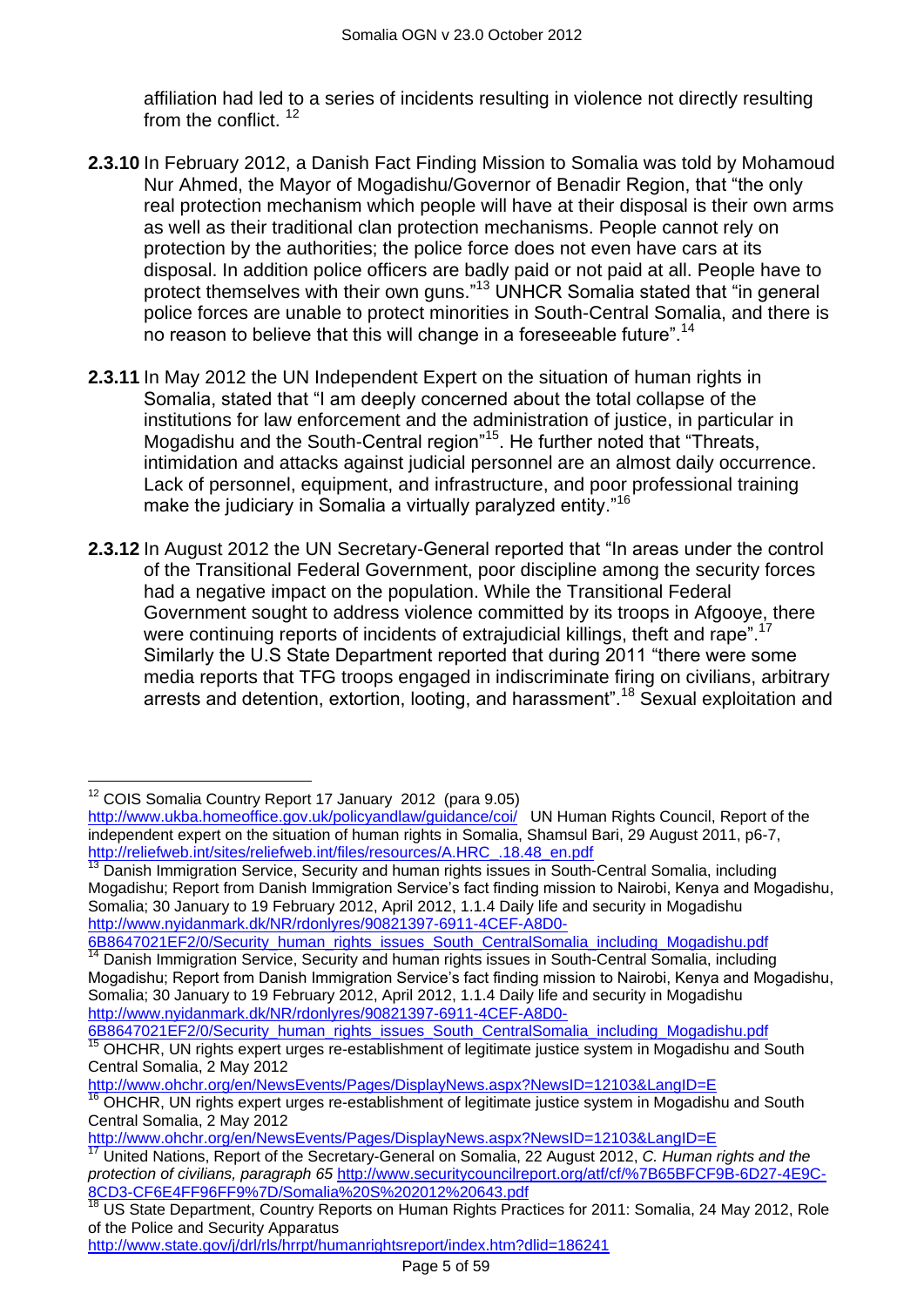affiliation had led to a series of incidents resulting in violence not directly resulting from the conflict.<sup>12</sup>

- **2.3.10** In February 2012, a Danish Fact Finding Mission to Somalia was told by Mohamoud Nur Ahmed, the Mayor of Mogadishu/Governor of Benadir Region, that "the only real protection mechanism which people will have at their disposal is their own arms as well as their traditional clan protection mechanisms. People cannot rely on protection by the authorities; the police force does not even have cars at its disposal. In addition police officers are badly paid or not paid at all. People have to protect themselves with their own guns."<sup>13</sup> UNHCR Somalia stated that "in general police forces are unable to protect minorities in South-Central Somalia, and there is no reason to believe that this will change in a foreseeable future".<sup>14</sup>
- **2.3.11** In May 2012 the UN Independent Expert on the situation of human rights in Somalia, stated that "I am deeply concerned about the total collapse of the institutions for law enforcement and the administration of justice, in particular in Mogadishu and the South-Central region<sup>"15</sup>. He further noted that "Threats, intimidation and attacks against judicial personnel are an almost daily occurrence. Lack of personnel, equipment, and infrastructure, and poor professional training make the judiciary in Somalia a virtually paralyzed entity."<sup>16</sup>
- **2.3.12** In August 2012 the UN Secretary-General reported that "In areas under the control of the Transitional Federal Government, poor discipline among the security forces had a negative impact on the population. While the Transitional Federal Government sought to address violence committed by its troops in Afgooye, there were continuing reports of incidents of extrajudicial killings, theft and rape".<sup>17</sup> Similarly the U.S State Department reported that during 2011 "there were some media reports that TFG troops engaged in indiscriminate firing on civilians, arbitrary arrests and detention, extortion, looting, and harassment".<sup>18</sup> Sexual exploitation and

[6B8647021EF2/0/Security\\_human\\_rights\\_issues\\_South\\_CentralSomalia\\_including\\_Mogadishu.pdf](http://www.nyidanmark.dk/NR/rdonlyres/90821397-6911-4CEF-A8D0-6B8647021EF2/0/Security_human_rights_issues_South_CentralSomalia_including_Mogadishu.pdf) <sup>14</sup> Danish Immigration Service, Security and human rights issues in South-Central Somalia, including Mogadishu; Report from Danish Immigration Service"s fact finding mission to Nairobi, Kenya and Mogadishu, Somalia; 30 January to 19 February 2012, April 2012, 1.1.4 Daily life and security in Mogadishu [http://www.nyidanmark.dk/NR/rdonlyres/90821397-6911-4CEF-A8D0-](http://www.nyidanmark.dk/NR/rdonlyres/90821397-6911-4CEF-A8D0-6B8647021EF2/0/Security_human_rights_issues_South_CentralSomalia_including_Mogadishu.pdf)

<http://www.ohchr.org/en/NewsEvents/Pages/DisplayNews.aspx?NewsID=12103&LangID=E> <sup>16</sup> OHCHR, UN rights expert urges re-establishment of legitimate justice system in Mogadishu and South Central Somalia, 2 May 2012

 $\overline{\phantom{a}}$ <sup>12</sup> COIS Somalia Country Report 17 January 2012 (para 9.05)

<http://www.ukba.homeoffice.gov.uk/policyandlaw/guidance/coi/>UN Human Rights Council, Report of the independent expert on the situation of human rights in Somalia, Shamsul Bari, 29 August 2011, p6-7, [http://reliefweb.int/sites/reliefweb.int/files/resources/A.HRC\\_.18.48\\_en.pdf](http://reliefweb.int/sites/reliefweb.int/files/resources/A.HRC_.18.48_en.pdf)

<sup>&</sup>lt;sup>13</sup> Danish Immigration Service, Security and human rights issues in South-Central Somalia, including Mogadishu; Report from Danish Immigration Service"s fact finding mission to Nairobi, Kenya and Mogadishu, Somalia; 30 January to 19 February 2012, April 2012, 1.1.4 Daily life and security in Mogadishu [http://www.nyidanmark.dk/NR/rdonlyres/90821397-6911-4CEF-A8D0-](http://www.nyidanmark.dk/NR/rdonlyres/90821397-6911-4CEF-A8D0-6B8647021EF2/0/Security_human_rights_issues_South_CentralSomalia_including_Mogadishu.pdf)

[<sup>6</sup>B8647021EF2/0/Security\\_human\\_rights\\_issues\\_South\\_CentralSomalia\\_including\\_Mogadishu.pdf](http://www.nyidanmark.dk/NR/rdonlyres/90821397-6911-4CEF-A8D0-6B8647021EF2/0/Security_human_rights_issues_South_CentralSomalia_including_Mogadishu.pdf) <sup>15</sup> OHCHR, UN rights expert urges re-establishment of legitimate justice system in Mogadishu and South Central Somalia, 2 May 2012

<http://www.ohchr.org/en/NewsEvents/Pages/DisplayNews.aspx?NewsID=12103&LangID=E>

<sup>17</sup> United Nations, Report of the Secretary-General on Somalia, 22 August 2012, *C. Human rights and the protection of civilians, paragraph 65* [http://www.securitycouncilreport.org/atf/cf/%7B65BFCF9B-6D27-4E9C-](http://www.securitycouncilreport.org/atf/cf/%7B65BFCF9B-6D27-4E9C-8CD3-CF6E4FF96FF9%7D/Somalia%20S%202012%20643.pdf)[8CD3-CF6E4FF96FF9%7D/Somalia%20S%202012%20643.pdf](http://www.securitycouncilreport.org/atf/cf/%7B65BFCF9B-6D27-4E9C-8CD3-CF6E4FF96FF9%7D/Somalia%20S%202012%20643.pdf)

<sup>&</sup>lt;sup>18</sup> US State Department, Country Reports on Human Rights Practices for 2011: Somalia, 24 May 2012, Role of the Police and Security Apparatus

[http://www.state.gov/j/drl/rls/hrrpt/humanrightsreport/index.htm?dlid=186241](http://www.state.gov/j/drl/rls/hrrpt/humanrightsreport/index.htm?dlid=186241%20%20)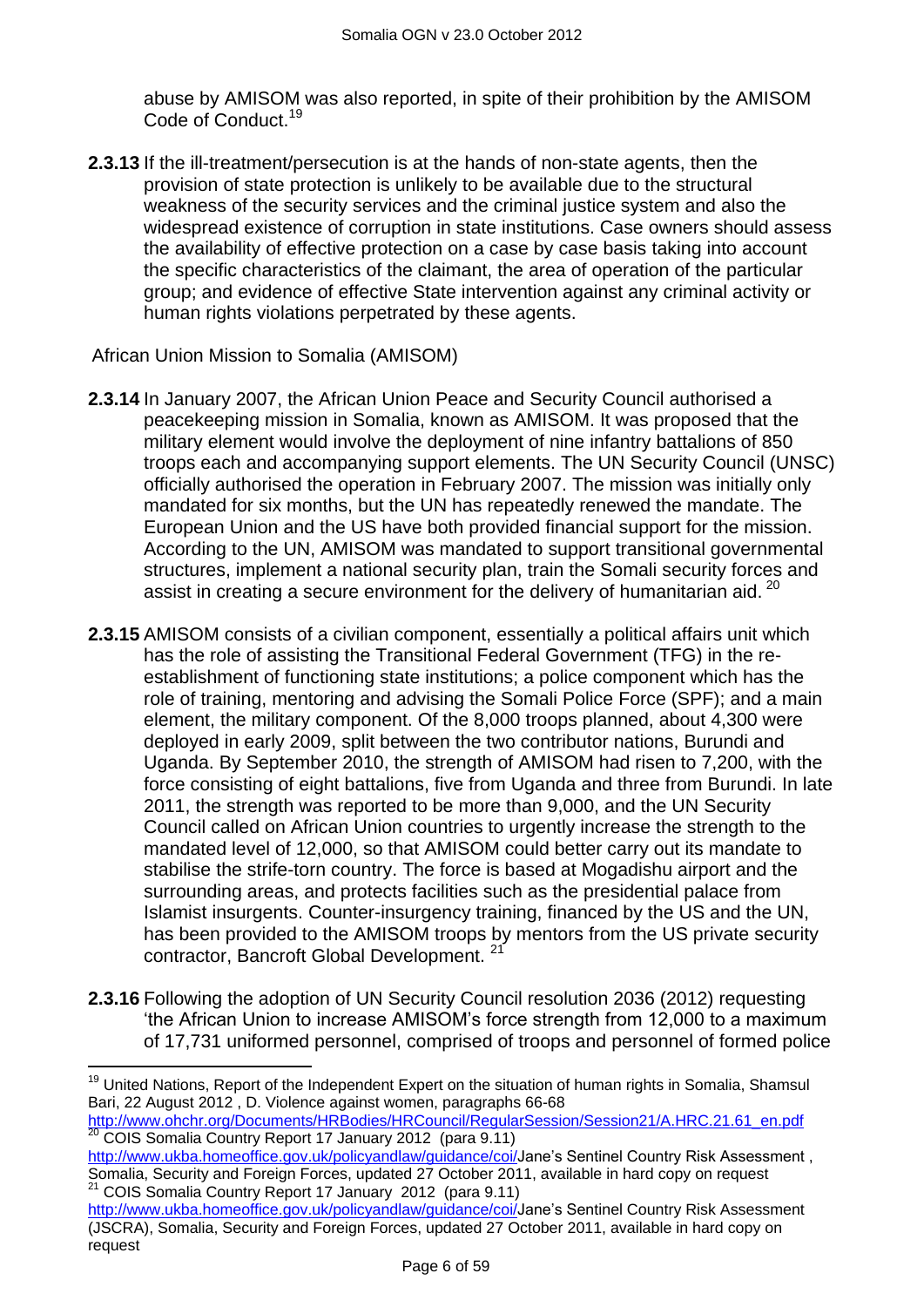abuse by AMISOM was also reported, in spite of their prohibition by the AMISOM Code of Conduct.<sup>19</sup>

**2.3.13** If the ill-treatment/persecution is at the hands of non-state agents, then the provision of state protection is unlikely to be available due to the structural weakness of the security services and the criminal justice system and also the widespread existence of corruption in state institutions. Case owners should assess the availability of effective protection on a case by case basis taking into account the specific characteristics of the claimant, the area of operation of the particular group; and evidence of effective State intervention against any criminal activity or human rights violations perpetrated by these agents.

African Union Mission to Somalia (AMISOM)

 $\overline{a}$ 

- **2.3.14** In January 2007, the African Union Peace and Security Council authorised a peacekeeping mission in Somalia, known as AMISOM. It was proposed that the military element would involve the deployment of nine infantry battalions of 850 troops each and accompanying support elements. The UN Security Council (UNSC) officially authorised the operation in February 2007. The mission was initially only mandated for six months, but the UN has repeatedly renewed the mandate. The European Union and the US have both provided financial support for the mission. According to the UN, AMISOM was mandated to support transitional governmental structures, implement a national security plan, train the Somali security forces and assist in creating a secure environment for the delivery of humanitarian aid.  $^{20}$
- **2.3.15** AMISOM consists of a civilian component, essentially a political affairs unit which has the role of assisting the Transitional Federal Government (TFG) in the reestablishment of functioning state institutions; a police component which has the role of training, mentoring and advising the Somali Police Force (SPF); and a main element, the military component. Of the 8,000 troops planned, about 4,300 were deployed in early 2009, split between the two contributor nations, Burundi and Uganda. By September 2010, the strength of AMISOM had risen to 7,200, with the force consisting of eight battalions, five from Uganda and three from Burundi. In late 2011, the strength was reported to be more than 9,000, and the UN Security Council called on African Union countries to urgently increase the strength to the mandated level of 12,000, so that AMISOM could better carry out its mandate to stabilise the strife-torn country. The force is based at Mogadishu airport and the surrounding areas, and protects facilities such as the presidential palace from Islamist insurgents. Counter-insurgency training, financed by the US and the UN, has been provided to the AMISOM troops by mentors from the US private security contractor, Bancroft Global Development.<sup>2</sup>
- **2.3.16** Following the adoption of UN Security Council resolution 2036 (2012) requesting "the African Union to increase AMISOM"s force strength from 12,000 to a maximum of 17,731 uniformed personnel, comprised of troops and personnel of formed police

[http://www.ohchr.org/Documents/HRBodies/HRCouncil/RegularSession/Session21/A.HRC.21.61\\_en.pdf](http://www.ohchr.org/Documents/HRBodies/HRCouncil/RegularSession/Session21/A.HRC.21.61_en.pdf) 20 COIS Somalia Country Report 17 January 2012 (para 9.11)

- [http://www.ukba.homeoffice.gov.uk/policyandlaw/guidance/coi/J](http://www.ukba.homeoffice.gov.uk/policyandlaw/guidance/coi/)ane's Sentinel Country Risk Assessment, Somalia, Security and Foreign Forces, updated 27 October 2011, available in hard copy on request <sup>21</sup> COIS Somalia Country Report 17 January 2012 (para 9.11)
- [http://www.ukba.homeoffice.gov.uk/policyandlaw/guidance/coi/J](http://www.ukba.homeoffice.gov.uk/policyandlaw/guidance/coi/)ane's Sentinel Country Risk Assessment (JSCRA), Somalia, Security and Foreign Forces, updated 27 October 2011, available in hard copy on request

<sup>&</sup>lt;sup>19</sup> United Nations, Report of the Independent Expert on the situation of human rights in Somalia, Shamsul Bari, 22 August 2012 , D. Violence against women, paragraphs 66-68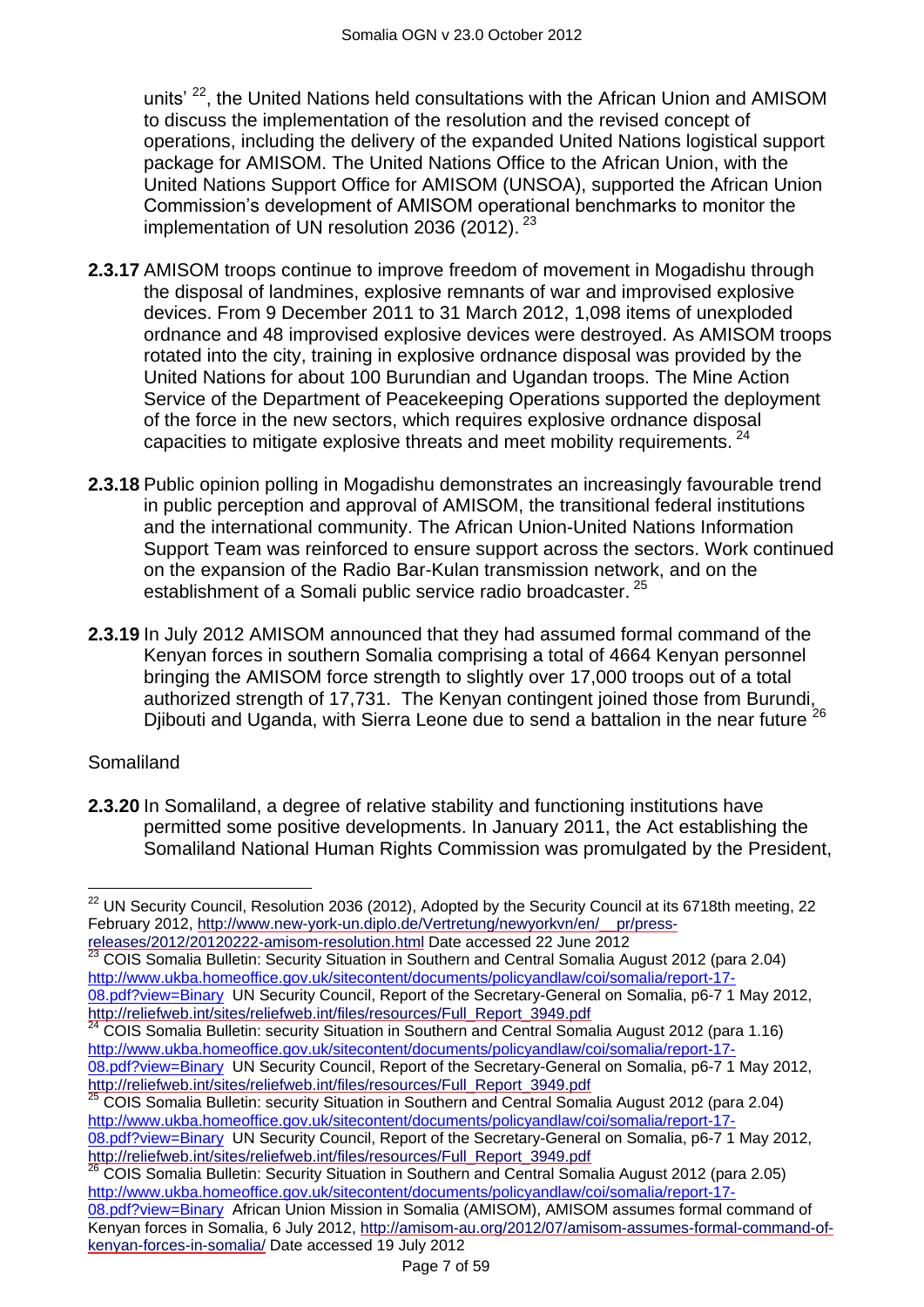units' <sup>22</sup>, the United Nations held consultations with the African Union and AMISOM to discuss the implementation of the resolution and the revised concept of operations, including the delivery of the expanded United Nations logistical support package for AMISOM. The United Nations Office to the African Union, with the United Nations Support Office for AMISOM (UNSOA), supported the African Union Commission"s development of AMISOM operational benchmarks to monitor the implementation of UN resolution 2036 (2012).  $23$ 

- **2.3.17** AMISOM troops continue to improve freedom of movement in Mogadishu through the disposal of landmines, explosive remnants of war and improvised explosive devices. From 9 December 2011 to 31 March 2012, 1,098 items of unexploded ordnance and 48 improvised explosive devices were destroyed. As AMISOM troops rotated into the city, training in explosive ordnance disposal was provided by the United Nations for about 100 Burundian and Ugandan troops. The Mine Action Service of the Department of Peacekeeping Operations supported the deployment of the force in the new sectors, which requires explosive ordnance disposal capacities to mitigate explosive threats and meet mobility requirements. <sup>24</sup>
- **2.3.18** Public opinion polling in Mogadishu demonstrates an increasingly favourable trend in public perception and approval of AMISOM, the transitional federal institutions and the international community. The African Union-United Nations Information Support Team was reinforced to ensure support across the sectors. Work continued on the expansion of the Radio Bar-Kulan transmission network, and on the establishment of a Somali public service radio broadcaster.<sup>25</sup>
- **2.3.19** In July 2012 AMISOM announced that they had assumed formal command of the Kenyan forces in southern Somalia comprising a total of 4664 Kenyan personnel bringing the AMISOM force strength to slightly over 17,000 troops out of a total authorized strength of 17,731. The Kenyan contingent joined those from Burundi, Djibouti and Uganda, with Sierra Leone due to send a battalion in the near future<sup>26</sup>

#### Somaliland

**2.3.20** In Somaliland, a degree of relative stability and functioning institutions have permitted some positive developments. In January 2011, the Act establishing the Somaliland National Human Rights Commission was promulgated by the President,

<sup>23</sup> COIS Somalia Bulletin: Security Situation in Southern and Central Somalia August 2012 (para 2.04) [http://www.ukba.homeoffice.gov.uk/sitecontent/documents/policyandlaw/coi/somalia/report-17-](http://www.ukba.homeoffice.gov.uk/sitecontent/documents/policyandlaw/coi/somalia/report-17-08.pdf?view=Binary) [08.pdf?view=Binary](http://www.ukba.homeoffice.gov.uk/sitecontent/documents/policyandlaw/coi/somalia/report-17-08.pdf?view=Binary) UN Security Council, Report of the Secretary-General on Somalia, p6-7 1 May 2012, [http://reliefweb.int/sites/reliefweb.int/files/resources/Full\\_Report\\_3949.pdf](http://reliefweb.int/sites/reliefweb.int/files/resources/Full_Report_3949.pdf)

<sup>25</sup> COIS Somalia Bulletin: security Situation in Southern and Central Somalia August 2012 (para 2.04) [http://www.ukba.homeoffice.gov.uk/sitecontent/documents/policyandlaw/coi/somalia/report-17-](http://www.ukba.homeoffice.gov.uk/sitecontent/documents/policyandlaw/coi/somalia/report-17-08.pdf?view=Binary) [08.pdf?view=Binary](http://www.ukba.homeoffice.gov.uk/sitecontent/documents/policyandlaw/coi/somalia/report-17-08.pdf?view=Binary) UN Security Council, Report of the Secretary-General on Somalia, p6-7 1 May 2012, [http://reliefweb.int/sites/reliefweb.int/files/resources/Full\\_Report\\_3949.pdf](http://reliefweb.int/sites/reliefweb.int/files/resources/Full_Report_3949.pdf)

 $\overline{\phantom{a}}$  $22$  UN Security Council, Resolution 2036 (2012), Adopted by the Security Council at its 6718th meeting, 22 February 2012, [http://www.new-york-un.diplo.de/Vertretung/newyorkvn/en/\\_\\_pr/press](http://www.new-york-un.diplo.de/Vertretung/newyorkvn/en/__pr/press-releases/2012/20120222-amisom-resolution.html)[releases/2012/20120222-amisom-resolution.html](http://www.new-york-un.diplo.de/Vertretung/newyorkvn/en/__pr/press-releases/2012/20120222-amisom-resolution.html) Date accessed 22 June 2012

<sup>&</sup>lt;sup>24</sup> COIS Somalia Bulletin: security Situation in Southern and Central Somalia August 2012 (para 1.16) [http://www.ukba.homeoffice.gov.uk/sitecontent/documents/policyandlaw/coi/somalia/report-17-](http://www.ukba.homeoffice.gov.uk/sitecontent/documents/policyandlaw/coi/somalia/report-17-08.pdf?view=Binary) [08.pdf?view=Binary](http://www.ukba.homeoffice.gov.uk/sitecontent/documents/policyandlaw/coi/somalia/report-17-08.pdf?view=Binary) UN Security Council, Report of the Secretary-General on Somalia, p6-7 1 May 2012, [http://reliefweb.int/sites/reliefweb.int/files/resources/Full\\_Report\\_3949.pdf](http://reliefweb.int/sites/reliefweb.int/files/resources/Full_Report_3949.pdf)

<sup>&</sup>lt;sup>26</sup> COIS Somalia Bulletin: Security Situation in Southern and Central Somalia August 2012 (para 2.05) [http://www.ukba.homeoffice.gov.uk/sitecontent/documents/policyandlaw/coi/somalia/report-17-](http://www.ukba.homeoffice.gov.uk/sitecontent/documents/policyandlaw/coi/somalia/report-17-08.pdf?view=Binary) [08.pdf?view=Binary](http://www.ukba.homeoffice.gov.uk/sitecontent/documents/policyandlaw/coi/somalia/report-17-08.pdf?view=Binary) African Union Mission in Somalia (AMISOM), AMISOM assumes formal command of Kenyan forces in Somalia, 6 July 2012, [http://amisom-au.org/2012/07/amisom-assumes-formal-command-of](http://amisom-au.org/2012/07/amisom-assumes-formal-command-of-kenyan-forces-in-somalia/)[kenyan-forces-in-somalia/](http://amisom-au.org/2012/07/amisom-assumes-formal-command-of-kenyan-forces-in-somalia/) Date accessed 19 July 2012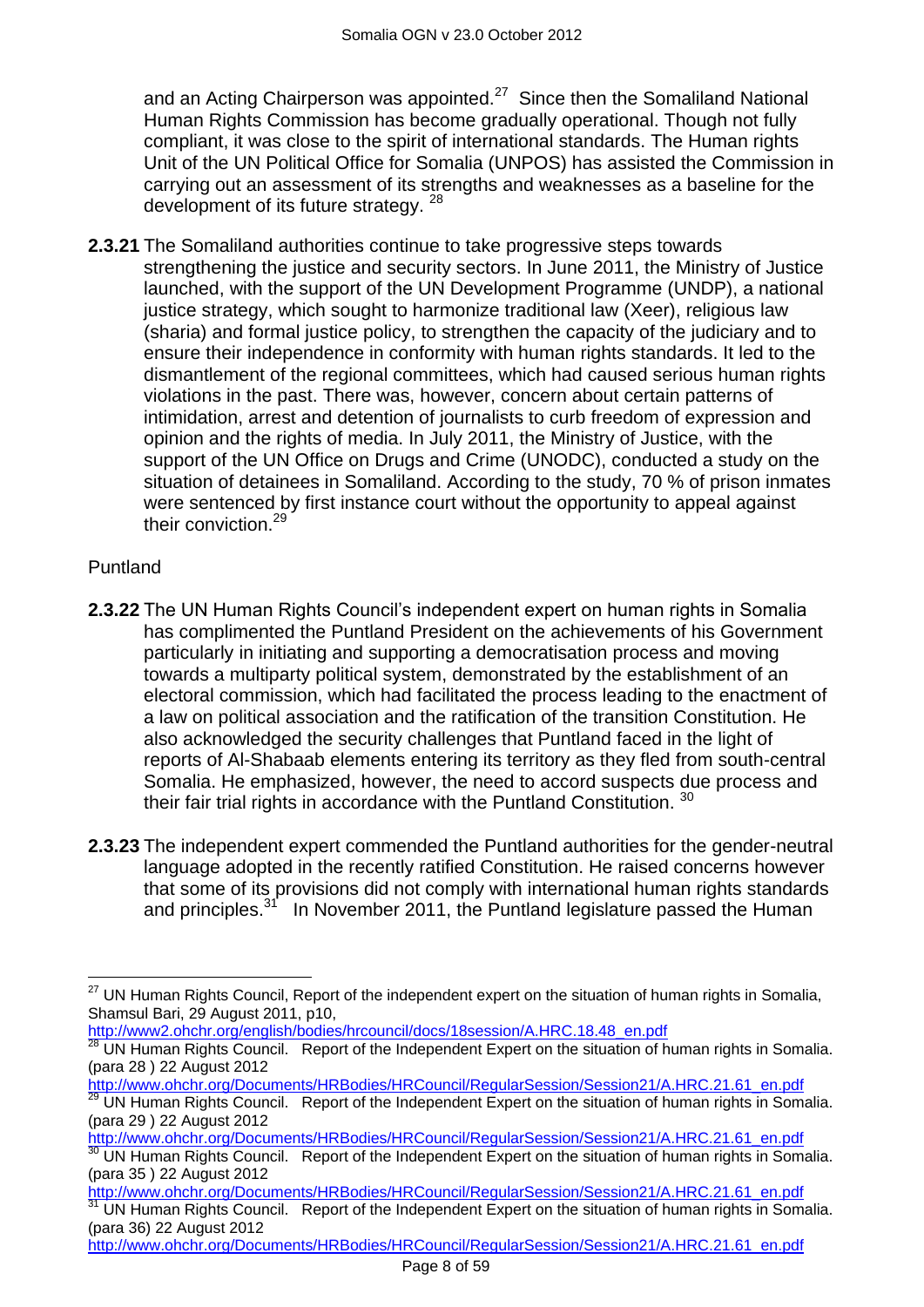and an Acting Chairperson was appointed. $27$  Since then the Somaliland National Human Rights Commission has become gradually operational. Though not fully compliant, it was close to the spirit of international standards. The Human rights Unit of the UN Political Office for Somalia (UNPOS) has assisted the Commission in carrying out an assessment of its strengths and weaknesses as a baseline for the development of its future strategy. <sup>28</sup>

**2.3.21** The Somaliland authorities continue to take progressive steps towards strengthening the justice and security sectors. In June 2011, the Ministry of Justice launched, with the support of the UN Development Programme (UNDP), a national justice strategy, which sought to harmonize traditional law (Xeer), religious law (sharia) and formal justice policy, to strengthen the capacity of the judiciary and to ensure their independence in conformity with human rights standards. It led to the dismantlement of the regional committees, which had caused serious human rights violations in the past. There was, however, concern about certain patterns of intimidation, arrest and detention of journalists to curb freedom of expression and opinion and the rights of media. In July 2011, the Ministry of Justice, with the support of the UN Office on Drugs and Crime (UNODC), conducted a study on the situation of detainees in Somaliland. According to the study, 70 % of prison inmates were sentenced by first instance court without the opportunity to appeal against their conviction.<sup>29</sup>

#### Puntland

- **2.3.22** The UN Human Rights Council's independent expert on human rights in Somalia has complimented the Puntland President on the achievements of his Government particularly in initiating and supporting a democratisation process and moving towards a multiparty political system, demonstrated by the establishment of an electoral commission, which had facilitated the process leading to the enactment of a law on political association and the ratification of the transition Constitution. He also acknowledged the security challenges that Puntland faced in the light of reports of Al-Shabaab elements entering its territory as they fled from south-central Somalia. He emphasized, however, the need to accord suspects due process and their fair trial rights in accordance with the Puntland Constitution. 30
- **2.3.23** The independent expert commended the Puntland authorities for the gender-neutral language adopted in the recently ratified Constitution. He raised concerns however that some of its provisions did not comply with international human rights standards and principles. $31$  In November 2011, the Puntland legislature passed the Human

[http://www2.ohchr.org/english/bodies/hrcouncil/docs/18session/A.HRC.18.48\\_en.pdf](http://www2.ohchr.org/english/bodies/hrcouncil/docs/18session/A.HRC.18.48_en.pdf)

[http://www.ohchr.org/Documents/HRBodies/HRCouncil/RegularSession/Session21/A.HRC.21.61\\_en.pdf](http://www.ohchr.org/Documents/HRBodies/HRCouncil/RegularSession/Session21/A.HRC.21.61_en.pdf)

 $\overline{a}$ <sup>27</sup> UN Human Rights Council, Report of the independent expert on the situation of human rights in Somalia, Shamsul Bari, 29 August 2011, p10,

<sup>28</sup> UN Human Rights Council. Report of the Independent Expert on the situation of human rights in Somalia. (para 28 ) 22 August 2012

[http://www.ohchr.org/Documents/HRBodies/HRCouncil/RegularSession/Session21/A.HRC.21.61\\_en.pdf](http://www.ohchr.org/Documents/HRBodies/HRCouncil/RegularSession/Session21/A.HRC.21.61_en.pdf) <sup>29</sup> UN Human Rights Council. Report of the Independent Expert on the situation of human rights in Somalia. (para 29 ) 22 August 2012

[http://www.ohchr.org/Documents/HRBodies/HRCouncil/RegularSession/Session21/A.HRC.21.61\\_en.pdf](http://www.ohchr.org/Documents/HRBodies/HRCouncil/RegularSession/Session21/A.HRC.21.61_en.pdf)

UN Human Rights Council. Report of the Independent Expert on the situation of human rights in Somalia. (para 35 ) 22 August 2012

[http://www.ohchr.org/Documents/HRBodies/HRCouncil/RegularSession/Session21/A.HRC.21.61\\_en.pdf](http://www.ohchr.org/Documents/HRBodies/HRCouncil/RegularSession/Session21/A.HRC.21.61_en.pdf) UN Human Rights Council. Report of the Independent Expert on the situation of human rights in Somalia. (para 36) 22 August 2012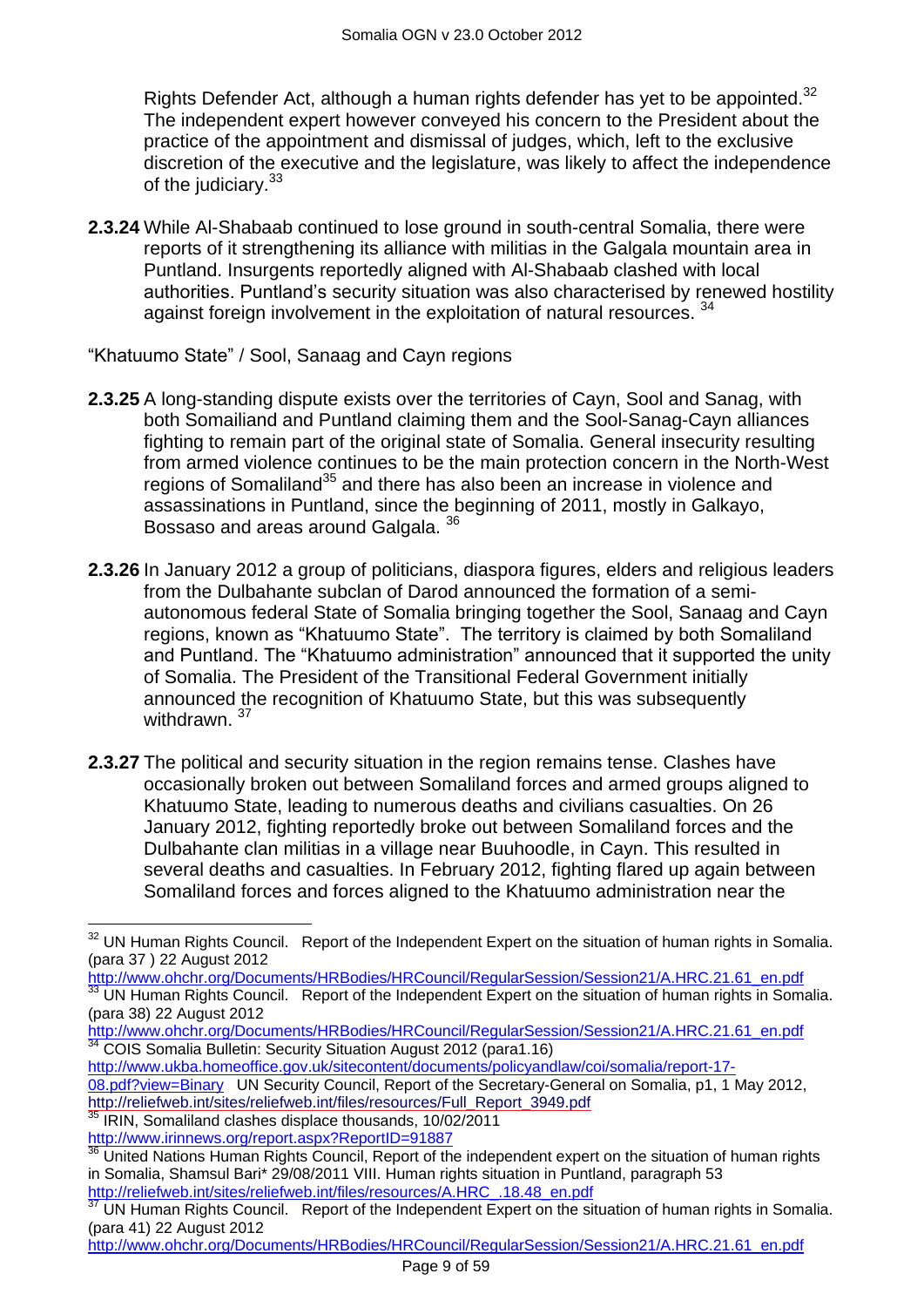Rights Defender Act, although a human rights defender has yet to be appointed.<sup>32</sup> The independent expert however conveyed his concern to the President about the practice of the appointment and dismissal of judges, which, left to the exclusive discretion of the executive and the legislature, was likely to affect the independence of the judiciary.<sup>33</sup>

**2.3.24** While Al-Shabaab continued to lose ground in south-central Somalia, there were reports of it strengthening its alliance with militias in the Galgala mountain area in Puntland. Insurgents reportedly aligned with Al-Shabaab clashed with local authorities. Puntland"s security situation was also characterised by renewed hostility against foreign involvement in the exploitation of natural resources. <sup>34</sup>

"Khatuumo State" / Sool, Sanaag and Cayn regions

- **2.3.25** A long-standing dispute exists over the territories of Cayn, Sool and Sanag, with both Somailiand and Puntland claiming them and the Sool-Sanag-Cayn alliances fighting to remain part of the original state of Somalia. General insecurity resulting from armed violence continues to be the main protection concern in the North-West regions of Somaliland<sup>35</sup> and there has also been an increase in violence and assassinations in Puntland, since the beginning of 2011, mostly in Galkayo, Bossaso and areas around Galgala. <sup>36</sup>
- **2.3.26** In January 2012 a group of politicians, diaspora figures, elders and religious leaders from the Dulbahante subclan of Darod announced the formation of a semiautonomous federal State of Somalia bringing together the Sool, Sanaag and Cayn regions, known as "Khatuumo State". The territory is claimed by both Somaliland and Puntland. The "Khatuumo administration" announced that it supported the unity of Somalia. The President of the Transitional Federal Government initially announced the recognition of Khatuumo State, but this was subsequently withdrawn. 37
- **2.3.27** The political and security situation in the region remains tense. Clashes have occasionally broken out between Somaliland forces and armed groups aligned to Khatuumo State, leading to numerous deaths and civilians casualties. On 26 January 2012, fighting reportedly broke out between Somaliland forces and the Dulbahante clan militias in a village near Buuhoodle, in Cayn. This resulted in several deaths and casualties. In February 2012, fighting flared up again between Somaliland forces and forces aligned to the Khatuumo administration near the

[http://www.ukba.homeoffice.gov.uk/sitecontent/documents/policyandlaw/coi/somalia/report-17-](http://www.ukba.homeoffice.gov.uk/sitecontent/documents/policyandlaw/coi/somalia/report-17-08.pdf?view=Binary)

[08.pdf?view=Binary](http://www.ukba.homeoffice.gov.uk/sitecontent/documents/policyandlaw/coi/somalia/report-17-08.pdf?view=Binary) UN Security Council, Report of the Secretary-General on Somalia, p1, 1 May 2012, [http://reliefweb.int/sites/reliefweb.int/files/resources/Full\\_Report\\_3949.pdf](http://reliefweb.int/sites/reliefweb.int/files/resources/Full_Report_3949.pdf)

<sup>35</sup> IRIN, Somaliland clashes displace thousands, 10/02/2011 http://www.irinnews.org/report.aspx?ReportID=91887

 $\overline{a}$ 

<sup>&</sup>lt;sup>32</sup> UN Human Rights Council. Report of the Independent Expert on the situation of human rights in Somalia. (para 37 ) 22 August 2012

[http://www.ohchr.org/Documents/HRBodies/HRCouncil/RegularSession/Session21/A.HRC.21.61\\_en.pdf](http://www.ohchr.org/Documents/HRBodies/HRCouncil/RegularSession/Session21/A.HRC.21.61_en.pdf) UN Human Rights Council. Report of the Independent Expert on the situation of human rights in Somalia. (para 38) 22 August 2012

[http://www.ohchr.org/Documents/HRBodies/HRCouncil/RegularSession/Session21/A.HRC.21.61\\_en.pdf](http://www.ohchr.org/Documents/HRBodies/HRCouncil/RegularSession/Session21/A.HRC.21.61_en.pdf) <sup>34</sup> COIS Somalia Bulletin: Security Situation August 2012 (para1.16)

United Nations Human Rights Council, Report of the independent expert on the situation of human rights in Somalia, Shamsul Bari\* 29/08/2011 VIII. Human rights situation in Puntland, paragraph 53 [http://reliefweb.int/sites/reliefweb.int/files/resources/A.HRC\\_.18.48\\_en.pdf](http://reliefweb.int/sites/reliefweb.int/files/resources/A.HRC_.18.48_en.pdf)

UN Human Rights Council. Report of the Independent Expert on the situation of human rights in Somalia. (para 41) 22 August 2012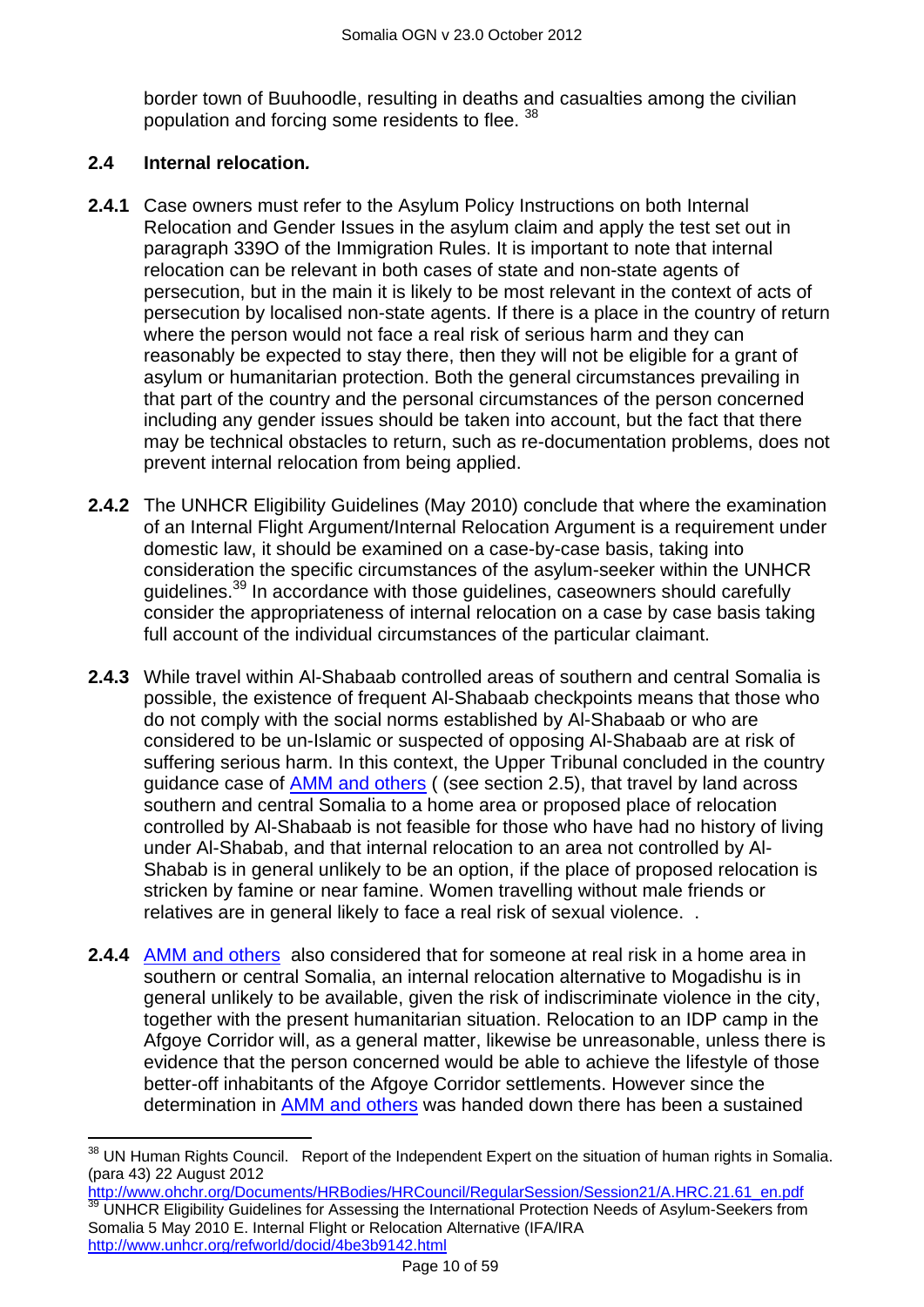border town of Buuhoodle, resulting in deaths and casualties among the civilian population and forcing some residents to flee. 38

#### <span id="page-9-0"></span>**2.4 Internal relocation***.*

- **2.4.1** Case owners must refer to the Asylum Policy Instructions on both Internal Relocation and Gender Issues in the asylum claim and apply the test set out in paragraph 339O of the Immigration Rules. It is important to note that internal relocation can be relevant in both cases of state and non-state agents of persecution, but in the main it is likely to be most relevant in the context of acts of persecution by localised non-state agents. If there is a place in the country of return where the person would not face a real risk of serious harm and they can reasonably be expected to stay there, then they will not be eligible for a grant of asylum or humanitarian protection. Both the general circumstances prevailing in that part of the country and the personal circumstances of the person concerned including any gender issues should be taken into account, but the fact that there may be technical obstacles to return, such as re-documentation problems, does not prevent internal relocation from being applied.
- **2.4.2** The UNHCR Eligibility Guidelines (May 2010) conclude that where the examination of an Internal Flight Argument/Internal Relocation Argument is a requirement under domestic law, it should be examined on a case-by-case basis, taking into consideration the specific circumstances of the asylum-seeker within the UNHCR guidelines.<sup>39</sup> In accordance with those guidelines, caseowners should carefully consider the appropriateness of internal relocation on a case by case basis taking full account of the individual circumstances of the particular claimant.
- **2.4.3** While travel within Al-Shabaab controlled areas of southern and central Somalia is possible, the existence of frequent Al-Shabaab checkpoints means that those who do not comply with the social norms established by Al-Shabaab or who are considered to be un-Islamic or suspected of opposing Al-Shabaab are at risk of suffering serious harm. In this context, the Upper Tribunal concluded in the country guidance case of **AMM and others** ( (see section 2.5), that travel by land across southern and central Somalia to a home area or proposed place of relocation controlled by Al-Shabaab is not feasible for those who have had no history of living under Al-Shabab, and that internal relocation to an area not controlled by Al-Shabab is in general unlikely to be an option, if the place of proposed relocation is stricken by famine or near famine. Women travelling without male friends or relatives are in general likely to face a real risk of sexual violence. .
- **2.4.4** [AMM and others](http://www.bailii.org/uk/cases/UKUT/IAC/2011/00445_ukut_iac_2011_amm_ors_somalia_cg.html) also considered that for someone at real risk in a home area in southern or central Somalia, an internal relocation alternative to Mogadishu is in general unlikely to be available, given the risk of indiscriminate violence in the city, together with the present humanitarian situation. Relocation to an IDP camp in the Afgoye Corridor will, as a general matter, likewise be unreasonable, unless there is evidence that the person concerned would be able to achieve the lifestyle of those better-off inhabitants of the Afgoye Corridor settlements. However since the determination in [AMM and others](http://www.bailii.org/uk/cases/UKUT/IAC/2011/00445_ukut_iac_2011_amm_ors_somalia_cg.html) was handed down there has been a sustained

 $\overline{a}$ <sup>38</sup> UN Human Rights Council. Report of the Independent Expert on the situation of human rights in Somalia. (para 43) 22 August 2012

[http://www.ohchr.org/Documents/HRBodies/HRCouncil/RegularSession/Session21/A.HRC.21.61\\_en.pdf](http://www.ohchr.org/Documents/HRBodies/HRCouncil/RegularSession/Session21/A.HRC.21.61_en.pdf) UNHCR Eligibility Guidelines for Assessing the International Protection Needs of Asylum-Seekers from Somalia 5 May 2010 E. Internal Flight or Relocation Alternative (IFA/IRA <http://www.unhcr.org/refworld/docid/4be3b9142.html>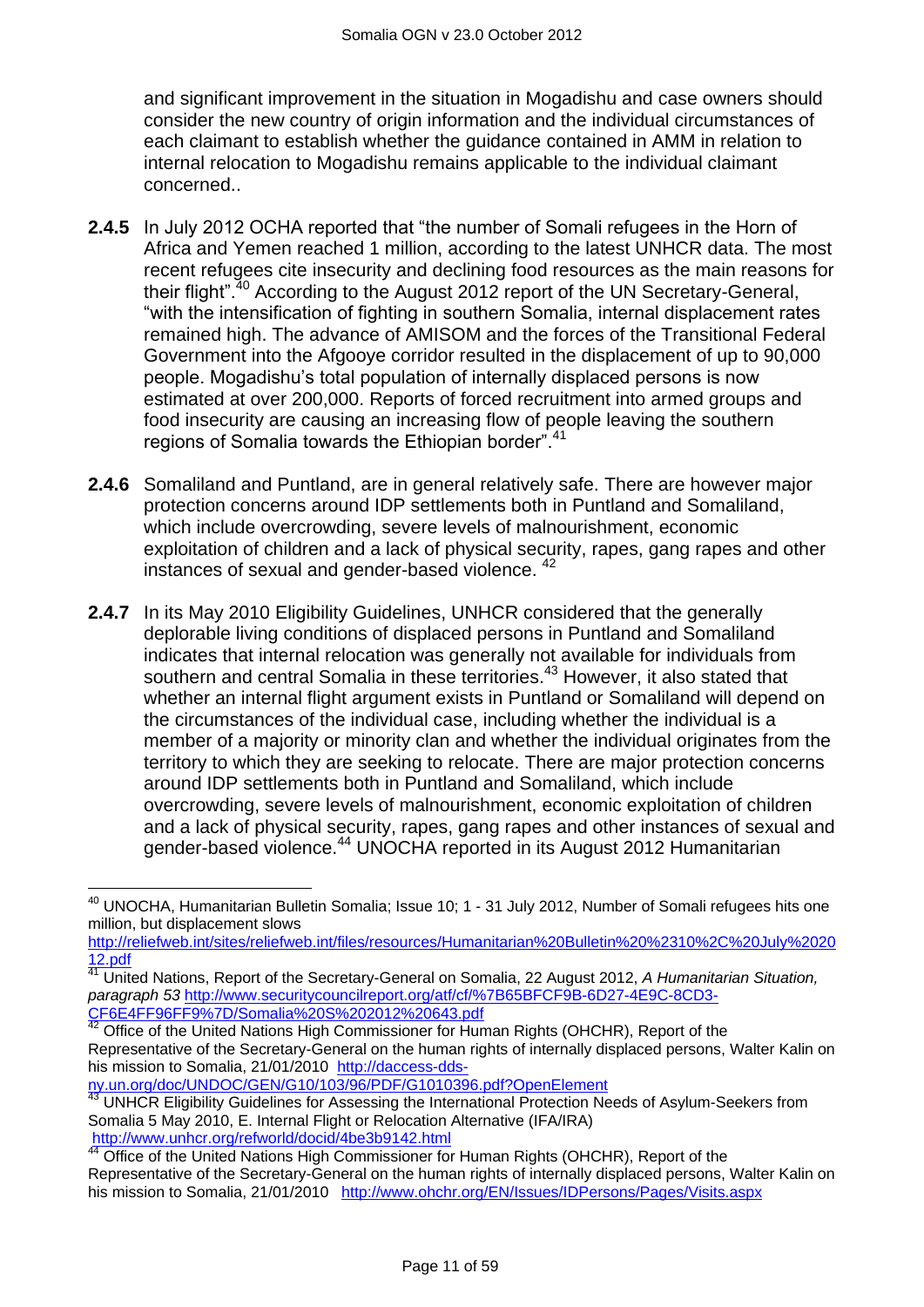and significant improvement in the situation in Mogadishu and case owners should consider the new country of origin information and the individual circumstances of each claimant to establish whether the guidance contained in AMM in relation to internal relocation to Mogadishu remains applicable to the individual claimant concerned..

- **2.4.5** In July 2012 OCHA reported that "the number of Somali refugees in the Horn of Africa and Yemen reached 1 million, according to the latest UNHCR data. The most recent refugees cite insecurity and declining food resources as the main reasons for their flight".<sup>40</sup> According to the August 2012 report of the UN Secretary-General, "with the intensification of fighting in southern Somalia, internal displacement rates remained high. The advance of AMISOM and the forces of the Transitional Federal Government into the Afgooye corridor resulted in the displacement of up to 90,000 people. Mogadishu"s total population of internally displaced persons is now estimated at over 200,000. Reports of forced recruitment into armed groups and food insecurity are causing an increasing flow of people leaving the southern regions of Somalia towards the Ethiopian border".<sup>41</sup>
- **2.4.6** Somaliland and Puntland, are in general relatively safe. There are however major protection concerns around IDP settlements both in Puntland and Somaliland, which include overcrowding, severe levels of malnourishment, economic exploitation of children and a lack of physical security, rapes, gang rapes and other instances of sexual and gender-based violence. <sup>42</sup>
- **2.4.7** In its May 2010 Eligibility Guidelines, UNHCR considered that the generally deplorable living conditions of displaced persons in Puntland and Somaliland indicates that internal relocation was generally not available for individuals from southern and central Somalia in these territories.<sup>43</sup> However, it also stated that whether an internal flight argument exists in Puntland or Somaliland will depend on the circumstances of the individual case, including whether the individual is a member of a majority or minority clan and whether the individual originates from the territory to which they are seeking to relocate. There are major protection concerns around IDP settlements both in Puntland and Somaliland, which include overcrowding, severe levels of malnourishment, economic exploitation of children and a lack of physical security, rapes, gang rapes and other instances of sexual and gender-based violence.<sup>44</sup> UNOCHA reported in its August 2012 Humanitarian

[ny.un.org/doc/UNDOC/GEN/G10/103/96/PDF/G1010396.pdf?OpenElement](http://daccess-dds-ny.un.org/doc/UNDOC/GEN/G10/103/96/PDF/G1010396.pdf?OpenElement)

 $\overline{\phantom{a}}$ <sup>40</sup> UNOCHA, Humanitarian Bulletin Somalia; Issue 10; 1 - 31 July 2012, Number of Somali refugees hits one million, but displacement slows

[http://reliefweb.int/sites/reliefweb.int/files/resources/Humanitarian%20Bulletin%20%2310%2C%20July%2020](http://reliefweb.int/sites/reliefweb.int/files/resources/Humanitarian%20Bulletin%20%2310%2C%20July%202012.pdf) [12.pdf](http://reliefweb.int/sites/reliefweb.int/files/resources/Humanitarian%20Bulletin%20%2310%2C%20July%202012.pdf)

<sup>41</sup> United Nations, Report of the Secretary-General on Somalia, 22 August 2012, *A Humanitarian Situation, paragraph 53* [http://www.securitycouncilreport.org/atf/cf/%7B65BFCF9B-6D27-4E9C-8CD3-](http://www.securitycouncilreport.org/atf/cf/%7B65BFCF9B-6D27-4E9C-8CD3-CF6E4FF96FF9%7D/Somalia%20S%202012%20643.pdf) [CF6E4FF96FF9%7D/Somalia%20S%202012%20643.pdf](http://www.securitycouncilreport.org/atf/cf/%7B65BFCF9B-6D27-4E9C-8CD3-CF6E4FF96FF9%7D/Somalia%20S%202012%20643.pdf)

And The United Nations High Commissioner for Human Rights (OHCHR), Report of the Representative of the Secretary-General on the human rights of internally displaced persons, Walter Kalin on his mission to Somalia, 21/01/2010 [http://daccess-dds-](http://daccess-dds-ny.un.org/doc/UNDOC/GEN/G10/103/96/PDF/G1010396.pdf?OpenElement)

<sup>&</sup>lt;sup>43</sup> UNHCR Eligibility Guidelines for Assessing the International Protection Needs of Asylum-Seekers from Somalia 5 May 2010, E. Internal Flight or Relocation Alternative (IFA/IRA) <http://www.unhcr.org/refworld/docid/4be3b9142.html><br>44 Office of the United States and Charles and Charles and Charles and Charles and Charles and Charles and Charles and Charles and Charles and Charles and Charles and Char

<sup>44</sup> Office of the United Nations High Commissioner for Human Rights (OHCHR), Report of the Representative of the Secretary-General on the human rights of internally displaced persons, Walter Kalin on his mission to Somalia, 21/01/2010 <http://www.ohchr.org/EN/Issues/IDPersons/Pages/Visits.aspx>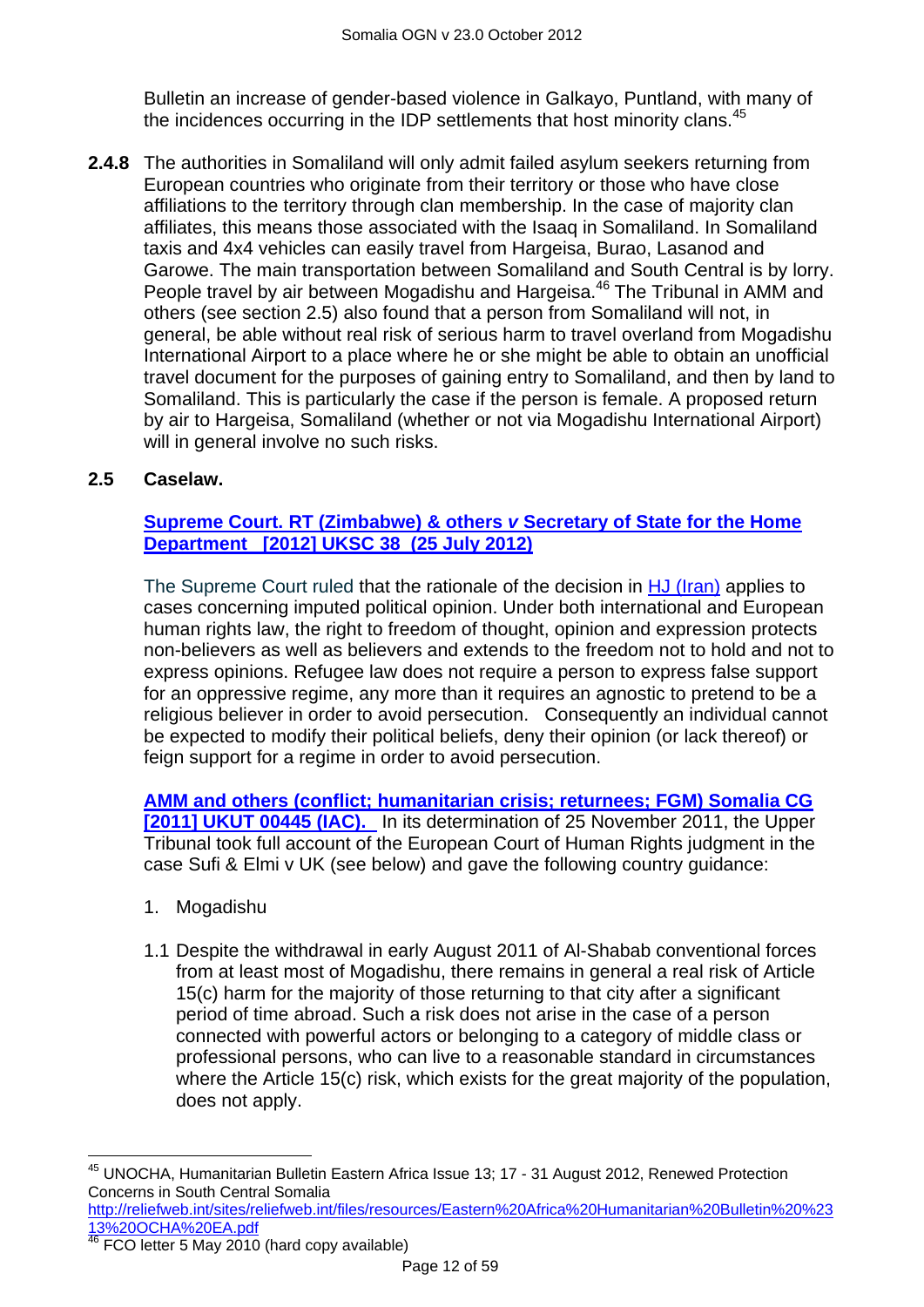Bulletin an increase of gender-based violence in Galkayo, Puntland, with many of the incidences occurring in the IDP settlements that host minority clans.<sup>45</sup>

**2.4.8** The authorities in Somaliland will only admit failed asylum seekers returning from European countries who originate from their territory or those who have close affiliations to the territory through clan membership. In the case of majority clan affiliates, this means those associated with the Isaaq in Somaliland. In Somaliland taxis and 4x4 vehicles can easily travel from Hargeisa, Burao, Lasanod and Garowe. The main transportation between Somaliland and South Central is by lorry. People travel by air between Mogadishu and Hargeisa.<sup>46</sup> The Tribunal in AMM and others (see section 2.5) also found that a person from Somaliland will not, in general, be able without real risk of serious harm to travel overland from Mogadishu International Airport to a place where he or she might be able to obtain an unofficial travel document for the purposes of gaining entry to Somaliland, and then by land to Somaliland. This is particularly the case if the person is female. A proposed return by air to Hargeisa, Somaliland (whether or not via Mogadishu International Airport) will in general involve no such risks.

#### <span id="page-11-0"></span>**2.5 Caselaw.**

#### **[Supreme Court. RT \(Zimbabwe\) & others](http://www.bailii.org/uk/cases/UKSC/2012/38.html)** *v* **Secretary of State for the Home [Department \[2012\] UKSC 38 \(25 July 2012\)](http://www.bailii.org/uk/cases/UKSC/2012/38.html)**

The Supreme Court ruled that the rationale of the decision in [HJ \(Iran\)](http://www.bailii.org/uk/cases/UKSC/2010/31.html) applies to cases concerning imputed political opinion. Under both international and European human rights law, the right to freedom of thought, opinion and expression protects non-believers as well as believers and extends to the freedom not to hold and not to express opinions. Refugee law does not require a person to express false support for an oppressive regime, any more than it requires an agnostic to pretend to be a religious believer in order to avoid persecution.Consequently an individual cannot be expected to modify their political beliefs, deny their opinion (or lack thereof) or feign support for a regime in order to avoid persecution.

**[AMM and others \(conflict; humanitarian crisis; returnees; FGM\) Somalia CG](http://www.bailii.org/uk/cases/UKUT/IAC/2011/00445_ukut_iac_2011_amm_ors_somalia_cg.html)  [\[2011\] UKUT 00445 \(IAC\).](http://www.bailii.org/uk/cases/UKUT/IAC/2011/00445_ukut_iac_2011_amm_ors_somalia_cg.html)** In its determination of 25 November 2011, the Upper Tribunal took full account of the European Court of Human Rights judgment in the case Sufi & Elmi v UK (see below) and gave the following country guidance:

- 1. Mogadishu
- 1.1 Despite the withdrawal in early August 2011 of Al-Shabab conventional forces from at least most of Mogadishu, there remains in general a real risk of Article 15(c) harm for the majority of those returning to that city after a significant period of time abroad. Such a risk does not arise in the case of a person connected with powerful actors or belonging to a category of middle class or professional persons, who can live to a reasonable standard in circumstances where the Article 15(c) risk, which exists for the great majority of the population, does not apply.

[http://reliefweb.int/sites/reliefweb.int/files/resources/Eastern%20Africa%20Humanitarian%20Bulletin%20%23](http://reliefweb.int/sites/reliefweb.int/files/resources/Eastern%20Africa%20Humanitarian%20Bulletin%20%2313%20OCHA%20EA.pdf) [13%20OCHA%20EA.pdf](http://reliefweb.int/sites/reliefweb.int/files/resources/Eastern%20Africa%20Humanitarian%20Bulletin%20%2313%20OCHA%20EA.pdf)

 $\overline{\phantom{a}}$ <sup>45</sup> UNOCHA, Humanitarian Bulletin Eastern Africa Issue 13; 17 - 31 August 2012, Renewed Protection Concerns in South Central Somalia

 $46$  FCO letter 5 May 2010 (hard copy available)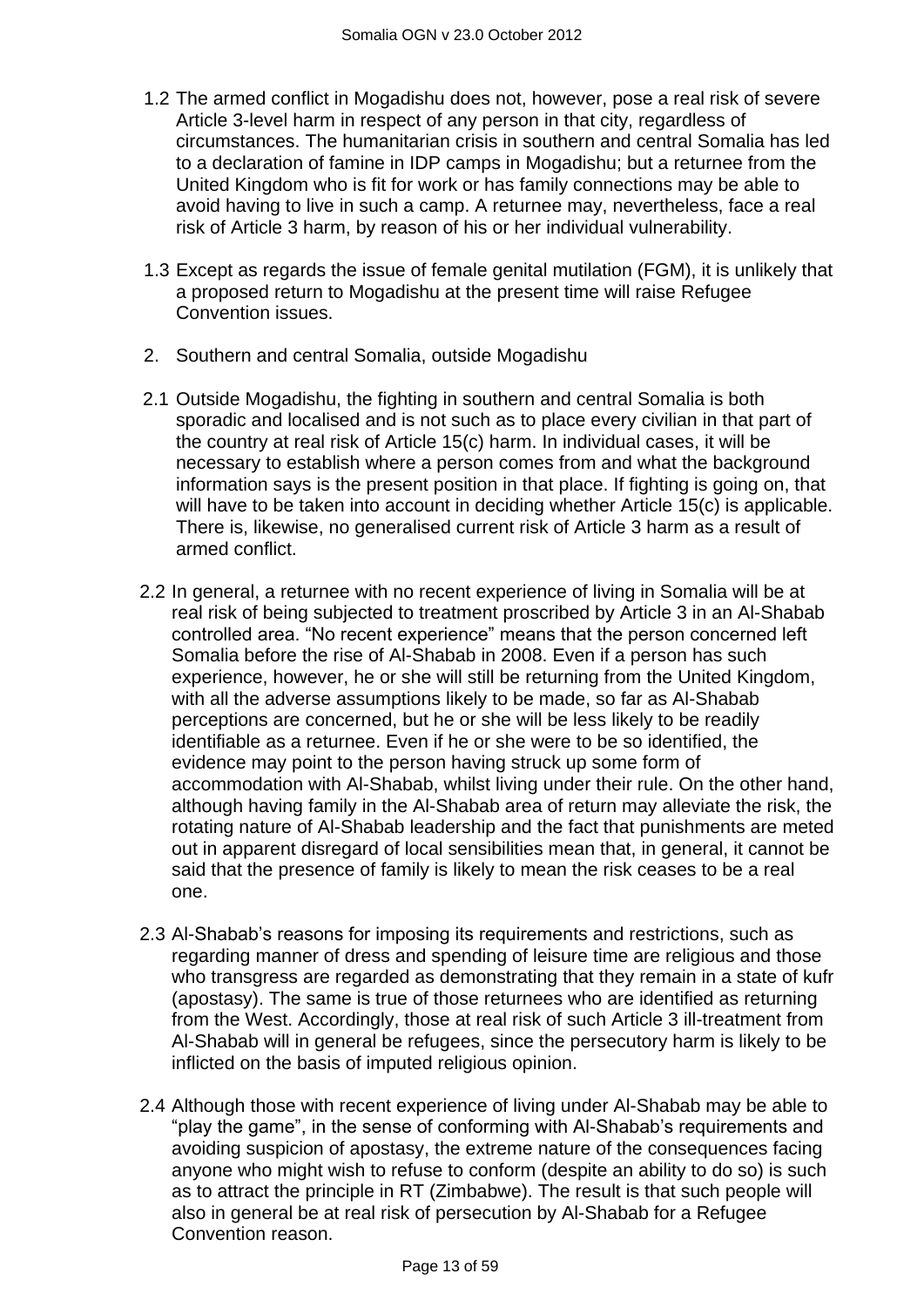- 1.2 The armed conflict in Mogadishu does not, however, pose a real risk of severe Article 3-level harm in respect of any person in that city, regardless of circumstances. The humanitarian crisis in southern and central Somalia has led to a declaration of famine in IDP camps in Mogadishu; but a returnee from the United Kingdom who is fit for work or has family connections may be able to avoid having to live in such a camp. A returnee may, nevertheless, face a real risk of Article 3 harm, by reason of his or her individual vulnerability.
- 1.3 Except as regards the issue of female genital mutilation (FGM), it is unlikely that a proposed return to Mogadishu at the present time will raise Refugee Convention issues.
- 2. Southern and central Somalia, outside Mogadishu
- 2.1 Outside Mogadishu, the fighting in southern and central Somalia is both sporadic and localised and is not such as to place every civilian in that part of the country at real risk of Article 15(c) harm. In individual cases, it will be necessary to establish where a person comes from and what the background information says is the present position in that place. If fighting is going on, that will have to be taken into account in deciding whether Article 15(c) is applicable. There is, likewise, no generalised current risk of Article 3 harm as a result of armed conflict.
- 2.2 In general, a returnee with no recent experience of living in Somalia will be at real risk of being subjected to treatment proscribed by Article 3 in an Al-Shabab controlled area. "No recent experience" means that the person concerned left Somalia before the rise of Al-Shabab in 2008. Even if a person has such experience, however, he or she will still be returning from the United Kingdom, with all the adverse assumptions likely to be made, so far as Al-Shabab perceptions are concerned, but he or she will be less likely to be readily identifiable as a returnee. Even if he or she were to be so identified, the evidence may point to the person having struck up some form of accommodation with Al-Shabab, whilst living under their rule. On the other hand, although having family in the Al-Shabab area of return may alleviate the risk, the rotating nature of Al-Shabab leadership and the fact that punishments are meted out in apparent disregard of local sensibilities mean that, in general, it cannot be said that the presence of family is likely to mean the risk ceases to be a real one.
- 2.3 Al-Shabab"s reasons for imposing its requirements and restrictions, such as regarding manner of dress and spending of leisure time are religious and those who transgress are regarded as demonstrating that they remain in a state of kufr (apostasy). The same is true of those returnees who are identified as returning from the West. Accordingly, those at real risk of such Article 3 ill-treatment from Al-Shabab will in general be refugees, since the persecutory harm is likely to be inflicted on the basis of imputed religious opinion.
- 2.4 Although those with recent experience of living under Al-Shabab may be able to "play the game", in the sense of conforming with Al-Shabab"s requirements and avoiding suspicion of apostasy, the extreme nature of the consequences facing anyone who might wish to refuse to conform (despite an ability to do so) is such as to attract the principle in RT (Zimbabwe). The result is that such people will also in general be at real risk of persecution by Al-Shabab for a Refugee Convention reason.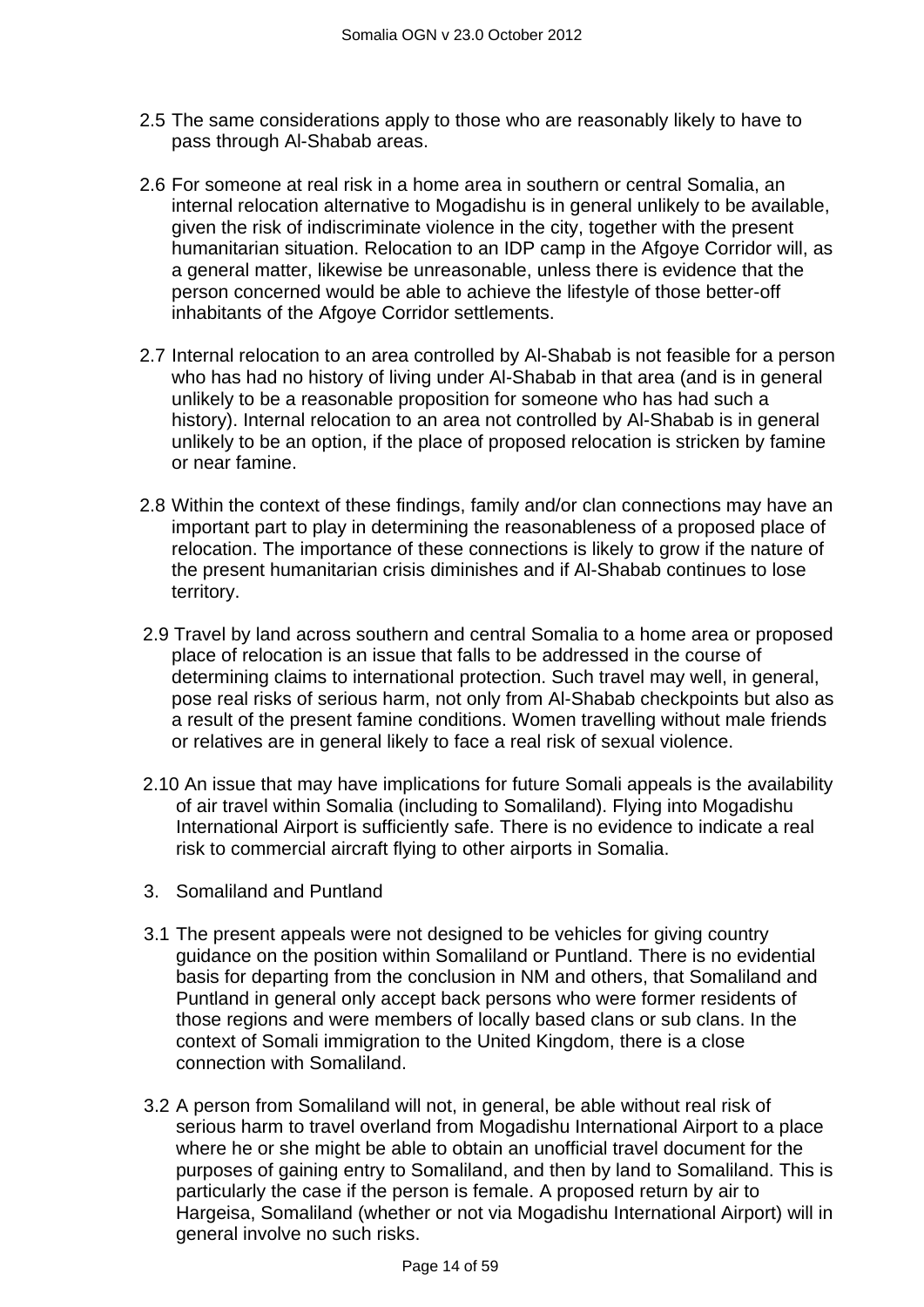- 2.5 The same considerations apply to those who are reasonably likely to have to pass through Al-Shabab areas.
- 2.6 For someone at real risk in a home area in southern or central Somalia, an internal relocation alternative to Mogadishu is in general unlikely to be available, given the risk of indiscriminate violence in the city, together with the present humanitarian situation. Relocation to an IDP camp in the Afgoye Corridor will, as a general matter, likewise be unreasonable, unless there is evidence that the person concerned would be able to achieve the lifestyle of those better-off inhabitants of the Afgoye Corridor settlements.
- 2.7 Internal relocation to an area controlled by Al-Shabab is not feasible for a person who has had no history of living under Al-Shabab in that area (and is in general unlikely to be a reasonable proposition for someone who has had such a history). Internal relocation to an area not controlled by Al-Shabab is in general unlikely to be an option, if the place of proposed relocation is stricken by famine or near famine.
- 2.8 Within the context of these findings, family and/or clan connections may have an important part to play in determining the reasonableness of a proposed place of relocation. The importance of these connections is likely to grow if the nature of the present humanitarian crisis diminishes and if Al-Shabab continues to lose territory.
- 2.9 Travel by land across southern and central Somalia to a home area or proposed place of relocation is an issue that falls to be addressed in the course of determining claims to international protection. Such travel may well, in general, pose real risks of serious harm, not only from Al-Shabab checkpoints but also as a result of the present famine conditions. Women travelling without male friends or relatives are in general likely to face a real risk of sexual violence.
- 2.10 An issue that may have implications for future Somali appeals is the availability of air travel within Somalia (including to Somaliland). Flying into Mogadishu International Airport is sufficiently safe. There is no evidence to indicate a real risk to commercial aircraft flying to other airports in Somalia.
- 3. Somaliland and Puntland
- 3.1 The present appeals were not designed to be vehicles for giving country guidance on the position within Somaliland or Puntland. There is no evidential basis for departing from the conclusion in NM and others, that Somaliland and Puntland in general only accept back persons who were former residents of those regions and were members of locally based clans or sub clans. In the context of Somali immigration to the United Kingdom, there is a close connection with Somaliland.
- 3.2 A person from Somaliland will not, in general, be able without real risk of serious harm to travel overland from Mogadishu International Airport to a place where he or she might be able to obtain an unofficial travel document for the purposes of gaining entry to Somaliland, and then by land to Somaliland. This is particularly the case if the person is female. A proposed return by air to Hargeisa, Somaliland (whether or not via Mogadishu International Airport) will in general involve no such risks.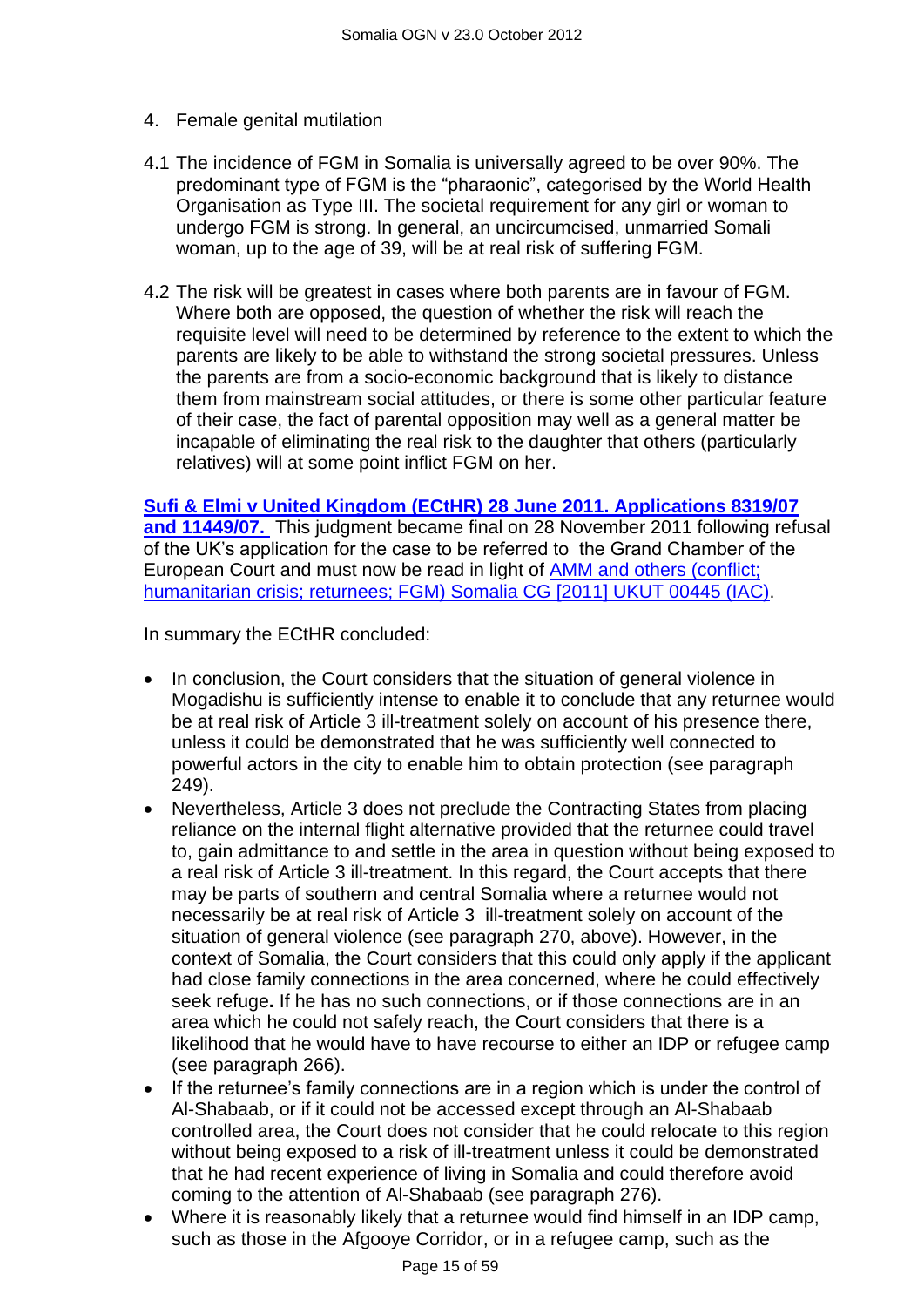- 4. Female genital mutilation
- 4.1 The incidence of FGM in Somalia is universally agreed to be over 90%. The predominant type of FGM is the "pharaonic", categorised by the World Health Organisation as Type III. The societal requirement for any girl or woman to undergo FGM is strong. In general, an uncircumcised, unmarried Somali woman, up to the age of 39, will be at real risk of suffering FGM.
- 4.2 The risk will be greatest in cases where both parents are in favour of FGM. Where both are opposed, the question of whether the risk will reach the requisite level will need to be determined by reference to the extent to which the parents are likely to be able to withstand the strong societal pressures. Unless the parents are from a socio-economic background that is likely to distance them from mainstream social attitudes, or there is some other particular feature of their case, the fact of parental opposition may well as a general matter be incapable of eliminating the real risk to the daughter that others (particularly relatives) will at some point inflict FGM on her.

**[Sufi & Elmi v United Kingdom \(ECtHR\) 28 June 2011. Applications 8319/07](http://www.bailii.org/eu/cases/ECHR/2011/1045.html)  [and 11449/07.](http://www.bailii.org/eu/cases/ECHR/2011/1045.html)** This judgment became final on 28 November 2011 following refusal of the UK"s application for the case to be referred to the Grand Chamber of the European Court and must now be read in light of [AMM and others \(conflict;](http://www.bailii.org/uk/cases/UKUT/IAC/2011/00445_ukut_iac_2011_amm_ors_somalia_cg.html)  [humanitarian crisis; returnees; FGM\) Somalia CG \[2011\] UKUT 00445 \(IAC\).](http://www.bailii.org/uk/cases/UKUT/IAC/2011/00445_ukut_iac_2011_amm_ors_somalia_cg.html)

In summary the ECtHR concluded:

- In conclusion, the Court considers that the situation of general violence in Mogadishu is sufficiently intense to enable it to conclude that any returnee would be at real risk of Article 3 ill-treatment solely on account of his presence there, unless it could be demonstrated that he was sufficiently well connected to powerful actors in the city to enable him to obtain protection (see paragraph 249).
- Nevertheless, Article 3 does not preclude the Contracting States from placing reliance on the internal flight alternative provided that the returnee could travel to, gain admittance to and settle in the area in question without being exposed to a real risk of Article 3 ill-treatment. In this regard, the Court accepts that there may be parts of southern and central Somalia where a returnee would not necessarily be at real risk of Article 3 ill-treatment solely on account of the situation of general violence (see paragraph 270, above). However, in the context of Somalia, the Court considers that this could only apply if the applicant had close family connections in the area concerned, where he could effectively seek refuge**.** If he has no such connections, or if those connections are in an area which he could not safely reach, the Court considers that there is a likelihood that he would have to have recourse to either an IDP or refugee camp (see paragraph 266).
- If the returnee's family connections are in a region which is under the control of Al-Shabaab, or if it could not be accessed except through an Al-Shabaab controlled area, the Court does not consider that he could relocate to this region without being exposed to a risk of ill-treatment unless it could be demonstrated that he had recent experience of living in Somalia and could therefore avoid coming to the attention of Al-Shabaab (see paragraph 276).
- Where it is reasonably likely that a returnee would find himself in an IDP camp, such as those in the Afgooye Corridor, or in a refugee camp, such as the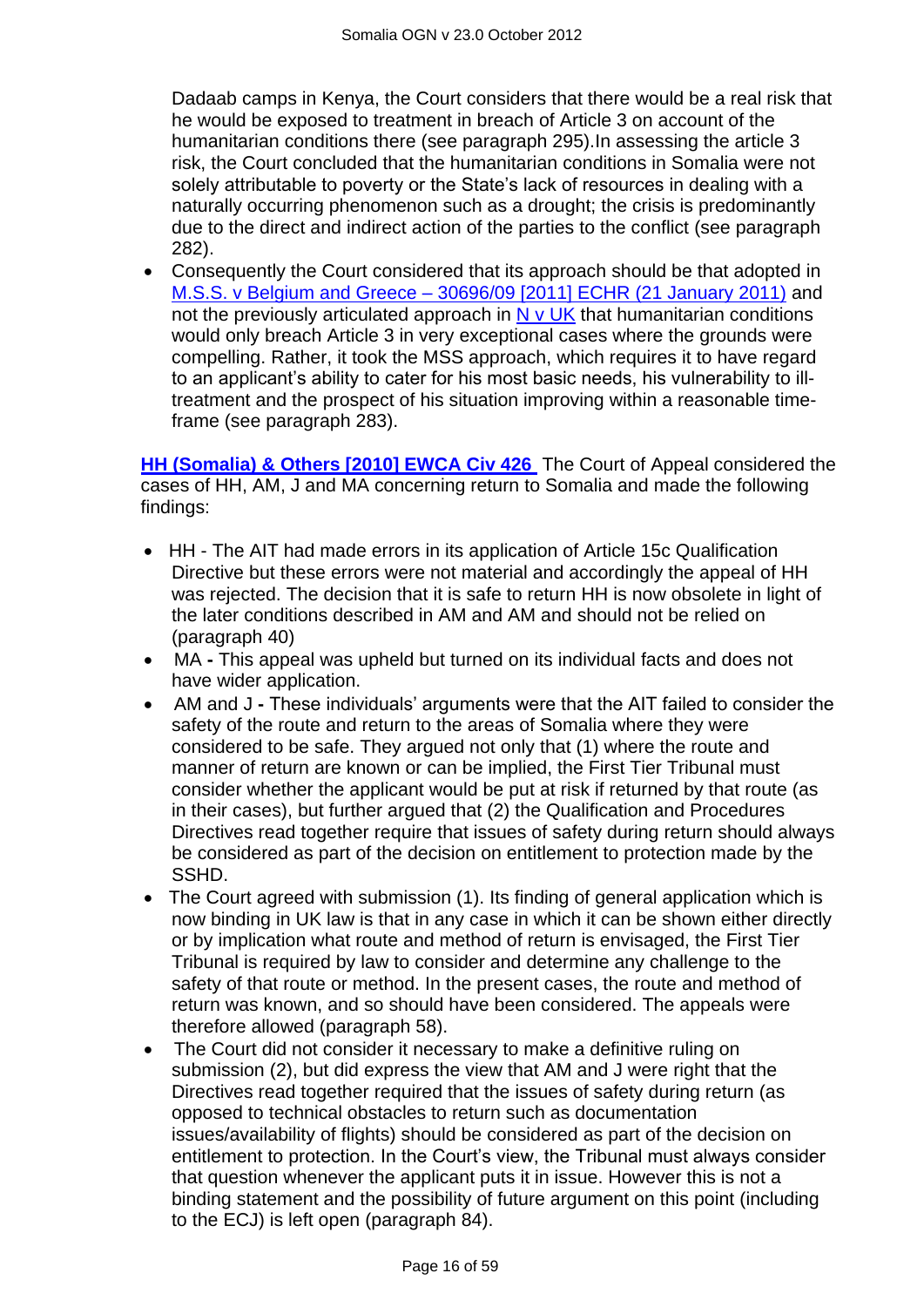Dadaab camps in Kenya, the Court considers that there would be a real risk that he would be exposed to treatment in breach of Article 3 on account of the humanitarian conditions there (see paragraph 295).In assessing the article 3 risk, the Court concluded that the humanitarian conditions in Somalia were not solely attributable to poverty or the State"s lack of resources in dealing with a naturally occurring phenomenon such as a drought; the crisis is predominantly due to the direct and indirect action of the parties to the conflict (see paragraph 282).

 Consequently the Court considered that its approach should be that adopted in M.S.S. v Belgium and Greece – [30696/09 \[2011\] ECHR \(21 January 2011\)](http://www.bailii.org/eu/cases/ECHR/2011/108.html) and not the previously articulated approach in  $N \vee UK$  that humanitarian conditions would only breach Article 3 in very exceptional cases where the grounds were compelling. Rather, it took the MSS approach, which requires it to have regard to an applicant"s ability to cater for his most basic needs, his vulnerability to illtreatment and the prospect of his situation improving within a reasonable timeframe (see paragraph 283).

**[HH \(Somalia\) & Others \[2010\] EWCA Civ 426](http://www.bailii.org/ew/cases/EWCA/Civ/2010/426.html)** The Court of Appeal considered the cases of HH, AM, J and MA concerning return to Somalia and made the following findings:

- HH The AIT had made errors in its application of Article 15c Qualification Directive but these errors were not material and accordingly the appeal of HH was rejected. The decision that it is safe to return HH is now obsolete in light of the later conditions described in AM and AM and should not be relied on (paragraph 40)
- MA **-** This appeal was upheld but turned on its individual facts and does not have wider application.
- AM and J **-** These individuals" arguments were that the AIT failed to consider the safety of the route and return to the areas of Somalia where they were considered to be safe. They argued not only that (1) where the route and manner of return are known or can be implied, the First Tier Tribunal must consider whether the applicant would be put at risk if returned by that route (as in their cases), but further argued that (2) the Qualification and Procedures Directives read together require that issues of safety during return should always be considered as part of the decision on entitlement to protection made by the SSHD.
- The Court agreed with submission (1). Its finding of general application which is now binding in UK law is that in any case in which it can be shown either directly or by implication what route and method of return is envisaged, the First Tier Tribunal is required by law to consider and determine any challenge to the safety of that route or method. In the present cases, the route and method of return was known, and so should have been considered. The appeals were therefore allowed (paragraph 58).
- The Court did not consider it necessary to make a definitive ruling on submission (2), but did express the view that AM and J were right that the Directives read together required that the issues of safety during return (as opposed to technical obstacles to return such as documentation issues/availability of flights) should be considered as part of the decision on entitlement to protection. In the Court"s view, the Tribunal must always consider that question whenever the applicant puts it in issue. However this is not a binding statement and the possibility of future argument on this point (including to the ECJ) is left open (paragraph 84).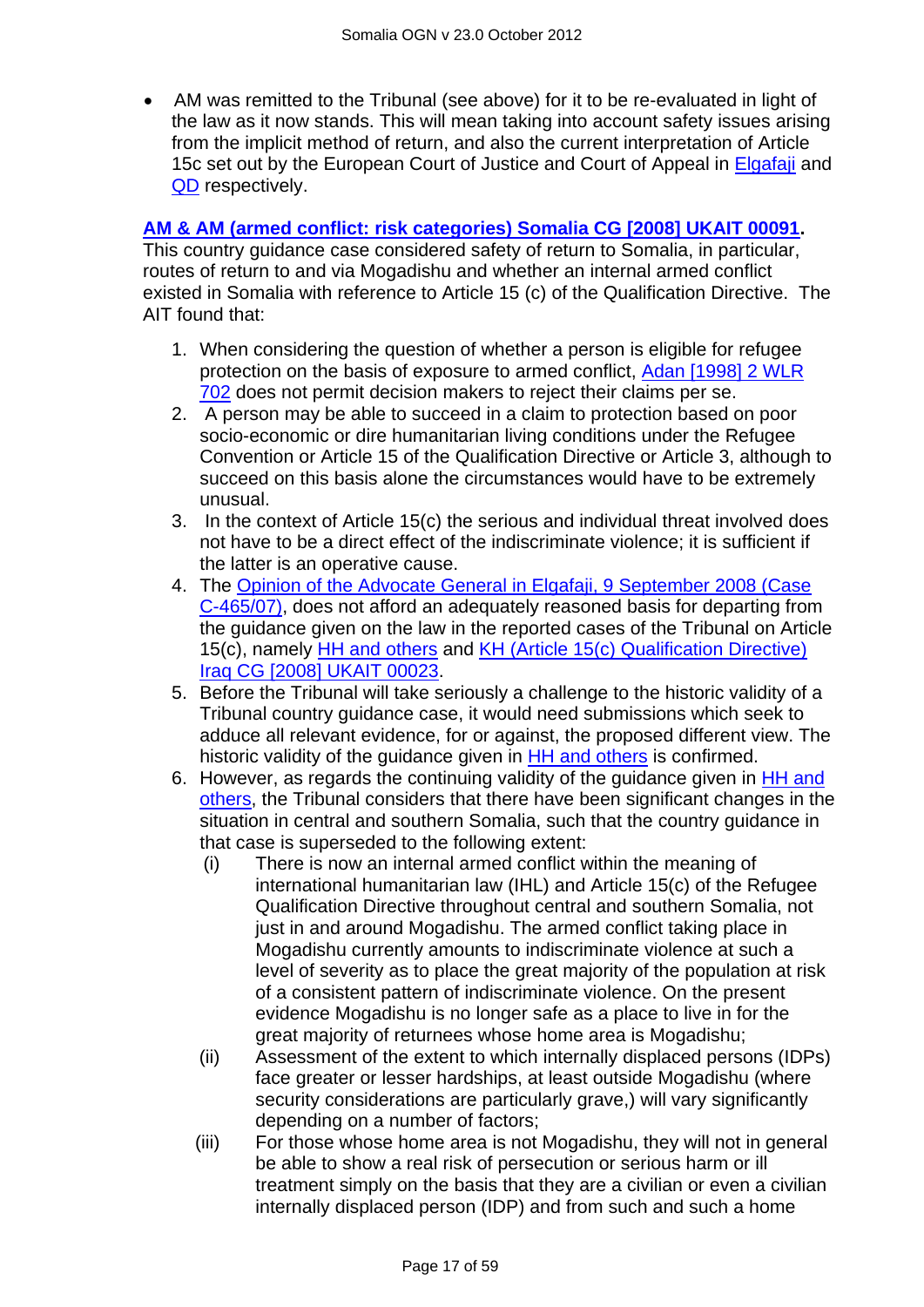AM was remitted to the Tribunal (see above) for it to be re-evaluated in light of the law as it now stands. This will mean taking into account safety issues arising from the implicit method of return, and also the current interpretation of Article 15c set out by the European Court of Justice and Court of Appeal in [Elgafaji](http://www.bailii.org/cgi-bin/markup.cgi?doc=/eu/cases/EUECJ/2009/C46507.html&query=Elgafaji&method=all) and [QD](http://www.bailii.org/cgi-bin/markup.cgi?doc=/ew/cases/EWCA/Civ/2009/620.html&query=Elgafaji&method=all) respectively.

#### **[AM & AM \(armed conflict: risk categories\) Somalia CG \[2008\] UKAIT 00091.](http://www.bailii.org/uk/cases/UKIAT/2008/00091.html)**

This country guidance case considered safety of return to Somalia, in particular, routes of return to and via Mogadishu and whether an internal armed conflict existed in Somalia with reference to Article 15 (c) of the Qualification Directive. The AIT found that:

- 1. When considering the question of whether a person is eligible for refugee protection on the basis of exposure to armed conflict, [Adan \[1998\] 2 WLR](http://www.bailii.org/uk/cases/UKHL/1998/15.html)  [702](http://www.bailii.org/uk/cases/UKHL/1998/15.html) does not permit decision makers to reject their claims per se.
- 2. A person may be able to succeed in a claim to protection based on poor socio-economic or dire humanitarian living conditions under the Refugee Convention or Article 15 of the Qualification Directive or Article 3, although to succeed on this basis alone the circumstances would have to be extremely unusual.
- 3. In the context of Article 15(c) the serious and individual threat involved does not have to be a direct effect of the indiscriminate violence; it is sufficient if the latter is an operative cause.
- 4. The [Opinion of the Advocate General in Elgafaji, 9 September 2008 \(Case](http://www.bailii.org/eu/cases/EUECJ/2008/C46507_O.html)  [C-465/07\),](http://www.bailii.org/eu/cases/EUECJ/2008/C46507_O.html) does not afford an adequately reasoned basis for departing from the guidance given on the law in the reported cases of the Tribunal on Article 15(c), namely [HH and others](http://www.bailii.org/uk/cases/UKIAT/2008/00022.html) and [KH \(Article 15\(c\) Qualification Directive\)](http://www.bailii.org/uk/cases/UKIAT/2008/00023.html)  [Iraq CG \[2008\] UKAIT 00023.](http://www.bailii.org/uk/cases/UKIAT/2008/00023.html)
- 5. Before the Tribunal will take seriously a challenge to the historic validity of a Tribunal country guidance case, it would need submissions which seek to adduce all relevant evidence, for or against, the proposed different view. The historic validity of the quidance given in [HH and others](http://www.bailii.org/uk/cases/UKIAT/2008/00022.html) is confirmed.
- 6. However, as regards the continuing validity of the guidance given in [HH and](http://www.bailii.org/uk/cases/UKIAT/2008/00022.html)  [others,](http://www.bailii.org/uk/cases/UKIAT/2008/00022.html) the Tribunal considers that there have been significant changes in the situation in central and southern Somalia, such that the country guidance in that case is superseded to the following extent:
	- (i) There is now an internal armed conflict within the meaning of international humanitarian law (IHL) and Article 15(c) of the Refugee Qualification Directive throughout central and southern Somalia, not just in and around Mogadishu. The armed conflict taking place in Mogadishu currently amounts to indiscriminate violence at such a level of severity as to place the great majority of the population at risk of a consistent pattern of indiscriminate violence. On the present evidence Mogadishu is no longer safe as a place to live in for the great majority of returnees whose home area is Mogadishu;
	- (ii) Assessment of the extent to which internally displaced persons (IDPs) face greater or lesser hardships, at least outside Mogadishu (where security considerations are particularly grave,) will vary significantly depending on a number of factors;
	- (iii) For those whose home area is not Mogadishu, they will not in general be able to show a real risk of persecution or serious harm or ill treatment simply on the basis that they are a civilian or even a civilian internally displaced person (IDP) and from such and such a home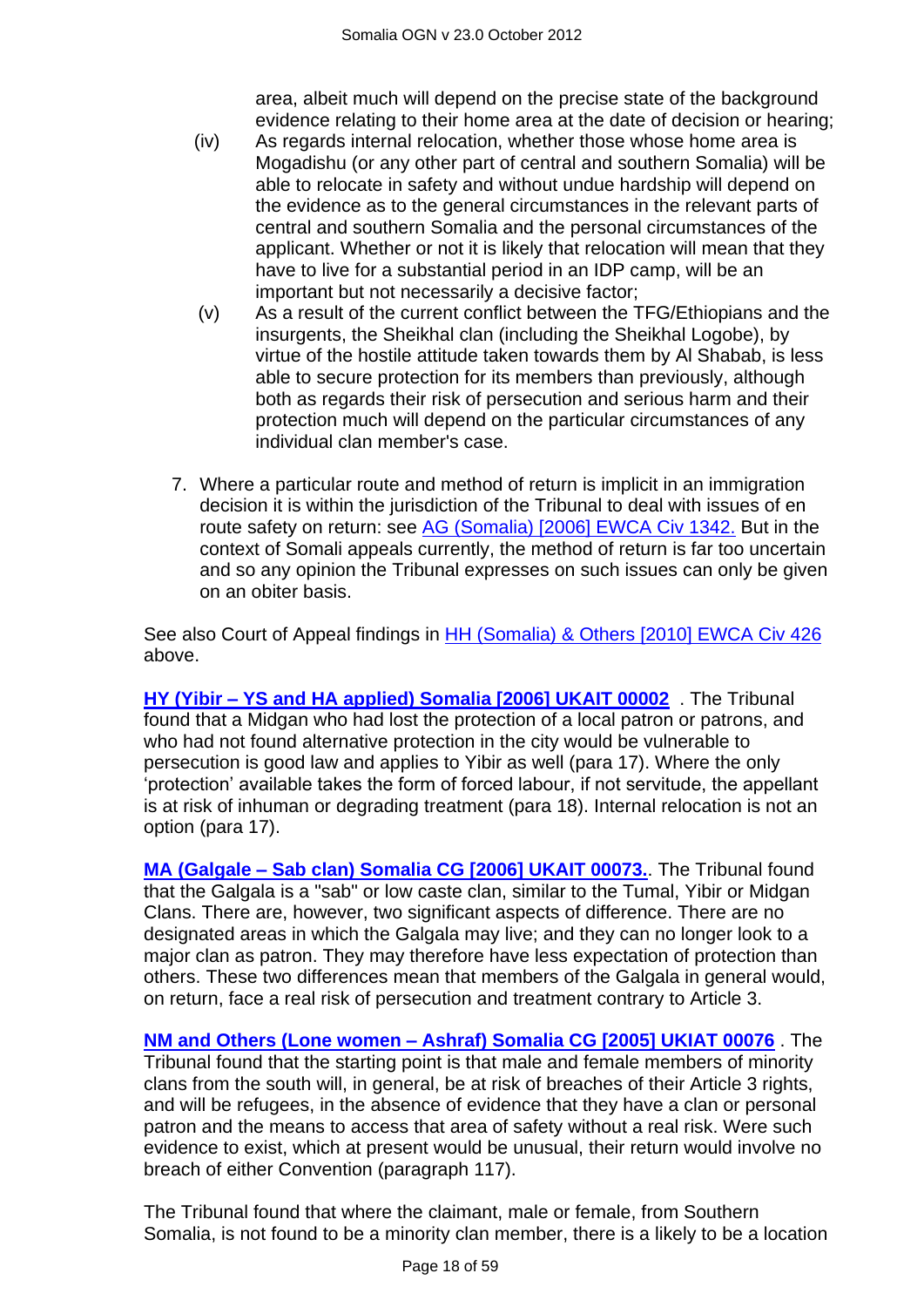area, albeit much will depend on the precise state of the background evidence relating to their home area at the date of decision or hearing;

- (iv) As regards internal relocation, whether those whose home area is Mogadishu (or any other part of central and southern Somalia) will be able to relocate in safety and without undue hardship will depend on the evidence as to the general circumstances in the relevant parts of central and southern Somalia and the personal circumstances of the applicant. Whether or not it is likely that relocation will mean that they have to live for a substantial period in an IDP camp, will be an important but not necessarily a decisive factor;
- (v) As a result of the current conflict between the TFG/Ethiopians and the insurgents, the Sheikhal clan (including the Sheikhal Logobe), by virtue of the hostile attitude taken towards them by Al Shabab, is less able to secure protection for its members than previously, although both as regards their risk of persecution and serious harm and their protection much will depend on the particular circumstances of any individual clan member's case.
- 7. Where a particular route and method of return is implicit in an immigration decision it is within the jurisdiction of the Tribunal to deal with issues of en route safety on return: see [AG \(Somalia\) \[2006\] EWCA Civ 1342.](http://www.bailii.org/ew/cases/EWCA/Civ/2006/1342.html) But in the context of Somali appeals currently, the method of return is far too uncertain and so any opinion the Tribunal expresses on such issues can only be given on an obiter basis.

See also Court of Appeal findings in **HH (Somalia) & Others [2010] EWCA Civ 426** above.

**HY (Yibir – [YS and HA applied\) Somalia \[2006\] UKAIT 00002](http://www.bailii.org/uk/cases/UKIAT/2006/00002.html)** . The Tribunal found that a Midgan who had lost the protection of a local patron or patrons, and who had not found alternative protection in the city would be vulnerable to persecution is good law and applies to Yibir as well (para 17). Where the only "protection" available takes the form of forced labour, if not servitude, the appellant is at risk of inhuman or degrading treatment (para 18). Internal relocation is not an option (para 17).

**MA (Galgale – [Sab clan\) Somalia CG \[2006\] UKAIT 00073.](http://www.bailii.org/uk/cases/UKIAT/2006/00073.html)**. The Tribunal found that the Galgala is a "sab" or low caste clan, similar to the Tumal, Yibir or Midgan Clans. There are, however, two significant aspects of difference. There are no designated areas in which the Galgala may live; and they can no longer look to a major clan as patron. They may therefore have less expectation of protection than others. These two differences mean that members of the Galgala in general would, on return, face a real risk of persecution and treatment contrary to Article 3.

**NM and Others (Lone women – [Ashraf\) Somalia CG \[2005\] UKIAT 00076](http://www.bailii.org/uk/cases/UKIAT/2005/00076.html)** . The Tribunal found that the starting point is that male and female members of minority clans from the south will, in general, be at risk of breaches of their Article 3 rights, and will be refugees, in the absence of evidence that they have a clan or personal patron and the means to access that area of safety without a real risk. Were such evidence to exist, which at present would be unusual, their return would involve no breach of either Convention (paragraph 117).

The Tribunal found that where the claimant, male or female, from Southern Somalia, is not found to be a minority clan member, there is a likely to be a location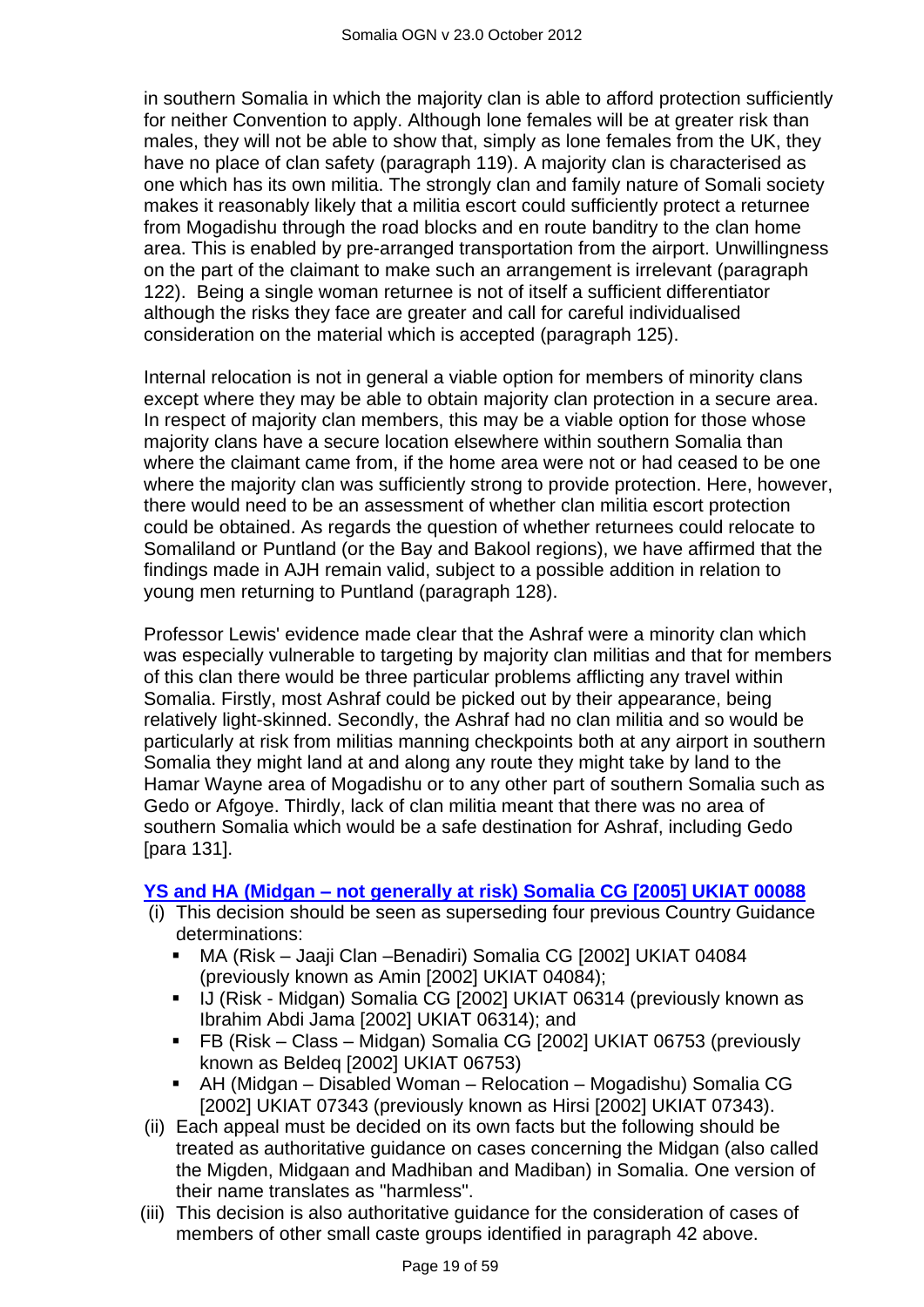in southern Somalia in which the majority clan is able to afford protection sufficiently for neither Convention to apply. Although lone females will be at greater risk than males, they will not be able to show that, simply as lone females from the UK, they have no place of clan safety (paragraph 119). A majority clan is characterised as one which has its own militia. The strongly clan and family nature of Somali society makes it reasonably likely that a militia escort could sufficiently protect a returnee from Mogadishu through the road blocks and en route banditry to the clan home area. This is enabled by pre-arranged transportation from the airport. Unwillingness on the part of the claimant to make such an arrangement is irrelevant (paragraph 122). Being a single woman returnee is not of itself a sufficient differentiator although the risks they face are greater and call for careful individualised consideration on the material which is accepted (paragraph 125).

Internal relocation is not in general a viable option for members of minority clans except where they may be able to obtain majority clan protection in a secure area. In respect of majority clan members, this may be a viable option for those whose majority clans have a secure location elsewhere within southern Somalia than where the claimant came from, if the home area were not or had ceased to be one where the majority clan was sufficiently strong to provide protection. Here, however, there would need to be an assessment of whether clan militia escort protection could be obtained. As regards the question of whether returnees could relocate to Somaliland or Puntland (or the Bay and Bakool regions), we have affirmed that the findings made in AJH remain valid, subject to a possible addition in relation to young men returning to Puntland (paragraph 128).

Professor Lewis' evidence made clear that the Ashraf were a minority clan which was especially vulnerable to targeting by majority clan militias and that for members of this clan there would be three particular problems afflicting any travel within Somalia. Firstly, most Ashraf could be picked out by their appearance, being relatively light-skinned. Secondly, the Ashraf had no clan militia and so would be particularly at risk from militias manning checkpoints both at any airport in southern Somalia they might land at and along any route they might take by land to the Hamar Wayne area of Mogadishu or to any other part of southern Somalia such as Gedo or Afgoye. Thirdly, lack of clan militia meant that there was no area of southern Somalia which would be a safe destination for Ashraf, including Gedo [para 131].

#### **YS and HA (Midgan – [not generally at risk\) Somalia CG \[2005\] UKIAT 00088](http://www.bailii.org/uk/cases/UKIAT/2005/00088.html)**

- (i) This decision should be seen as superseding four previous Country Guidance determinations:
	- MA (Risk Jaaji Clan –Benadiri) Somalia CG [2002] UKIAT 04084 (previously known as Amin [2002] UKIAT 04084);
	- U (Risk Midgan) Somalia CG [2002] UKIAT 06314 (previously known as Ibrahim Abdi Jama [2002] UKIAT 06314); and
	- FB (Risk Class Midgan) Somalia CG [2002] UKIAT 06753 (previously known as Beldeq [2002] UKIAT 06753)
	- AH (Midgan Disabled Woman Relocation Mogadishu) Somalia CG [2002] UKIAT 07343 (previously known as Hirsi [2002] UKIAT 07343).
- (ii) Each appeal must be decided on its own facts but the following should be treated as authoritative guidance on cases concerning the Midgan (also called the Migden, Midgaan and Madhiban and Madiban) in Somalia. One version of their name translates as "harmless".
- (iii) This decision is also authoritative guidance for the consideration of cases of members of other small caste groups identified in paragraph 42 above.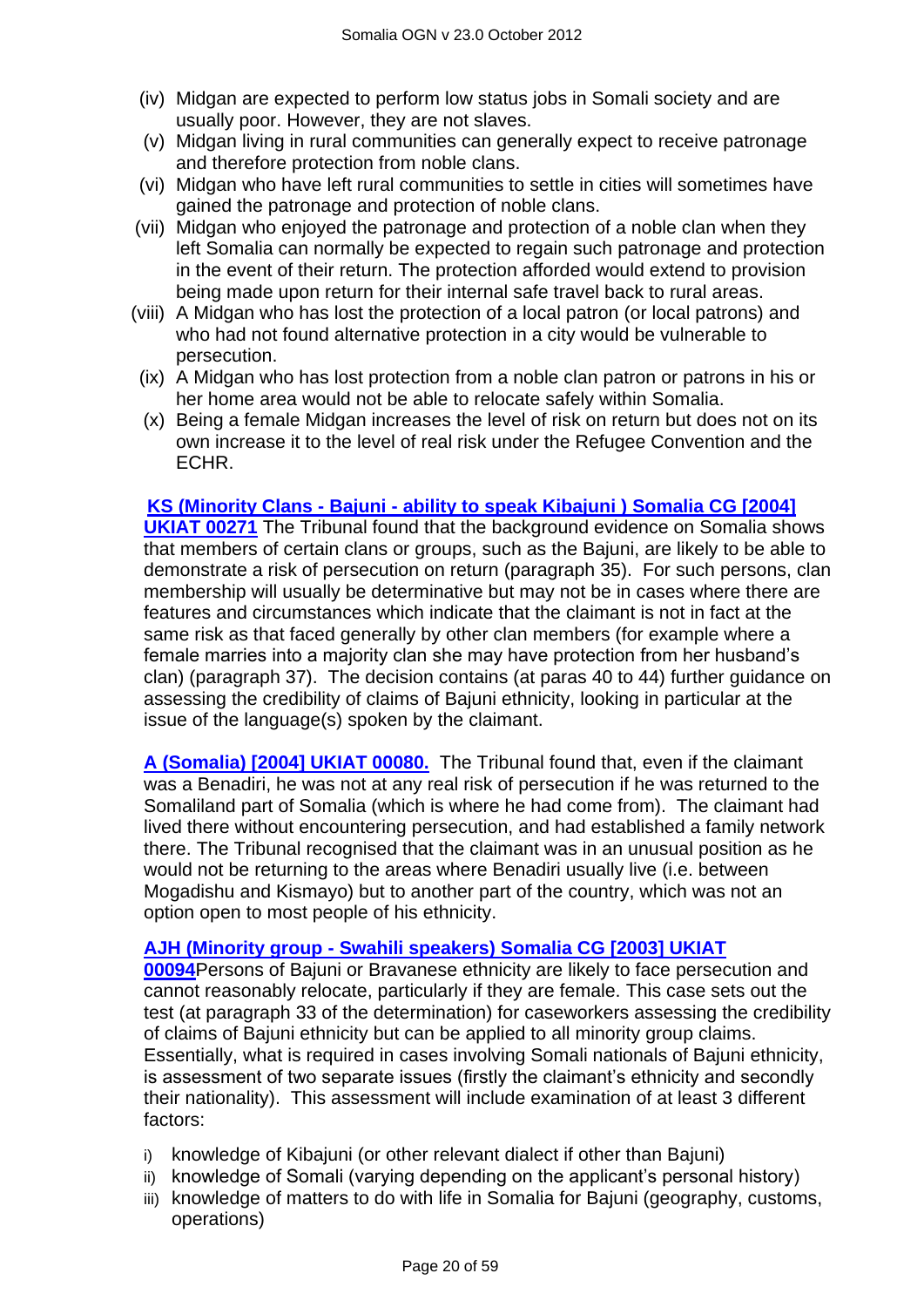- (iv) Midgan are expected to perform low status jobs in Somali society and are usually poor. However, they are not slaves.
- (v) Midgan living in rural communities can generally expect to receive patronage and therefore protection from noble clans.
- (vi) Midgan who have left rural communities to settle in cities will sometimes have gained the patronage and protection of noble clans.
- (vii) Midgan who enjoyed the patronage and protection of a noble clan when they left Somalia can normally be expected to regain such patronage and protection in the event of their return. The protection afforded would extend to provision being made upon return for their internal safe travel back to rural areas.
- (viii) A Midgan who has lost the protection of a local patron (or local patrons) and who had not found alternative protection in a city would be vulnerable to persecution.
- (ix) A Midgan who has lost protection from a noble clan patron or patrons in his or her home area would not be able to relocate safely within Somalia.
- (x) Being a female Midgan increases the level of risk on return but does not on its own increase it to the level of real risk under the Refugee Convention and the ECHR.

#### **KS (Minority Clans - Bajuni - [ability to speak Kibajuni \) Somalia CG \[2004\]](http://www.bailii.org/uk/cases/UKIAT/2004/00271.html)**

**[UKIAT 00271](http://www.bailii.org/uk/cases/UKIAT/2004/00271.html)** The Tribunal found that the background evidence on Somalia shows that members of certain clans or groups, such as the Bajuni, are likely to be able to demonstrate a risk of persecution on return (paragraph 35). For such persons, clan membership will usually be determinative but may not be in cases where there are features and circumstances which indicate that the claimant is not in fact at the same risk as that faced generally by other clan members (for example where a female marries into a majority clan she may have protection from her husband"s clan) (paragraph 37). The decision contains (at paras 40 to 44) further guidance on assessing the credibility of claims of Bajuni ethnicity, looking in particular at the issue of the language(s) spoken by the claimant.

**[A \(Somalia\) \[2004\] UKIAT 00080.](http://www.bailii.org/uk/cases/UKIAT/2004/00080.html)** The Tribunal found that, even if the claimant was a Benadiri, he was not at any real risk of persecution if he was returned to the Somaliland part of Somalia (which is where he had come from). The claimant had lived there without encountering persecution, and had established a family network there. The Tribunal recognised that the claimant was in an unusual position as he would not be returning to the areas where Benadiri usually live (i.e. between Mogadishu and Kismayo) but to another part of the country, which was not an option open to most people of his ethnicity.

#### **AJH (Minority group - [Swahili speakers\) Somalia CG \[2003\] UKIAT](http://www.bailii.org/uk/cases/UKIAT/2003/00094.html)**

**[00094](http://www.bailii.org/uk/cases/UKIAT/2003/00094.html)**Persons of Bajuni or Bravanese ethnicity are likely to face persecution and cannot reasonably relocate, particularly if they are female. This case sets out the test (at paragraph 33 of the determination) for caseworkers assessing the credibility of claims of Bajuni ethnicity but can be applied to all minority group claims. Essentially, what is required in cases involving Somali nationals of Bajuni ethnicity, is assessment of two separate issues (firstly the claimant's ethnicity and secondly their nationality). This assessment will include examination of at least 3 different factors:

- i) knowledge of Kibajuni (or other relevant dialect if other than Bajuni)
- ii) knowledge of Somali (varying depending on the applicant"s personal history)
- iii) knowledge of matters to do with life in Somalia for Bajuni (geography, customs, operations)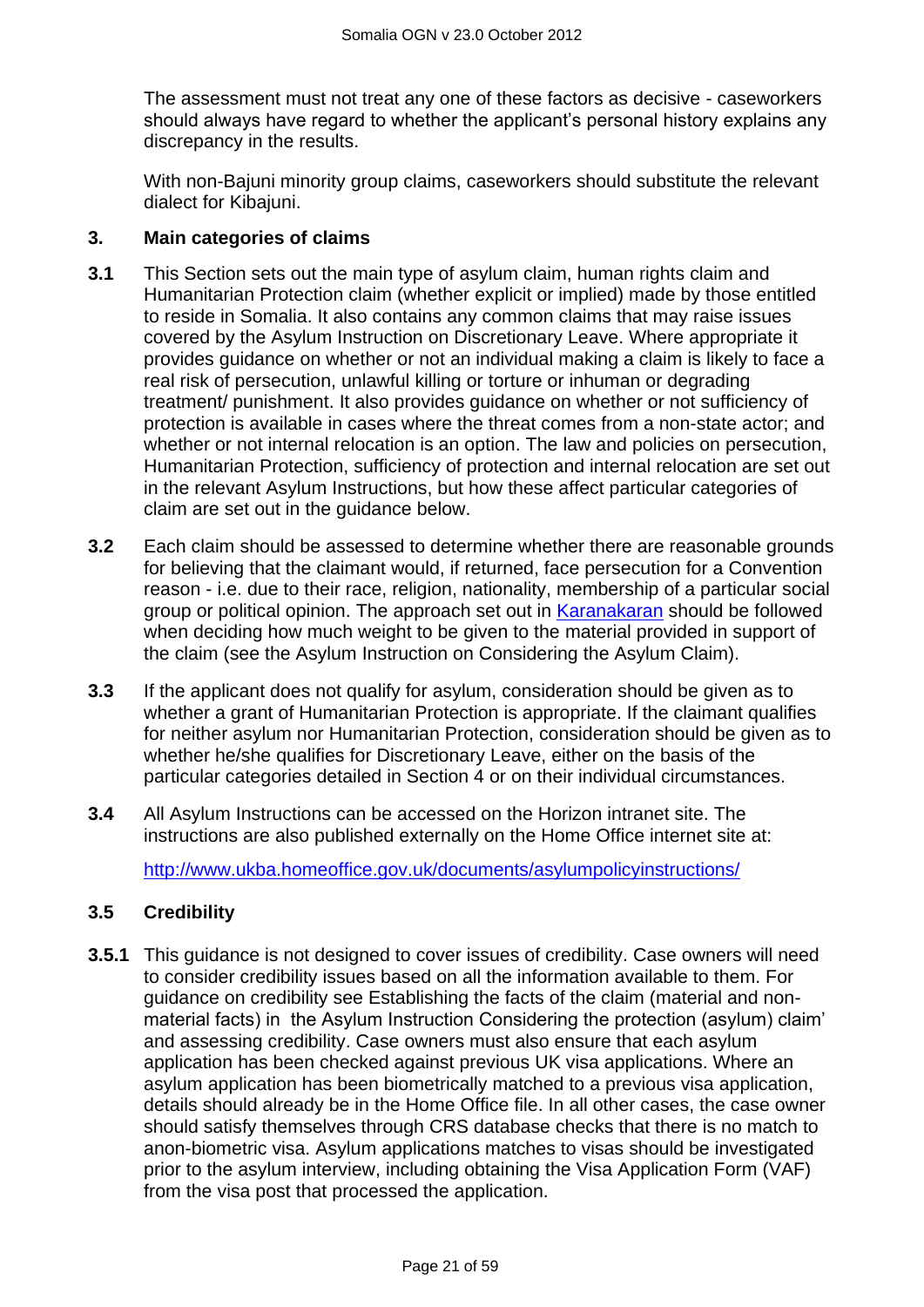The assessment must not treat any one of these factors as decisive - caseworkers should always have regard to whether the applicant's personal history explains any discrepancy in the results.

With non-Bajuni minority group claims, caseworkers should substitute the relevant dialect for Kibajuni.

#### **3. Main categories of claims**

- <span id="page-20-0"></span>**3.1** This Section sets out the main type of asylum claim, human rights claim and Humanitarian Protection claim (whether explicit or implied) made by those entitled to reside in Somalia. It also contains any common claims that may raise issues covered by the Asylum Instruction on Discretionary Leave. Where appropriate it provides guidance on whether or not an individual making a claim is likely to face a real risk of persecution, unlawful killing or torture or inhuman or degrading treatment/ punishment. It also provides guidance on whether or not sufficiency of protection is available in cases where the threat comes from a non-state actor; and whether or not internal relocation is an option. The law and policies on persecution, Humanitarian Protection, sufficiency of protection and internal relocation are set out in the relevant Asylum Instructions, but how these affect particular categories of claim are set out in the guidance below.
- **3.2** Each claim should be assessed to determine whether there are reasonable grounds for believing that the claimant would, if returned, face persecution for a Convention reason - i.e. due to their race, religion, nationality, membership of a particular social group or political opinion. The approach set out in [Karanakaran](http://www.bailii.org/cgi-bin/markup.cgi?doc=/ew/cases/EWCA/Civ/2000/11.html&query=Karanakaran&method=all) should be followed when deciding how much weight to be given to the material provided in support of the claim (see the Asylum Instruction on Considering the Asylum Claim).
- **3.3** If the applicant does not qualify for asylum, consideration should be given as to whether a grant of Humanitarian Protection is appropriate. If the claimant qualifies for neither asylum nor Humanitarian Protection, consideration should be given as to whether he/she qualifies for Discretionary Leave, either on the basis of the particular categories detailed in Section 4 or on their individual circumstances.
- **3.4** All Asylum Instructions can be accessed on the Horizon intranet site. The instructions are also published externally on the Home Office internet site at:

<http://www.ukba.homeoffice.gov.uk/documents/asylumpolicyinstructions/>

#### **3.5 Credibility**

**3.5.1** This guidance is not designed to cover issues of credibility. Case owners will need to consider credibility issues based on all the information available to them. For guidance on credibility see Establishing the facts of the claim (material and nonmaterial facts) in the Asylum Instruction Considering the protection (asylum) claim" and assessing credibility. Case owners must also ensure that each asylum application has been checked against previous UK visa applications. Where an asylum application has been biometrically matched to a previous visa application, details should already be in the Home Office file. In all other cases, the case owner should satisfy themselves through CRS database checks that there is no match to anon-biometric visa. Asylum applications matches to visas should be investigated prior to the asylum interview, including obtaining the Visa Application Form (VAF) from the visa post that processed the application.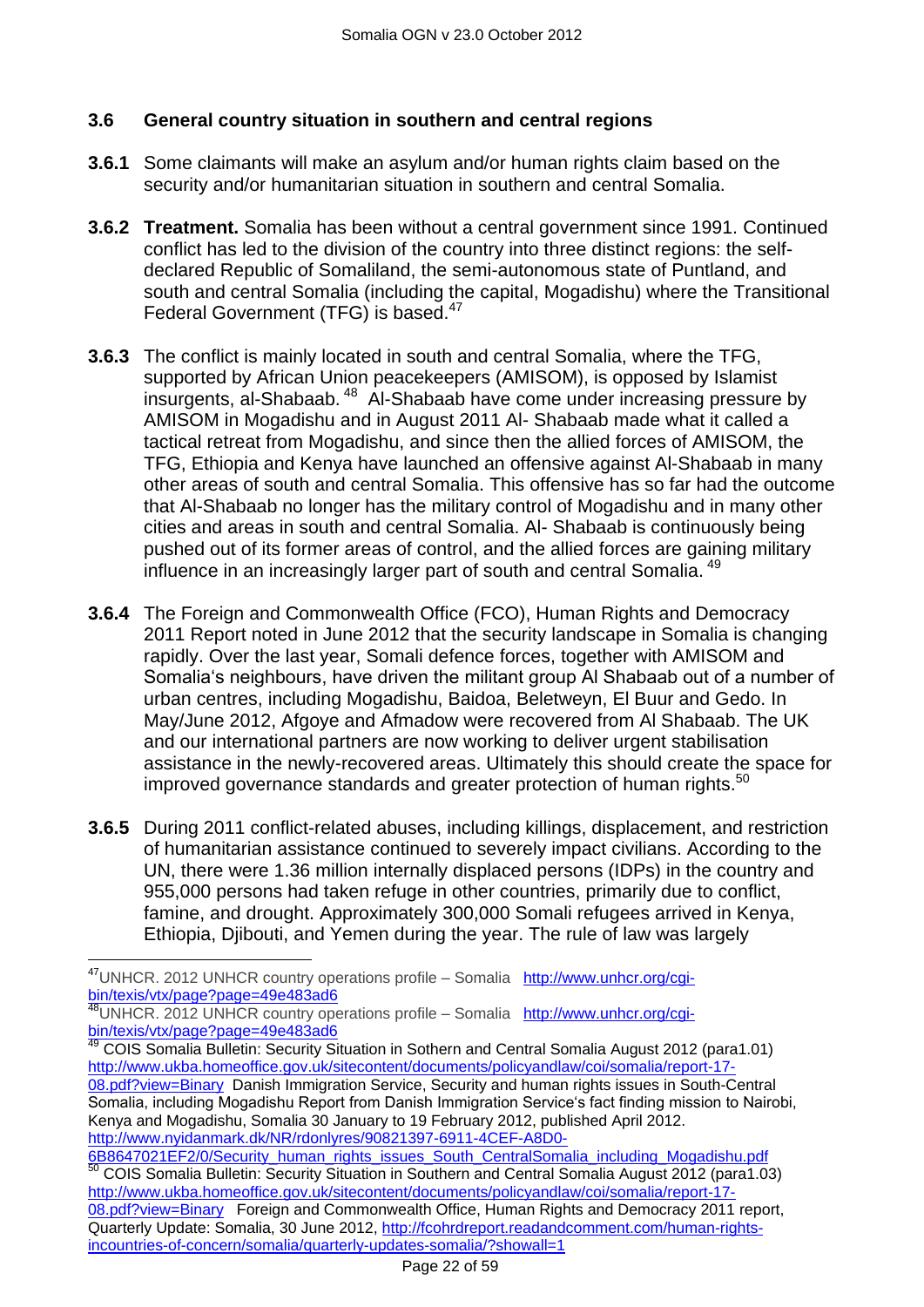## **3.6 General country situation in southern and central regions**

- **3.6.1** Some claimants will make an asylum and/or human rights claim based on the security and/or humanitarian situation in southern and central Somalia.
- **3.6.2 Treatment.** Somalia has been without a central government since 1991. Continued conflict has led to the division of the country into three distinct regions: the selfdeclared Republic of Somaliland, the semi-autonomous state of Puntland, and south and central Somalia (including the capital, Mogadishu) where the Transitional Federal Government (TFG) is based.<sup>47</sup>
- **3.6.3** The conflict is mainly located in south and central Somalia, where the TFG, supported by African Union peacekeepers (AMISOM), is opposed by Islamist insurgents, al-Shabaab.<sup>48</sup> Al-Shabaab have come under increasing pressure by AMISOM in Mogadishu and in August 2011 Al- Shabaab made what it called a tactical retreat from Mogadishu, and since then the allied forces of AMISOM, the TFG, Ethiopia and Kenya have launched an offensive against Al-Shabaab in many other areas of south and central Somalia. This offensive has so far had the outcome that Al-Shabaab no longer has the military control of Mogadishu and in many other cities and areas in south and central Somalia. Al- Shabaab is continuously being pushed out of its former areas of control, and the allied forces are gaining military influence in an increasingly larger part of south and central Somalia.<sup>49</sup>
- **3.6.4** The Foreign and Commonwealth Office (FCO), Human Rights and Democracy 2011 Report noted in June 2012 that the security landscape in Somalia is changing rapidly. Over the last year, Somali defence forces, together with AMISOM and Somalia"s neighbours, have driven the militant group Al Shabaab out of a number of urban centres, including Mogadishu, Baidoa, Beletweyn, El Buur and Gedo. In May/June 2012, Afgoye and Afmadow were recovered from Al Shabaab. The UK and our international partners are now working to deliver urgent stabilisation assistance in the newly-recovered areas. Ultimately this should create the space for improved governance standards and greater protection of human rights.<sup>50</sup>
- **3.6.5** During 2011 conflict-related abuses, including killings, displacement, and restriction of humanitarian assistance continued to severely impact civilians. According to the UN, there were 1.36 million internally displaced persons (IDPs) in the country and 955,000 persons had taken refuge in other countries, primarily due to conflict, famine, and drought. Approximately 300,000 Somali refugees arrived in Kenya, Ethiopia, Djibouti, and Yemen during the year. The rule of law was largely

 $\overline{a}$ 

<sup>&</sup>lt;sup>47</sup>UNHCR. 2012 UNHCR country operations profile – Somalia [http://www.unhcr.org/cgi](http://www.unhcr.org/cgi-bin/texis/vtx/page?page=49e483ad6)[bin/texis/vtx/page?page=49e483ad6](http://www.unhcr.org/cgi-bin/texis/vtx/page?page=49e483ad6)

<sup>48</sup>UNHCR. 2012 UNHCR country operations profile – Somalia [http://www.unhcr.org/cgi](http://www.unhcr.org/cgi-bin/texis/vtx/page?page=49e483ad6)[bin/texis/vtx/page?page=49e483ad6](http://www.unhcr.org/cgi-bin/texis/vtx/page?page=49e483ad6)

<sup>49</sup> COIS Somalia Bulletin: Security Situation in Sothern and Central Somalia August 2012 (para1.01) [http://www.ukba.homeoffice.gov.uk/sitecontent/documents/policyandlaw/coi/somalia/report-17-](http://www.ukba.homeoffice.gov.uk/sitecontent/documents/policyandlaw/coi/somalia/report-17-08.pdf?view=Binary) [08.pdf?view=Binary](http://www.ukba.homeoffice.gov.uk/sitecontent/documents/policyandlaw/coi/somalia/report-17-08.pdf?view=Binary) Danish Immigration Service, Security and human rights issues in South-Central Somalia, including Mogadishu Report from Danish Immigration Service's fact finding mission to Nairobi, Kenya and Mogadishu, Somalia 30 January to 19 February 2012, published April 2012. [http://www.nyidanmark.dk/NR/rdonlyres/90821397-6911-4CEF-A8D0-](http://www.nyidanmark.dk/NR/rdonlyres/90821397-6911-4CEF-A8D0-6B8647021EF2/0/Security_human_rights_issues_South_CentralSomalia_including_Mogadishu.pdf)

[<sup>6</sup>B8647021EF2/0/Security\\_human\\_rights\\_issues\\_South\\_CentralSomalia\\_including\\_Mogadishu.pdf](http://www.nyidanmark.dk/NR/rdonlyres/90821397-6911-4CEF-A8D0-6B8647021EF2/0/Security_human_rights_issues_South_CentralSomalia_including_Mogadishu.pdf) 50 COIS Somalia Bulletin: Security Situation in Southern and Central Somalia August 2012 (para1.03) [http://www.ukba.homeoffice.gov.uk/sitecontent/documents/policyandlaw/coi/somalia/report-17-](http://www.ukba.homeoffice.gov.uk/sitecontent/documents/policyandlaw/coi/somalia/report-17-08.pdf?view=Binary) [08.pdf?view=Binary](http://www.ukba.homeoffice.gov.uk/sitecontent/documents/policyandlaw/coi/somalia/report-17-08.pdf?view=Binary) Foreign and Commonwealth Office, Human Rights and Democracy 2011 report, Quarterly Update: Somalia, 30 June 2012, [http://fcohrdreport.readandcomment.com/human-rights](http://fcohrdreport.readandcomment.com/human-rights-incountries-of-concern/somalia/quarterly-updates-somalia/?showall=1)[incountries-of-concern/somalia/quarterly-updates-somalia/?showall=1](http://fcohrdreport.readandcomment.com/human-rights-incountries-of-concern/somalia/quarterly-updates-somalia/?showall=1)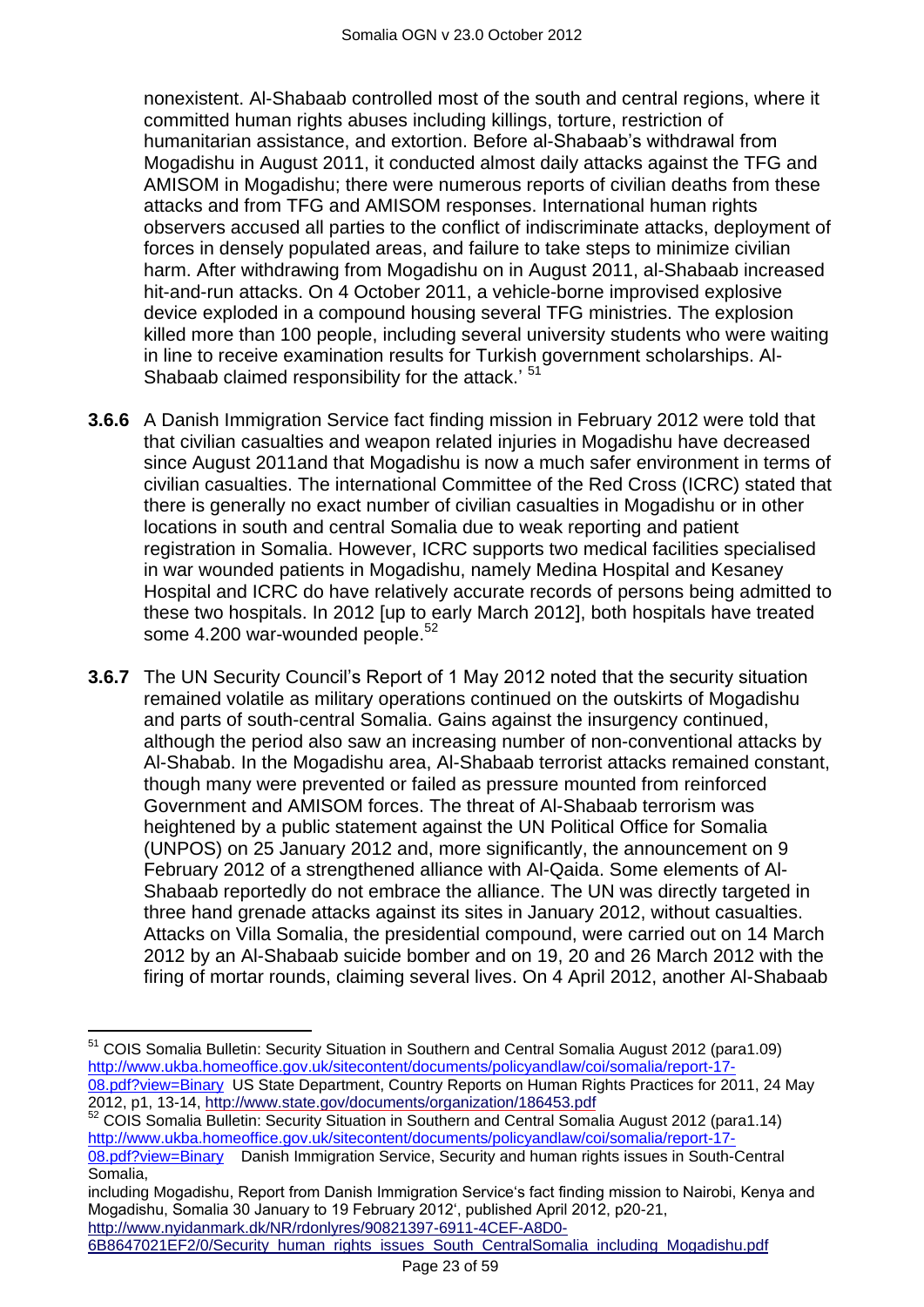nonexistent. Al-Shabaab controlled most of the south and central regions, where it committed human rights abuses including killings, torture, restriction of humanitarian assistance, and extortion. Before al-Shabaab's withdrawal from Mogadishu in August 2011, it conducted almost daily attacks against the TFG and AMISOM in Mogadishu; there were numerous reports of civilian deaths from these attacks and from TFG and AMISOM responses. International human rights observers accused all parties to the conflict of indiscriminate attacks, deployment of forces in densely populated areas, and failure to take steps to minimize civilian harm. After withdrawing from Mogadishu on in August 2011, al-Shabaab increased hit-and-run attacks. On 4 October 2011, a vehicle-borne improvised explosive device exploded in a compound housing several TFG ministries. The explosion killed more than 100 people, including several university students who were waiting in line to receive examination results for Turkish government scholarships. Al-Shabaab claimed responsibility for the attack.<sup>' 51</sup>

- **3.6.6** A Danish Immigration Service fact finding mission in February 2012 were told that that civilian casualties and weapon related injuries in Mogadishu have decreased since August 2011and that Mogadishu is now a much safer environment in terms of civilian casualties. The international Committee of the Red Cross (ICRC) stated that there is generally no exact number of civilian casualties in Mogadishu or in other locations in south and central Somalia due to weak reporting and patient registration in Somalia. However, ICRC supports two medical facilities specialised in war wounded patients in Mogadishu, namely Medina Hospital and Kesaney Hospital and ICRC do have relatively accurate records of persons being admitted to these two hospitals. In 2012 [up to early March 2012], both hospitals have treated some 4.200 war-wounded people.<sup>52</sup>
- **3.6.7** The UN Security Council's Report of 1 May 2012 noted that the security situation remained volatile as military operations continued on the outskirts of Mogadishu and parts of south-central Somalia. Gains against the insurgency continued, although the period also saw an increasing number of non-conventional attacks by Al-Shabab. In the Mogadishu area, Al-Shabaab terrorist attacks remained constant, though many were prevented or failed as pressure mounted from reinforced Government and AMISOM forces. The threat of Al-Shabaab terrorism was heightened by a public statement against the UN Political Office for Somalia (UNPOS) on 25 January 2012 and, more significantly, the announcement on 9 February 2012 of a strengthened alliance with Al-Qaida. Some elements of Al-Shabaab reportedly do not embrace the alliance. The UN was directly targeted in three hand grenade attacks against its sites in January 2012, without casualties. Attacks on Villa Somalia, the presidential compound, were carried out on 14 March 2012 by an Al-Shabaab suicide bomber and on 19, 20 and 26 March 2012 with the firing of mortar rounds, claiming several lives. On 4 April 2012, another Al-Shabaab

6B8647021EF2/0/Security\_human\_rights\_issues\_South\_CentralSomalia\_including\_Mogadishu.pdf

 $\overline{a}$ <sup>51</sup> COIS Somalia Bulletin: Security Situation in Southern and Central Somalia August 2012 (para1.09) [http://www.ukba.homeoffice.gov.uk/sitecontent/documents/policyandlaw/coi/somalia/report-17-](http://www.ukba.homeoffice.gov.uk/sitecontent/documents/policyandlaw/coi/somalia/report-17-08.pdf?view=Binary) [08.pdf?view=Binary](http://www.ukba.homeoffice.gov.uk/sitecontent/documents/policyandlaw/coi/somalia/report-17-08.pdf?view=Binary) US State Department, Country Reports on Human Rights Practices for 2011, 24 May 2012, p1, 13-14,<http://www.state.gov/documents/organization/186453.pdf>

<sup>&</sup>lt;sup>52</sup> COIS Somalia Bulletin: Security Situation in Southern and Central Somalia August 2012 (para1.14) [http://www.ukba.homeoffice.gov.uk/sitecontent/documents/policyandlaw/coi/somalia/report-17-](http://www.ukba.homeoffice.gov.uk/sitecontent/documents/policyandlaw/coi/somalia/report-17-08.pdf?view=Binary)

[<sup>08.</sup>pdf?view=Binary](http://www.ukba.homeoffice.gov.uk/sitecontent/documents/policyandlaw/coi/somalia/report-17-08.pdf?view=Binary) Danish Immigration Service, Security and human rights issues in South-Central Somalia,

including Mogadishu, Report from Danish Immigration Service's fact finding mission to Nairobi, Kenya and Mogadishu, Somalia 30 January to 19 February 2012", published April 2012, p20-21, http://www.nyidanmark.dk/NR/rdonlyres/90821397-6911-4CEF-A8D0-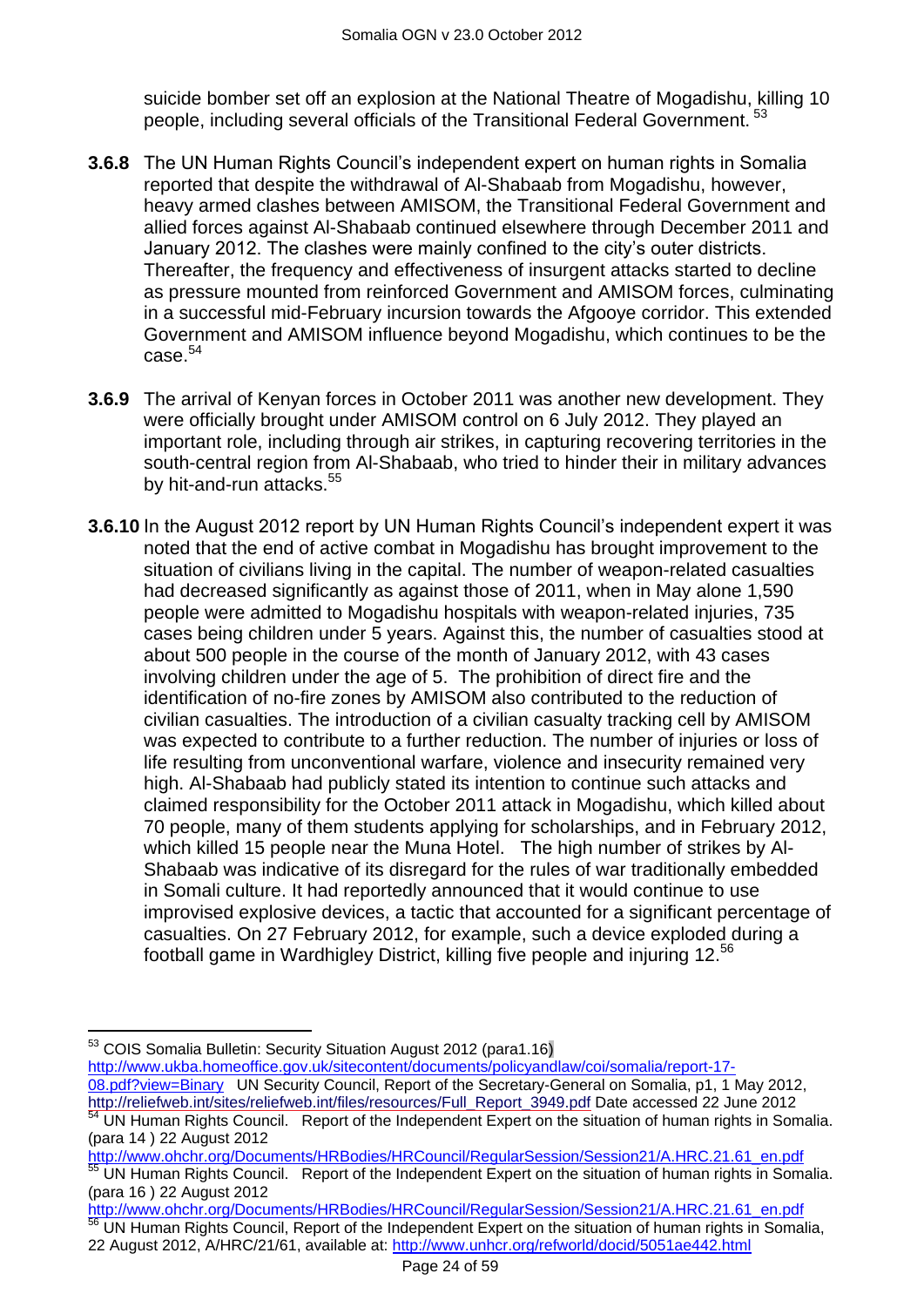suicide bomber set off an explosion at the National Theatre of Mogadishu, killing 10 people, including several officials of the Transitional Federal Government. <sup>53</sup>

- **3.6.8** The UN Human Rights Council's independent expert on human rights in Somalia reported that despite the withdrawal of Al-Shabaab from Mogadishu, however, heavy armed clashes between AMISOM, the Transitional Federal Government and allied forces against Al-Shabaab continued elsewhere through December 2011 and January 2012. The clashes were mainly confined to the city"s outer districts. Thereafter, the frequency and effectiveness of insurgent attacks started to decline as pressure mounted from reinforced Government and AMISOM forces, culminating in a successful mid-February incursion towards the Afgooye corridor. This extended Government and AMISOM influence beyond Mogadishu, which continues to be the  $case<sup>54</sup>$
- **3.6.9** The arrival of Kenyan forces in October 2011 was another new development. They were officially brought under AMISOM control on 6 July 2012. They played an important role, including through air strikes, in capturing recovering territories in the south-central region from Al-Shabaab, who tried to hinder their in military advances by hit-and-run attacks.<sup>55</sup>
- **3.6.10** In the August 2012 report by UN Human Rights Council"s independent expert it was noted that the end of active combat in Mogadishu has brought improvement to the situation of civilians living in the capital. The number of weapon-related casualties had decreased significantly as against those of 2011, when in May alone 1,590 people were admitted to Mogadishu hospitals with weapon-related injuries, 735 cases being children under 5 years. Against this, the number of casualties stood at about 500 people in the course of the month of January 2012, with 43 cases involving children under the age of 5. The prohibition of direct fire and the identification of no-fire zones by AMISOM also contributed to the reduction of civilian casualties. The introduction of a civilian casualty tracking cell by AMISOM was expected to contribute to a further reduction. The number of injuries or loss of life resulting from unconventional warfare, violence and insecurity remained very high. Al-Shabaab had publicly stated its intention to continue such attacks and claimed responsibility for the October 2011 attack in Mogadishu, which killed about 70 people, many of them students applying for scholarships, and in February 2012, which killed 15 people near the Muna Hotel. The high number of strikes by Al-Shabaab was indicative of its disregard for the rules of war traditionally embedded in Somali culture. It had reportedly announced that it would continue to use improvised explosive devices, a tactic that accounted for a significant percentage of casualties. On 27 February 2012, for example, such a device exploded during a football game in Wardhigley District, killing five people and injuring 12.<sup>56</sup>

 $\overline{a}$ 

[http://www.ukba.homeoffice.gov.uk/sitecontent/documents/policyandlaw/coi/somalia/report-17-](http://www.ukba.homeoffice.gov.uk/sitecontent/documents/policyandlaw/coi/somalia/report-17-08.pdf?view=Binary) [08.pdf?view=Binary](http://www.ukba.homeoffice.gov.uk/sitecontent/documents/policyandlaw/coi/somalia/report-17-08.pdf?view=Binary) UN Security Council, Report of the Secretary-General on Somalia, p1, 1 May 2012,

[http://www.ohchr.org/Documents/HRBodies/HRCouncil/RegularSession/Session21/A.HRC.21.61\\_en.pdf](http://www.ohchr.org/Documents/HRBodies/HRCouncil/RegularSession/Session21/A.HRC.21.61_en.pdf) 55 UN Human Rights Council. Report of the Independent Expert on the situation of human rights in Somalia. (para 16 ) 22 August 2012

[http://www.ohchr.org/Documents/HRBodies/HRCouncil/RegularSession/Session21/A.HRC.21.61\\_en.pdf](http://www.ohchr.org/Documents/HRBodies/HRCouncil/RegularSession/Session21/A.HRC.21.61_en.pdf) <sup>56</sup> UN Human Rights Council, Report of the Independent Expert on the situation of human rights in Somalia, 22 August 2012, A/HRC/21/61, available at:<http://www.unhcr.org/refworld/docid/5051ae442.html>

 $53$  COIS Somalia Bulletin: Security Situation August 2012 (para1.16)

[http://reliefweb.int/sites/reliefweb.int/files/resources/Full\\_Report\\_3949.pdf](http://reliefweb.int/sites/reliefweb.int/files/resources/Full_Report_3949.pdf) Date accessed 22 June 2012 54 UN Human Rights Council. Report of the Independent Expert on the situation of human rights in Somalia. (para 14 ) 22 August 2012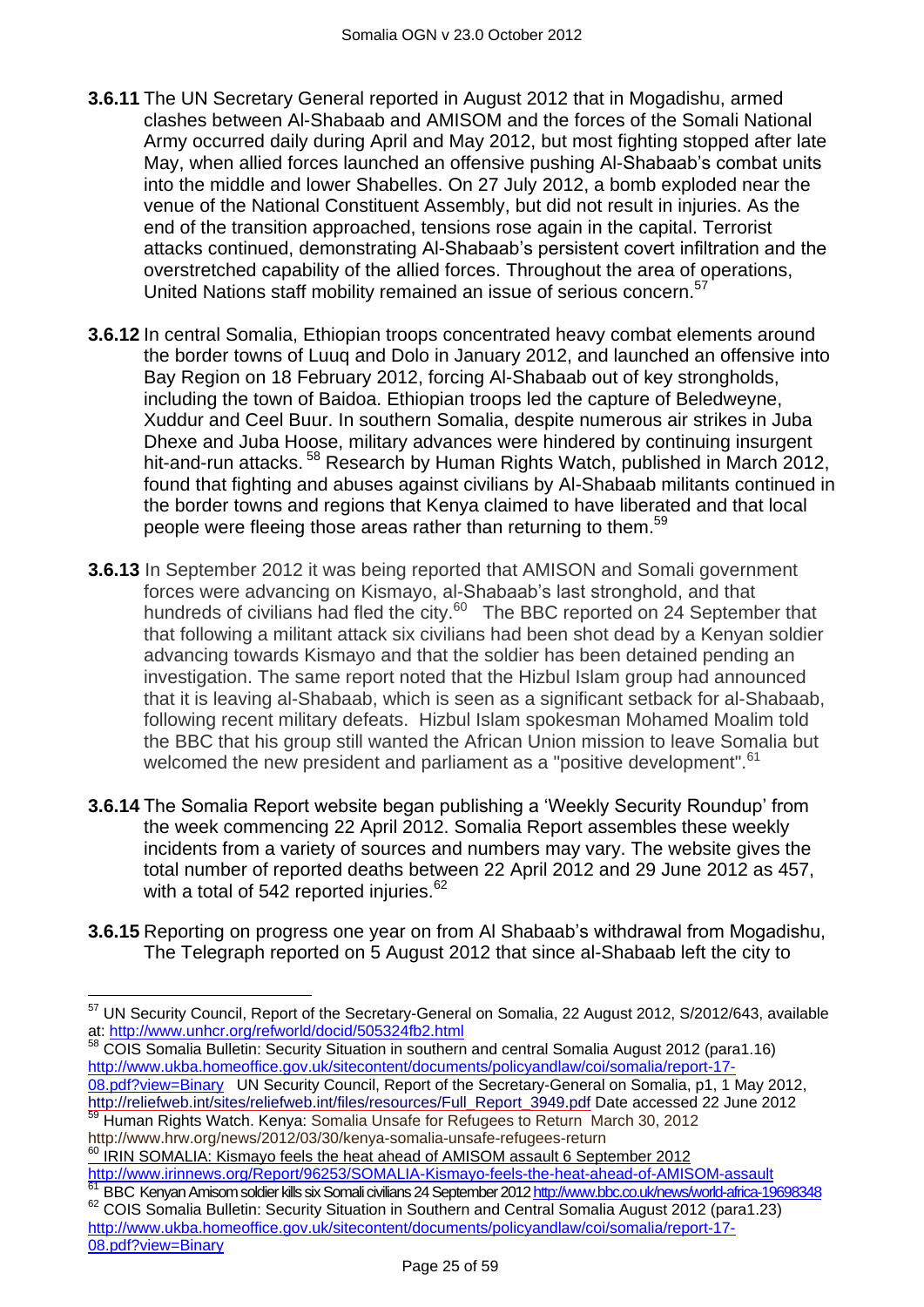- **3.6.11** The UN Secretary General reported in August 2012 that in Mogadishu, armed clashes between Al-Shabaab and AMISOM and the forces of the Somali National Army occurred daily during April and May 2012, but most fighting stopped after late May, when allied forces launched an offensive pushing Al-Shabaab's combat units into the middle and lower Shabelles. On 27 July 2012, a bomb exploded near the venue of the National Constituent Assembly, but did not result in injuries. As the end of the transition approached, tensions rose again in the capital. Terrorist attacks continued, demonstrating Al-Shabaab"s persistent covert infiltration and the overstretched capability of the allied forces. Throughout the area of operations, United Nations staff mobility remained an issue of serious concern.<sup>57</sup>
- **3.6.12** In central Somalia, Ethiopian troops concentrated heavy combat elements around the border towns of Luuq and Dolo in January 2012, and launched an offensive into Bay Region on 18 February 2012, forcing Al-Shabaab out of key strongholds, including the town of Baidoa. Ethiopian troops led the capture of Beledweyne, Xuddur and Ceel Buur. In southern Somalia, despite numerous air strikes in Juba Dhexe and Juba Hoose, military advances were hindered by continuing insurgent hit-and-run attacks.<sup>58</sup> Research by Human Rights Watch, published in March 2012, found that fighting and abuses against civilians by Al-Shabaab militants continued in the border towns and regions that Kenya claimed to have liberated and that local people were fleeing those areas rather than returning to them.<sup>59</sup>
- **3.6.13** In September 2012 it was being reported that AMISON and Somali government forces were advancing on Kismayo, al-Shabaab's last stronghold, and that hundreds of civilians had fled the city.<sup>60</sup> The BBC reported on 24 September that that following a militant attack six civilians had been shot dead by a Kenyan soldier advancing towards Kismayo and that the soldier has been detained pending an investigation. The same report noted that the Hizbul Islam group had announced that it is leaving al-Shabaab, which is seen as a significant setback for al-Shabaab, following recent military defeats. Hizbul Islam spokesman Mohamed Moalim told the BBC that his group still wanted the African Union mission to leave Somalia but welcomed the new president and parliament as a "positive development".<sup>61</sup>
- **3.6.14** The Somalia Report website began publishing a "Weekly Security Roundup" from the week commencing 22 April 2012. Somalia Report assembles these weekly incidents from a variety of sources and numbers may vary. The website gives the total number of reported deaths between 22 April 2012 and 29 June 2012 as 457, with a total of 542 reported injuries. $62$
- **3.6.15** Reporting on progress one year on from Al Shabaab"s withdrawal from Mogadishu, The Telegraph reported on 5 August 2012 that since al-Shabaab left the city to

 $\overline{a}$ <sup>57</sup> UN Security Council, Report of the Secretary-General on Somalia, 22 August 2012, S/2012/643, available at:<http://www.unhcr.org/refworld/docid/505324fb2.html><br>58 COIS Sexesting Refunding the contract of the contract of the contract of the contract of the contract of the contract of the contract of the contract of the contrac

<sup>58</sup> COIS Somalia Bulletin: Security Situation in southern and central Somalia August 2012 (para1.16) [http://www.ukba.homeoffice.gov.uk/sitecontent/documents/policyandlaw/coi/somalia/report-17-](http://www.ukba.homeoffice.gov.uk/sitecontent/documents/policyandlaw/coi/somalia/report-17-08.pdf?view=Binary) [08.pdf?view=Binary](http://www.ukba.homeoffice.gov.uk/sitecontent/documents/policyandlaw/coi/somalia/report-17-08.pdf?view=Binary) UN Security Council, Report of the Secretary-General on Somalia, p1, 1 May 2012, [http://reliefweb.int/sites/reliefweb.int/files/resources/Full\\_Report\\_3949.pdf](http://reliefweb.int/sites/reliefweb.int/files/resources/Full_Report_3949.pdf) Date accessed 22 June 2012

<sup>59</sup> Human Rights Watch. Kenya: Somalia Unsafe for Refugees to Return March 30, 2012 http://www.hrw.org/news/2012/03/30/kenya-somalia-unsafe-refugees-return

<sup>&</sup>lt;sup>60</sup> IRIN SOMALIA: Kismayo feels the heat ahead of AMISOM assault 6 September 2012 <http://www.irinnews.org/Report/96253/SOMALIA-Kismayo-feels-the-heat-ahead-of-AMISOM-assault>

<sup>61</sup> BBC Kenyan Amisom soldier kills six Somali civilians 24 September 201[2 http://www.bbc.co.uk/news/world-africa-19698348](http://www.bbc.co.uk/news/world-africa-19698348) 62 COIS Somalia Bulletin: Security Situation in Southern and Central Somalia August 2012 (para1.23) [http://www.ukba.homeoffice.gov.uk/sitecontent/documents/policyandlaw/coi/somalia/report-17-](http://www.ukba.homeoffice.gov.uk/sitecontent/documents/policyandlaw/coi/somalia/report-17-08.pdf?view=Binary) [08.pdf?view=Binary](http://www.ukba.homeoffice.gov.uk/sitecontent/documents/policyandlaw/coi/somalia/report-17-08.pdf?view=Binary)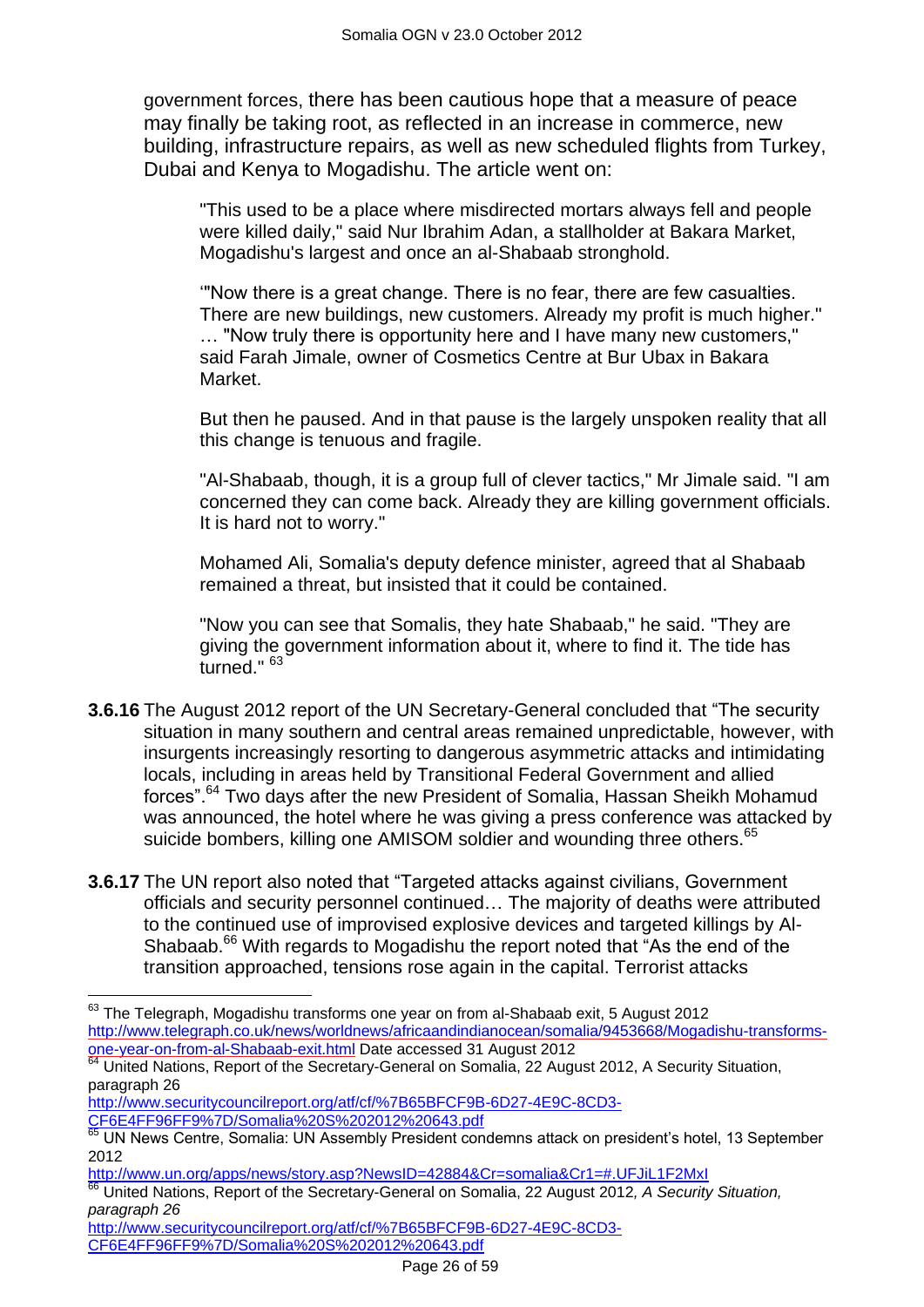government forces, there has been cautious hope that a measure of peace may finally be taking root, as reflected in an increase in commerce, new building, infrastructure repairs, as well as new scheduled flights from Turkey, Dubai and Kenya to Mogadishu. The article went on:

"This used to be a place where misdirected mortars always fell and people were killed daily," said Nur Ibrahim Adan, a stallholder at Bakara Market, Mogadishu's largest and once an al-Shabaab stronghold.

""Now there is a great change. There is no fear, there are few casualties. There are new buildings, new customers. Already my profit is much higher." … "Now truly there is opportunity here and I have many new customers," said Farah Jimale, owner of Cosmetics Centre at Bur Ubax in Bakara Market.

But then he paused. And in that pause is the largely unspoken reality that all this change is tenuous and fragile.

"Al-Shabaab, though, it is a group full of clever tactics," Mr Jimale said. "I am concerned they can come back. Already they are killing government officials. It is hard not to worry."

Mohamed Ali, Somalia's deputy defence minister, agreed that al Shabaab remained a threat, but insisted that it could be contained.

"Now you can see that Somalis, they hate Shabaab," he said. "They are giving the government information about it, where to find it. The tide has turned." <sup>63</sup>

- **3.6.16** The August 2012 report of the UN Secretary-General concluded that "The security situation in many southern and central areas remained unpredictable, however, with insurgents increasingly resorting to dangerous asymmetric attacks and intimidating locals, including in areas held by Transitional Federal Government and allied forces".<sup>64</sup> Two days after the new President of Somalia, Hassan Sheikh Mohamud was announced, the hotel where he was giving a press conference was attacked by suicide bombers, killing one AMISOM soldier and wounding three others.<sup>65</sup>
- **3.6.17** The UN report also noted that "Targeted attacks against civilians, Government officials and security personnel continued… The majority of deaths were attributed to the continued use of improvised explosive devices and targeted killings by Al-Shabaab.<sup>66</sup> With regards to Mogadishu the report noted that "As the end of the transition approached, tensions rose again in the capital. Terrorist attacks

[CF6E4FF96FF9%7D/Somalia%20S%202012%20643.pdf](http://www.securitycouncilreport.org/atf/cf/%7B65BFCF9B-6D27-4E9C-8CD3-CF6E4FF96FF9%7D/Somalia%20S%202012%20643.pdf)

 $\overline{\phantom{a}}$ 

<http://www.un.org/apps/news/story.asp?NewsID=42884&Cr=somalia&Cr1=#.UFJiL1F2MxI>

[http://www.securitycouncilreport.org/atf/cf/%7B65BFCF9B-6D27-4E9C-8CD3-](http://www.securitycouncilreport.org/atf/cf/%7B65BFCF9B-6D27-4E9C-8CD3-CF6E4FF96FF9%7D/Somalia%20S%202012%20643.pdf) [CF6E4FF96FF9%7D/Somalia%20S%202012%20643.pdf](http://www.securitycouncilreport.org/atf/cf/%7B65BFCF9B-6D27-4E9C-8CD3-CF6E4FF96FF9%7D/Somalia%20S%202012%20643.pdf)

 $63$  The Telegraph, Mogadishu transforms one year on from al-Shabaab exit, 5 August 2012 [http://www.telegraph.co.uk/news/worldnews/africaandindianocean/somalia/9453668/Mogadishu-transforms](http://www.telegraph.co.uk/news/worldnews/africaandindianocean/somalia/9453668/Mogadishu-transforms-one-year-on-from-al-Shabaab-exit.html)[one-year-on-from-al-Shabaab-exit.html](http://www.telegraph.co.uk/news/worldnews/africaandindianocean/somalia/9453668/Mogadishu-transforms-one-year-on-from-al-Shabaab-exit.html) Date accessed 31 August 2012

 $\overline{64}$  United Nations, Report of the Secretary-General on Somalia, 22 August 2012, A Security Situation, paragraph 26

[http://www.securitycouncilreport.org/atf/cf/%7B65BFCF9B-6D27-4E9C-8CD3-](http://www.securitycouncilreport.org/atf/cf/%7B65BFCF9B-6D27-4E9C-8CD3-CF6E4FF96FF9%7D/Somalia%20S%202012%20643.pdf)

<sup>65</sup> UN News Centre, Somalia: UN Assembly President condemns attack on president's hotel, 13 September 2012

<sup>66</sup> United Nations, Report of the Secretary-General on Somalia, 22 August 2012*, A Security Situation, paragraph 26*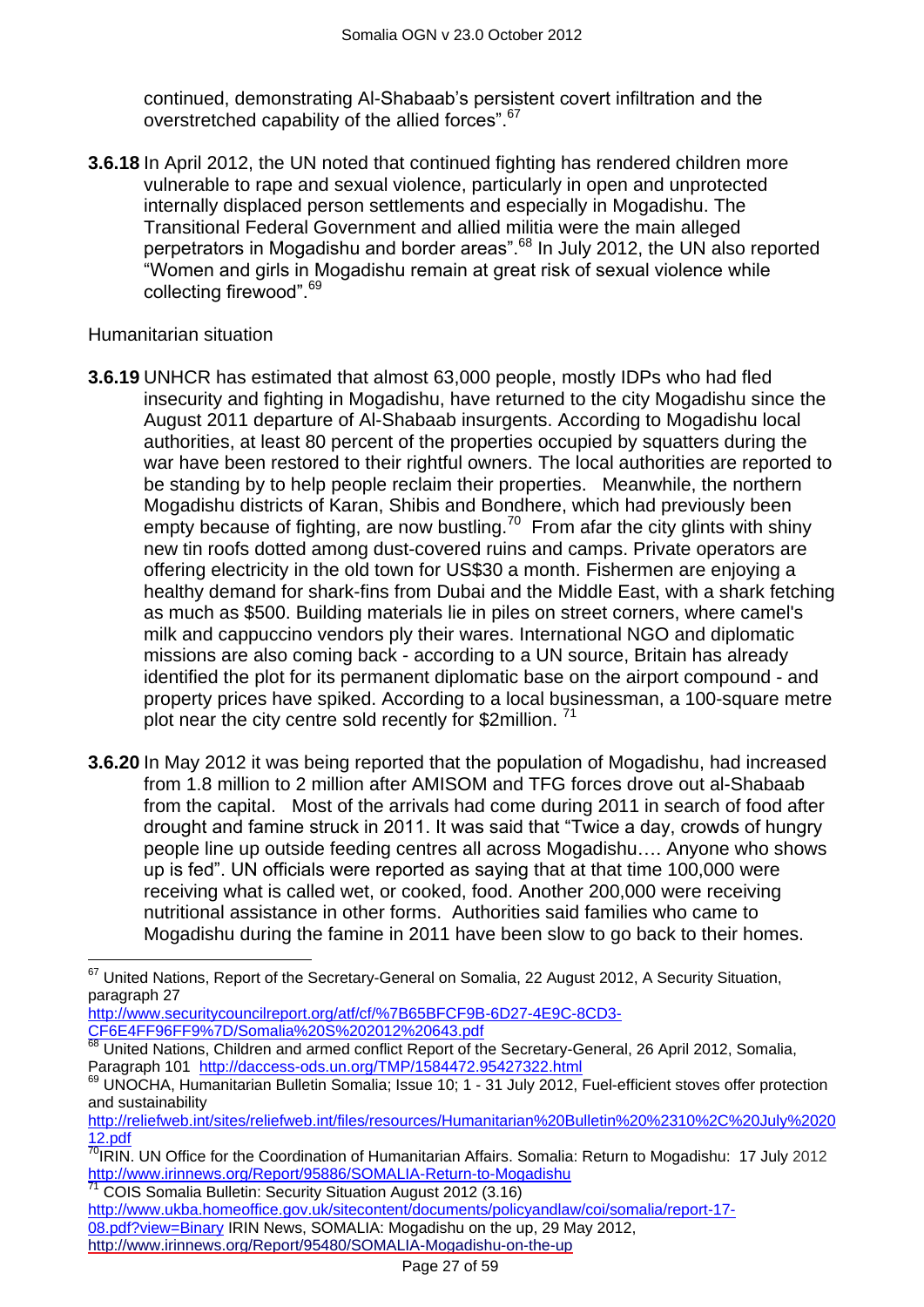continued, demonstrating Al-Shabaab"s persistent covert infiltration and the overstretched capability of the allied forces".<sup>67</sup>

**3.6.18** In April 2012, the UN noted that continued fighting has rendered children more vulnerable to rape and sexual violence, particularly in open and unprotected internally displaced person settlements and especially in Mogadishu. The Transitional Federal Government and allied militia were the main alleged perpetrators in Mogadishu and border areas".<sup>68</sup> In July 2012, the UN also reported "Women and girls in Mogadishu remain at great risk of sexual violence while collecting firewood".<sup>69</sup>

#### Humanitarian situation

 $\overline{a}$ 

- **3.6.19** UNHCR has estimated that almost 63,000 people, mostly IDPs who had fled insecurity and fighting in Mogadishu, have returned to the city Mogadishu since the August 2011 departure of Al-Shabaab insurgents. According to Mogadishu local authorities, at least 80 percent of the properties occupied by squatters during the war have been restored to their rightful owners. The local authorities are reported to be standing by to help people reclaim their properties. Meanwhile, the northern Mogadishu districts of Karan, Shibis and Bondhere, which had previously been empty because of fighting, are now bustling.<sup>70</sup> From afar the city glints with shiny new tin roofs dotted among dust-covered ruins and camps. Private operators are offering electricity in the old town for US\$30 a month. Fishermen are enjoying a healthy demand for shark-fins from Dubai and the Middle East, with a shark fetching as much as \$500. Building materials lie in piles on street corners, where camel's milk and cappuccino vendors ply their wares. International NGO and diplomatic missions are also coming back - according to a UN source, Britain has already identified the plot for its permanent diplomatic base on the airport compound - and property prices have spiked. According to a local businessman, a 100-square metre plot near the city centre sold recently for \$2million.<sup>71</sup>
- **3.6.20** In May 2012 it was being reported that the population of Mogadishu, had increased from 1.8 million to 2 million after AMISOM and TFG forces drove out al-Shabaab from the capital. Most of the arrivals had come during 2011 in search of food after drought and famine struck in 2011. It was said that "Twice a day, crowds of hungry people line up outside feeding centres all across Mogadishu…. Anyone who shows up is fed". UN officials were reported as saying that at that time 100,000 were receiving what is called wet, or cooked, food. Another 200,000 were receiving nutritional assistance in other forms. Authorities said families who came to Mogadishu during the famine in 2011 have been slow to go back to their homes.

[http://www.securitycouncilreport.org/atf/cf/%7B65BFCF9B-6D27-4E9C-8CD3-](http://www.securitycouncilreport.org/atf/cf/%7B65BFCF9B-6D27-4E9C-8CD3-CF6E4FF96FF9%7D/Somalia%20S%202012%20643.pdf) [CF6E4FF96FF9%7D/Somalia%20S%202012%20643.pdf](http://www.securitycouncilreport.org/atf/cf/%7B65BFCF9B-6D27-4E9C-8CD3-CF6E4FF96FF9%7D/Somalia%20S%202012%20643.pdf)

<sup>71</sup> COIS Somalia Bulletin: Security Situation August 2012 (3.16)

 $67$  United Nations, Report of the Secretary-General on Somalia, 22 August 2012, A Security Situation, paragraph 27

<sup>&</sup>lt;sup>68</sup> United Nations, Children and armed conflict Report of the Secretary-General, 26 April 2012, Somalia, Paragraph 101 <http://daccess-ods.un.org/TMP/1584472.95427322.html>

<sup>&</sup>lt;sup>69</sup> UNOCHA, Humanitarian Bulletin Somalia; Issue 10; 1 - 31 July 2012, Fuel-efficient stoves offer protection and sustainability

[http://reliefweb.int/sites/reliefweb.int/files/resources/Humanitarian%20Bulletin%20%2310%2C%20July%2020](http://reliefweb.int/sites/reliefweb.int/files/resources/Humanitarian%20Bulletin%20%2310%2C%20July%202012.pdf) [12.pdf](http://reliefweb.int/sites/reliefweb.int/files/resources/Humanitarian%20Bulletin%20%2310%2C%20July%202012.pdf)

<sup>&</sup>lt;sup>72</sup>IRIN. UN Office for the Coordination of Humanitarian Affairs. Somalia: Return to Mogadishu: 17 July 2012 <http://www.irinnews.org/Report/95886/SOMALIA-Return-to-Mogadishu>

[http://www.ukba.homeoffice.gov.uk/sitecontent/documents/policyandlaw/coi/somalia/report-17-](http://www.ukba.homeoffice.gov.uk/sitecontent/documents/policyandlaw/coi/somalia/report-17-08.pdf?view=Binary) [08.pdf?view=Binary](http://www.ukba.homeoffice.gov.uk/sitecontent/documents/policyandlaw/coi/somalia/report-17-08.pdf?view=Binary) IRIN News, SOMALIA: Mogadishu on the up, 29 May 2012, <http://www.irinnews.org/Report/95480/SOMALIA-Mogadishu-on-the-up>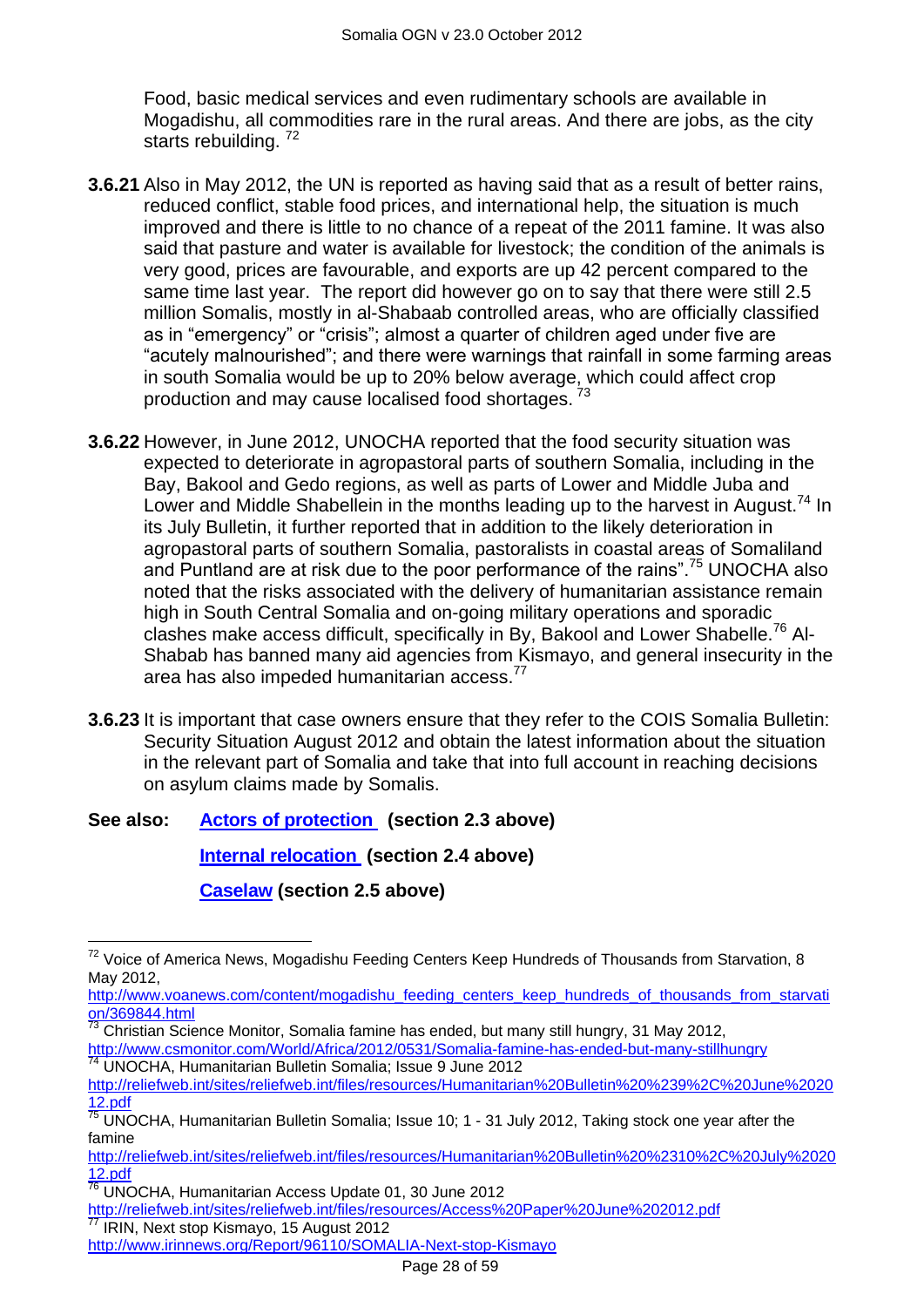Food, basic medical services and even rudimentary schools are available in Mogadishu, all commodities rare in the rural areas. And there are jobs, as the city starts rebuilding.<sup>72</sup>

- **3.6.21** Also in May 2012, the UN is reported as having said that as a result of better rains, reduced conflict, stable food prices, and international help, the situation is much improved and there is little to no chance of a repeat of the 2011 famine. It was also said that pasture and water is available for livestock; the condition of the animals is very good, prices are favourable, and exports are up 42 percent compared to the same time last year. The report did however go on to say that there were still 2.5 million Somalis, mostly in al-Shabaab controlled areas, who are officially classified as in "emergency" or "crisis"; almost a quarter of children aged under five are "acutely malnourished"; and there were warnings that rainfall in some farming areas in south Somalia would be up to 20% below average, which could affect crop production and may cause localised food shortages.<sup>73</sup>
- **3.6.22** However, in June 2012, UNOCHA reported that the food security situation was expected to deteriorate in agropastoral parts of southern Somalia, including in the Bay, Bakool and Gedo regions, as well as parts of Lower and Middle Juba and Lower and Middle Shabellein in the months leading up to the harvest in August.<sup>74</sup> In its July Bulletin, it further reported that in addition to the likely deterioration in agropastoral parts of southern Somalia, pastoralists in coastal areas of Somaliland and Puntland are at risk due to the poor performance of the rains".<sup>75</sup> UNOCHA also noted that the risks associated with the delivery of humanitarian assistance remain high in South Central Somalia and on-going military operations and sporadic clashes make access difficult, specifically in By, Bakool and Lower Shabelle.<sup>76</sup> Al-Shabab has banned many aid agencies from Kismayo, and general insecurity in the area has also impeded humanitarian access.<sup>77</sup>
- **3.6.23** It is important that case owners ensure that they refer to the COIS Somalia Bulletin: Security Situation August 2012 and obtain the latest information about the situation in the relevant part of Somalia and take that into full account in reaching decisions on asylum claims made by Somalis.

## **See also: [Actors of protection](#page-1-1) (section 2.3 above)**

**[Internal relocation](#page-9-0) (section 2.4 above)**

**[Caselaw](#page-11-0) (section 2.5 above)**

 $73$  Christian Science Monitor, Somalia famine has ended, but many still hungry, 31 May 2012, <http://www.csmonitor.com/World/Africa/2012/0531/Somalia-famine-has-ended-but-many-stillhungry> <sup>74</sup> UNOCHA, Humanitarian Bulletin Somalia; Issue 9 June 2012

 $\overline{a}$  $72$  Voice of America News, Mogadishu Feeding Centers Keep Hundreds of Thousands from Starvation, 8 May 2012,

[http://www.voanews.com/content/mogadishu\\_feeding\\_centers\\_keep\\_hundreds\\_of\\_thousands\\_from\\_starvati](http://www.voanews.com/content/mogadishu_feeding_centers_keep_hundreds_of_thousands_from_starvation/369844.html) [on/369844.html](http://www.voanews.com/content/mogadishu_feeding_centers_keep_hundreds_of_thousands_from_starvation/369844.html)

[http://reliefweb.int/sites/reliefweb.int/files/resources/Humanitarian%20Bulletin%20%239%2C%20June%2020](http://reliefweb.int/sites/reliefweb.int/files/resources/Humanitarian%20Bulletin%20%239%2C%20June%202012.pdf) [12.pdf](http://reliefweb.int/sites/reliefweb.int/files/resources/Humanitarian%20Bulletin%20%239%2C%20June%202012.pdf)

<sup>75</sup> UNOCHA, Humanitarian Bulletin Somalia; Issue 10; 1 - 31 July 2012, Taking stock one year after the famine

[http://reliefweb.int/sites/reliefweb.int/files/resources/Humanitarian%20Bulletin%20%2310%2C%20July%2020](http://reliefweb.int/sites/reliefweb.int/files/resources/Humanitarian%20Bulletin%20%2310%2C%20July%202012.pdf) [12.pdf](http://reliefweb.int/sites/reliefweb.int/files/resources/Humanitarian%20Bulletin%20%2310%2C%20July%202012.pdf)

<sup>76</sup> UNOCHA, Humanitarian Access Update 01, 30 June 2012

<http://reliefweb.int/sites/reliefweb.int/files/resources/Access%20Paper%20June%202012.pdf> IRIN, Next stop Kismayo, 15 August 2012

<http://www.irinnews.org/Report/96110/SOMALIA-Next-stop-Kismayo>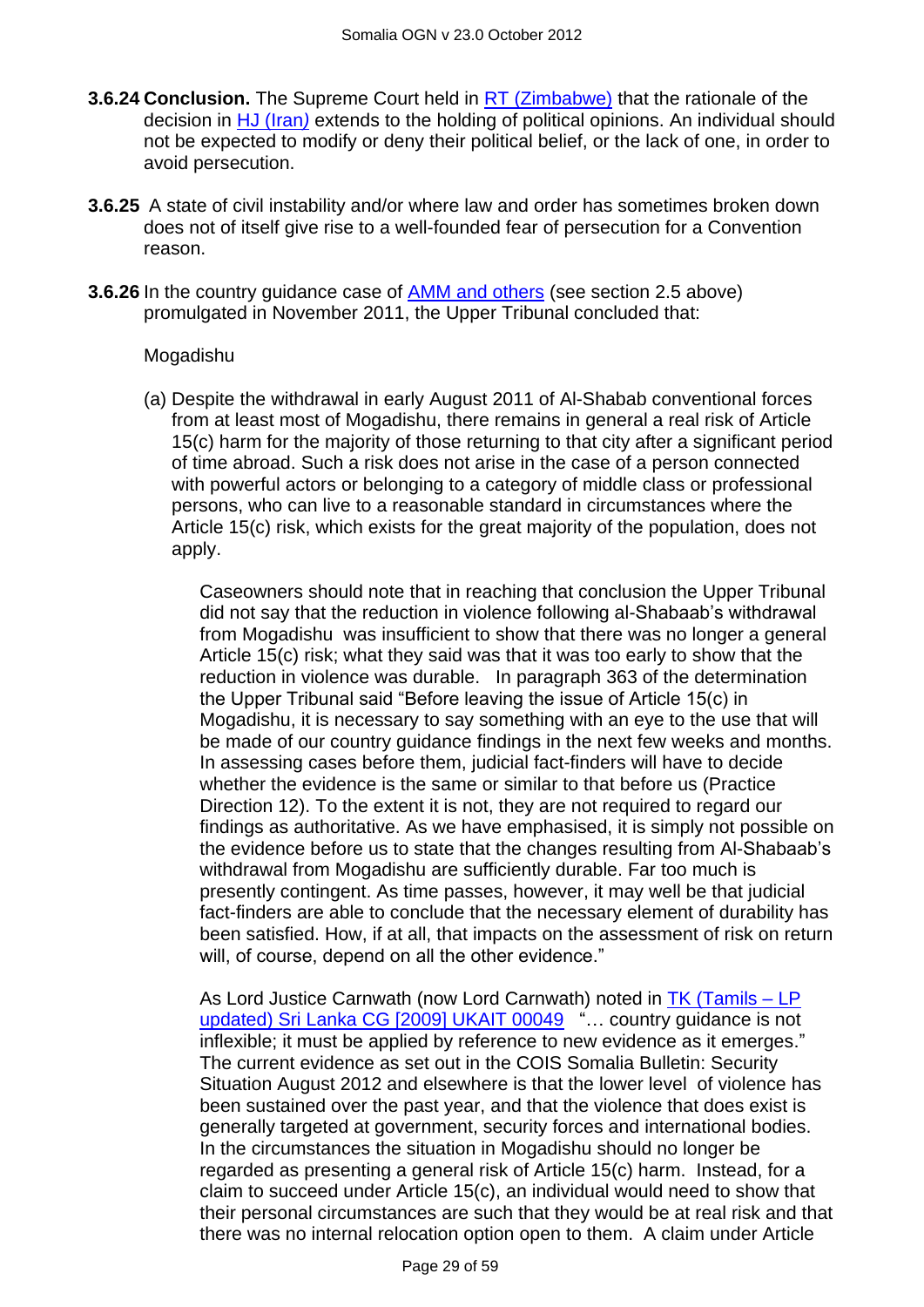- **3.6.24 Conclusion.** The Supreme Court held in [RT \(Zimbabwe\)](http://www.bailii.org/uk/cases/UKSC/2012/38.html) that the rationale of the decision in [HJ \(Iran](http://www.bailii.org/uk/cases/UKSC/2010/31.html)*)* extends to the holding of political opinions. An individual should not be expected to modify or deny their political belief, or the lack of one, in order to avoid persecution.
- **3.6.25** A state of civil instability and/or where law and order has sometimes broken down does not of itself give rise to a well-founded fear of persecution for a Convention reason.
- **3.6.26** In the country guidance case of **AMM and others** (see section 2.5 above) promulgated in November 2011, the Upper Tribunal concluded that:

#### Mogadishu

(a) Despite the withdrawal in early August 2011 of Al-Shabab conventional forces from at least most of Mogadishu, there remains in general a real risk of Article 15(c) harm for the majority of those returning to that city after a significant period of time abroad. Such a risk does not arise in the case of a person connected with powerful actors or belonging to a category of middle class or professional persons, who can live to a reasonable standard in circumstances where the Article 15(c) risk, which exists for the great majority of the population, does not apply.

Caseowners should note that in reaching that conclusion the Upper Tribunal did not say that the reduction in violence following al-Shabaab"s withdrawal from Mogadishu was insufficient to show that there was no longer a general Article 15(c) risk; what they said was that it was too early to show that the reduction in violence was durable. In paragraph 363 of the determination the Upper Tribunal said "Before leaving the issue of Article 15(c) in Mogadishu, it is necessary to say something with an eye to the use that will be made of our country guidance findings in the next few weeks and months. In assessing cases before them, judicial fact-finders will have to decide whether the evidence is the same or similar to that before us (Practice Direction 12). To the extent it is not, they are not required to regard our findings as authoritative. As we have emphasised, it is simply not possible on the evidence before us to state that the changes resulting from Al-Shabaab"s withdrawal from Mogadishu are sufficiently durable. Far too much is presently contingent. As time passes, however, it may well be that judicial fact-finders are able to conclude that the necessary element of durability has been satisfied. How, if at all, that impacts on the assessment of risk on return will, of course, depend on all the other evidence."

As Lord Justice Carnwath (now Lord Carnwath) noted in [TK \(Tamils –](http://www.bailii.org/cgi-bin/markup.cgi?doc=/uk/cases/UKIAT/2009/00049.html&query=title+(+TK+)&method=boolean) LP [updated\) Sri Lanka CG \[2009\] UKAIT 00049](http://www.bailii.org/cgi-bin/markup.cgi?doc=/uk/cases/UKIAT/2009/00049.html&query=title+(+TK+)&method=boolean) "... country guidance is not inflexible; it must be applied by reference to new evidence as it emerges." The current evidence as set out in the COIS Somalia Bulletin: Security Situation August 2012 and elsewhere is that the lower level of violence has been sustained over the past year, and that the violence that does exist is generally targeted at government, security forces and international bodies. In the circumstances the situation in Mogadishu should no longer be regarded as presenting a general risk of Article 15(c) harm. Instead, for a claim to succeed under Article 15(c), an individual would need to show that their personal circumstances are such that they would be at real risk and that there was no internal relocation option open to them. A claim under Article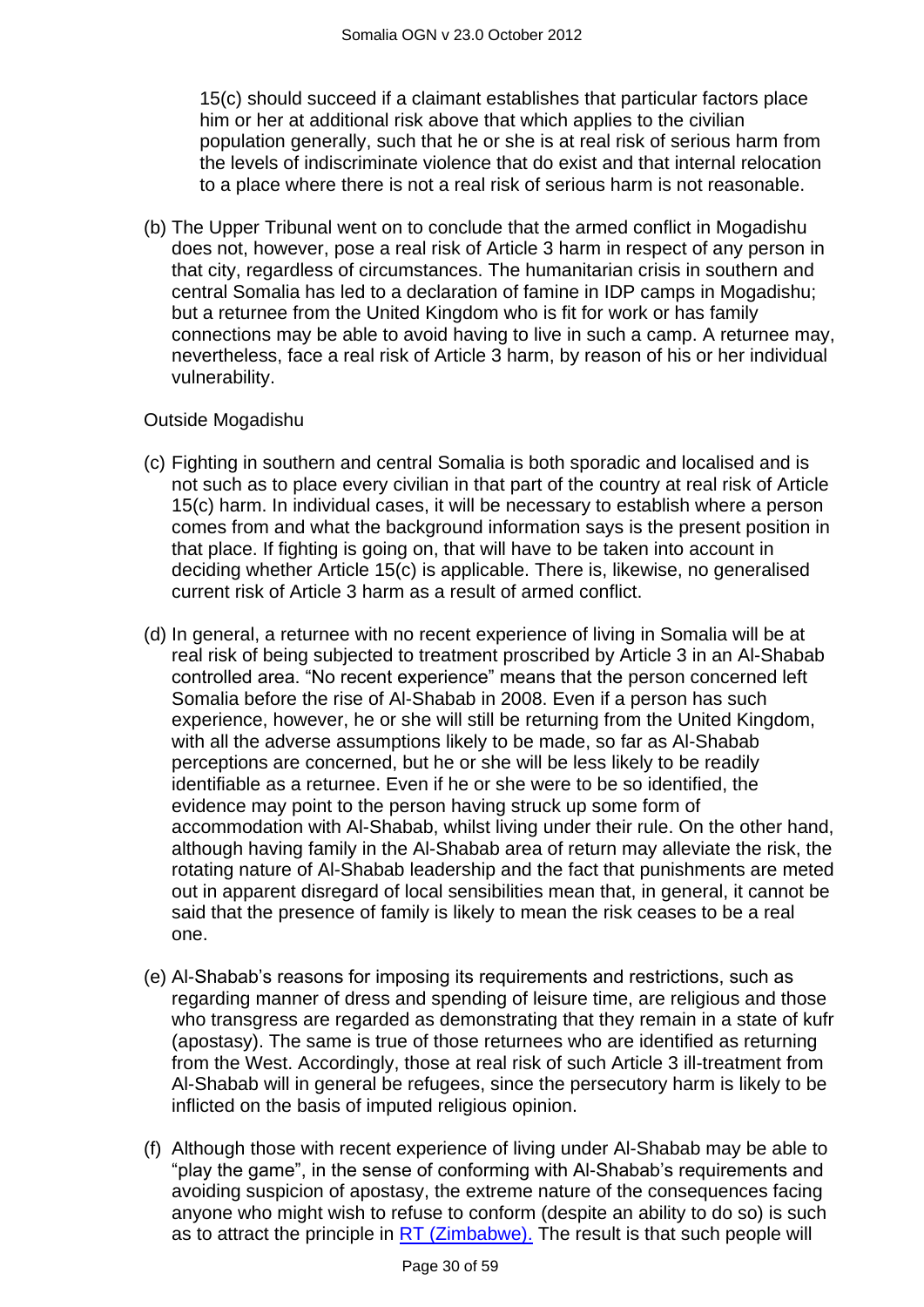15(c) should succeed if a claimant establishes that particular factors place him or her at additional risk above that which applies to the civilian population generally, such that he or she is at real risk of serious harm from the levels of indiscriminate violence that do exist and that internal relocation to a place where there is not a real risk of serious harm is not reasonable.

(b) The Upper Tribunal went on to conclude that the armed conflict in Mogadishu does not, however, pose a real risk of Article 3 harm in respect of any person in that city, regardless of circumstances. The humanitarian crisis in southern and central Somalia has led to a declaration of famine in IDP camps in Mogadishu; but a returnee from the United Kingdom who is fit for work or has family connections may be able to avoid having to live in such a camp. A returnee may, nevertheless, face a real risk of Article 3 harm, by reason of his or her individual vulnerability.

#### Outside Mogadishu

- (c) Fighting in southern and central Somalia is both sporadic and localised and is not such as to place every civilian in that part of the country at real risk of Article 15(c) harm. In individual cases, it will be necessary to establish where a person comes from and what the background information says is the present position in that place. If fighting is going on, that will have to be taken into account in deciding whether Article 15(c) is applicable. There is, likewise, no generalised current risk of Article 3 harm as a result of armed conflict.
- (d) In general, a returnee with no recent experience of living in Somalia will be at real risk of being subjected to treatment proscribed by Article 3 in an Al-Shabab controlled area. "No recent experience" means that the person concerned left Somalia before the rise of Al-Shabab in 2008. Even if a person has such experience, however, he or she will still be returning from the United Kingdom, with all the adverse assumptions likely to be made, so far as Al-Shabab perceptions are concerned, but he or she will be less likely to be readily identifiable as a returnee. Even if he or she were to be so identified, the evidence may point to the person having struck up some form of accommodation with Al-Shabab, whilst living under their rule. On the other hand, although having family in the Al-Shabab area of return may alleviate the risk, the rotating nature of Al-Shabab leadership and the fact that punishments are meted out in apparent disregard of local sensibilities mean that, in general, it cannot be said that the presence of family is likely to mean the risk ceases to be a real one.
- (e) Al-Shabab"s reasons for imposing its requirements and restrictions, such as regarding manner of dress and spending of leisure time, are religious and those who transgress are regarded as demonstrating that they remain in a state of kufr (apostasy). The same is true of those returnees who are identified as returning from the West. Accordingly, those at real risk of such Article 3 ill-treatment from Al-Shabab will in general be refugees, since the persecutory harm is likely to be inflicted on the basis of imputed religious opinion.
- (f) Although those with recent experience of living under Al-Shabab may be able to "play the game", in the sense of conforming with Al-Shabab"s requirements and avoiding suspicion of apostasy, the extreme nature of the consequences facing anyone who might wish to refuse to conform (despite an ability to do so) is such as to attract the principle in  $RT$  (Zimbabwe). The result is that such people will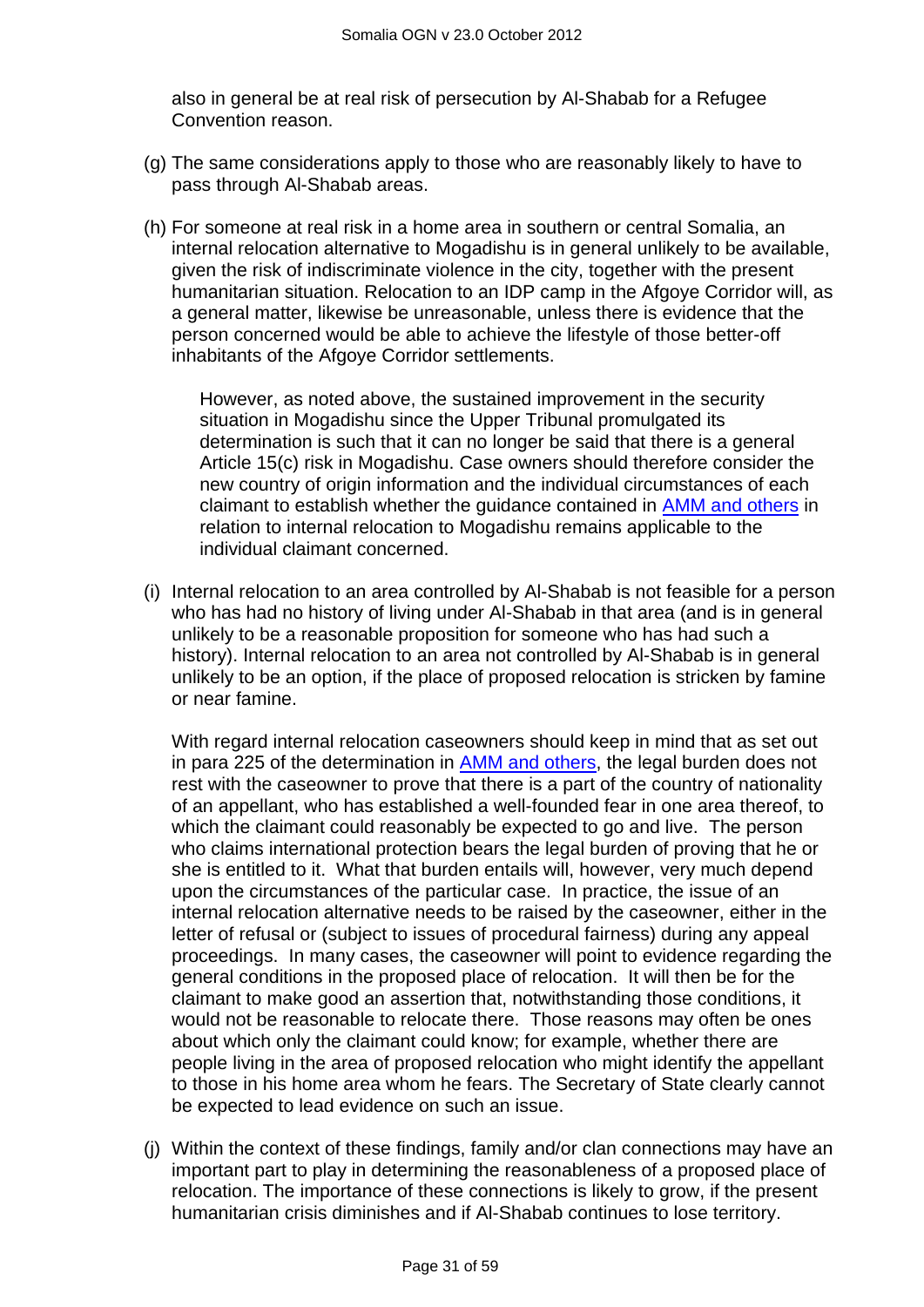also in general be at real risk of persecution by Al-Shabab for a Refugee Convention reason.

- (g) The same considerations apply to those who are reasonably likely to have to pass through Al-Shabab areas.
- (h) For someone at real risk in a home area in southern or central Somalia, an internal relocation alternative to Mogadishu is in general unlikely to be available, given the risk of indiscriminate violence in the city, together with the present humanitarian situation. Relocation to an IDP camp in the Afgoye Corridor will, as a general matter, likewise be unreasonable, unless there is evidence that the person concerned would be able to achieve the lifestyle of those better-off inhabitants of the Afgoye Corridor settlements.

However, as noted above, the sustained improvement in the security situation in Mogadishu since the Upper Tribunal promulgated its determination is such that it can no longer be said that there is a general Article 15(c) risk in Mogadishu. Case owners should therefore consider the new country of origin information and the individual circumstances of each claimant to establish whether the guidance contained in [AMM and others](http://www.bailii.org/uk/cases/UKUT/IAC/2011/00445_ukut_iac_2011_amm_ors_somalia_cg.html) in relation to internal relocation to Mogadishu remains applicable to the individual claimant concerned.

(i) Internal relocation to an area controlled by Al-Shabab is not feasible for a person who has had no history of living under Al-Shabab in that area (and is in general unlikely to be a reasonable proposition for someone who has had such a history). Internal relocation to an area not controlled by Al-Shabab is in general unlikely to be an option, if the place of proposed relocation is stricken by famine or near famine.

With regard internal relocation caseowners should keep in mind that as set out in para 225 of the determination in [AMM and others,](http://www.bailii.org/uk/cases/UKUT/IAC/2011/00445_ukut_iac_2011_amm_ors_somalia_cg.html) the legal burden does not rest with the caseowner to prove that there is a part of the country of nationality of an appellant, who has established a well-founded fear in one area thereof, to which the claimant could reasonably be expected to go and live. The person who claims international protection bears the legal burden of proving that he or she is entitled to it. What that burden entails will, however, very much depend upon the circumstances of the particular case. In practice, the issue of an internal relocation alternative needs to be raised by the caseowner, either in the letter of refusal or (subject to issues of procedural fairness) during any appeal proceedings. In many cases, the caseowner will point to evidence regarding the general conditions in the proposed place of relocation. It will then be for the claimant to make good an assertion that, notwithstanding those conditions, it would not be reasonable to relocate there. Those reasons may often be ones about which only the claimant could know; for example, whether there are people living in the area of proposed relocation who might identify the appellant to those in his home area whom he fears. The Secretary of State clearly cannot be expected to lead evidence on such an issue.

(j) Within the context of these findings, family and/or clan connections may have an important part to play in determining the reasonableness of a proposed place of relocation. The importance of these connections is likely to grow, if the present humanitarian crisis diminishes and if Al-Shabab continues to lose territory.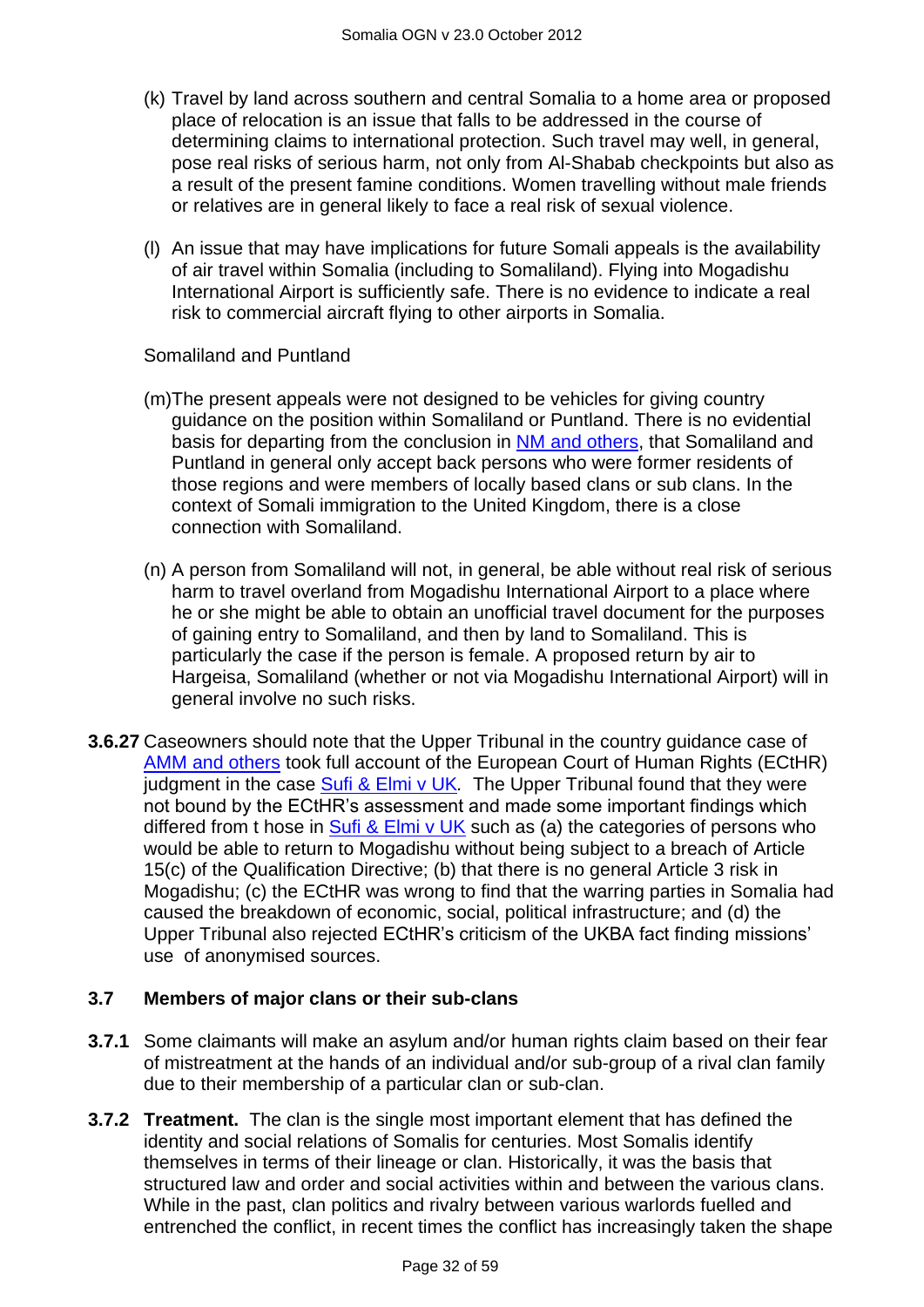- (k) Travel by land across southern and central Somalia to a home area or proposed place of relocation is an issue that falls to be addressed in the course of determining claims to international protection. Such travel may well, in general, pose real risks of serious harm, not only from Al-Shabab checkpoints but also as a result of the present famine conditions. Women travelling without male friends or relatives are in general likely to face a real risk of sexual violence.
- (l) An issue that may have implications for future Somali appeals is the availability of air travel within Somalia (including to Somaliland). Flying into Mogadishu International Airport is sufficiently safe. There is no evidence to indicate a real risk to commercial aircraft flying to other airports in Somalia.

#### Somaliland and Puntland

- (m)The present appeals were not designed to be vehicles for giving country guidance on the position within Somaliland or Puntland. There is no evidential basis for departing from the conclusion in [NM and others,](http://www.bailii.org/uk/cases/UKIAT/2005/00076.html) that Somaliland and Puntland in general only accept back persons who were former residents of those regions and were members of locally based clans or sub clans. In the context of Somali immigration to the United Kingdom, there is a close connection with Somaliland.
- (n) A person from Somaliland will not, in general, be able without real risk of serious harm to travel overland from Mogadishu International Airport to a place where he or she might be able to obtain an unofficial travel document for the purposes of gaining entry to Somaliland, and then by land to Somaliland. This is particularly the case if the person is female. A proposed return by air to Hargeisa, Somaliland (whether or not via Mogadishu International Airport) will in general involve no such risks.
- **3.6.27** Caseowners should note that the Upper Tribunal in the country guidance case of [AMM and others](http://www.bailii.org/uk/cases/UKUT/IAC/2011/00445_ukut_iac_2011_amm_ors_somalia_cg.html) took full account of the European Court of Human Rights (ECtHR) judgment in the case [Sufi & Elmi v UK](http://www.bailii.org/eu/cases/ECHR/2011/1045.html)*.* The Upper Tribunal found that they were not bound by the ECtHR"s assessment and made some important findings which differed from t hose in [Sufi & Elmi v UK](http://www.bailii.org/eu/cases/ECHR/2011/1045.html) such as (a) the categories of persons who would be able to return to Mogadishu without being subject to a breach of Article 15(c) of the Qualification Directive; (b) that there is no general Article 3 risk in Mogadishu; (c) the ECtHR was wrong to find that the warring parties in Somalia had caused the breakdown of economic, social, political infrastructure; and (d) the Upper Tribunal also rejected ECtHR"s criticism of the UKBA fact finding missions" use of anonymised sources.

#### **3.7 Members of major clans or their sub-clans**

- **3.7.1** Some claimants will make an asylum and/or human rights claim based on their fear of mistreatment at the hands of an individual and/or sub-group of a rival clan family due to their membership of a particular clan or sub-clan.
- **3.7.2 Treatment.** The clan is the single most important element that has defined the identity and social relations of Somalis for centuries. Most Somalis identify themselves in terms of their lineage or clan. Historically, it was the basis that structured law and order and social activities within and between the various clans. While in the past, clan politics and rivalry between various warlords fuelled and entrenched the conflict, in recent times the conflict has increasingly taken the shape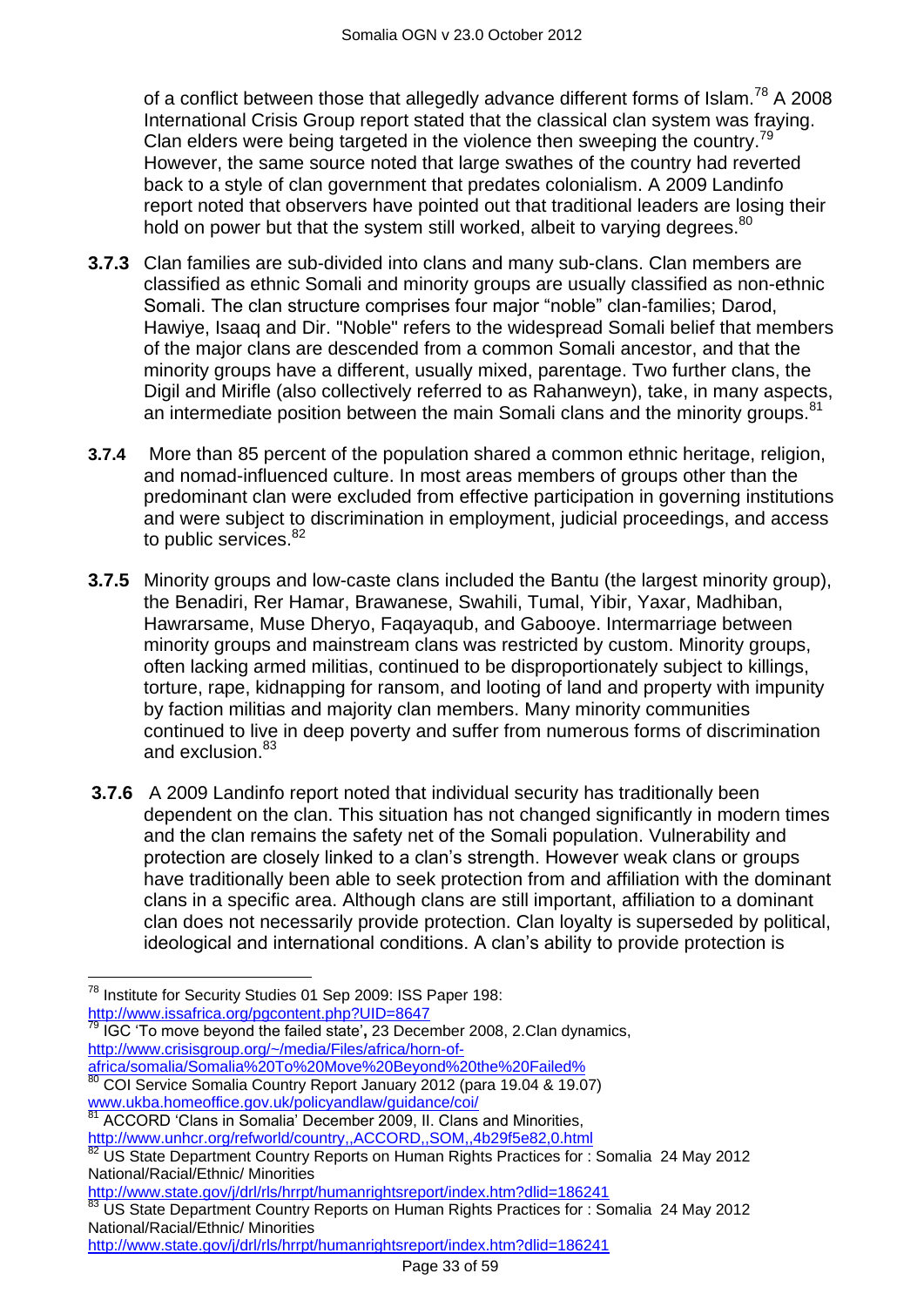of a conflict between those that allegedly advance different forms of Islam.<sup>78</sup> A 2008 International Crisis Group report stated that the classical clan system was fraying. Clan elders were being targeted in the violence then sweeping the country.<sup>79</sup> However, the same source noted that large swathes of the country had reverted back to a style of clan government that predates colonialism. A 2009 Landinfo report noted that observers have pointed out that traditional leaders are losing their hold on power but that the system still worked, albeit to varying degrees. <sup>80</sup>

- **3.7.3** Clan families are sub-divided into clans and many sub-clans. Clan members are classified as ethnic Somali and minority groups are usually classified as non-ethnic Somali. The clan structure comprises four major "noble" clan-families; Darod, Hawiye, Isaaq and Dir. "Noble" refers to the widespread Somali belief that members of the major clans are descended from a common Somali ancestor, and that the minority groups have a different, usually mixed, parentage. Two further clans, the Digil and Mirifle (also collectively referred to as Rahanweyn), take, in many aspects, an intermediate position between the main Somali clans and the minority groups.<sup>81</sup>
- **3.7.4** More than 85 percent of the population shared a common ethnic heritage, religion, and nomad-influenced culture. In most areas members of groups other than the predominant clan were excluded from effective participation in governing institutions and were subject to discrimination in employment, judicial proceedings, and access to public services.<sup>82</sup>
- **3.7.5** Minority groups and low-caste clans included the Bantu (the largest minority group), the Benadiri, Rer Hamar, Brawanese, Swahili, Tumal, Yibir, Yaxar, Madhiban, Hawrarsame, Muse Dheryo, Faqayaqub, and Gabooye. Intermarriage between minority groups and mainstream clans was restricted by custom. Minority groups, often lacking armed militias, continued to be disproportionately subject to killings, torture, rape, kidnapping for ransom, and looting of land and property with impunity by faction militias and majority clan members. Many minority communities continued to live in deep poverty and suffer from numerous forms of discrimination and exclusion.<sup>83</sup>
- **3.7.6** A 2009 Landinfo report noted that individual security has traditionally been dependent on the clan. This situation has not changed significantly in modern times and the clan remains the safety net of the Somali population. Vulnerability and protection are closely linked to a clan"s strength. However weak clans or groups have traditionally been able to seek protection from and affiliation with the dominant clans in a specific area. Although clans are still important, affiliation to a dominant clan does not necessarily provide protection. Clan loyalty is superseded by political, ideological and international conditions. A clan"s ability to provide protection is

<http://www.issafrica.org/pgcontent.php?UID=8647>

 $\overline{a}$ 

 $78$  Institute for Security Studies 01 Sep 2009: ISS Paper 198:

<sup>79</sup> IGC "To move beyond the failed state"**,** 23 December 2008, 2.Clan dynamics, http://www.crisisgroup.org/~/media/Files/africa/horn-of-<br>africa/somalia/Somalia%20To%20Move%20Beyond%20the%20Failed%

[africa/somalia/Somalia%20To%20Move%20Beyond%20the%20Failed%](http://www.crisisgroup.org/~/media/Files/africa/horn-of-africa/somalia/Somalia%20To%20Move%20Beyond%20the%20Failed%25) <sup>80</sup> COI Service Somalia Country Report January 2012 (para 19.04 & 19.07)

[www.ukba.homeoffice.gov.uk/policyandlaw/guidance/coi/](http://www.ukba.homeoffice.gov.uk/policyandlaw/guidance/coi/) 

ACCORD 'Clans in Somalia' December 2009, II. Clans and Minorities,

http://www.unhcr.org/refworld/country,,ACCORD,,SOM,,4b29f5e82,0.html

US State Department Country Reports on Human Rights Practices for : Somalia 24 May 2012 National/Racial/Ethnic/ Minorities

[http://www.state.gov/j/drl/rls/hrrpt/humanrightsreport/index.htm?dlid=186241](http://www.state.gov/j/drl/rls/hrrpt/humanrightsreport/index.htm?dlid=186241%20%20) 

US State Department Country Reports on Human Rights Practices for : Somalia 24 May 2012 National/Racial/Ethnic/ Minorities

[http://www.state.gov/j/drl/rls/hrrpt/humanrightsreport/index.htm?dlid=186241](http://www.state.gov/j/drl/rls/hrrpt/humanrightsreport/index.htm?dlid=186241%20%20)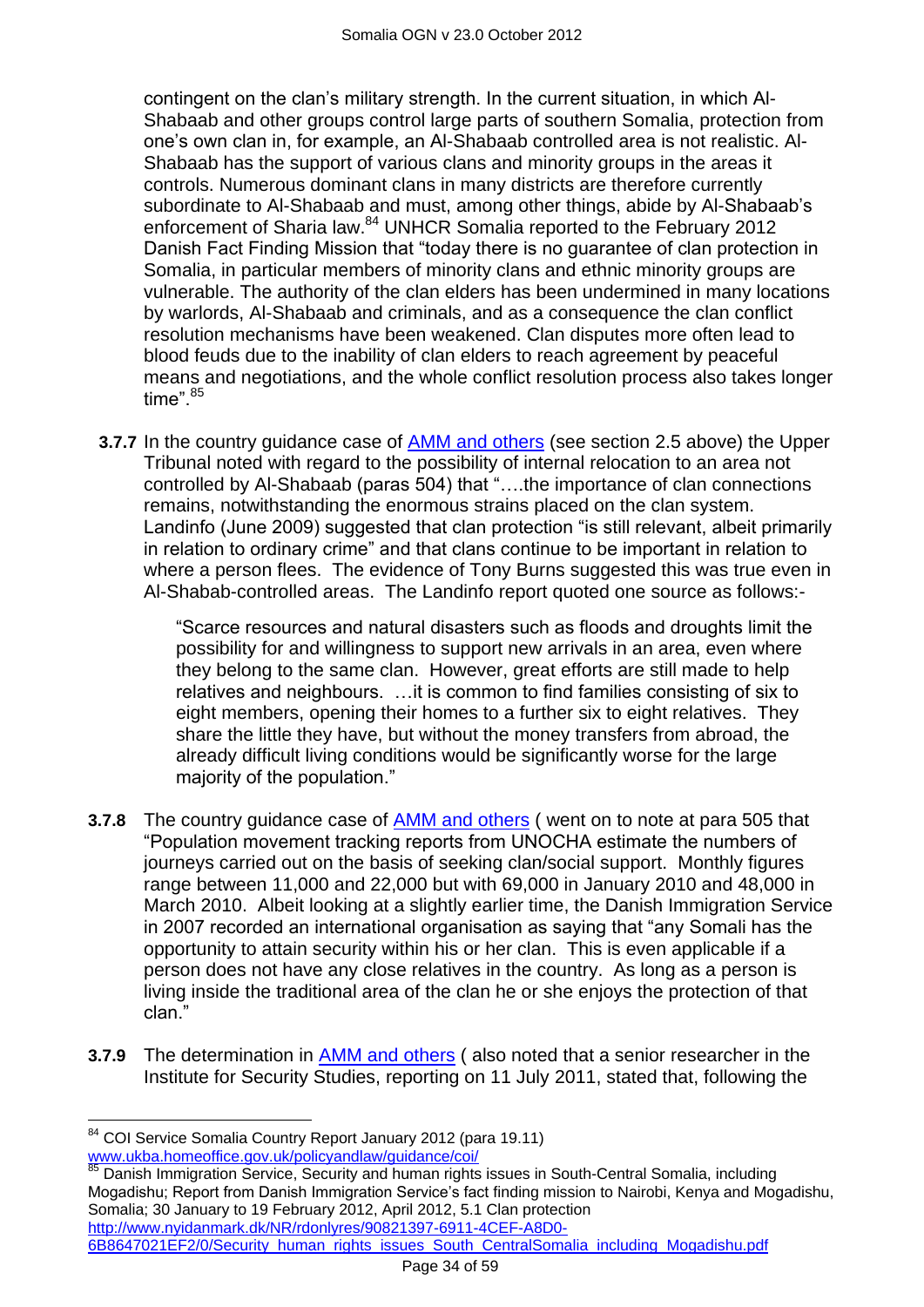contingent on the clan"s military strength. In the current situation, in which Al-Shabaab and other groups control large parts of southern Somalia, protection from one"s own clan in, for example, an Al-Shabaab controlled area is not realistic. Al-Shabaab has the support of various clans and minority groups in the areas it controls. Numerous dominant clans in many districts are therefore currently subordinate to Al-Shabaab and must, among other things, abide by Al-Shabaab"s enforcement of Sharia law.<sup>84</sup> UNHCR Somalia reported to the February 2012 Danish Fact Finding Mission that "today there is no guarantee of clan protection in Somalia, in particular members of minority clans and ethnic minority groups are vulnerable. The authority of the clan elders has been undermined in many locations by warlords, Al-Shabaab and criminals, and as a consequence the clan conflict resolution mechanisms have been weakened. Clan disputes more often lead to blood feuds due to the inability of clan elders to reach agreement by peaceful means and negotiations, and the whole conflict resolution process also takes longer time".<sup>85</sup>

**3.7.7** In the country guidance case of [AMM and others](http://www.bailii.org/uk/cases/UKUT/IAC/2011/00445_ukut_iac_2011_amm_ors_somalia_cg.html) (see section 2.5 above) the Upper Tribunal noted with regard to the possibility of internal relocation to an area not controlled by Al-Shabaab (paras 504) that "….the importance of clan connections remains, notwithstanding the enormous strains placed on the clan system. Landinfo (June 2009) suggested that clan protection "is still relevant, albeit primarily in relation to ordinary crime" and that clans continue to be important in relation to where a person flees. The evidence of Tony Burns suggested this was true even in Al-Shabab-controlled areas. The Landinfo report quoted one source as follows:-

> "Scarce resources and natural disasters such as floods and droughts limit the possibility for and willingness to support new arrivals in an area, even where they belong to the same clan. However, great efforts are still made to help relatives and neighbours. …it is common to find families consisting of six to eight members, opening their homes to a further six to eight relatives. They share the little they have, but without the money transfers from abroad, the already difficult living conditions would be significantly worse for the large majority of the population."

- **3.7.8** The country guidance case of [AMM and others](http://www.bailii.org/uk/cases/UKUT/IAC/2011/00445_ukut_iac_2011_amm_ors_somalia_cg.html) ( went on to note at para 505 that "Population movement tracking reports from UNOCHA estimate the numbers of journeys carried out on the basis of seeking clan/social support. Monthly figures range between 11,000 and 22,000 but with 69,000 in January 2010 and 48,000 in March 2010. Albeit looking at a slightly earlier time, the Danish Immigration Service in 2007 recorded an international organisation as saying that "any Somali has the opportunity to attain security within his or her clan. This is even applicable if a person does not have any close relatives in the country. As long as a person is living inside the traditional area of the clan he or she enjoys the protection of that clan."
- **3.7.9** The determination in **AMM** and others (also noted that a senior researcher in the Institute for Security Studies, reporting on 11 July 2011, stated that, following the

85 Danish Immigration Service, Security and human rights issues in South-Central Somalia, including Mogadishu; Report from Danish Immigration Service"s fact finding mission to Nairobi, Kenya and Mogadishu, Somalia; 30 January to 19 February 2012, April 2012, 5.1 Clan protection [http://www.nyidanmark.dk/NR/rdonlyres/90821397-6911-4CEF-A8D0-](http://www.nyidanmark.dk/NR/rdonlyres/90821397-6911-4CEF-A8D0-6B8647021EF2/0/Security_human_rights_issues_South_CentralSomalia_including_Mogadishu.pdf)

[6B8647021EF2/0/Security\\_human\\_rights\\_issues\\_South\\_CentralSomalia\\_including\\_Mogadishu.pdf](http://www.nyidanmark.dk/NR/rdonlyres/90821397-6911-4CEF-A8D0-6B8647021EF2/0/Security_human_rights_issues_South_CentralSomalia_including_Mogadishu.pdf)

 $\overline{a}$ <sup>84</sup> COI Service Somalia Country Report January 2012 (para 19.11) [www.ukba.homeoffice.gov.uk/policyandlaw/guidance/coi/](http://www.ukba.homeoffice.gov.uk/policyandlaw/guidance/coi/)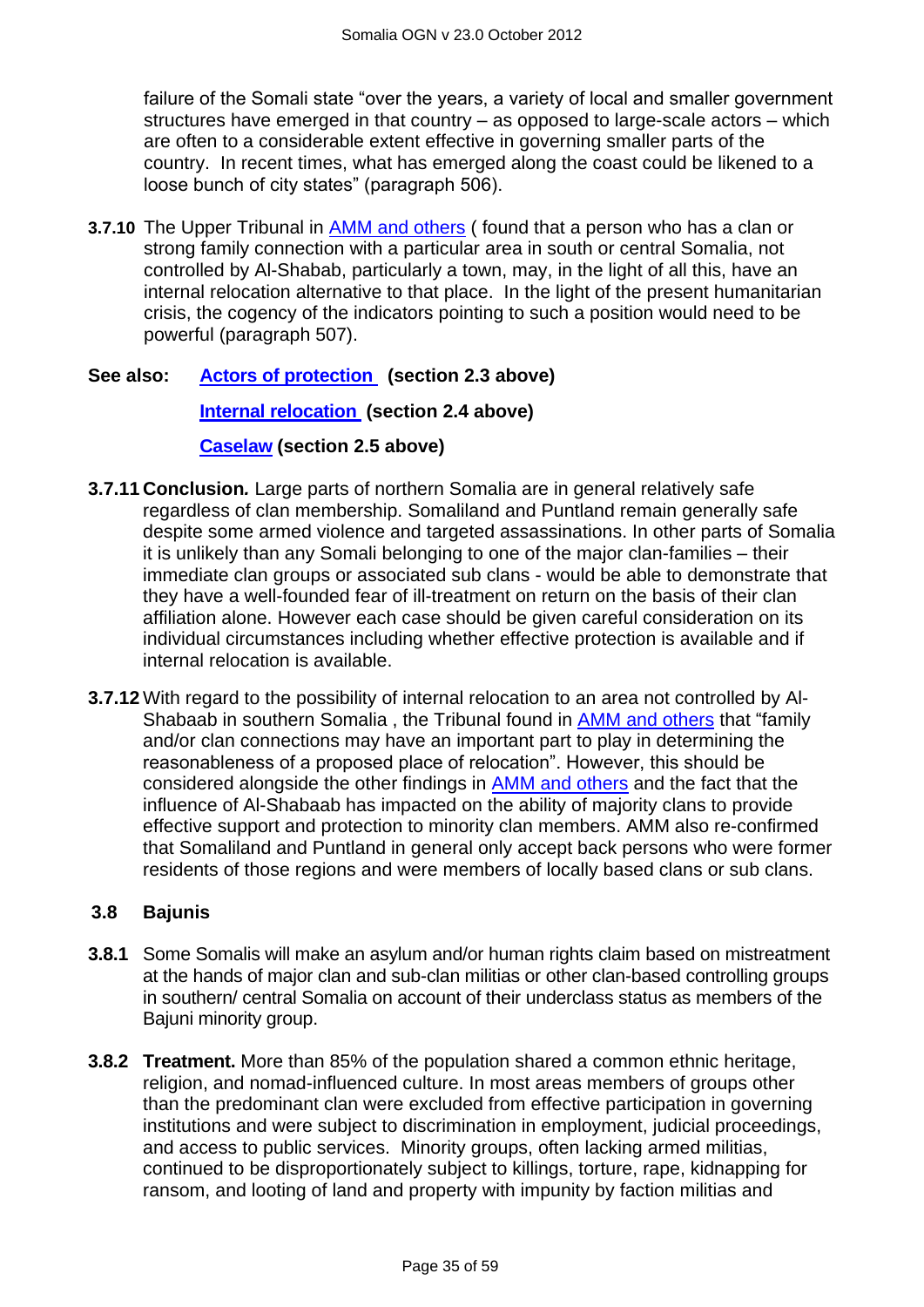failure of the Somali state "over the years, a variety of local and smaller government structures have emerged in that country – as opposed to large-scale actors – which are often to a considerable extent effective in governing smaller parts of the country. In recent times, what has emerged along the coast could be likened to a loose bunch of city states" (paragraph 506).

**3.7.10** The Upper Tribunal in [AMM and others](http://www.bailii.org/uk/cases/UKUT/IAC/2011/00445_ukut_iac_2011_amm_ors_somalia_cg.html) ( found that a person who has a clan or strong family connection with a particular area in south or central Somalia, not controlled by Al-Shabab, particularly a town, may, in the light of all this, have an internal relocation alternative to that place. In the light of the present humanitarian crisis, the cogency of the indicators pointing to such a position would need to be powerful (paragraph 507).

## **See also: [Actors of protection](#page-1-1) (section 2.3 above)**

## **[Internal relocation](#page-9-0) (section 2.4 above)**

## **[Caselaw](#page-11-0) (section 2.5 above)**

- **3.7.11 Conclusion***.* Large parts of northern Somalia are in general relatively safe regardless of clan membership. Somaliland and Puntland remain generally safe despite some armed violence and targeted assassinations. In other parts of Somalia it is unlikely than any Somali belonging to one of the major clan-families – their immediate clan groups or associated sub clans - would be able to demonstrate that they have a well-founded fear of ill-treatment on return on the basis of their clan affiliation alone. However each case should be given careful consideration on its individual circumstances including whether effective protection is available and if internal relocation is available.
- **3.7.12** With regard to the possibility of internal relocation to an area not controlled by Al-Shabaab in southern Somalia , the Tribunal found in [AMM and others](http://www.bailii.org/uk/cases/UKUT/IAC/2011/00445_ukut_iac_2011_amm_ors_somalia_cg.html) that "family and/or clan connections may have an important part to play in determining the reasonableness of a proposed place of relocation". However, this should be considered alongside the other findings in [AMM and others](http://www.bailii.org/uk/cases/UKUT/IAC/2011/00445_ukut_iac_2011_amm_ors_somalia_cg.html) and the fact that the influence of Al-Shabaab has impacted on the ability of majority clans to provide effective support and protection to minority clan members. AMM also re-confirmed that Somaliland and Puntland in general only accept back persons who were former residents of those regions and were members of locally based clans or sub clans.

## <span id="page-34-0"></span>**3.8 Bajunis**

- **3.8.1** Some Somalis will make an asylum and/or human rights claim based on mistreatment at the hands of major clan and sub-clan militias or other clan-based controlling groups in southern/ central Somalia on account of their underclass status as members of the Bajuni minority group.
- **3.8.2 Treatment.** More than 85% of the population shared a common ethnic heritage, religion, and nomad-influenced culture. In most areas members of groups other than the predominant clan were excluded from effective participation in governing institutions and were subject to discrimination in employment, judicial proceedings, and access to public services. Minority groups, often lacking armed militias, continued to be disproportionately subject to killings, torture, rape, kidnapping for ransom, and looting of land and property with impunity by faction militias and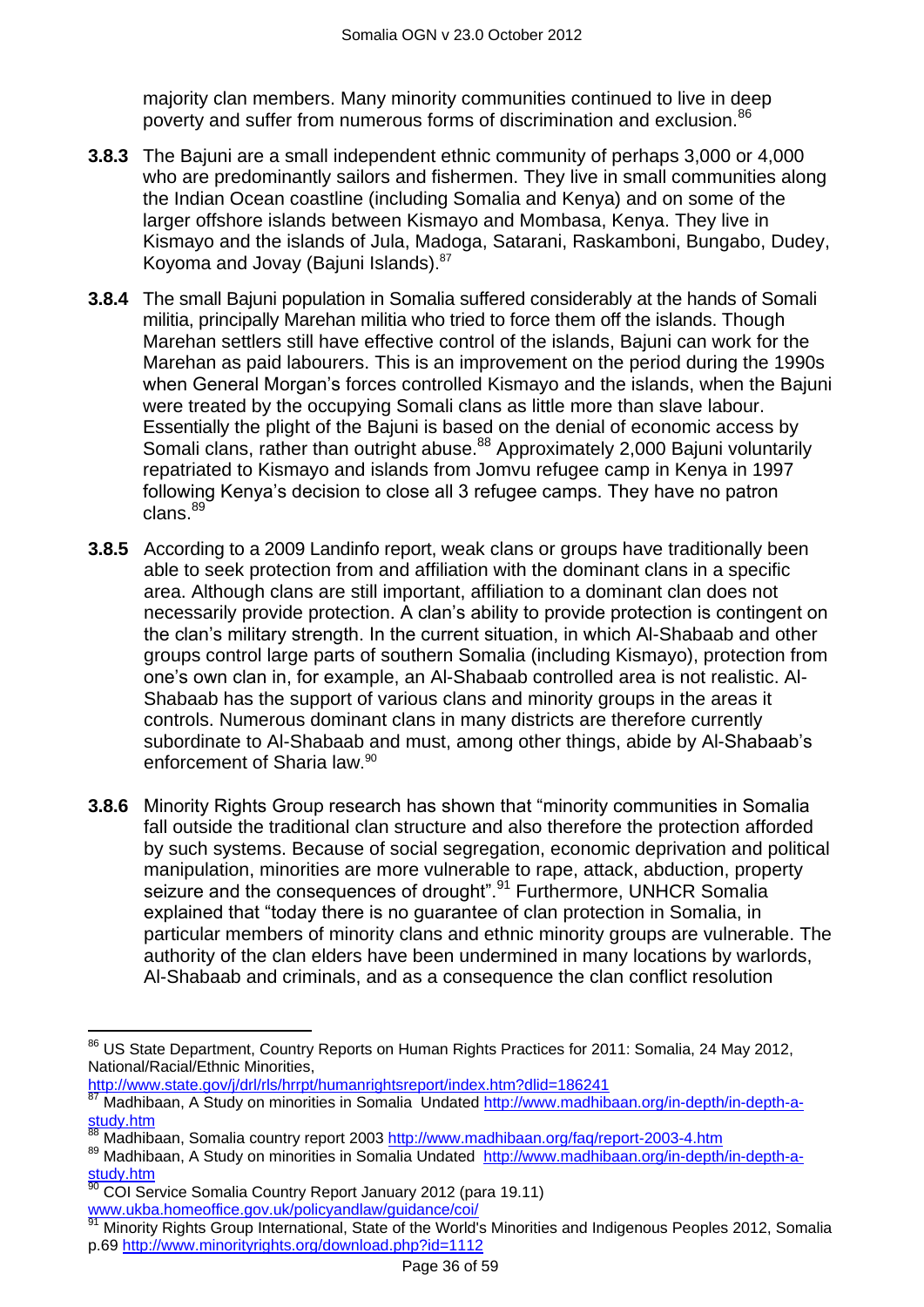majority clan members. Many minority communities continued to live in deep poverty and suffer from numerous forms of discrimination and exclusion.<sup>86</sup>

- **3.8.3** The Bajuni are a small independent ethnic community of perhaps 3,000 or 4,000 who are predominantly sailors and fishermen. They live in small communities along the Indian Ocean coastline (including Somalia and Kenya) and on some of the larger offshore islands between Kismayo and Mombasa, Kenya. They live in Kismayo and the islands of Jula, Madoga, Satarani, Raskamboni, Bungabo, Dudey, Koyoma and Jovay (Bajuni Islands).<sup>87</sup>
- **3.8.4** The small Bajuni population in Somalia suffered considerably at the hands of Somali militia, principally Marehan militia who tried to force them off the islands. Though Marehan settlers still have effective control of the islands, Bajuni can work for the Marehan as paid labourers. This is an improvement on the period during the 1990s when General Morgan's forces controlled Kismayo and the islands, when the Bajuni were treated by the occupying Somali clans as little more than slave labour. Essentially the plight of the Bajuni is based on the denial of economic access by Somali clans, rather than outright abuse.<sup>88</sup> Approximately 2,000 Bajuni voluntarily repatriated to Kismayo and islands from Jomvu refugee camp in Kenya in 1997 following Kenya"s decision to close all 3 refugee camps. They have no patron clans.<sup>89</sup>
- **3.8.5** According to a 2009 Landinfo report, weak clans or groups have traditionally been able to seek protection from and affiliation with the dominant clans in a specific area. Although clans are still important, affiliation to a dominant clan does not necessarily provide protection. A clan"s ability to provide protection is contingent on the clan"s military strength. In the current situation, in which Al-Shabaab and other groups control large parts of southern Somalia (including Kismayo), protection from one"s own clan in, for example, an Al-Shabaab controlled area is not realistic. Al-Shabaab has the support of various clans and minority groups in the areas it controls. Numerous dominant clans in many districts are therefore currently subordinate to Al-Shabaab and must, among other things, abide by Al-Shabaab"s enforcement of Sharia law.<sup>90</sup>
- **3.8.6** Minority Rights Group research has shown that "minority communities in Somalia fall outside the traditional clan structure and also therefore the protection afforded by such systems. Because of social segregation, economic deprivation and political manipulation, minorities are more vulnerable to rape, attack, abduction, property seizure and the consequences of drought".<sup>91</sup> Furthermore, UNHCR Somalia explained that "today there is no guarantee of clan protection in Somalia, in particular members of minority clans and ethnic minority groups are vulnerable. The authority of the clan elders have been undermined in many locations by warlords, Al-Shabaab and criminals, and as a consequence the clan conflict resolution

 $\overline{a}$ 

<sup>&</sup>lt;sup>86</sup> US State Department, Country Reports on Human Rights Practices for 2011: Somalia, 24 May 2012, National/Racial/Ethnic Minorities,

[http://www.state.gov/j/drl/rls/hrrpt/humanrightsreport/index.htm?dlid=186241](http://www.state.gov/j/drl/rls/hrrpt/humanrightsreport/index.htm?dlid=186241%20%20) 

<sup>87</sup> Madhibaan, A Study on minorities in Somalia Undated [http://www.madhibaan.org/in-depth/in-depth-a](http://www.madhibaan.org/in-depth/in-depth-a-study.htm)[study.htm](http://www.madhibaan.org/in-depth/in-depth-a-study.htm)

Madhibaan, Somalia country report 2003 http://www.madhibaan.org/faq/report-2003-4.htm

<sup>89</sup> Madhibaan, A Study on minorities in Somalia Undated [http://www.madhibaan.org/in-depth/in-depth-a](http://www.madhibaan.org/in-depth/in-depth-a-study.htm)[study.htm](http://www.madhibaan.org/in-depth/in-depth-a-study.htm)

<sup>90</sup> COI Service Somalia Country Report January 2012 (para 19.11) [www.ukba.homeoffice.gov.uk/policyandlaw/guidance/coi/](http://www.ukba.homeoffice.gov.uk/policyandlaw/guidance/coi/)

Minority Rights Group International, State of the World's Minorities and Indigenous Peoples 2012, Somalia p.69 <http://www.minorityrights.org/download.php?id=1112>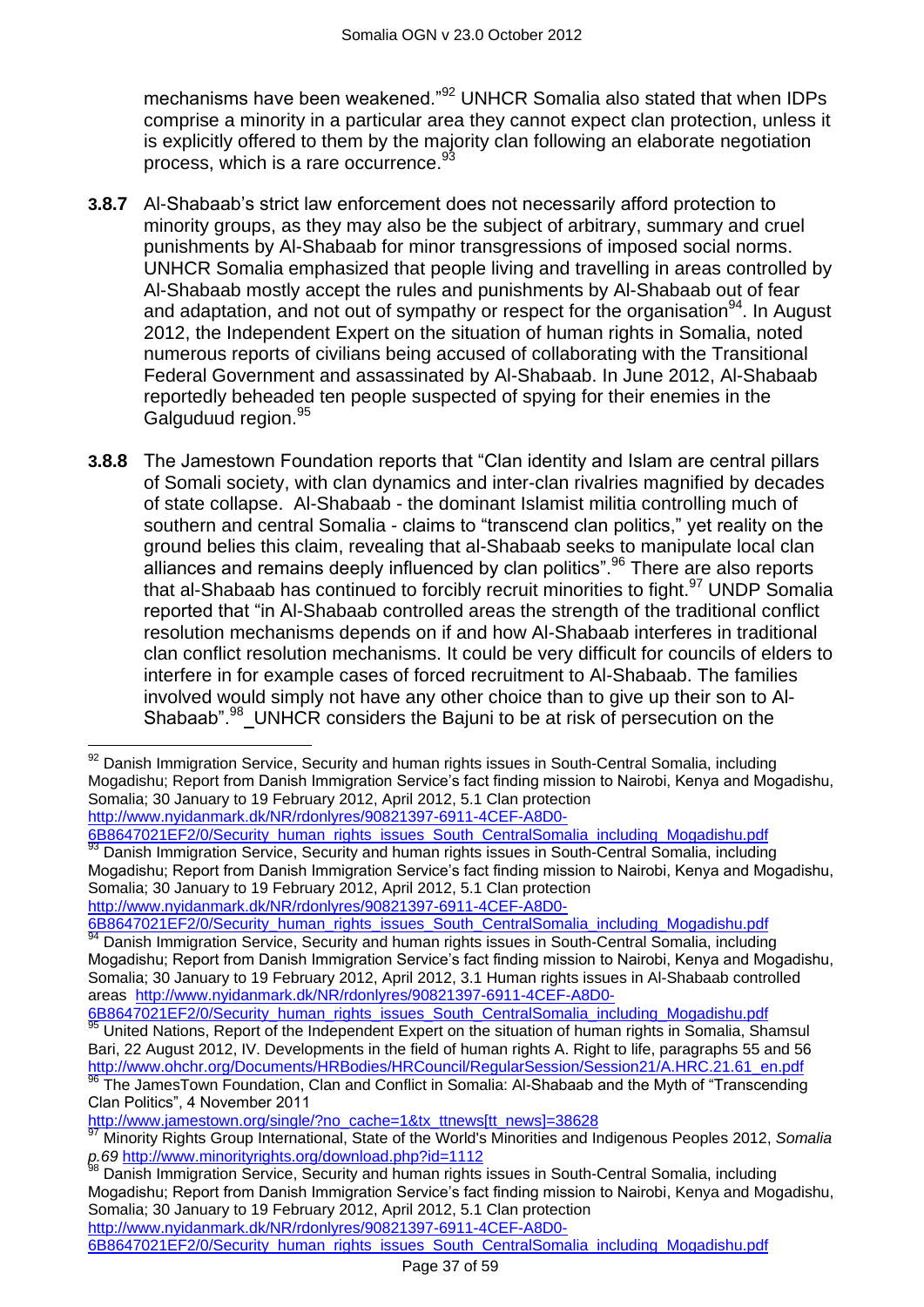mechanisms have been weakened."<sup>92</sup> UNHCR Somalia also stated that when IDPs comprise a minority in a particular area they cannot expect clan protection, unless it is explicitly offered to them by the majority clan following an elaborate negotiation process, which is a rare occurrence.<sup>93</sup>

- **3.8.7** Al-Shabaab"s strict law enforcement does not necessarily afford protection to minority groups, as they may also be the subject of arbitrary, summary and cruel punishments by Al-Shabaab for minor transgressions of imposed social norms. UNHCR Somalia emphasized that people living and travelling in areas controlled by Al-Shabaab mostly accept the rules and punishments by Al-Shabaab out of fear and adaptation, and not out of sympathy or respect for the organisation  $94$ . In August 2012, the Independent Expert on the situation of human rights in Somalia, noted numerous reports of civilians being accused of collaborating with the Transitional Federal Government and assassinated by Al-Shabaab. In June 2012, Al-Shabaab reportedly beheaded ten people suspected of spying for their enemies in the Galguduud region. 95
- **3.8.8** The Jamestown Foundation reports that "Clan identity and Islam are central pillars of Somali society, with clan dynamics and inter-clan rivalries magnified by decades of state collapse. Al-Shabaab - the dominant Islamist militia controlling much of southern and central Somalia - claims to "transcend clan politics," yet reality on the ground belies this claim, revealing that al-Shabaab seeks to manipulate local clan alliances and remains deeply influenced by clan politics".<sup>96</sup> There are also reports that al-Shabaab has continued to forcibly recruit minorities to fight.<sup>97</sup> UNDP Somalia reported that "in Al-Shabaab controlled areas the strength of the traditional conflict resolution mechanisms depends on if and how Al-Shabaab interferes in traditional clan conflict resolution mechanisms. It could be very difficult for councils of elders to interfere in for example cases of forced recruitment to Al-Shabaab. The families involved would simply not have any other choice than to give up their son to Al-Shabaab".<sup>98</sup>\_UNHCR considers the Bajuni to be at risk of persecution on the

[6B8647021EF2/0/Security\\_human\\_rights\\_issues\\_South\\_CentralSomalia\\_including\\_Mogadishu.pdf](http://www.nyidanmark.dk/NR/rdonlyres/90821397-6911-4CEF-A8D0-6B8647021EF2/0/Security_human_rights_issues_South_CentralSomalia_including_Mogadishu.pdf)  $93$  Danish Immigration Service, Security and human rights issues in South-Central Somalia, including Mogadishu; Report from Danish Immigration Service"s fact finding mission to Nairobi, Kenya and Mogadishu, Somalia; 30 January to 19 February 2012, April 2012, 5.1 Clan protection [http://www.nyidanmark.dk/NR/rdonlyres/90821397-6911-4CEF-A8D0-](http://www.nyidanmark.dk/NR/rdonlyres/90821397-6911-4CEF-A8D0-6B8647021EF2/0/Security_human_rights_issues_South_CentralSomalia_including_Mogadishu.pdf)

[6B8647021EF2/0/Security\\_human\\_rights\\_issues\\_South\\_CentralSomalia\\_including\\_Mogadishu.pdf](http://www.nyidanmark.dk/NR/rdonlyres/90821397-6911-4CEF-A8D0-6B8647021EF2/0/Security_human_rights_issues_South_CentralSomalia_including_Mogadishu.pdf)

[http://www.jamestown.org/single/?no\\_cache=1&tx\\_ttnews\[tt\\_news\]=38628](http://www.jamestown.org/single/?no_cache=1&tx_ttnews%5btt_news%5d=38628)

[6B8647021EF2/0/Security\\_human\\_rights\\_issues\\_South\\_CentralSomalia\\_including\\_Mogadishu.pdf](http://www.nyidanmark.dk/NR/rdonlyres/90821397-6911-4CEF-A8D0-6B8647021EF2/0/Security_human_rights_issues_South_CentralSomalia_including_Mogadishu.pdf)

 $\overline{a}$  $92$  Danish Immigration Service, Security and human rights issues in South-Central Somalia, including Mogadishu; Report from Danish Immigration Service"s fact finding mission to Nairobi, Kenya and Mogadishu, Somalia; 30 January to 19 February 2012, April 2012, 5.1 Clan protection [http://www.nyidanmark.dk/NR/rdonlyres/90821397-6911-4CEF-A8D0-](http://www.nyidanmark.dk/NR/rdonlyres/90821397-6911-4CEF-A8D0-6B8647021EF2/0/Security_human_rights_issues_South_CentralSomalia_including_Mogadishu.pdf)

[<sup>6</sup>B8647021EF2/0/Security\\_human\\_rights\\_issues\\_South\\_CentralSomalia\\_including\\_Mogadishu.pdf](http://www.nyidanmark.dk/NR/rdonlyres/90821397-6911-4CEF-A8D0-6B8647021EF2/0/Security_human_rights_issues_South_CentralSomalia_including_Mogadishu.pdf) Danish Immigration Service, Security and human rights issues in South-Central Somalia, including Mogadishu; Report from Danish Immigration Service"s fact finding mission to Nairobi, Kenya and Mogadishu,

Somalia; 30 January to 19 February 2012, April 2012, 3.1 Human rights issues in Al-Shabaab controlled areas [http://www.nyidanmark.dk/NR/rdonlyres/90821397-6911-4CEF-A8D0-](http://www.nyidanmark.dk/NR/rdonlyres/90821397-6911-4CEF-A8D0-6B8647021EF2/0/Security_human_rights_issues_South_CentralSomalia_including_Mogadishu.pdf)

<sup>&</sup>lt;sup>95</sup> United Nations, Report of the Independent Expert on the situation of human rights in Somalia, Shamsul Bari, 22 August 2012, IV. Developments in the field of human rights A. Right to life, paragraphs 55 and 56 [http://www.ohchr.org/Documents/HRBodies/HRCouncil/RegularSession/Session21/A.HRC.21.61\\_en.pdf](http://www.ohchr.org/Documents/HRBodies/HRCouncil/RegularSession/Session21/A.HRC.21.61_en.pdf) 96 The JamesTown Foundation, Clan and Conflict in Somalia: Al-Shabaab and the Myth of "Transcending Clan Politics", 4 November 2011

<sup>97</sup> Minority Rights Group International, State of the World's Minorities and Indigenous Peoples 2012, *Somalia p.69* <http://www.minorityrights.org/download.php?id=1112>

<sup>&</sup>lt;sup>98</sup> Danish Immigration Service, Security and human rights issues in South-Central Somalia, including Mogadishu; Report from Danish Immigration Service"s fact finding mission to Nairobi, Kenya and Mogadishu, Somalia; 30 January to 19 February 2012, April 2012, 5.1 Clan protection [http://www.nyidanmark.dk/NR/rdonlyres/90821397-6911-4CEF-A8D0-](http://www.nyidanmark.dk/NR/rdonlyres/90821397-6911-4CEF-A8D0-6B8647021EF2/0/Security_human_rights_issues_South_CentralSomalia_including_Mogadishu.pdf)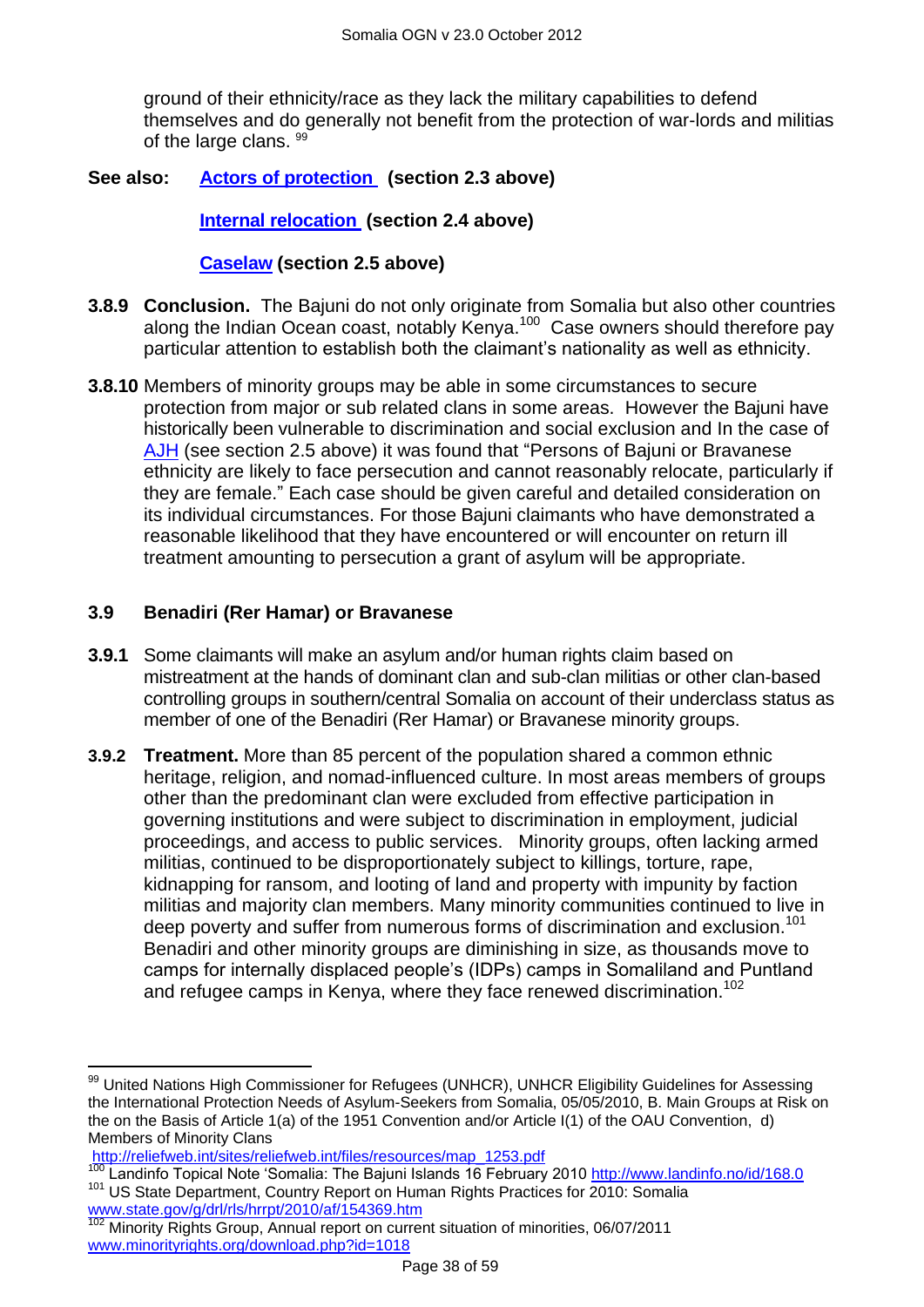ground of their ethnicity/race as they lack the military capabilities to defend themselves and do generally not benefit from the protection of war-lords and militias of the large clans. 99

#### **See also: [Actors of protection](#page-1-1) (section 2.3 above)**

**[Internal relocation](#page-9-0) (section 2.4 above)**

#### **[Caselaw](#page-11-0) (section 2.5 above)**

- **3.8.9 Conclusion.** The Bajuni do not only originate from Somalia but also other countries along the Indian Ocean coast, notably Kenya.<sup>100</sup> Case owners should therefore pay particular attention to establish both the claimant"s nationality as well as ethnicity.
- **3.8.10** Members of minority groups may be able in some circumstances to secure protection from major or sub related clans in some areas. However the Bajuni have historically been vulnerable to discrimination and social exclusion and In the case of [AJH](http://www.bailii.org/uk/cases/UKIAT/2003/00094.html) (see section 2.5 above) it was found that "Persons of Bajuni or Bravanese ethnicity are likely to face persecution and cannot reasonably relocate, particularly if they are female." Each case should be given careful and detailed consideration on its individual circumstances. For those Bajuni claimants who have demonstrated a reasonable likelihood that they have encountered or will encounter on return ill treatment amounting to persecution a grant of asylum will be appropriate.

## <span id="page-37-0"></span>**3.9 Benadiri (Rer Hamar) or Bravanese**

- **3.9.1** Some claimants will make an asylum and/or human rights claim based on mistreatment at the hands of dominant clan and sub-clan militias or other clan-based controlling groups in southern/central Somalia on account of their underclass status as member of one of the Benadiri (Rer Hamar) or Bravanese minority groups.
- **3.9.2 Treatment.** More than 85 percent of the population shared a common ethnic heritage, religion, and nomad-influenced culture. In most areas members of groups other than the predominant clan were excluded from effective participation in governing institutions and were subject to discrimination in employment, judicial proceedings, and access to public services. Minority groups, often lacking armed militias, continued to be disproportionately subject to killings, torture, rape, kidnapping for ransom, and looting of land and property with impunity by faction militias and majority clan members. Many minority communities continued to live in deep poverty and suffer from numerous forms of discrimination and exclusion.<sup>101</sup> Benadiri and other minority groups are diminishing in size, as thousands move to camps for internally displaced people"s (IDPs) camps in Somaliland and Puntland and refugee camps in Kenya, where they face renewed discrimination.<sup>102</sup>

 $\overline{a}$ 

 $99$  United Nations High Commissioner for Refugees (UNHCR), UNHCR Eligibility Guidelines for Assessing the International Protection Needs of Asylum-Seekers from Somalia, 05/05/2010, B. Main Groups at Risk on the on the Basis of Article 1(a) of the 1951 Convention and/or Article I(1) of the OAU Convention, d) Members of Minority Clans

[http://reliefweb.int/sites/reliefweb.int/files/resources/map\\_1253.pdf](http://reliefweb.int/sites/reliefweb.int/files/resources/map_1253.pdf)

<sup>&</sup>lt;sup>100</sup> Landinfo Topical Note 'Somalia: The Bajuni Islands 16 February 2010<http://www.landinfo.no/id/168.0> <sup>101</sup> US State Department, Country Report on Human Rights Practices for 2010: Somalia [www.state.gov/g/drl/rls/hrrpt/2010/af/154369.htm](http://www.state.gov/g/drl/rls/hrrpt/2010/af/154369.htm)

<sup>102</sup> Minority Rights Group, Annual report on current situation of minorities, 06/07/2011 www.minorityrights.org/download.php?id=1018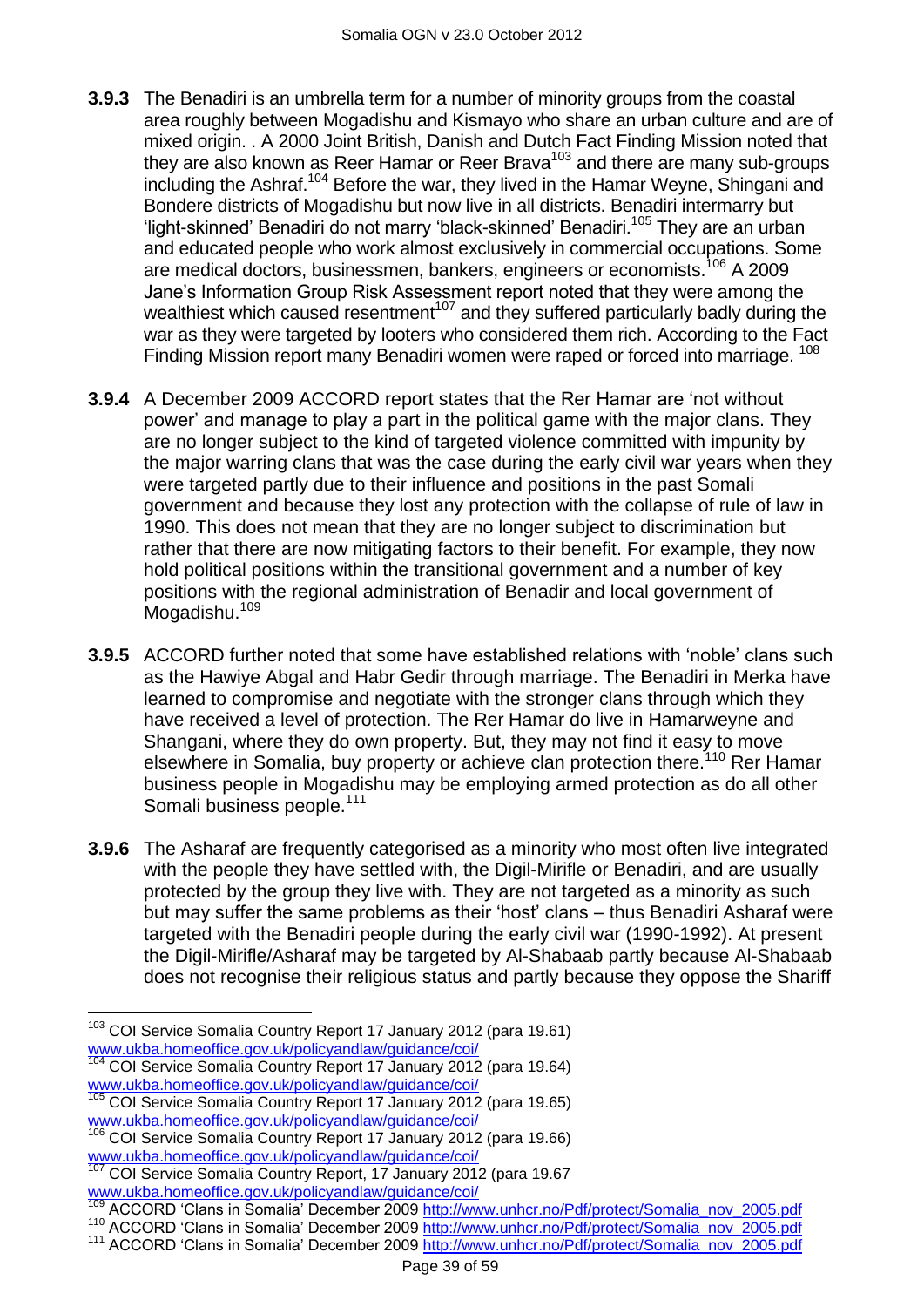- **3.9.3** The Benadiri is an umbrella term for a number of minority groups from the coastal area roughly between Mogadishu and Kismayo who share an urban culture and are of mixed origin. . A 2000 Joint British, Danish and Dutch Fact Finding Mission noted that they are also known as Reer Hamar or Reer Brava<sup>103</sup> and there are many sub-groups including the Ashraf.<sup>104</sup> Before the war, they lived in the Hamar Weyne, Shingani and Bondere districts of Mogadishu but now live in all districts. Benadiri intermarry but 'light-skinned' Benadiri do not marry 'black-skinned' Benadiri.<sup>105</sup> They are an urban and educated people who work almost exclusively in commercial occupations. Some are medical doctors, businessmen, bankers, engineers or economists.<sup>106</sup> A 2009 Jane"s Information Group Risk Assessment report noted that they were among the wealthiest which caused resentment<sup>107</sup> and they suffered particularly badly during the war as they were targeted by looters who considered them rich. According to the Fact Finding Mission report many Benadiri women were raped or forced into marriage. <sup>108</sup>
- **3.9.4** A December 2009 ACCORD report states that the Rer Hamar are "not without power" and manage to play a part in the political game with the major clans. They are no longer subject to the kind of targeted violence committed with impunity by the major warring clans that was the case during the early civil war years when they were targeted partly due to their influence and positions in the past Somali government and because they lost any protection with the collapse of rule of law in 1990. This does not mean that they are no longer subject to discrimination but rather that there are now mitigating factors to their benefit. For example, they now hold political positions within the transitional government and a number of key positions with the regional administration of Benadir and local government of .<br>Mogadishu.<sup>109</sup>
- **3.9.5** ACCORD further noted that some have established relations with 'noble' clans such as the Hawiye Abgal and Habr Gedir through marriage. The Benadiri in Merka have learned to compromise and negotiate with the stronger clans through which they have received a level of protection. The Rer Hamar do live in Hamarweyne and Shangani, where they do own property. But, they may not find it easy to move elsewhere in Somalia, buy property or achieve clan protection there.<sup>110</sup> Rer Hamar business people in Mogadishu may be employing armed protection as do all other Somali business people.<sup>111</sup>
- **3.9.6** The Asharaf are frequently categorised as a minority who most often live integrated with the people they have settled with, the Digil-Mirifle or Benadiri, and are usually protected by the group they live with. They are not targeted as a minority as such but may suffer the same problems as their "host" clans – thus Benadiri Asharaf were targeted with the Benadiri people during the early civil war (1990-1992). At present the Digil-Mirifle/Asharaf may be targeted by Al-Shabaab partly because Al-Shabaab does not recognise their religious status and partly because they oppose the Shariff

 $\overline{a}$ <sup>103</sup> COI Service Somalia Country Report 17 January 2012 (para 19.61) [www.ukba.homeoffice.gov.uk/policyandlaw/guidance/coi/](http://www.ukba.homeoffice.gov.uk/policyandlaw/guidance/coi/)

<sup>104</sup> COI Service Somalia Country Report 17 January 2012 (para 19.64) [www.ukba.homeoffice.gov.uk/policyandlaw/guidance/coi/](http://www.ukba.homeoffice.gov.uk/policyandlaw/guidance/coi/)

COI Service Somalia Country Report 17 January 2012 (para 19.65) [www.ukba.homeoffice.gov.uk/policyandlaw/guidance/coi/](http://www.ukba.homeoffice.gov.uk/policyandlaw/guidance/coi/)

<sup>106</sup> COI Service Somalia Country Report 17 January 2012 (para 19.66) [www.ukba.homeoffice.gov.uk/policyandlaw/guidance/coi/](http://www.ukba.homeoffice.gov.uk/policyandlaw/guidance/coi/)

<sup>107</sup> COI Service Somalia Country Report, 17 January 2012 (para 19.67 [www.ukba.homeoffice.gov.uk/policyandlaw/guidance/coi/](http://www.ukba.homeoffice.gov.uk/policyandlaw/guidance/coi/)

<sup>109</sup> ACCORD "Clans in Somalia" December 2009 [http://www.unhcr.no/Pdf/protect/Somalia\\_nov\\_2005.pdf](http://www.unhcr.no/Pdf/protect/Somalia_nov_2005.pdf)

<sup>&</sup>lt;sup>110</sup> ACCORD 'Clans in Somalia' December 2009 [http://www.unhcr.no/Pdf/protect/Somalia\\_nov\\_2005.pdf](http://www.unhcr.no/Pdf/protect/Somalia_nov_2005.pdf)

<sup>&</sup>lt;sup>111</sup> ACCORD 'Clans in Somalia' December 2009 [http://www.unhcr.no/Pdf/protect/Somalia\\_nov\\_2005.pdf](http://www.unhcr.no/Pdf/protect/Somalia_nov_2005.pdf)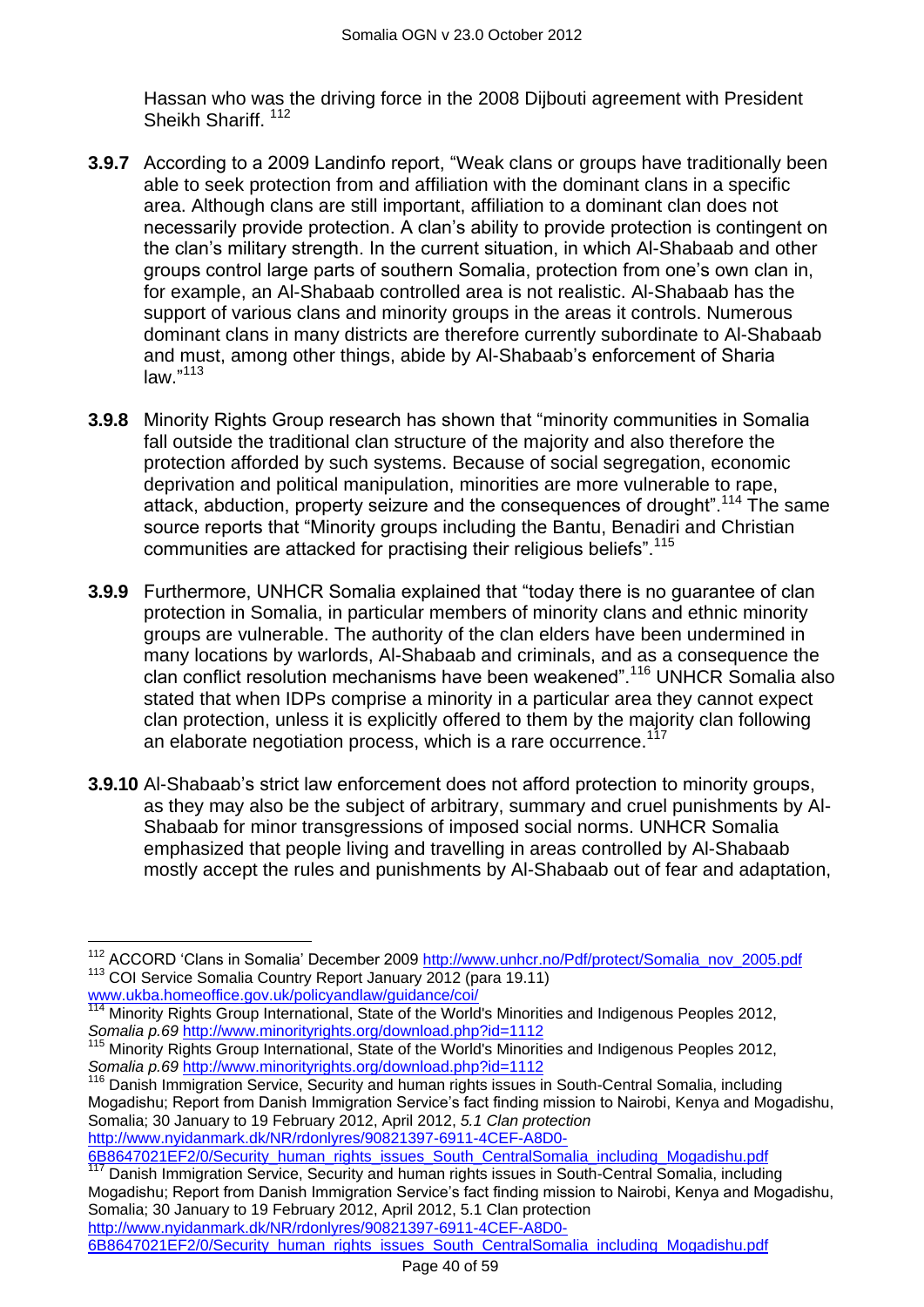Hassan who was the driving force in the 2008 Dijbouti agreement with President Sheikh Shariff.<sup>112</sup>

- **3.9.7** According to a 2009 Landinfo report, "Weak clans or groups have traditionally been able to seek protection from and affiliation with the dominant clans in a specific area. Although clans are still important, affiliation to a dominant clan does not necessarily provide protection. A clan"s ability to provide protection is contingent on the clan"s military strength. In the current situation, in which Al-Shabaab and other groups control large parts of southern Somalia, protection from one"s own clan in, for example, an Al-Shabaab controlled area is not realistic. Al-Shabaab has the support of various clans and minority groups in the areas it controls. Numerous dominant clans in many districts are therefore currently subordinate to Al-Shabaab and must, among other things, abide by Al-Shabaab"s enforcement of Sharia law." 113
- **3.9.8** Minority Rights Group research has shown that "minority communities in Somalia fall outside the traditional clan structure of the majority and also therefore the protection afforded by such systems. Because of social segregation, economic deprivation and political manipulation, minorities are more vulnerable to rape, attack, abduction, property seizure and the consequences of drought".<sup>114</sup> The same source reports that "Minority groups including the Bantu, Benadiri and Christian communities are attacked for practising their religious beliefs".<sup>115</sup>
- **3.9.9** Furthermore, UNHCR Somalia explained that "today there is no guarantee of clan protection in Somalia, in particular members of minority clans and ethnic minority groups are vulnerable. The authority of the clan elders have been undermined in many locations by warlords, Al-Shabaab and criminals, and as a consequence the clan conflict resolution mechanisms have been weakened".<sup>116</sup> UNHCR Somalia also stated that when IDPs comprise a minority in a particular area they cannot expect clan protection, unless it is explicitly offered to them by the majority clan following an elaborate negotiation process, which is a rare occurrence.<sup>117</sup>
- **3.9.10** Al-Shabaab's strict law enforcement does not afford protection to minority groups, as they may also be the subject of arbitrary, summary and cruel punishments by Al-Shabaab for minor transgressions of imposed social norms. UNHCR Somalia emphasized that people living and travelling in areas controlled by Al-Shabaab mostly accept the rules and punishments by Al-Shabaab out of fear and adaptation,

<sup>116</sup> Danish Immigration Service, Security and human rights issues in South-Central Somalia, including Mogadishu; Report from Danish Immigration Service"s fact finding mission to Nairobi, Kenya and Mogadishu, Somalia; 30 January to 19 February 2012, April 2012, *5.1 Clan protection*  [http://www.nyidanmark.dk/NR/rdonlyres/90821397-6911-4CEF-A8D0-](http://www.nyidanmark.dk/NR/rdonlyres/90821397-6911-4CEF-A8D0-6B8647021EF2/0/Security_human_rights_issues_South_CentralSomalia_including_Mogadishu.pdf)

[6B8647021EF2/0/Security\\_human\\_rights\\_issues\\_South\\_CentralSomalia\\_including\\_Mogadishu.pdf](http://www.nyidanmark.dk/NR/rdonlyres/90821397-6911-4CEF-A8D0-6B8647021EF2/0/Security_human_rights_issues_South_CentralSomalia_including_Mogadishu.pdf)<br>117 Depich Immigration Securies Socurity and bumon rights include in South Central Semelia\_including

[6B8647021EF2/0/Security\\_human\\_rights\\_issues\\_South\\_CentralSomalia\\_including\\_Mogadishu.pdf](http://www.nyidanmark.dk/NR/rdonlyres/90821397-6911-4CEF-A8D0-6B8647021EF2/0/Security_human_rights_issues_South_CentralSomalia_including_Mogadishu.pdf)

 $\overline{\phantom{a}}$ <sup>112</sup> ACCORD 'Clans in Somalia' December 2009 [http://www.unhcr.no/Pdf/protect/Somalia\\_nov\\_2005.pdf](http://www.unhcr.no/Pdf/protect/Somalia_nov_2005.pdf) <sup>113</sup> COI Service Somalia Country Report January 2012 (para 19.11)

[www.ukba.homeoffice.gov.uk/policyandlaw/guidance/coi/](http://www.ukba.homeoffice.gov.uk/policyandlaw/guidance/coi/) <sup>114</sup> Minority Rights Group International, State of the World's Minorities and Indigenous Peoples 2012, *Somalia p.69* <http://www.minorityrights.org/download.php?id=1112>

<sup>115</sup> Minority Rights Group International, State of the World's Minorities and Indigenous Peoples 2012, *Somalia p.69* <http://www.minorityrights.org/download.php?id=1112>

Danish Immigration Service, Security and human rights issues in South-Central Somalia, including Mogadishu; Report from Danish Immigration Service"s fact finding mission to Nairobi, Kenya and Mogadishu, Somalia; 30 January to 19 February 2012, April 2012, 5.1 Clan protection [http://www.nyidanmark.dk/NR/rdonlyres/90821397-6911-4CEF-A8D0-](http://www.nyidanmark.dk/NR/rdonlyres/90821397-6911-4CEF-A8D0-6B8647021EF2/0/Security_human_rights_issues_South_CentralSomalia_including_Mogadishu.pdf)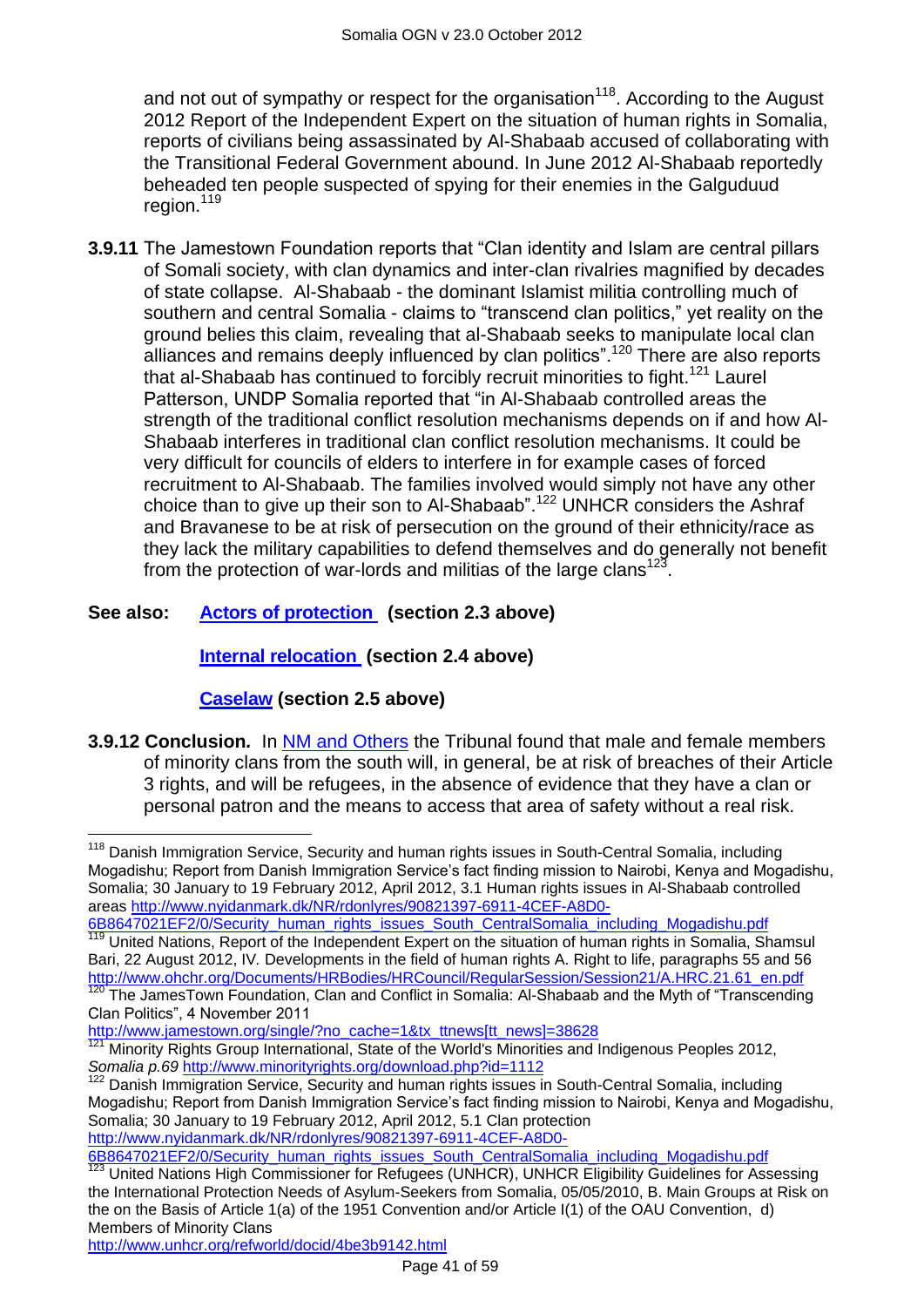and not out of sympathy or respect for the organisation<sup>118</sup>. According to the August 2012 Report of the Independent Expert on the situation of human rights in Somalia, reports of civilians being assassinated by Al-Shabaab accused of collaborating with the Transitional Federal Government abound. In June 2012 Al-Shabaab reportedly beheaded ten people suspected of spying for their enemies in the Galguduud region.<sup>119</sup>

**3.9.11** The Jamestown Foundation reports that "Clan identity and Islam are central pillars of Somali society, with clan dynamics and inter-clan rivalries magnified by decades of state collapse. Al-Shabaab - the dominant Islamist militia controlling much of southern and central Somalia - claims to "transcend clan politics," yet reality on the ground belies this claim, revealing that al-Shabaab seeks to manipulate local clan alliances and remains deeply influenced by clan politics".<sup>120</sup> There are also reports that al-Shabaab has continued to forcibly recruit minorities to fight.<sup>121</sup> Laurel Patterson, UNDP Somalia reported that "in Al-Shabaab controlled areas the strength of the traditional conflict resolution mechanisms depends on if and how Al-Shabaab interferes in traditional clan conflict resolution mechanisms. It could be very difficult for councils of elders to interfere in for example cases of forced recruitment to Al-Shabaab. The families involved would simply not have any other choice than to give up their son to Al-Shabaab".<sup>122</sup> UNHCR considers the Ashraf and Bravanese to be at risk of persecution on the ground of their ethnicity/race as they lack the military capabilities to defend themselves and do generally not benefit from the protection of war-lords and militias of the large clans<sup>123</sup>.

## **See also: [Actors of protection](#page-1-1) (section 2.3 above)**

## **[Internal relocation](#page-9-0) (section 2.4 above)**

## **[Caselaw](#page-11-0) (section 2.5 above)**

**3.9.12 Conclusion***.* In [NM and Others](http://www.bailii.org/uk/cases/UKIAT/2005/00076.html) the Tribunal found that male and female members of minority clans from the south will, in general, be at risk of breaches of their Article 3 rights, and will be refugees, in the absence of evidence that they have a clan or personal patron and the means to access that area of safety without a real risk.

[6B8647021EF2/0/Security\\_human\\_rights\\_issues\\_South\\_CentralSomalia\\_including\\_Mogadishu.pdf](http://www.nyidanmark.dk/NR/rdonlyres/90821397-6911-4CEF-A8D0-6B8647021EF2/0/Security_human_rights_issues_South_CentralSomalia_including_Mogadishu.pdf)

 $\overline{\phantom{a}}$ <sup>118</sup> Danish Immigration Service, Security and human rights issues in South-Central Somalia, including Mogadishu; Report from Danish Immigration Service"s fact finding mission to Nairobi, Kenya and Mogadishu, Somalia; 30 January to 19 February 2012, April 2012, 3.1 Human rights issues in Al-Shabaab controlled areas [http://www.nyidanmark.dk/NR/rdonlyres/90821397-6911-4CEF-A8D0-](http://www.nyidanmark.dk/NR/rdonlyres/90821397-6911-4CEF-A8D0-6B8647021EF2/0/Security_human_rights_issues_South_CentralSomalia_including_Mogadishu.pdf)

[<sup>6</sup>B8647021EF2/0/Security\\_human\\_rights\\_issues\\_South\\_CentralSomalia\\_including\\_Mogadishu.pdf](http://www.nyidanmark.dk/NR/rdonlyres/90821397-6911-4CEF-A8D0-6B8647021EF2/0/Security_human_rights_issues_South_CentralSomalia_including_Mogadishu.pdf) United Nations, Report of the Independent Expert on the situation of human rights in Somalia, Shamsul

Bari, 22 August 2012, IV*.* Developments in the field of human rights A. Right to life, paragraphs 55 and 56 [http://www.ohchr.org/Documents/HRBodies/HRCouncil/RegularSession/Session21/A.HRC.21.61\\_en.pdf](http://www.ohchr.org/Documents/HRBodies/HRCouncil/RegularSession/Session21/A.HRC.21.61_en.pdf) The JamesTown Foundation, Clan and Conflict in Somalia: Al-Shabaab and the Myth of "Transcending"

Clan Politics", 4 November 2011

[http://www.jamestown.org/single/?no\\_cache=1&tx\\_ttnews\[tt\\_news\]=38628](http://www.jamestown.org/single/?no_cache=1&tx_ttnews%5btt_news%5d=38628)

<sup>121</sup> Minority Rights Group International, State of the World's Minorities and Indigenous Peoples 2012, *Somalia p.69* <http://www.minorityrights.org/download.php?id=1112>

<sup>&</sup>lt;sup>122</sup> Danish Immigration Service, Security and human rights issues in South-Central Somalia, including Mogadishu; Report from Danish Immigration Service"s fact finding mission to Nairobi, Kenya and Mogadishu, Somalia; 30 January to 19 February 2012, April 2012, 5.1 Clan protection [http://www.nyidanmark.dk/NR/rdonlyres/90821397-6911-4CEF-A8D0-](http://www.nyidanmark.dk/NR/rdonlyres/90821397-6911-4CEF-A8D0-6B8647021EF2/0/Security_human_rights_issues_South_CentralSomalia_including_Mogadishu.pdf)

<sup>123</sup> United Nations High Commissioner for Refugees (UNHCR), UNHCR Eligibility Guidelines for Assessing the International Protection Needs of Asylum-Seekers from Somalia, 05/05/2010, B. Main Groups at Risk on the on the Basis of Article 1(a) of the 1951 Convention and/or Article I(1) of the OAU Convention, d) Members of Minority Clans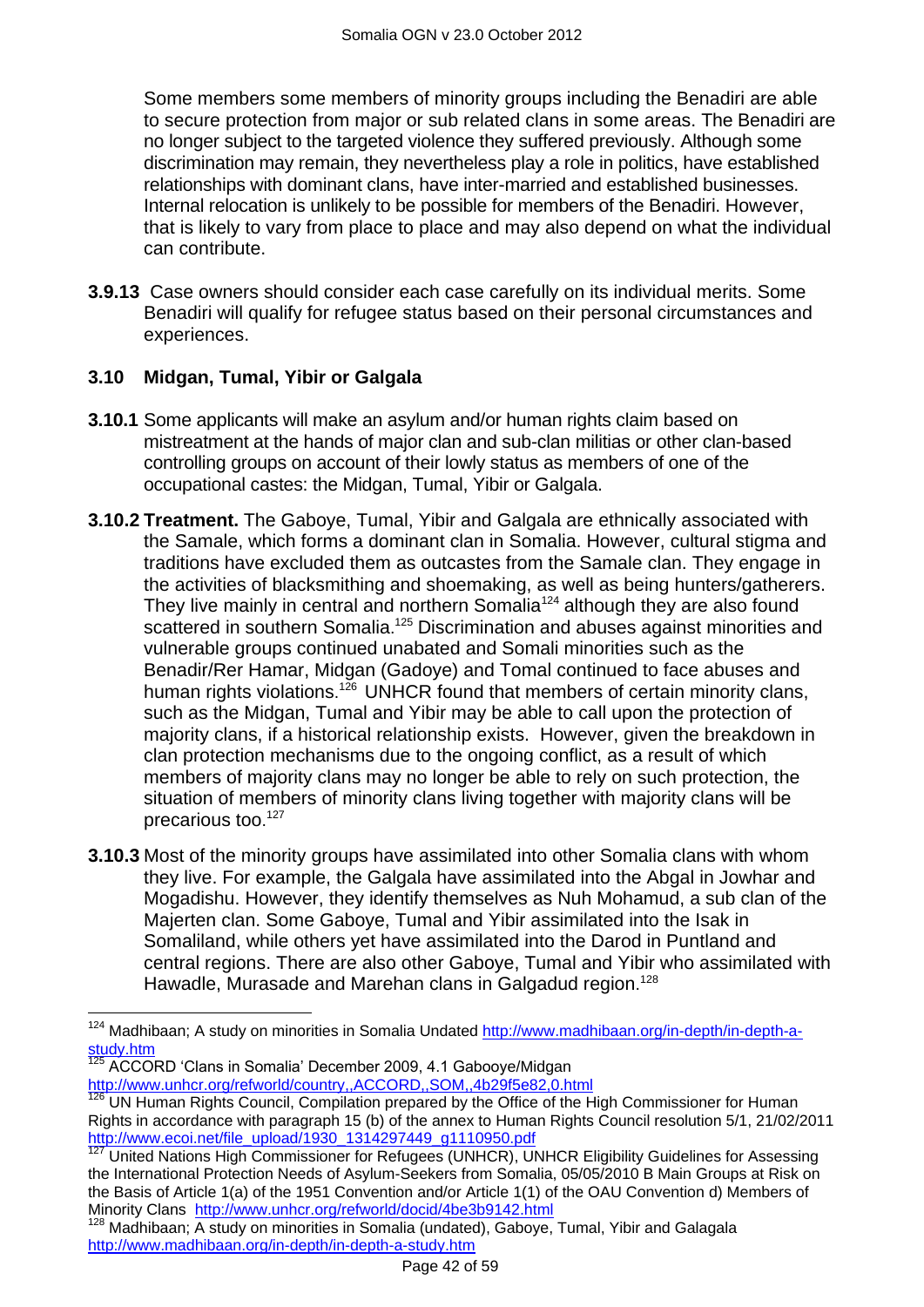Some members some members of minority groups including the Benadiri are able to secure protection from major or sub related clans in some areas. The Benadiri are no longer subject to the targeted violence they suffered previously. Although some discrimination may remain, they nevertheless play a role in politics, have established relationships with dominant clans, have inter-married and established businesses. Internal relocation is unlikely to be possible for members of the Benadiri. However, that is likely to vary from place to place and may also depend on what the individual can contribute.

**3.9.13** Case owners should consider each case carefully on its individual merits. Some Benadiri will qualify for refugee status based on their personal circumstances and experiences.

## <span id="page-41-0"></span>**3.10 Midgan, Tumal, Yibir or Galgala**

- **3.10.1** Some applicants will make an asylum and/or human rights claim based on mistreatment at the hands of major clan and sub-clan militias or other clan-based controlling groups on account of their lowly status as members of one of the occupational castes: the Midgan, Tumal, Yibir or Galgala.
- **3.10.2 Treatment.** The Gaboye, Tumal, Yibir and Galgala are ethnically associated with the Samale, which forms a dominant clan in Somalia. However, cultural stigma and traditions have excluded them as outcastes from the Samale clan. They engage in the activities of blacksmithing and shoemaking, as well as being hunters/gatherers. They live mainly in central and northern Somalia<sup>124</sup> although they are also found scattered in southern Somalia.<sup>125</sup> Discrimination and abuses against minorities and vulnerable groups continued unabated and Somali minorities such as the Benadir/Rer Hamar, Midgan (Gadoye) and Tomal continued to face abuses and human rights violations.<sup>126</sup> UNHCR found that members of certain minority clans, such as the Midgan, Tumal and Yibir may be able to call upon the protection of majority clans, if a historical relationship exists. However, given the breakdown in clan protection mechanisms due to the ongoing conflict, as a result of which members of majority clans may no longer be able to rely on such protection, the situation of members of minority clans living together with majority clans will be precarious too.<sup>127</sup>
- **3.10.3** Most of the minority groups have assimilated into other Somalia clans with whom they live. For example, the Galgala have assimilated into the Abgal in Jowhar and Mogadishu. However, they identify themselves as Nuh Mohamud, a sub clan of the Majerten clan. Some Gaboye, Tumal and Yibir assimilated into the Isak in Somaliland, while others yet have assimilated into the Darod in Puntland and central regions. There are also other Gaboye, Tumal and Yibir who assimilated with Hawadle, Murasade and Marehan clans in Galgadud region.<sup>128</sup>

ACCORD 'Clans in Somalia' December 2009, 4.1 Gabooye/Midgan

 $\overline{a}$ 

<http://www.unhcr.org/refworld/country,,ACCORD,,SOM,,4b29f5e82,0.html>

<sup>&</sup>lt;sup>124</sup> Madhibaan; A study on minorities in Somalia Undated [http://www.madhibaan.org/in-depth/in-depth-a](http://www.madhibaan.org/in-depth/in-depth-a-study.htm)[study.htm](http://www.madhibaan.org/in-depth/in-depth-a-study.htm)

<sup>126</sup> UN Human Rights Council, Compilation prepared by the Office of the High Commissioner for Human Rights in accordance with paragraph 15 (b) of the annex to Human Rights Council resolution 5/1, 21/02/2011 http://www.ecoi.net/file\_upload/1930\_1314297449\_g1110950.pdf

United Nations High Commissioner for Refugees (UNHCR), UNHCR Eligibility Guidelines for Assessing the International Protection Needs of Asylum-Seekers from Somalia, 05/05/2010 B Main Groups at Risk on the Basis of Article 1(a) of the 1951 Convention and/or Article 1(1) of the OAU Convention d) Members of Minority Clans <http://www.unhcr.org/refworld/docid/4be3b9142.html>

 $128$  Madhibaan; A study on minorities in Somalia (undated), Gaboye, Tumal, Yibir and Galagala <http://www.madhibaan.org/in-depth/in-depth-a-study.htm>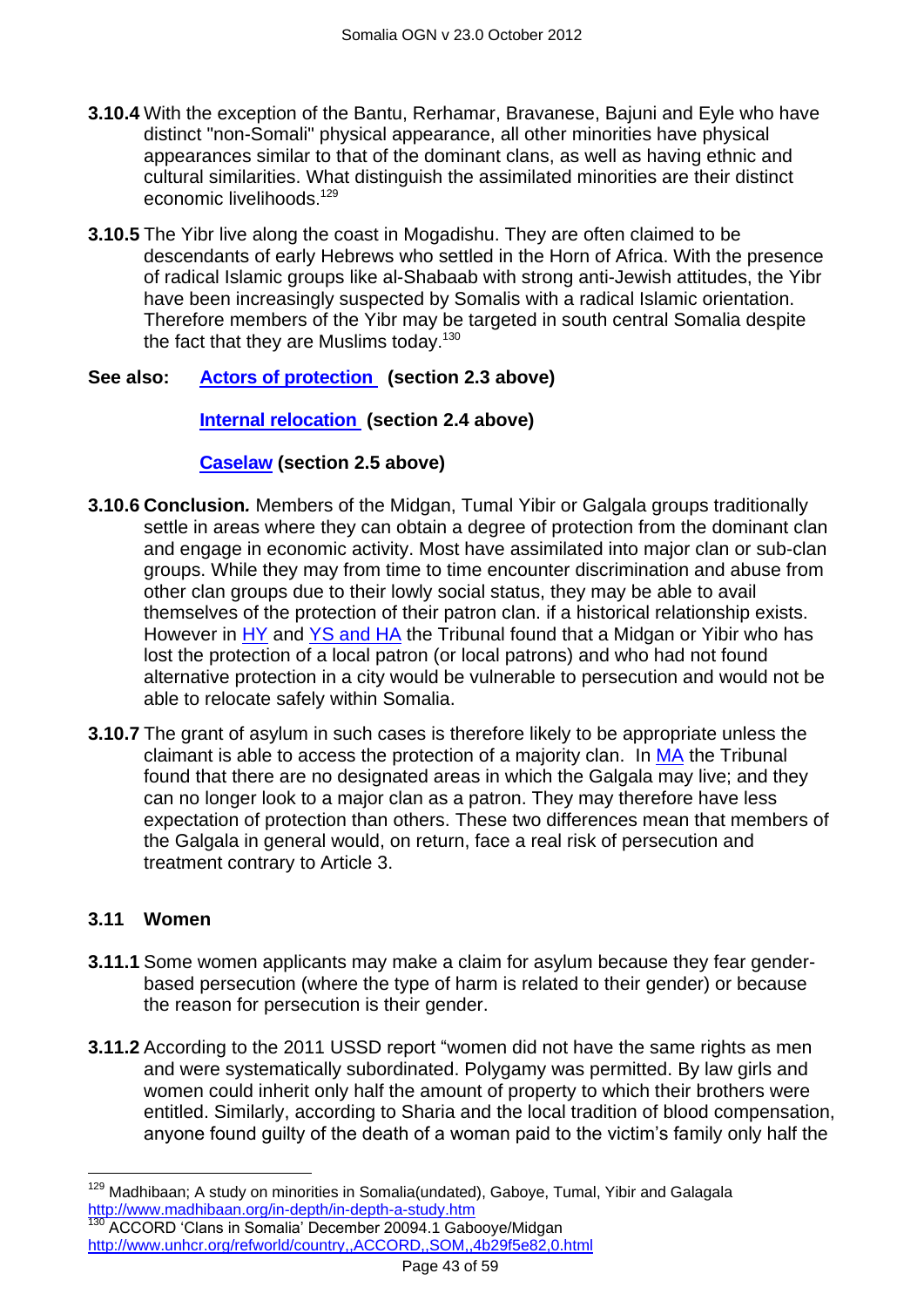- **3.10.4** With the exception of the Bantu, Rerhamar, Bravanese, Bajuni and Eyle who have distinct "non-Somali" physical appearance, all other minorities have physical appearances similar to that of the dominant clans, as well as having ethnic and cultural similarities. What distinguish the assimilated minorities are their distinct economic livelihoods. 129
- **3.10.5** The Yibr live along the coast in Mogadishu. They are often claimed to be descendants of early Hebrews who settled in the Horn of Africa. With the presence of radical Islamic groups like al-Shabaab with strong anti-Jewish attitudes, the Yibr have been increasingly suspected by Somalis with a radical Islamic orientation. Therefore members of the Yibr may be targeted in south central Somalia despite the fact that they are Muslims today.<sup>130</sup>

#### **See also: [Actors of protection](#page-1-1) (section 2.3 above)**

#### **[Internal relocation](#page-9-0) (section 2.4 above)**

#### **[Caselaw](#page-11-0) (section 2.5 above)**

- **3.10.6 Conclusion***.* Members of the Midgan, Tumal Yibir or Galgala groups traditionally settle in areas where they can obtain a degree of protection from the dominant clan and engage in economic activity. Most have assimilated into major clan or sub-clan groups. While they may from time to time encounter discrimination and abuse from other clan groups due to their lowly social status, they may be able to avail themselves of the protection of their patron clan. if a historical relationship exists. However in [HY](http://www.bailii.org/uk/cases/UKIAT/2006/00002.html) and [YS and HA](http://www.bailii.org/uk/cases/UKIAT/2005/00088.html) the Tribunal found that a Midgan or Yibir who has lost the protection of a local patron (or local patrons) and who had not found alternative protection in a city would be vulnerable to persecution and would not be able to relocate safely within Somalia.
- **3.10.7** The grant of asylum in such cases is therefore likely to be appropriate unless the claimant is able to access the protection of a majority clan. In [MA](http://www.bailii.org/uk/cases/UKIAT/2006/00073.html) the Tribunal found that there are no designated areas in which the Galgala may live; and they can no longer look to a major clan as a patron. They may therefore have less expectation of protection than others. These two differences mean that members of the Galgala in general would, on return, face a real risk of persecution and treatment contrary to Article 3.

#### <span id="page-42-0"></span>**3.11 Women**

 $\overline{a}$ 

- **3.11.1** Some women applicants may make a claim for asylum because they fear genderbased persecution (where the type of harm is related to their gender) or because the reason for persecution is their gender.
- **3.11.2** According to the 2011 USSD report "women did not have the same rights as men and were systematically subordinated. Polygamy was permitted. By law girls and women could inherit only half the amount of property to which their brothers were entitled. Similarly, according to Sharia and the local tradition of blood compensation, anyone found guilty of the death of a woman paid to the victim"s family only half the

<sup>&</sup>lt;sup>129</sup> Madhibaan; A study on minorities in Somalia(undated), Gaboye, Tumal, Yibir and Galagala <http://www.madhibaan.org/in-depth/in-depth-a-study.htm> <sup>130</sup> ACCORD 'Clans in Somalia' December 20094.1 Gabooye/Midgan

<http://www.unhcr.org/refworld/country,,ACCORD,,SOM,,4b29f5e82,0.html>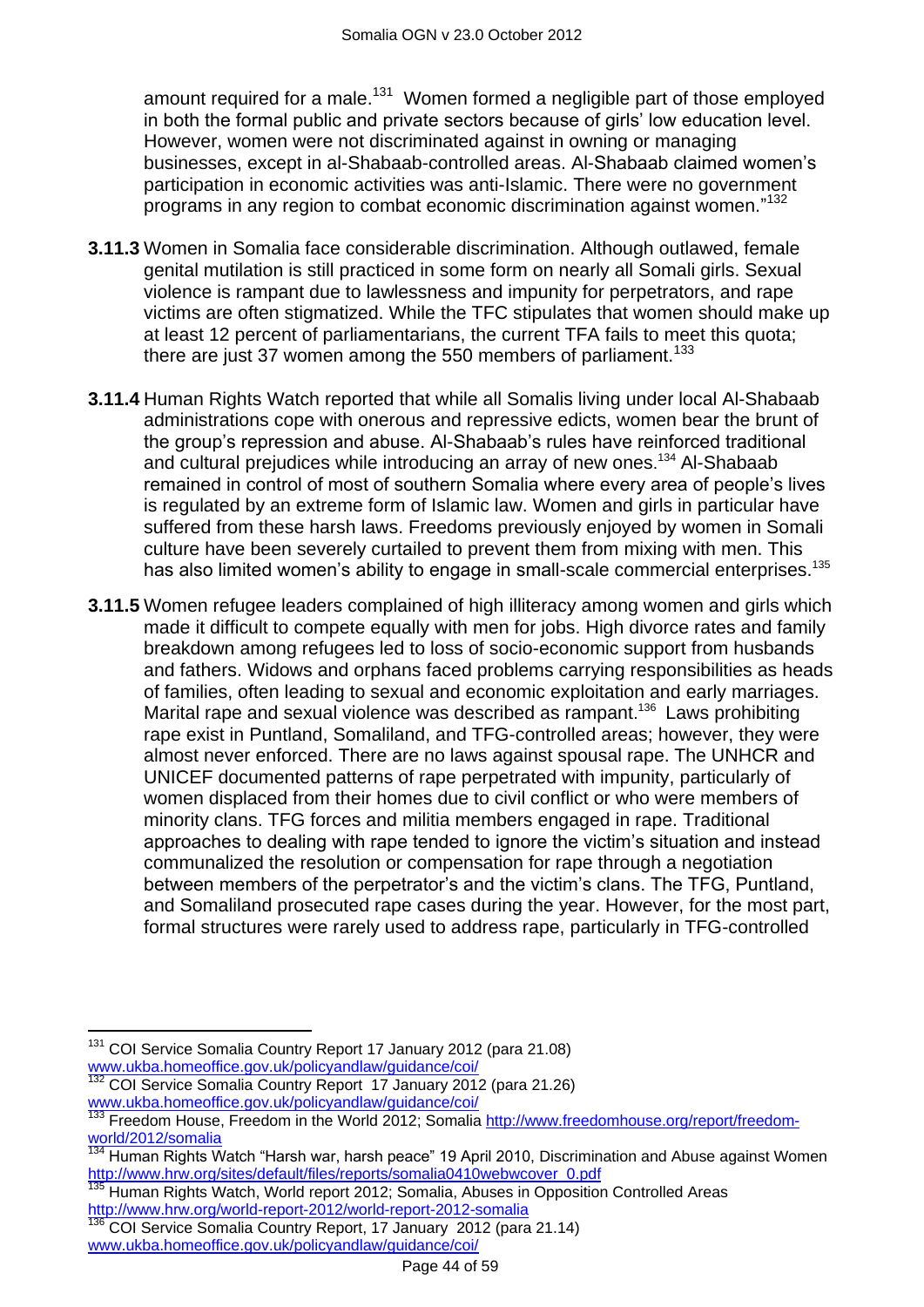amount required for a male.<sup>131</sup> Women formed a negligible part of those employed in both the formal public and private sectors because of girls" low education level. However, women were not discriminated against in owning or managing businesses, except in al-Shabaab-controlled areas. Al-Shabaab claimed women"s participation in economic activities was anti-Islamic. There were no government programs in any region to combat economic discrimination against women." 132

- **3.11.3** Women in Somalia face considerable discrimination. Although outlawed, female genital mutilation is still practiced in some form on nearly all Somali girls. Sexual violence is rampant due to lawlessness and impunity for perpetrators, and rape victims are often stigmatized. While the TFC stipulates that women should make up at least 12 percent of parliamentarians, the current TFA fails to meet this quota; there are just 37 women among the 550 members of parliament.<sup>133</sup>
- **3.11.4** Human Rights Watch reported that while all Somalis living under local Al-Shabaab administrations cope with onerous and repressive edicts, women bear the brunt of the group"s repression and abuse. Al-Shabaab"s rules have reinforced traditional and cultural prejudices while introducing an array of new ones. <sup>134</sup> Al-Shabaab remained in control of most of southern Somalia where every area of people"s lives is regulated by an extreme form of Islamic law. Women and girls in particular have suffered from these harsh laws. Freedoms previously enjoyed by women in Somali culture have been severely curtailed to prevent them from mixing with men. This has also limited women's ability to engage in small-scale commercial enterprises.<sup>135</sup>
- **3.11.5** Women refugee leaders complained of high illiteracy among women and girls which made it difficult to compete equally with men for jobs. High divorce rates and family breakdown among refugees led to loss of socio-economic support from husbands and fathers. Widows and orphans faced problems carrying responsibilities as heads of families, often leading to sexual and economic exploitation and early marriages. Marital rape and sexual violence was described as rampant.<sup>136</sup> Laws prohibiting rape exist in Puntland, Somaliland, and TFG-controlled areas; however, they were almost never enforced. There are no laws against spousal rape. The UNHCR and UNICEF documented patterns of rape perpetrated with impunity, particularly of women displaced from their homes due to civil conflict or who were members of minority clans. TFG forces and militia members engaged in rape. Traditional approaches to dealing with rape tended to ignore the victim"s situation and instead communalized the resolution or compensation for rape through a negotiation between members of the perpetrator"s and the victim"s clans. The TFG, Puntland, and Somaliland prosecuted rape cases during the year. However, for the most part, formal structures were rarely used to address rape, particularly in TFG-controlled

 $\overline{a}$ 

<sup>131</sup> COI Service Somalia Country Report 17 January 2012 (para 21.08) [www.ukba.homeoffice.gov.uk/policyandlaw/guidance/coi/](http://www.ukba.homeoffice.gov.uk/policyandlaw/guidance/coi/)

<sup>132</sup> COI Service Somalia Country Report 17 January 2012 (para 21.26) [www.ukba.homeoffice.gov.uk/policyandlaw/guidance/coi/](http://www.ukba.homeoffice.gov.uk/policyandlaw/guidance/coi/)

<sup>133</sup> Freedom House, Freedom in the World 2012; Somalia [http://www.freedomhouse.org/report/freedom](http://www.freedomhouse.org/report/freedom-world/2012/somalia)[world/2012/somalia](http://www.freedomhouse.org/report/freedom-world/2012/somalia)

Human Rights Watch "Harsh war, harsh peace" 19 April 2010, Discrimination and Abuse against Women [http://www.hrw.org/sites/default/files/reports/somalia0410webwcover\\_0.pdf](http://www.hrw.org/sites/default/files/reports/somalia0410webwcover_0.pdf)

Human Rights Watch, World report 2012; Somalia, Abuses in Opposition Controlled Areas <http://www.hrw.org/world-report-2012/world-report-2012-somalia>

<sup>136</sup> COI Service Somalia Country Report, 17 January 2012 (para 21.14) [www.ukba.homeoffice.gov.uk/policyandlaw/guidance/coi/](http://www.ukba.homeoffice.gov.uk/policyandlaw/guidance/coi/)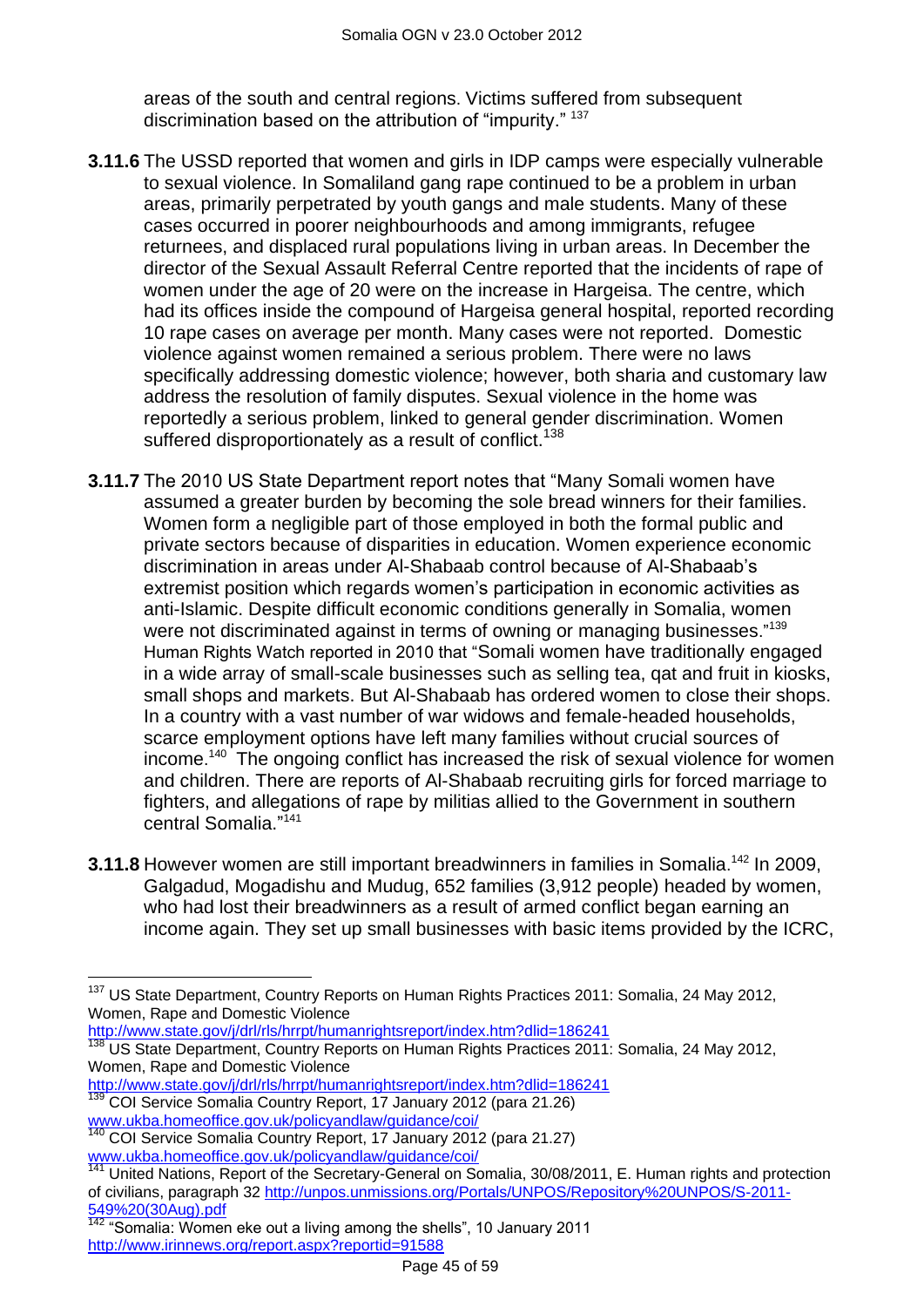areas of the south and central regions. Victims suffered from subsequent discrimination based on the attribution of "impurity." <sup>137</sup>

- **3.11.6** The USSD reported that women and girls in IDP camps were especially vulnerable to sexual violence. In Somaliland gang rape continued to be a problem in urban areas, primarily perpetrated by youth gangs and male students. Many of these cases occurred in poorer neighbourhoods and among immigrants, refugee returnees, and displaced rural populations living in urban areas. In December the director of the Sexual Assault Referral Centre reported that the incidents of rape of women under the age of 20 were on the increase in Hargeisa. The centre, which had its offices inside the compound of Hargeisa general hospital, reported recording 10 rape cases on average per month. Many cases were not reported. Domestic violence against women remained a serious problem. There were no laws specifically addressing domestic violence; however, both sharia and customary law address the resolution of family disputes. Sexual violence in the home was reportedly a serious problem, linked to general gender discrimination. Women suffered disproportionately as a result of conflict.<sup>138</sup>
- **3.11.7** The 2010 US State Department report notes that "Many Somali women have assumed a greater burden by becoming the sole bread winners for their families. Women form a negligible part of those employed in both the formal public and private sectors because of disparities in education. Women experience economic discrimination in areas under Al-Shabaab control because of Al-Shabaab"s extremist position which regards women"s participation in economic activities as anti-Islamic. Despite difficult economic conditions generally in Somalia, women were not discriminated against in terms of owning or managing businesses."<sup>139</sup> Human Rights Watch reported in 2010 that "Somali women have traditionally engaged in a wide array of small-scale businesses such as selling tea, qat and fruit in kiosks, small shops and markets. But Al-Shabaab has ordered women to close their shops. In a country with a vast number of war widows and female-headed households, scarce employment options have left many families without crucial sources of income. 140 The ongoing conflict has increased the risk of sexual violence for women and children. There are reports of Al-Shabaab recruiting girls for forced marriage to fighters, and allegations of rape by militias allied to the Government in southern central Somalia." 141
- **3.11.8** However women are still important breadwinners in families in Somalia.<sup>142</sup> In 2009, Galgadud, Mogadishu and Mudug, 652 families (3,912 people) headed by women, who had lost their breadwinners as a result of armed conflict began earning an income again. They set up small businesses with basic items provided by the ICRC,

[http://www.state.gov/j/drl/rls/hrrpt/humanrightsreport/index.htm?dlid=186241](http://www.state.gov/j/drl/rls/hrrpt/humanrightsreport/index.htm?dlid=186241%20%20) 

- [http://www.state.gov/j/drl/rls/hrrpt/humanrightsreport/index.htm?dlid=186241](http://www.state.gov/j/drl/rls/hrrpt/humanrightsreport/index.htm?dlid=186241%20%20)
- <sup>139</sup> COI Service Somalia Country Report, 17 January 2012 (para 21.26) [www.ukba.homeoffice.gov.uk/policyandlaw/guidance/coi/](http://www.ukba.homeoffice.gov.uk/policyandlaw/guidance/coi/)

 $\frac{1}{142}$  "Somalia: Women eke out a living among the shells", 10 January 2011 <http://www.irinnews.org/report.aspx?reportid=91588>

 $\overline{a}$ <sup>137</sup> US State Department, Country Reports on Human Rights Practices 2011: Somalia, 24 May 2012, Women, Rape and Domestic Violence

<sup>&</sup>lt;sup>138</sup> US State Department, Country Reports on Human Rights Practices 2011: Somalia, 24 May 2012, Women, Rape and Domestic Violence

<sup>140</sup> COI Service Somalia Country Report, 17 January 2012 (para 21.27) [www.ukba.homeoffice.gov.uk/policyandlaw/guidance/coi/](http://www.ukba.homeoffice.gov.uk/policyandlaw/guidance/coi/)

<sup>&</sup>lt;sup>141</sup> United Nations, Report of the Secretary-General on Somalia, 30/08/2011, E. Human rights and protection of civilians, paragraph 32 [http://unpos.unmissions.org/Portals/UNPOS/Repository%20UNPOS/S-2011-](http://unpos.unmissions.org/Portals/UNPOS/Repository%20UNPOS/S-2011-549%20(30Aug).pdf) [549%20\(30Aug\).pdf](http://unpos.unmissions.org/Portals/UNPOS/Repository%20UNPOS/S-2011-549%20(30Aug).pdf)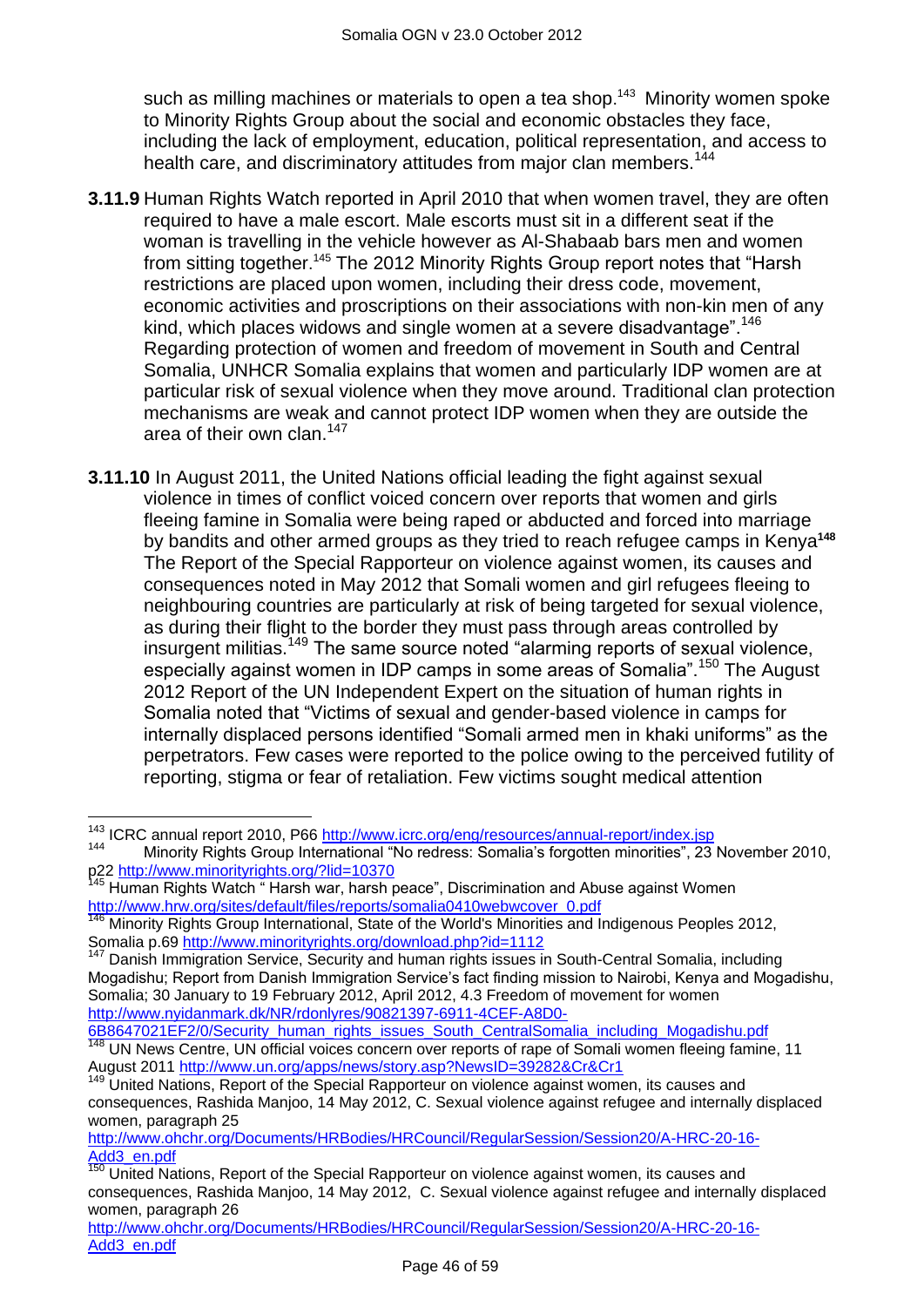such as milling machines or materials to open a tea shop.<sup>143</sup> Minority women spoke to Minority Rights Group about the social and economic obstacles they face, including the lack of employment, education, political representation, and access to health care, and discriminatory attitudes from major clan members.<sup>144</sup>

- **3.11.9** Human Rights Watch reported in April 2010 that when women travel, they are often required to have a male escort. Male escorts must sit in a different seat if the woman is travelling in the vehicle however as Al-Shabaab bars men and women from sitting together.<sup>145</sup> The 2012 Minority Rights Group report notes that "Harsh restrictions are placed upon women, including their dress code, movement, economic activities and proscriptions on their associations with non-kin men of any kind, which places widows and single women at a severe disadvantage".<sup>146</sup> Regarding protection of women and freedom of movement in South and Central Somalia, UNHCR Somalia explains that women and particularly IDP women are at particular risk of sexual violence when they move around. Traditional clan protection mechanisms are weak and cannot protect IDP women when they are outside the area of their own clan. $147$
- **3.11.10** In August 2011, the United Nations official leading the fight against sexual violence in times of conflict voiced concern over reports that women and girls fleeing famine in Somalia were being raped or abducted and forced into marriage by bandits and other armed groups as they tried to reach refugee camps in Kenya**<sup>148</sup>** The Report of the Special Rapporteur on violence against women, its causes and consequences noted in May 2012 that Somali women and girl refugees fleeing to neighbouring countries are particularly at risk of being targeted for sexual violence, as during their flight to the border they must pass through areas controlled by insurgent militias.<sup>149</sup> The same source noted "alarming reports of sexual violence, especially against women in IDP camps in some areas of Somalia".<sup>150</sup> The August 2012 Report of the UN Independent Expert on the situation of human rights in Somalia noted that "Victims of sexual and gender-based violence in camps for internally displaced persons identified "Somali armed men in khaki uniforms" as the perpetrators. Few cases were reported to the police owing to the perceived futility of reporting, stigma or fear of retaliation. Few victims sought medical attention

[http://www.ohchr.org/Documents/HRBodies/HRCouncil/RegularSession/Session20/A-HRC-20-16-](http://www.ohchr.org/Documents/HRBodies/HRCouncil/RegularSession/Session20/A-HRC-20-16-Add3_en.pdf) [Add3\\_en.pdf](http://www.ohchr.org/Documents/HRBodies/HRCouncil/RegularSession/Session20/A-HRC-20-16-Add3_en.pdf)

 $\overline{a}$ <sup>143</sup> ICRC annual report 2010, P66<http://www.icrc.org/eng/resources/annual-report/index.jsp>

<sup>144</sup> Minority Rights Group International "No redress: Somalia"s forgotten minorities", 23 November 2010, p22<http://www.minorityrights.org/?lid=10370>

<sup>&</sup>lt;sup>145</sup> Human Rights Watch "Harsh war, harsh peace", Discrimination and Abuse against Women [http://www.hrw.org/sites/default/files/reports/somalia0410webwcover\\_0.pdf](http://www.hrw.org/sites/default/files/reports/somalia0410webwcover_0.pdf)

<sup>146</sup> Minority Rights Group International, State of the World's Minorities and Indigenous Peoples 2012, Somalia p.69<http://www.minorityrights.org/download.php?id=1112>

<sup>&</sup>lt;sup>147</sup> Danish Immigration Service, Security and human rights issues in South-Central Somalia, including Mogadishu; Report from Danish Immigration Service"s fact finding mission to Nairobi, Kenya and Mogadishu, Somalia; 30 January to 19 February 2012, April 2012, 4.3 Freedom of movement for women [http://www.nyidanmark.dk/NR/rdonlyres/90821397-6911-4CEF-A8D0-](http://www.nyidanmark.dk/NR/rdonlyres/90821397-6911-4CEF-A8D0-6B8647021EF2/0/Security_human_rights_issues_South_CentralSomalia_including_Mogadishu.pdf)

[<sup>6</sup>B8647021EF2/0/Security\\_human\\_rights\\_issues\\_South\\_CentralSomalia\\_including\\_Mogadishu.pdf](http://www.nyidanmark.dk/NR/rdonlyres/90821397-6911-4CEF-A8D0-6B8647021EF2/0/Security_human_rights_issues_South_CentralSomalia_including_Mogadishu.pdf)<br><sup>148</sup> LIN Nous Centre, J.M. of City of ContralSomalia\_including\_Mogadishu.pdf UN News Centre, UN official voices concern over reports of rape of Somali women fleeing famine, 11 August 2011<http://www.un.org/apps/news/story.asp?NewsID=39282&Cr&Cr1>

<sup>&</sup>lt;sup>149</sup> United Nations, Report of the Special Rapporteur on violence against women, its causes and consequences, Rashida Manjoo, 14 May 2012, C. Sexual violence against refugee and internally displaced women, paragraph 25

Housen, part of the Special Rapporteur on violence against women, its causes and the United Nations, Report of the Special Rapporteur on violence against women, its causes and consequences, Rashida Manjoo, 14 May 2012, C. Sexual violence against refugee and internally displaced women, paragraph 26

[http://www.ohchr.org/Documents/HRBodies/HRCouncil/RegularSession/Session20/A-HRC-20-16-](http://www.ohchr.org/Documents/HRBodies/HRCouncil/RegularSession/Session20/A-HRC-20-16-Add3_en.pdf) [Add3\\_en.pdf](http://www.ohchr.org/Documents/HRBodies/HRCouncil/RegularSession/Session20/A-HRC-20-16-Add3_en.pdf)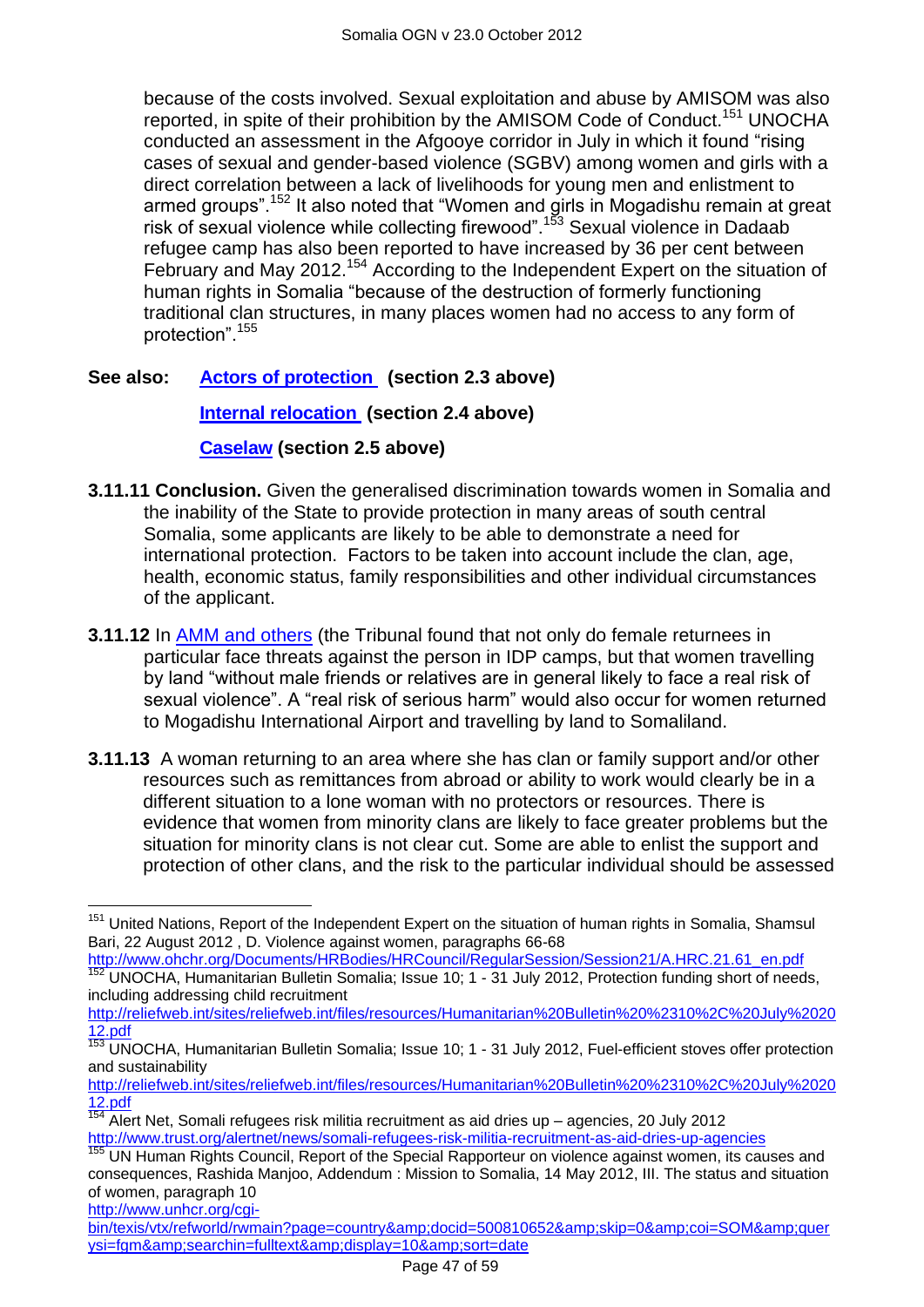because of the costs involved. Sexual exploitation and abuse by AMISOM was also reported, in spite of their prohibition by the AMISOM Code of Conduct.<sup>151</sup> UNOCHA conducted an assessment in the Afgooye corridor in July in which it found "rising cases of sexual and gender-based violence (SGBV) among women and girls with a direct correlation between a lack of livelihoods for young men and enlistment to armed groups".<sup>152</sup> It also noted that "Women and girls in Mogadishu remain at great risk of sexual violence while collecting firewood".<sup>153</sup> Sexual violence in Dadaab refugee camp has also been reported to have increased by 36 per cent between February and May 2012.<sup>154</sup> According to the Independent Expert on the situation of human rights in Somalia "because of the destruction of formerly functioning traditional clan structures, in many places women had no access to any form of protection".<sup>155</sup>

## **See also: [Actors of protection](#page-1-1) (section 2.3 above)**

**[Internal relocation](#page-9-0) (section 2.4 above)**

## **[Caselaw](#page-11-0) (section 2.5 above)**

- **3.11.11 Conclusion.** Given the generalised discrimination towards women in Somalia and the inability of the State to provide protection in many areas of south central Somalia, some applicants are likely to be able to demonstrate a need for international protection. Factors to be taken into account include the clan, age, health, economic status, family responsibilities and other individual circumstances of the applicant.
- **3.11.12** In [AMM and others](http://www.bailii.org/uk/cases/UKUT/IAC/2011/00445_ukut_iac_2011_amm_ors_somalia_cg.html) (the Tribunal found that not only do female returnees in particular face threats against the person in IDP camps, but that women travelling by land "without male friends or relatives are in general likely to face a real risk of sexual violence". A "real risk of serious harm" would also occur for women returned to Mogadishu International Airport and travelling by land to Somaliland.
- **3.11.13** A woman returning to an area where she has clan or family support and/or other resources such as remittances from abroad or ability to work would clearly be in a different situation to a lone woman with no protectors or resources. There is evidence that women from minority clans are likely to face greater problems but the situation for minority clans is not clear cut. Some are able to enlist the support and protection of other clans, and the risk to the particular individual should be assessed

[http://www.ohchr.org/Documents/HRBodies/HRCouncil/RegularSession/Session21/A.HRC.21.61\\_en.pdf](http://www.ohchr.org/Documents/HRBodies/HRCouncil/RegularSession/Session21/A.HRC.21.61_en.pdf) <sup>152</sup> UNOCHA, Humanitarian Bulletin Somalia; Issue 10; 1 - 31 July 2012, Protection funding short of needs, including addressing child recruitment

[http://reliefweb.int/sites/reliefweb.int/files/resources/Humanitarian%20Bulletin%20%2310%2C%20July%2020](http://reliefweb.int/sites/reliefweb.int/files/resources/Humanitarian%20Bulletin%20%2310%2C%20July%202012.pdf) [12.pdf](http://reliefweb.int/sites/reliefweb.int/files/resources/Humanitarian%20Bulletin%20%2310%2C%20July%202012.pdf)

[http://www.unhcr.org/cgi-](http://www.unhcr.org/cgi-bin/texis/vtx/refworld/rwmain?page=country&docid=500810652&skip=0&coi=SOM&querysi=fgm&searchin=fulltext&display=10&sort=date)

[bin/texis/vtx/refworld/rwmain?page=country&docid=500810652&skip=0&coi=SOM&quer](http://www.unhcr.org/cgi-bin/texis/vtx/refworld/rwmain?page=country&docid=500810652&skip=0&coi=SOM&querysi=fgm&searchin=fulltext&display=10&sort=date) [ysi=fgm&searchin=fulltext&display=10&sort=date](http://www.unhcr.org/cgi-bin/texis/vtx/refworld/rwmain?page=country&docid=500810652&skip=0&coi=SOM&querysi=fgm&searchin=fulltext&display=10&sort=date)

 $\overline{a}$ <sup>151</sup> United Nations, Report of the Independent Expert on the situation of human rights in Somalia, Shamsul Bari, 22 August 2012 , D. Violence against women, paragraphs 66-68

<sup>153</sup> UNOCHA, Humanitarian Bulletin Somalia; Issue 10; 1 - 31 July 2012, Fuel-efficient stoves offer protection and sustainability

[http://reliefweb.int/sites/reliefweb.int/files/resources/Humanitarian%20Bulletin%20%2310%2C%20July%2020](http://reliefweb.int/sites/reliefweb.int/files/resources/Humanitarian%20Bulletin%20%2310%2C%20July%202012.pdf) [12.pdf](http://reliefweb.int/sites/reliefweb.int/files/resources/Humanitarian%20Bulletin%20%2310%2C%20July%202012.pdf)

<sup>154</sup> Alert Net, Somali refugees risk militia recruitment as aid dries up – agencies, 20 July 2012 <http://www.trust.org/alertnet/news/somali-refugees-risk-militia-recruitment-as-aid-dries-up-agencies>

UN Human Rights Council, Report of the Special Rapporteur on violence against women, its causes and consequences, Rashida Manjoo, Addendum : Mission to Somalia, 14 May 2012, III. The status and situation of women, paragraph 10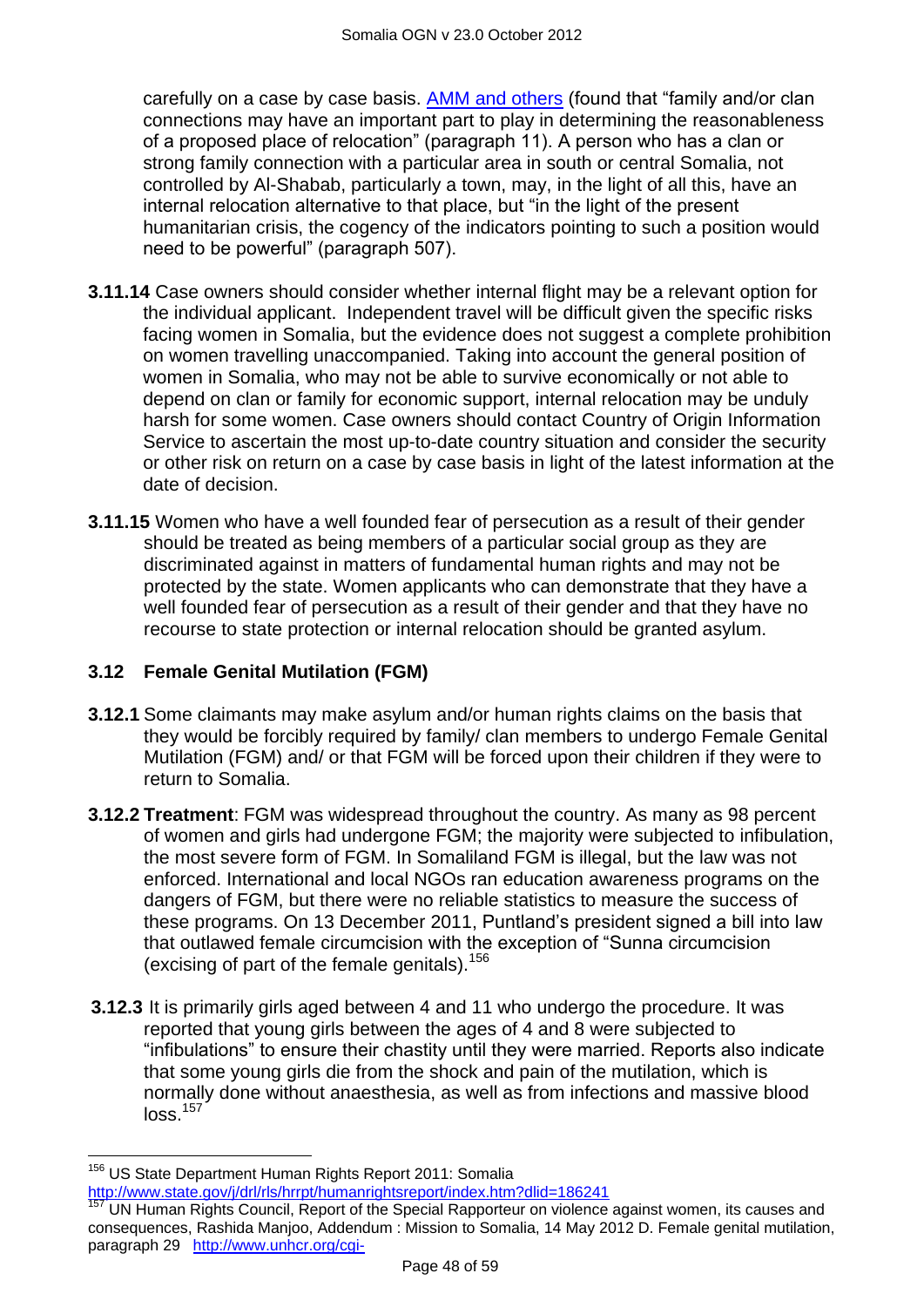carefully on a case by case basis. [AMM and others](http://www.bailii.org/uk/cases/UKUT/IAC/2011/00445_ukut_iac_2011_amm_ors_somalia_cg.html) (found that "family and/or clan connections may have an important part to play in determining the reasonableness of a proposed place of relocation" (paragraph 11). A person who has a clan or strong family connection with a particular area in south or central Somalia, not controlled by Al-Shabab, particularly a town, may, in the light of all this, have an internal relocation alternative to that place, but "in the light of the present humanitarian crisis, the cogency of the indicators pointing to such a position would need to be powerful" (paragraph 507).

- **3.11.14** Case owners should consider whether internal flight may be a relevant option for the individual applicant. Independent travel will be difficult given the specific risks facing women in Somalia, but the evidence does not suggest a complete prohibition on women travelling unaccompanied. Taking into account the general position of women in Somalia, who may not be able to survive economically or not able to depend on clan or family for economic support, internal relocation may be unduly harsh for some women. Case owners should contact Country of Origin Information Service to ascertain the most up-to-date country situation and consider the security or other risk on return on a case by case basis in light of the latest information at the date of decision.
- **3.11.15** Women who have a well founded fear of persecution as a result of their gender should be treated as being members of a particular social group as they are discriminated against in matters of fundamental human rights and may not be protected by the state. Women applicants who can demonstrate that they have a well founded fear of persecution as a result of their gender and that they have no recourse to state protection or internal relocation should be granted asylum.

## **3.12 Female Genital Mutilation (FGM)**

- **3.12.1** Some claimants may make asylum and/or human rights claims on the basis that they would be forcibly required by family/ clan members to undergo Female Genital Mutilation (FGM) and/ or that FGM will be forced upon their children if they were to return to Somalia.
- **3.12.2 Treatment**: FGM was widespread throughout the country. As many as 98 percent of women and girls had undergone FGM; the majority were subjected to infibulation, the most severe form of FGM. In Somaliland FGM is illegal, but the law was not enforced. International and local NGOs ran education awareness programs on the dangers of FGM, but there were no reliable statistics to measure the success of these programs. On 13 December 2011, Puntland"s president signed a bill into law that outlawed female circumcision with the exception of "Sunna circumcision (excising of part of the female genitals).<sup>156</sup>
- **3.12.3** It is primarily girls aged between 4 and 11 who undergo the procedure. It was reported that young girls between the ages of 4 and 8 were subjected to "infibulations" to ensure their chastity until they were married. Reports also indicate that some young girls die from the shock and pain of the mutilation, which is normally done without anaesthesia, as well as from infections and massive blood  $\log$ <sub>157</sub>

 $\overline{\phantom{a}}$ 

<sup>&</sup>lt;sup>156</sup> US State Department Human Rights Report 2011: Somalia

[http://www.state.gov/j/drl/rls/hrrpt/humanrightsreport/index.htm?dlid=186241](http://www.state.gov/j/drl/rls/hrrpt/humanrightsreport/index.htm?dlid=186241%20%20) 

UN Human Rights Council, Report of the Special Rapporteur on violence against women, its causes and consequences, Rashida Manjoo, Addendum : Mission to Somalia, 14 May 2012 D. Female genital mutilation, paragraph 29 [http://www.unhcr.org/cgi-](http://www.unhcr.org/cgi-bin/texis/vtx/refworld/rwmain?page=country&docid=500810652&skip=0&coi=SOM&querysi=fgm&searchin=fulltext&display=10&sort=date)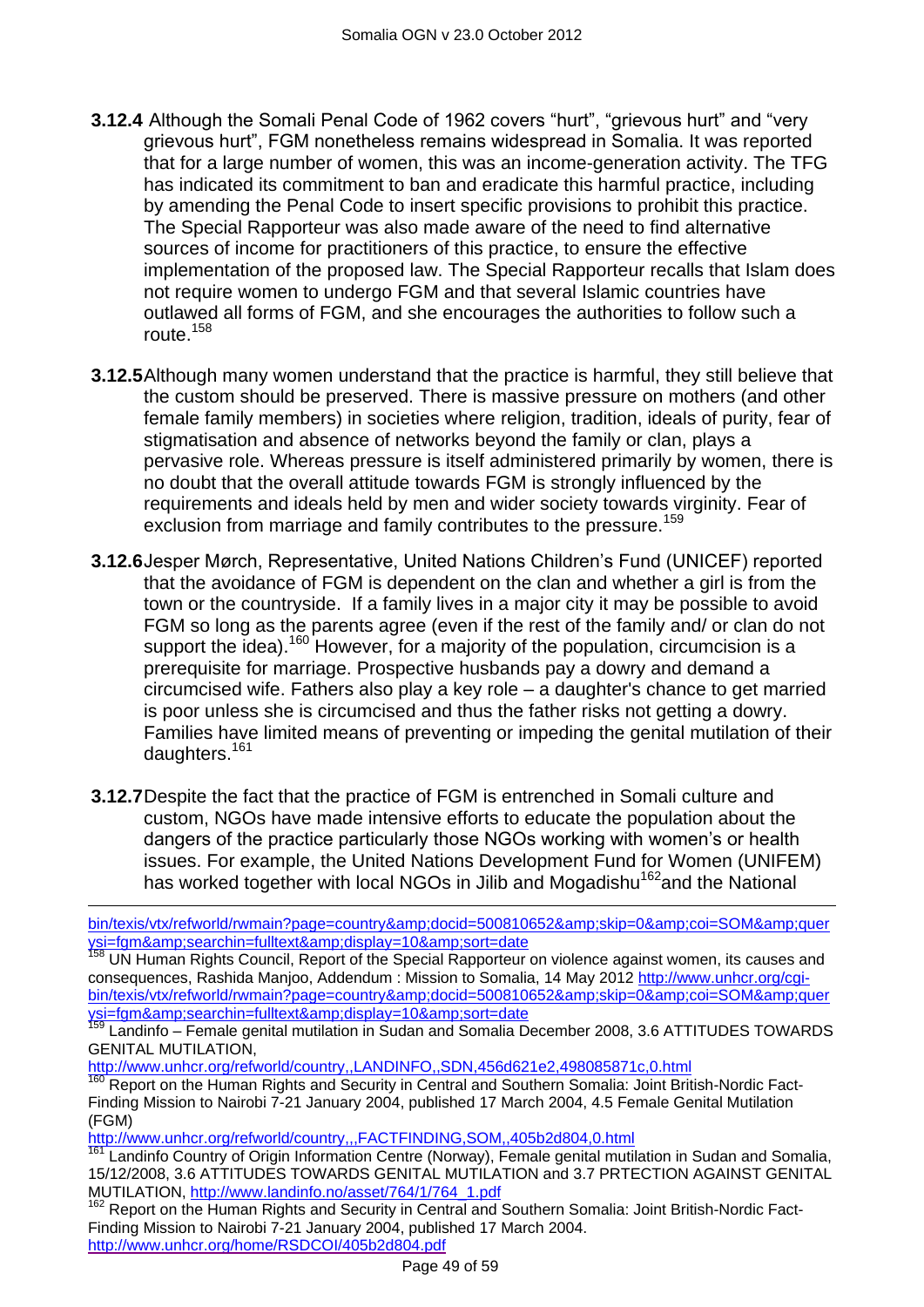- **3.12.4** Although the Somali Penal Code of 1962 covers "hurt", "grievous hurt" and "very grievous hurt", FGM nonetheless remains widespread in Somalia. It was reported that for a large number of women, this was an income-generation activity. The TFG has indicated its commitment to ban and eradicate this harmful practice, including by amending the Penal Code to insert specific provisions to prohibit this practice. The Special Rapporteur was also made aware of the need to find alternative sources of income for practitioners of this practice, to ensure the effective implementation of the proposed law. The Special Rapporteur recalls that Islam does not require women to undergo FGM and that several Islamic countries have outlawed all forms of FGM, and she encourages the authorities to follow such a route.<sup>158</sup>
- **3.12.5**Although many women understand that the practice is harmful, they still believe that the custom should be preserved. There is massive pressure on mothers (and other female family members) in societies where religion, tradition, ideals of purity, fear of stigmatisation and absence of networks beyond the family or clan, plays a pervasive role. Whereas pressure is itself administered primarily by women, there is no doubt that the overall attitude towards FGM is strongly influenced by the requirements and ideals held by men and wider society towards virginity. Fear of exclusion from marriage and family contributes to the pressure.<sup>159</sup>
- **3.12.6**Jesper Mørch, Representative, United Nations Children"s Fund (UNICEF) reported that the avoidance of FGM is dependent on the clan and whether a girl is from the town or the countryside. If a family lives in a major city it may be possible to avoid FGM so long as the parents agree (even if the rest of the family and/ or clan do not support the idea).<sup>160</sup> However, for a majority of the population, circumcision is a prerequisite for marriage. Prospective husbands pay a dowry and demand a circumcised wife. Fathers also play a key role – a daughter's chance to get married is poor unless she is circumcised and thus the father risks not getting a dowry. Families have limited means of preventing or impeding the genital mutilation of their daughters.<sup>161</sup>
- **3.12.7**Despite the fact that the practice of FGM is entrenched in Somali culture and custom, NGOs have made intensive efforts to educate the population about the dangers of the practice particularly those NGOs working with women"s or health issues. For example, the United Nations Development Fund for Women (UNIFEM) has worked together with local NGOs in Jilib and Mogadishu<sup>162</sup>and the National

<http://www.unhcr.org/refworld/country,,LANDINFO,,SDN,456d621e2,498085871c,0.html>

<http://www.unhcr.org/refworld/country,,,FACTFINDING,SOM,,405b2d804,0.html>

 $\overline{a}$ 

bin/texis/vtx/refworld/rwmain?page=country&docid=500810652&skip=0&coi=SOM&quer <u>ysi=fgm&amp;searchin=fulltext&amp;display=10&amp;sort=date</u>

<sup>&</sup>lt;sup>158</sup> UN Human Rights Council, Report of the Special Rapporteur on violence against women, its causes and consequences, Rashida Manjoo, Addendum : Mission to Somalia, 14 May 2012 [http://www.unhcr.org/cgi](http://www.unhcr.org/cgi-bin/texis/vtx/refworld/rwmain?page=country&docid=500810652&skip=0&coi=SOM&querysi=fgm&searchin=fulltext&display=10&sort=date)[bin/texis/vtx/refworld/rwmain?page=country&docid=500810652&skip=0&coi=SOM&quer](http://www.unhcr.org/cgi-bin/texis/vtx/refworld/rwmain?page=country&docid=500810652&skip=0&coi=SOM&querysi=fgm&searchin=fulltext&display=10&sort=date) [ysi=fgm&searchin=fulltext&display=10&sort=date](http://www.unhcr.org/cgi-bin/texis/vtx/refworld/rwmain?page=country&docid=500810652&skip=0&coi=SOM&querysi=fgm&searchin=fulltext&display=10&sort=date)

<sup>&</sup>lt;sup>159</sup> Landinfo – Female genital mutilation in Sudan and Somalia December 2008, 3.6 ATTITUDES TOWARDS GENITAL MUTILATION,

<sup>160</sup> Report on the Human Rights and Security in Central and Southern Somalia: Joint British-Nordic Fact-Finding Mission to Nairobi 7-21 January 2004, published 17 March 2004, 4.5 Female Genital Mutilation (FGM)

Landinfo Country of Origin Information Centre (Norway), Female genital mutilation in Sudan and Somalia, 15/12/2008, 3.6 ATTITUDES TOWARDS GENITAL MUTILATION and 3.7 PRTECTION AGAINST GENITAL MUTILATION, [http://www.landinfo.no/asset/764/1/764\\_1.pdf](http://www.landinfo.no/asset/764/1/764_1.pdf)

Report on the Human Rights and Security in Central and Southern Somalia: Joint British-Nordic Fact-Finding Mission to Nairobi 7-21 January 2004, published 17 March 2004. <http://www.unhcr.org/home/RSDCOI/405b2d804.pdf>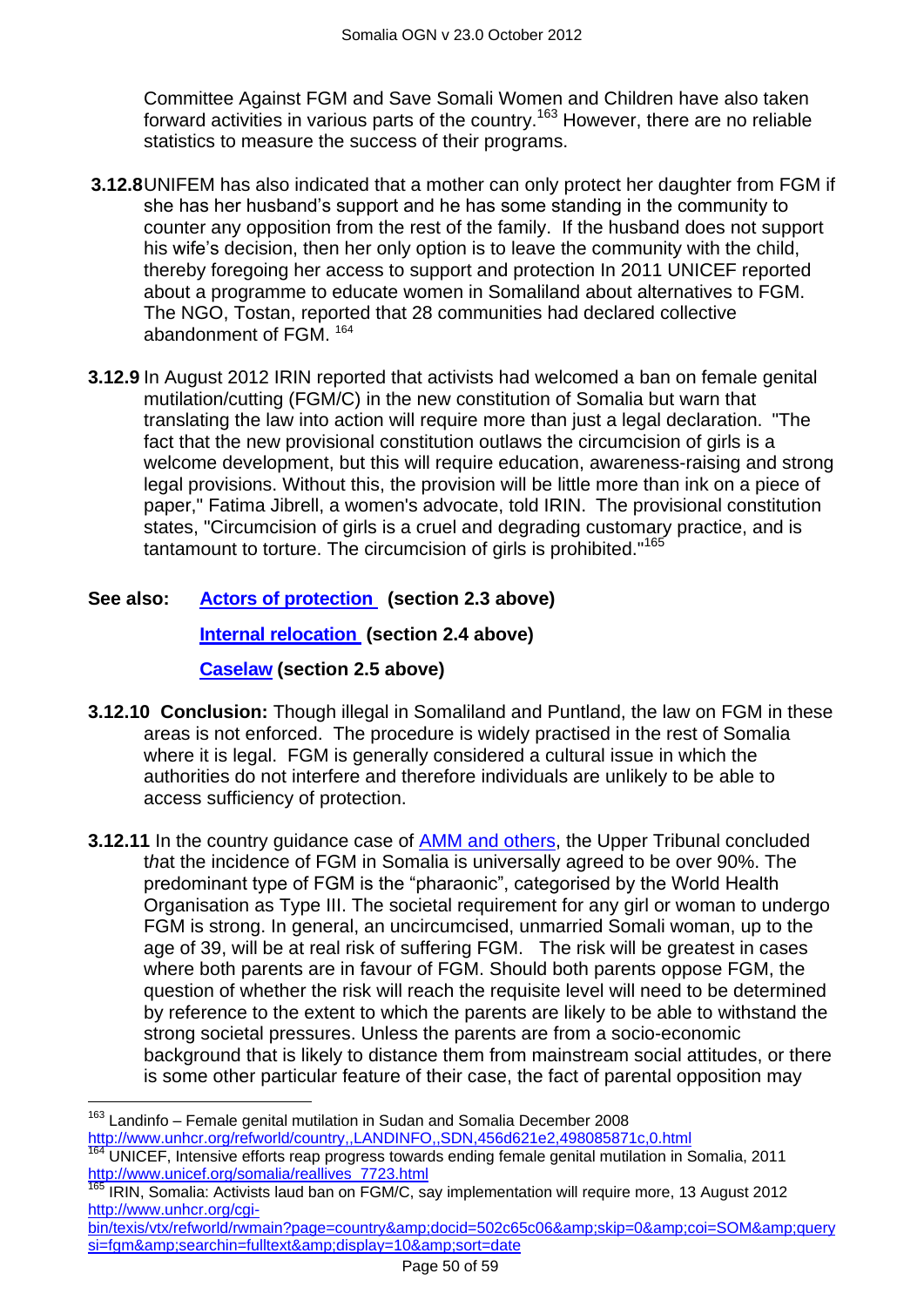Committee Against FGM and Save Somali Women and Children have also taken forward activities in various parts of the country.<sup>163</sup> However, there are no reliable statistics to measure the success of their programs.

- **3.12.8**UNIFEM has also indicated that a mother can only protect her daughter from FGM if she has her husband"s support and he has some standing in the community to counter any opposition from the rest of the family. If the husband does not support his wife"s decision, then her only option is to leave the community with the child, thereby foregoing her access to support and protection In 2011 UNICEF reported about a programme to educate women in Somaliland about alternatives to FGM. The NGO, Tostan, reported that 28 communities had declared collective abandonment of FGM. <sup>164</sup>
- **3.12.9** In August 2012 IRIN reported that activists had welcomed a ban on female genital mutilation/cutting (FGM/C) in the new constitution of Somalia but warn that translating the law into action will require more than just a legal declaration. "The fact that the new provisional constitution outlaws the circumcision of girls is a welcome development, but this will require education, awareness-raising and strong legal provisions. Without this, the provision will be little more than ink on a piece of paper," Fatima Jibrell, a women's advocate, told IRIN. The provisional constitution states, "Circumcision of girls is a cruel and degrading customary practice, and is tantamount to torture. The circumcision of girls is prohibited."<sup>165</sup>

## **See also: [Actors of protection](#page-1-1) (section 2.3 above) [Internal relocation](#page-9-0) (section 2.4 above)**

## **[Caselaw](#page-11-0) (section 2.5 above)**

- **3.12.10 Conclusion:** Though illegal in Somaliland and Puntland, the law on FGM in these areas is not enforced. The procedure is widely practised in the rest of Somalia where it is legal. FGM is generally considered a cultural issue in which the authorities do not interfere and therefore individuals are unlikely to be able to access sufficiency of protection.
- **3.12.11** In the country guidance case of [AMM and others,](http://www.bailii.org/uk/cases/UKUT/IAC/2011/00445_ukut_iac_2011_amm_ors_somalia_cg.html) the Upper Tribunal concluded t*h*at the incidence of FGM in Somalia is universally agreed to be over 90%. The predominant type of FGM is the "pharaonic", categorised by the World Health Organisation as Type III. The societal requirement for any girl or woman to undergo FGM is strong. In general, an uncircumcised, unmarried Somali woman, up to the age of 39, will be at real risk of suffering FGM. The risk will be greatest in cases where both parents are in favour of FGM. Should both parents oppose FGM, the question of whether the risk will reach the requisite level will need to be determined by reference to the extent to which the parents are likely to be able to withstand the strong societal pressures. Unless the parents are from a socio-economic background that is likely to distance them from mainstream social attitudes, or there is some other particular feature of their case, the fact of parental opposition may

 $\overline{\phantom{a}}$ 

[bin/texis/vtx/refworld/rwmain?page=country&docid=502c65c06&skip=0&coi=SOM&query](http://www.unhcr.org/cgi-bin/texis/vtx/refworld/rwmain?page=country&docid=502c65c06&skip=0&coi=SOM&querysi=fgm&searchin=fulltext&display=10&sort=date) [si=fgm&searchin=fulltext&display=10&sort=date](http://www.unhcr.org/cgi-bin/texis/vtx/refworld/rwmain?page=country&docid=502c65c06&skip=0&coi=SOM&querysi=fgm&searchin=fulltext&display=10&sort=date)

<sup>163</sup> Landinfo – Female genital mutilation in Sudan and Somalia December 2008 <http://www.unhcr.org/refworld/country,,LANDINFO,,SDN,456d621e2,498085871c,0.html>

<sup>164</sup> UNICEF, Intensive efforts reap progress towards ending female genital mutilation in Somalia, 2011 [http://www.unicef.org/somalia/reallives\\_7723.html](http://www.unicef.org/somalia/reallives_7723.html)

<sup>165</sup> IRIN, Somalia: Activists laud ban on FGM/C, say implementation will require more, 13 August 2012 [http://www.unhcr.org/cgi-](http://www.unhcr.org/cgi-bin/texis/vtx/refworld/rwmain?page=country&docid=502c65c06&skip=0&coi=SOM&querysi=fgm&searchin=fulltext&display=10&sort=date)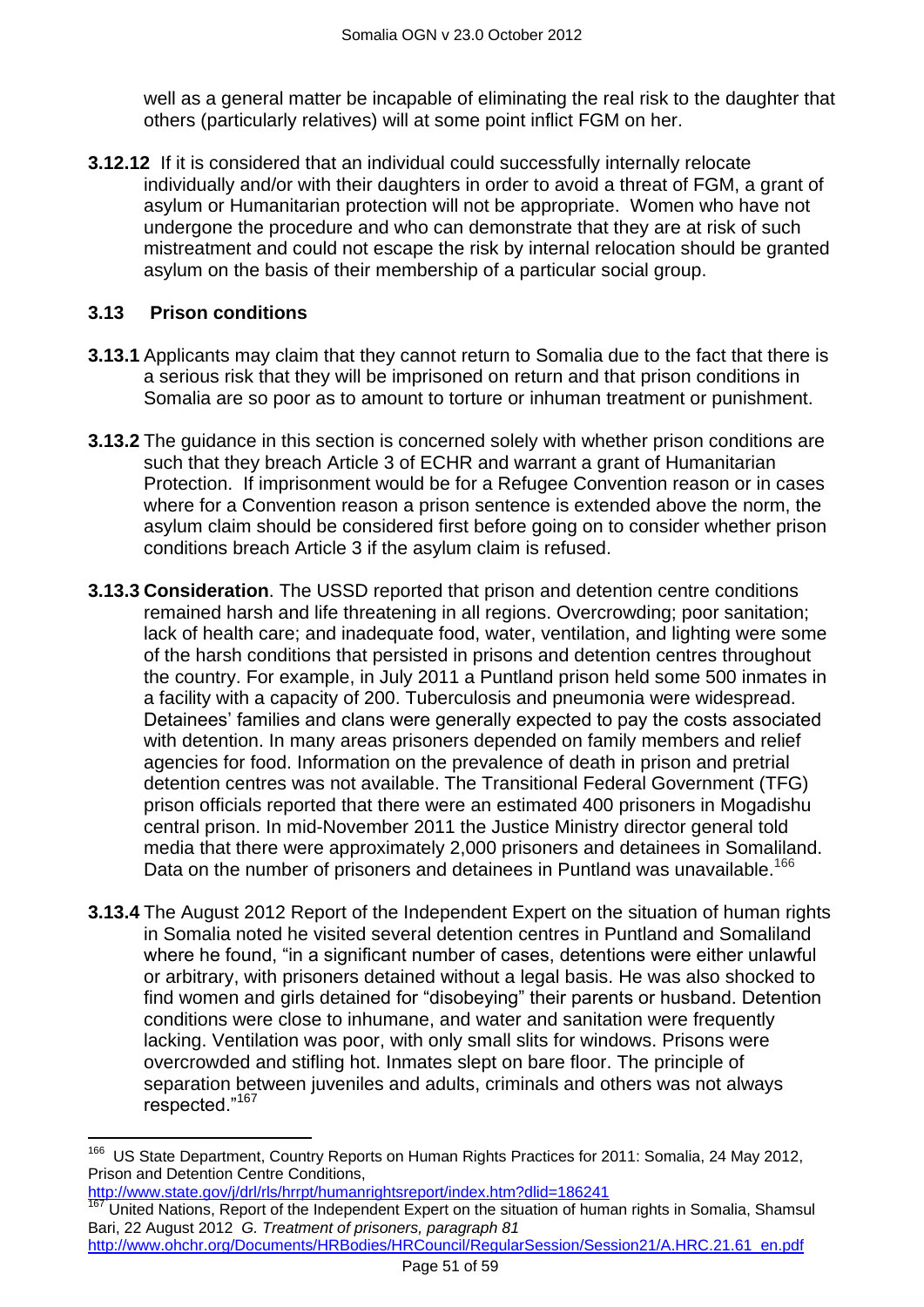well as a general matter be incapable of eliminating the real risk to the daughter that others (particularly relatives) will at some point inflict FGM on her.

**3.12.12** If it is considered that an individual could successfully internally relocate individually and/or with their daughters in order to avoid a threat of FGM, a grant of asylum or Humanitarian protection will not be appropriate. Women who have not undergone the procedure and who can demonstrate that they are at risk of such mistreatment and could not escape the risk by internal relocation should be granted asylum on the basis of their membership of a particular social group.

## **3.13 Prison conditions**

- **3.13.1** Applicants may claim that they cannot return to Somalia due to the fact that there is a serious risk that they will be imprisoned on return and that prison conditions in Somalia are so poor as to amount to torture or inhuman treatment or punishment.
- **3.13.2** The guidance in this section is concerned solely with whether prison conditions are such that they breach Article 3 of ECHR and warrant a grant of Humanitarian Protection. If imprisonment would be for a Refugee Convention reason or in cases where for a Convention reason a prison sentence is extended above the norm, the asylum claim should be considered first before going on to consider whether prison conditions breach Article 3 if the asylum claim is refused.
- **3.13.3 Consideration**. The USSD reported that prison and detention centre conditions remained harsh and life threatening in all regions. Overcrowding; poor sanitation; lack of health care; and inadequate food, water, ventilation, and lighting were some of the harsh conditions that persisted in prisons and detention centres throughout the country. For example, in July 2011 a Puntland prison held some 500 inmates in a facility with a capacity of 200. Tuberculosis and pneumonia were widespread. Detainees' families and clans were generally expected to pay the costs associated with detention. In many areas prisoners depended on family members and relief agencies for food. Information on the prevalence of death in prison and pretrial detention centres was not available. The Transitional Federal Government (TFG) prison officials reported that there were an estimated 400 prisoners in Mogadishu central prison. In mid-November 2011 the Justice Ministry director general told media that there were approximately 2,000 prisoners and detainees in Somaliland. Data on the number of prisoners and detainees in Puntland was unavailable.<sup>166</sup>
- **3.13.4** The August 2012 Report of the Independent Expert on the situation of human rights in Somalia noted he visited several detention centres in Puntland and Somaliland where he found, "in a significant number of cases, detentions were either unlawful or arbitrary, with prisoners detained without a legal basis. He was also shocked to find women and girls detained for "disobeying" their parents or husband. Detention conditions were close to inhumane, and water and sanitation were frequently lacking. Ventilation was poor, with only small slits for windows. Prisons were overcrowded and stifling hot. Inmates slept on bare floor. The principle of separation between juveniles and adults, criminals and others was not always respected."<sup>167</sup>

 166 US State Department, Country Reports on Human Rights Practices for 2011: Somalia, 24 May 2012, Prison and Detention Centre Conditions,

http://www.state.gov/j/drl/rls/hrrpt/humanrightsreport/index.htm?dlid=186241

United Nations, Report of the Independent Expert on the situation of human rights in Somalia, Shamsul Bari, 22 August 2012 *G. Treatment of prisoners, paragraph 81* [http://www.ohchr.org/Documents/HRBodies/HRCouncil/RegularSession/Session21/A.HRC.21.61\\_en.pdf](http://www.ohchr.org/Documents/HRBodies/HRCouncil/RegularSession/Session21/A.HRC.21.61_en.pdf)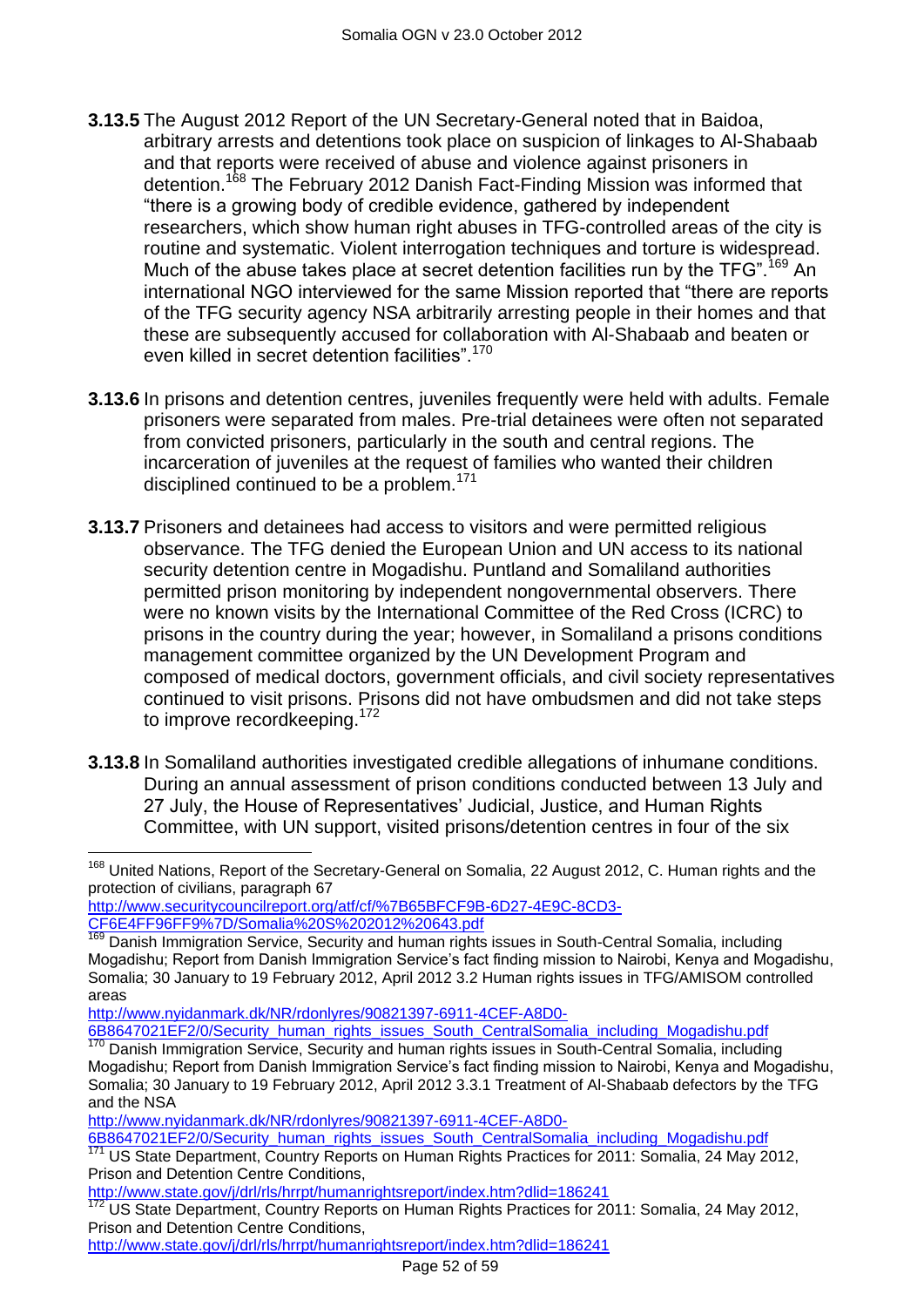- **3.13.5** The August 2012 Report of the UN Secretary-General noted that in Baidoa, arbitrary arrests and detentions took place on suspicion of linkages to Al-Shabaab and that reports were received of abuse and violence against prisoners in detention.<sup>168</sup> The February 2012 Danish Fact-Finding Mission was informed that "there is a growing body of credible evidence, gathered by independent researchers, which show human right abuses in TFG-controlled areas of the city is routine and systematic. Violent interrogation techniques and torture is widespread. Much of the abuse takes place at secret detention facilities run by the TFG".<sup>169</sup> An international NGO interviewed for the same Mission reported that "there are reports of the TFG security agency NSA arbitrarily arresting people in their homes and that these are subsequently accused for collaboration with Al-Shabaab and beaten or even killed in secret detention facilities".<sup>170</sup>
- **3.13.6** In prisons and detention centres, juveniles frequently were held with adults. Female prisoners were separated from males. Pre-trial detainees were often not separated from convicted prisoners, particularly in the south and central regions. The incarceration of juveniles at the request of families who wanted their children disciplined continued to be a problem.<sup>171</sup>
- **3.13.7** Prisoners and detainees had access to visitors and were permitted religious observance. The TFG denied the European Union and UN access to its national security detention centre in Mogadishu. Puntland and Somaliland authorities permitted prison monitoring by independent nongovernmental observers. There were no known visits by the International Committee of the Red Cross (ICRC) to prisons in the country during the year; however, in Somaliland a prisons conditions management committee organized by the UN Development Program and composed of medical doctors, government officials, and civil society representatives continued to visit prisons. Prisons did not have ombudsmen and did not take steps to improve recordkeeping.<sup>172</sup>
- **3.13.8** In Somaliland authorities investigated credible allegations of inhumane conditions. During an annual assessment of prison conditions conducted between 13 July and 27 July, the House of Representatives" Judicial, Justice, and Human Rights Committee, with UN support, visited prisons/detention centres in four of the six

[http://www.securitycouncilreport.org/atf/cf/%7B65BFCF9B-6D27-4E9C-8CD3-](http://www.securitycouncilreport.org/atf/cf/%7B65BFCF9B-6D27-4E9C-8CD3-CF6E4FF96FF9%7D/Somalia%20S%202012%20643.pdf) [CF6E4FF96FF9%7D/Somalia%20S%202012%20643.pdf](http://www.securitycouncilreport.org/atf/cf/%7B65BFCF9B-6D27-4E9C-8CD3-CF6E4FF96FF9%7D/Somalia%20S%202012%20643.pdf)

[http://www.nyidanmark.dk/NR/rdonlyres/90821397-6911-4CEF-A8D0-](http://www.nyidanmark.dk/NR/rdonlyres/90821397-6911-4CEF-A8D0-6B8647021EF2/0/Security_human_rights_issues_South_CentralSomalia_including_Mogadishu.pdf) [6B8647021EF2/0/Security\\_human\\_rights\\_issues\\_South\\_CentralSomalia\\_including\\_Mogadishu.pdf](http://www.nyidanmark.dk/NR/rdonlyres/90821397-6911-4CEF-A8D0-6B8647021EF2/0/Security_human_rights_issues_South_CentralSomalia_including_Mogadishu.pdf)

[http://www.nyidanmark.dk/NR/rdonlyres/90821397-6911-4CEF-A8D0-](http://www.nyidanmark.dk/NR/rdonlyres/90821397-6911-4CEF-A8D0-6B8647021EF2/0/Security_human_rights_issues_South_CentralSomalia_including_Mogadishu.pdf)

[6B8647021EF2/0/Security\\_human\\_rights\\_issues\\_South\\_CentralSomalia\\_including\\_Mogadishu.pdf](http://www.nyidanmark.dk/NR/rdonlyres/90821397-6911-4CEF-A8D0-6B8647021EF2/0/Security_human_rights_issues_South_CentralSomalia_including_Mogadishu.pdf)<br>171 Lie State Department, Country Bonorte on Human Pights Practices for 2011; Somalia\_24 May 20 US State Department, Country Reports on Human Rights Practices for 2011: Somalia, 24 May 2012, Prison and Detention Centre Conditions,

 $\overline{a}$ <sup>168</sup> United Nations, Report of the Secretary-General on Somalia, 22 August 2012, C. Human rights and the protection of civilians, paragraph 67

Danish Immigration Service, Security and human rights issues in South-Central Somalia, including Mogadishu; Report from Danish Immigration Service's fact finding mission to Nairobi, Kenya and Mogadishu, Somalia; 30 January to 19 February 2012, April 2012 3.2 Human rights issues in TFG/AMISOM controlled areas

<sup>170</sup> Danish Immigration Service, Security and human rights issues in South-Central Somalia, including Mogadishu; Report from Danish Immigration Service's fact finding mission to Nairobi, Kenya and Mogadishu, Somalia; 30 January to 19 February 2012, April 2012 3.3.1 Treatment of Al-Shabaab defectors by the TFG and the NSA

[http://www.state.gov/j/drl/rls/hrrpt/humanrightsreport/index.htm?dlid=186241](http://www.state.gov/j/drl/rls/hrrpt/humanrightsreport/index.htm?dlid=186241%20%20) 

US State Department, Country Reports on Human Rights Practices for 2011: Somalia, 24 May 2012, Prison and Detention Centre Conditions,

[http://www.state.gov/j/drl/rls/hrrpt/humanrightsreport/index.htm?dlid=186241](http://www.state.gov/j/drl/rls/hrrpt/humanrightsreport/index.htm?dlid=186241%20%20)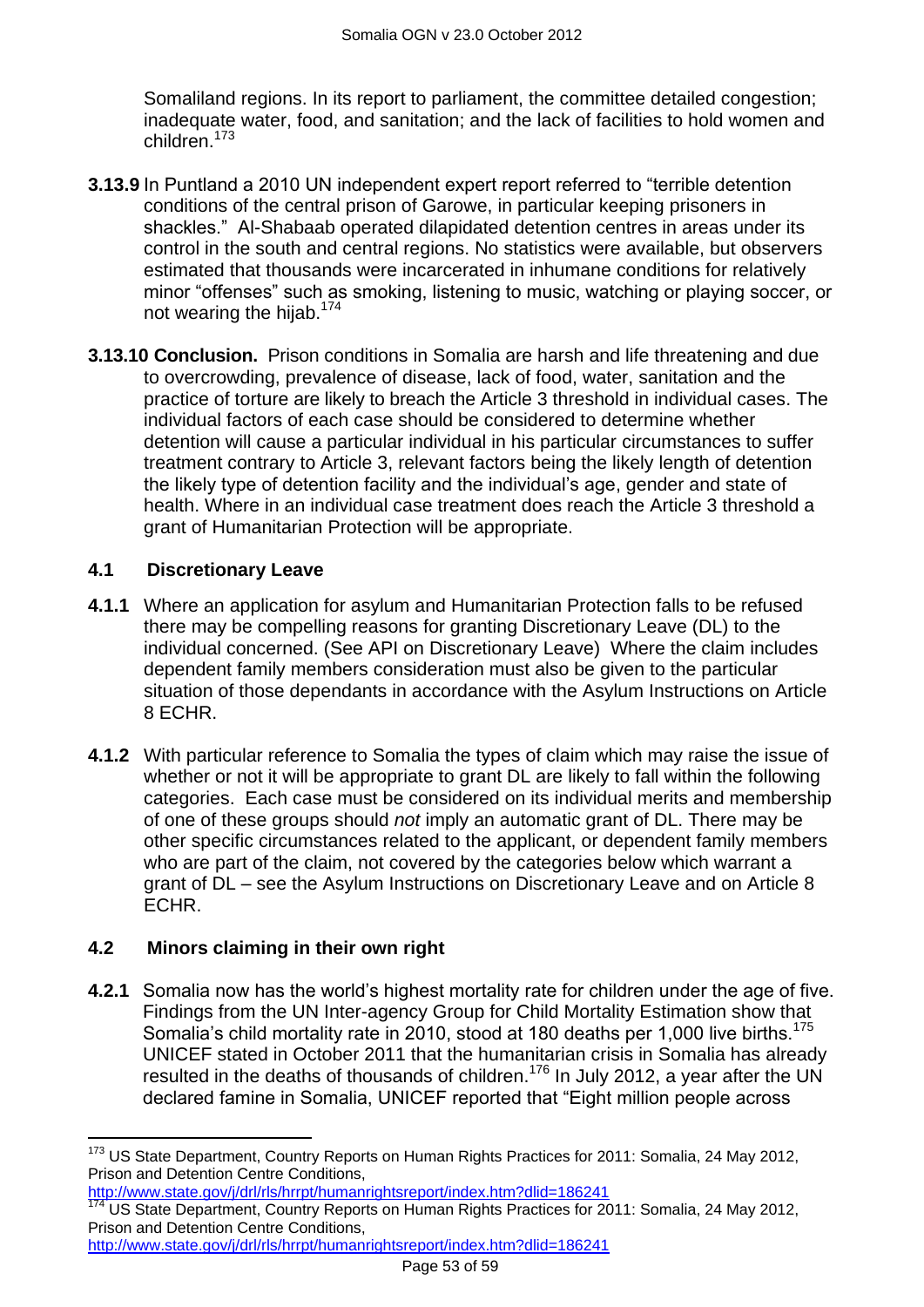Somaliland regions. In its report to parliament, the committee detailed congestion: inadequate water, food, and sanitation; and the lack of facilities to hold women and children.<sup>173</sup>

- **3.13.9** In Puntland a 2010 UN independent expert report referred to "terrible detention conditions of the central prison of Garowe, in particular keeping prisoners in shackles." Al-Shabaab operated dilapidated detention centres in areas under its control in the south and central regions. No statistics were available, but observers estimated that thousands were incarcerated in inhumane conditions for relatively minor "offenses" such as smoking, listening to music, watching or playing soccer, or not wearing the hijab. $174$
- **3.13.10 Conclusion.** Prison conditions in Somalia are harsh and life threatening and due to overcrowding, prevalence of disease, lack of food, water, sanitation and the practice of torture are likely to breach the Article 3 threshold in individual cases. The individual factors of each case should be considered to determine whether detention will cause a particular individual in his particular circumstances to suffer treatment contrary to Article 3, relevant factors being the likely length of detention the likely type of detention facility and the individual"s age, gender and state of health. Where in an individual case treatment does reach the Article 3 threshold a grant of Humanitarian Protection will be appropriate.

## <span id="page-52-0"></span>**4.1 Discretionary Leave**

- **4.1.1** Where an application for asylum and Humanitarian Protection falls to be refused there may be compelling reasons for granting Discretionary Leave (DL) to the individual concerned. (See API on Discretionary Leave) Where the claim includes dependent family members consideration must also be given to the particular situation of those dependants in accordance with the Asylum Instructions on Article 8 ECHR.
- **4.1.2** With particular reference to Somalia the types of claim which may raise the issue of whether or not it will be appropriate to grant DL are likely to fall within the following categories. Each case must be considered on its individual merits and membership of one of these groups should *not* imply an automatic grant of DL. There may be other specific circumstances related to the applicant, or dependent family members who are part of the claim, not covered by the categories below which warrant a grant of DL – see the Asylum Instructions on Discretionary Leave and on Article 8 ECHR.

## <span id="page-52-1"></span>**4.2 Minors claiming in their own right**

**4.2.1** Somalia now has the world"s highest mortality rate for children under the age of five. Findings from the UN Inter-agency Group for Child Mortality Estimation show that Somalia's child mortality rate in 2010, stood at 180 deaths per 1,000 live births.<sup>175</sup> UNICEF stated in October 2011 that the humanitarian crisis in Somalia has already resulted in the deaths of thousands of children.<sup>176</sup> In July 2012, a year after the UN declared famine in Somalia, UNICEF reported that "Eight million people across

[http://www.state.gov/j/drl/rls/hrrpt/humanrightsreport/index.htm?dlid=186241](http://www.state.gov/j/drl/rls/hrrpt/humanrightsreport/index.htm?dlid=186241%20%20) 

 $\overline{a}$ <sup>173</sup> US State Department, Country Reports on Human Rights Practices for 2011: Somalia, 24 May 2012, Prison and Detention Centre Conditions,

http://www.state.gov/j/drl/rls/hrrpt/humanrightsreport/index.htm?dlid=186241

US State Department, Country Reports on Human Rights Practices for 2011: Somalia, 24 May 2012, Prison and Detention Centre Conditions,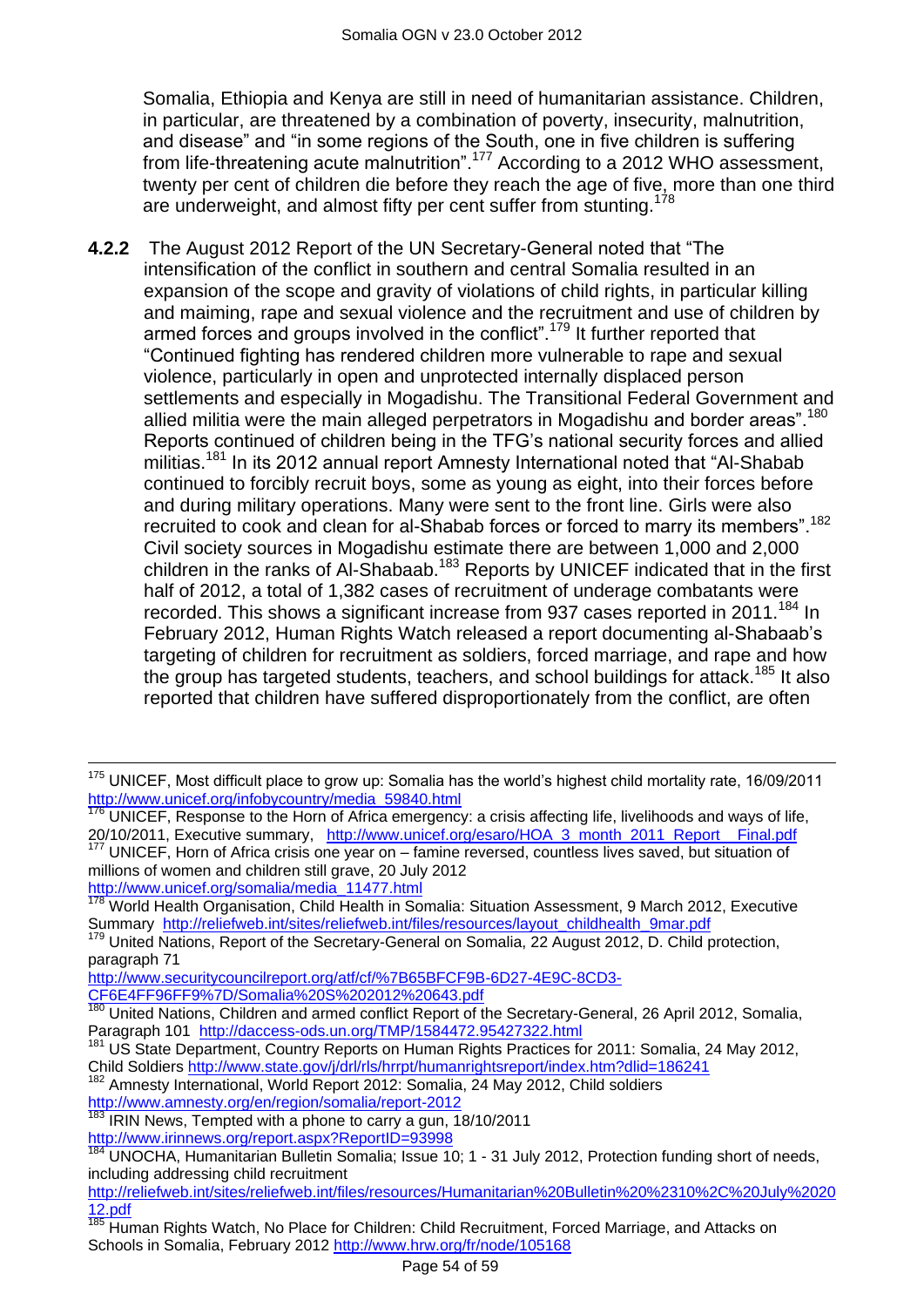Somalia, Ethiopia and Kenya are still in need of humanitarian assistance. Children, in particular, are threatened by a combination of poverty, insecurity, malnutrition, and disease" and "in some regions of the South, one in five children is suffering from life-threatening acute malnutrition".<sup>177</sup> According to a 2012 WHO assessment, twenty per cent of children die before they reach the age of five, more than one third are underweight, and almost fifty per cent suffer from stunting.<sup>178</sup>

**4.2.2** The August 2012 Report of the UN Secretary-General noted that "The intensification of the conflict in southern and central Somalia resulted in an expansion of the scope and gravity of violations of child rights, in particular killing and maiming, rape and sexual violence and the recruitment and use of children by armed forces and groups involved in the conflict".<sup>179</sup> It further reported that "Continued fighting has rendered children more vulnerable to rape and sexual violence, particularly in open and unprotected internally displaced person settlements and especially in Mogadishu. The Transitional Federal Government and allied militia were the main alleged perpetrators in Mogadishu and border areas".<sup>180</sup> Reports continued of children being in the TFG"s national security forces and allied militias.<sup>181</sup> In its 2012 annual report Amnesty International noted that "Al-Shabab" continued to forcibly recruit boys, some as young as eight, into their forces before and during military operations. Many were sent to the front line. Girls were also recruited to cook and clean for al-Shabab forces or forced to marry its members".<sup>182</sup> Civil society sources in Mogadishu estimate there are between 1,000 and 2,000 children in the ranks of Al-Shabaab.<sup>183</sup> Reports by UNICEF indicated that in the first half of 2012, a total of 1,382 cases of recruitment of underage combatants were recorded. This shows a significant increase from 937 cases reported in 2011.<sup>184</sup> In February 2012, Human Rights Watch released a report documenting al-Shabaab"s targeting of children for recruitment as soldiers, forced marriage, and rape and how the group has targeted students, teachers, and school buildings for attack.<sup>185</sup> It also reported that children have suffered disproportionately from the conflict, are often

 $\overline{a}$ 

<sup>&</sup>lt;sup>175</sup> UNICEF, Most difficult place to grow up: Somalia has the world's highest child mortality rate, 16/09/2011 [http://www.unicef.org/infobycountry/media\\_59840.html](http://www.unicef.org/infobycountry/media_59840.html)

UNICEF, Response to the Horn of Africa emergency: a crisis affecting life, livelihoods and ways of life, 20/10/2011, Executive summary, [http://www.unicef.org/esaro/HOA\\_3\\_month\\_2011\\_Report\\_\\_Final.pdf](http://www.unicef.org/esaro/HOA_3_month_2011_Report__Final.pdf) <sup>177</sup> UNICEF, Horn of Africa crisis one year on – famine reversed, countless lives saved, but situation of

millions of women and children still grave, 20 July 2012 [http://www.unicef.org/somalia/media\\_11477.html](http://www.unicef.org/somalia/media_11477.html)

<sup>&</sup>lt;sup>178</sup> World Health Organisation, Child Health in Somalia: Situation Assessment, 9 March 2012, Executive Summary [http://reliefweb.int/sites/reliefweb.int/files/resources/layout\\_childhealth\\_9mar.pdf](http://reliefweb.int/sites/reliefweb.int/files/resources/layout_childhealth_9mar.pdf)

United Nations, Report of the Secretary-General on Somalia, 22 August 2012, D. Child protection, paragraph 71

[http://www.securitycouncilreport.org/atf/cf/%7B65BFCF9B-6D27-4E9C-8CD3-](http://www.securitycouncilreport.org/atf/cf/%7B65BFCF9B-6D27-4E9C-8CD3-CF6E4FF96FF9%7D/Somalia%20S%202012%20643.pdf)

[CF6E4FF96FF9%7D/Somalia%20S%202012%20643.pdf](http://www.securitycouncilreport.org/atf/cf/%7B65BFCF9B-6D27-4E9C-8CD3-CF6E4FF96FF9%7D/Somalia%20S%202012%20643.pdf)

<sup>&</sup>lt;sup>180</sup> United Nations, Children and armed conflict Report of the Secretary-General, 26 April 2012, Somalia, Paragraph 101 <http://daccess-ods.un.org/TMP/1584472.95427322.html>

<sup>&</sup>lt;sup>181</sup> US State Department, Country Reports on Human Rights Practices for 2011: Somalia, 24 May 2012, Child Soldiers [http://www.state.gov/j/drl/rls/hrrpt/humanrightsreport/index.htm?dlid=186241](http://www.state.gov/j/drl/rls/hrrpt/humanrightsreport/index.htm?dlid=186241%20%20) 

<sup>&</sup>lt;sup>82</sup> Amnesty International, World Report 2012: Somalia, 24 May 2012, Child soldiers

<http://www.amnesty.org/en/region/somalia/report-2012>

<sup>183</sup> IRIN News, Tempted with a phone to carry a gun, 18/10/2011 <http://www.irinnews.org/report.aspx?ReportID=93998>

UNOCHA, Humanitarian Bulletin Somalia; Issue 10; 1 - 31 July 2012, Protection funding short of needs, including addressing child recruitment

[http://reliefweb.int/sites/reliefweb.int/files/resources/Humanitarian%20Bulletin%20%2310%2C%20July%2020](http://reliefweb.int/sites/reliefweb.int/files/resources/Humanitarian%20Bulletin%20%2310%2C%20July%202012.pdf) [12.pdf](http://reliefweb.int/sites/reliefweb.int/files/resources/Humanitarian%20Bulletin%20%2310%2C%20July%202012.pdf)

<sup>185</sup> Human Rights Watch, No Place for Children: Child Recruitment, Forced Marriage, and Attacks on Schools in Somalia, February 2012<http://www.hrw.org/fr/node/105168>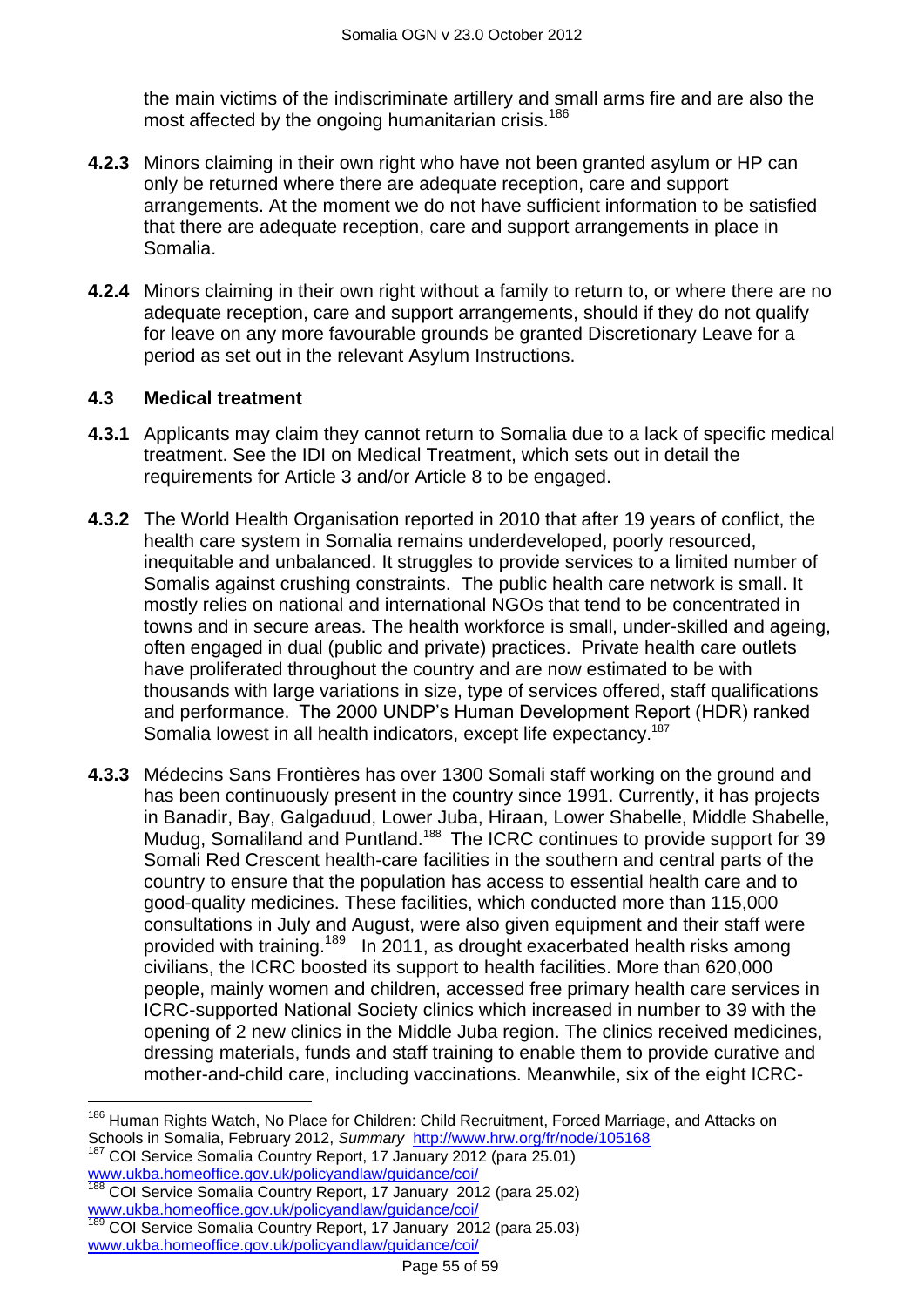the main victims of the indiscriminate artillery and small arms fire and are also the most affected by the ongoing humanitarian crisis.<sup>186</sup>

- **4.2.3** Minors claiming in their own right who have not been granted asylum or HP can only be returned where there are adequate reception, care and support arrangements. At the moment we do not have sufficient information to be satisfied that there are adequate reception, care and support arrangements in place in Somalia.
- **4.2.4** Minors claiming in their own right without a family to return to, or where there are no adequate reception, care and support arrangements, should if they do not qualify for leave on any more favourable grounds be granted Discretionary Leave for a period as set out in the relevant Asylum Instructions.

#### <span id="page-54-0"></span>**4.3 Medical treatment**

- **4.3.1** Applicants may claim they cannot return to Somalia due to a lack of specific medical treatment. See the IDI on Medical Treatment, which sets out in detail the requirements for Article 3 and/or Article 8 to be engaged.
- **4.3.2** The World Health Organisation reported in 2010 that after 19 years of conflict, the health care system in Somalia remains underdeveloped, poorly resourced, inequitable and unbalanced. It struggles to provide services to a limited number of Somalis against crushing constraints. The public health care network is small. It mostly relies on national and international NGOs that tend to be concentrated in towns and in secure areas. The health workforce is small, under-skilled and ageing, often engaged in dual (public and private) practices. Private health care outlets have proliferated throughout the country and are now estimated to be with thousands with large variations in size, type of services offered, staff qualifications and performance. The 2000 UNDP"s Human Development Report (HDR) ranked Somalia lowest in all health indicators, except life expectancy.<sup>187</sup>
- **4.3.3** Médecins Sans Frontières has over 1300 Somali staff working on the ground and has been continuously present in the country since 1991. Currently, it has projects in Banadir, Bay, Galgaduud, Lower Juba, Hiraan, Lower Shabelle, Middle Shabelle, Mudug, Somaliland and Puntland.<sup>188</sup> The ICRC continues to provide support for 39 Somali Red Crescent health-care facilities in the southern and central parts of the country to ensure that the population has access to essential health care and to good-quality medicines. These facilities, which conducted more than 115,000 consultations in July and August, were also given equipment and their staff were provided with training.<sup>189</sup> In 2011, as drought exacerbated health risks among civilians, the ICRC boosted its support to health facilities. More than 620,000 people, mainly women and children, accessed free primary health care services in ICRC-supported National Society clinics which increased in number to 39 with the opening of 2 new clinics in the Middle Juba region. The clinics received medicines, dressing materials, funds and staff training to enable them to provide curative and mother-and-child care, including vaccinations. Meanwhile, six of the eight ICRC-

COI Service Somalia Country Report, 17 January 2012 (para 25.01) [www.ukba.homeoffice.gov.uk/policyandlaw/guidance/coi/](http://www.ukba.homeoffice.gov.uk/policyandlaw/guidance/coi/)

 $\overline{\phantom{a}}$ <sup>186</sup> Human Rights Watch, No Place for Children: Child Recruitment, Forced Marriage, and Attacks on Schools in Somalia, February 2012, *Summary* <http://www.hrw.org/fr/node/105168>

COI Service Somalia Country Report, 17 January 2012 (para 25.02) [www.ukba.homeoffice.gov.uk/policyandlaw/guidance/coi/](http://www.ukba.homeoffice.gov.uk/policyandlaw/guidance/coi/)

<sup>189</sup> COI Service Somalia Country Report, 17 January 2012 (para 25.03) [www.ukba.homeoffice.gov.uk/policyandlaw/guidance/coi/](http://www.ukba.homeoffice.gov.uk/policyandlaw/guidance/coi/)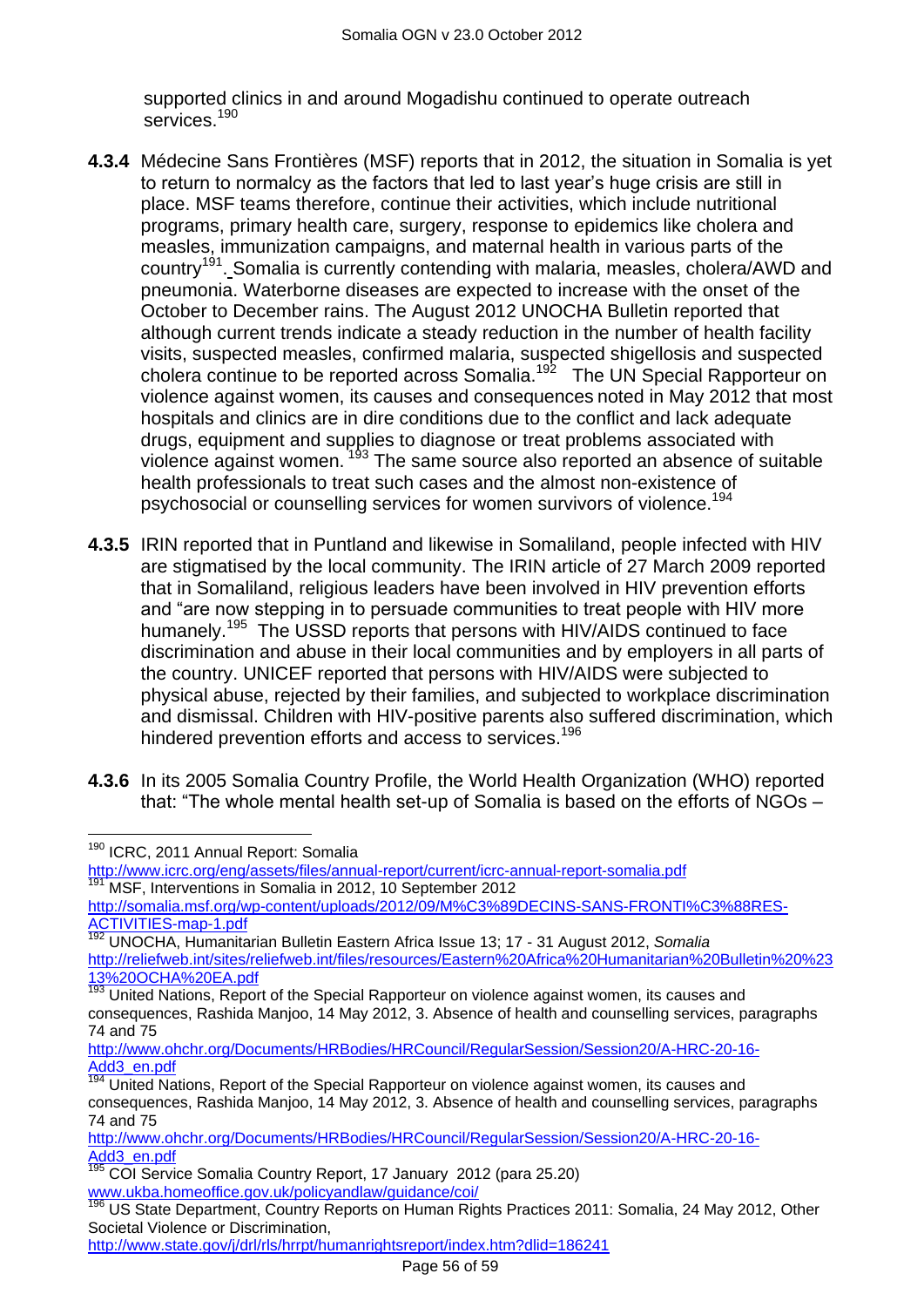supported clinics in and around Mogadishu continued to operate outreach services.<sup>190</sup>

- **4.3.4** Médecine Sans Frontières (MSF) reports that in 2012, the situation in Somalia is yet to return to normalcy as the factors that led to last year"s huge crisis are still in place. MSF teams therefore, continue their activities, which include nutritional programs, primary health care, surgery, response to epidemics like cholera and measles, immunization campaigns, and maternal health in various parts of the country<sup>191</sup>. Somalia is currently contending with malaria, measles, cholera/AWD and pneumonia. Waterborne diseases are expected to increase with the onset of the October to December rains. The August 2012 UNOCHA Bulletin reported that although current trends indicate a steady reduction in the number of health facility visits, suspected measles, confirmed malaria, suspected shigellosis and suspected cholera continue to be reported across Somalia.<sup>192</sup> The UN Special Rapporteur on violence against women, its causes and consequences noted in May 2012 that most hospitals and clinics are in dire conditions due to the conflict and lack adequate drugs, equipment and supplies to diagnose or treat problems associated with violence against women.<sup>193</sup> The same source also reported an absence of suitable health professionals to treat such cases and the almost non-existence of psychosocial or counselling services for women survivors of violence.<sup>194</sup>
- **4.3.5** IRIN reported that in Puntland and likewise in Somaliland, people infected with HIV are stigmatised by the local community. The IRIN article of 27 March 2009 reported that in Somaliland, religious leaders have been involved in HIV prevention efforts and "are now stepping in to persuade communities to treat people with HIV more humanely.<sup>195</sup> The USSD reports that persons with HIV/AIDS continued to face discrimination and abuse in their local communities and by employers in all parts of the country. UNICEF reported that persons with HIV/AIDS were subjected to physical abuse, rejected by their families, and subjected to workplace discrimination and dismissal. Children with HIV-positive parents also suffered discrimination, which hindered prevention efforts and access to services.<sup>196</sup>
- **4.3.6** In its 2005 Somalia Country Profile, the World Health Organization (WHO) reported that: "The whole mental health set-up of Somalia is based on the efforts of NGOs –

<sup>192</sup> UNOCHA, Humanitarian Bulletin Eastern Africa Issue 13; 17 - 31 August 2012, *Somalia* [http://reliefweb.int/sites/reliefweb.int/files/resources/Eastern%20Africa%20Humanitarian%20Bulletin%20%23](http://reliefweb.int/sites/reliefweb.int/files/resources/Eastern%20Africa%20Humanitarian%20Bulletin%20%2313%20OCHA%20EA.pdf) [13%20OCHA%20EA.pdf](http://reliefweb.int/sites/reliefweb.int/files/resources/Eastern%20Africa%20Humanitarian%20Bulletin%20%2313%20OCHA%20EA.pdf)

United Nations, Report of the Special Rapporteur on violence against women, its causes and consequences, Rashida Manjoo, 14 May 2012, 3. Absence of health and counselling services, paragraphs 74 and 75

[http://www.ohchr.org/Documents/HRBodies/HRCouncil/RegularSession/Session20/A-HRC-20-16-](http://www.ohchr.org/Documents/HRBodies/HRCouncil/RegularSession/Session20/A-HRC-20-16-Add3_en.pdf) [Add3\\_en.pdf](http://www.ohchr.org/Documents/HRBodies/HRCouncil/RegularSession/Session20/A-HRC-20-16-Add3_en.pdf)

[http://www.ohchr.org/Documents/HRBodies/HRCouncil/RegularSession/Session20/A-HRC-20-16-](http://www.ohchr.org/Documents/HRBodies/HRCouncil/RegularSession/Session20/A-HRC-20-16-Add3_en.pdf) [Add3\\_en.pdf](http://www.ohchr.org/Documents/HRBodies/HRCouncil/RegularSession/Session20/A-HRC-20-16-Add3_en.pdf)

 $\overline{\phantom{a}}$ <sup>190</sup> ICRC. 2011 Annual Report: Somalia

<http://www.icrc.org/eng/assets/files/annual-report/current/icrc-annual-report-somalia.pdf> MSF, Interventions in Somalia in 2012, 10 September 2012

[http://somalia.msf.org/wp-content/uploads/2012/09/M%C3%89DECINS-SANS-FRONTI%C3%88RES-](http://somalia.msf.org/wp-content/uploads/2012/09/M%C3%89DECINS-SANS-FRONTI%C3%88RES-ACTIVITIES-map-1.pdf)[ACTIVITIES-map-1.pdf](http://somalia.msf.org/wp-content/uploads/2012/09/M%C3%89DECINS-SANS-FRONTI%C3%88RES-ACTIVITIES-map-1.pdf)

United Nations, Report of the Special Rapporteur on violence against women, its causes and consequences, Rashida Manjoo, 14 May 2012, 3. Absence of health and counselling services, paragraphs 74 and 75

<sup>195</sup> COI Service Somalia Country Report, 17 January 2012 (para 25.20) [www.ukba.homeoffice.gov.uk/policyandlaw/guidance/coi/](http://www.ukba.homeoffice.gov.uk/policyandlaw/guidance/coi/)

US State Department, Country Reports on Human Rights Practices 2011: Somalia, 24 May 2012, Other Societal Violence or Discrimination,

[http://www.state.gov/j/drl/rls/hrrpt/humanrightsreport/index.htm?dlid=186241](http://www.state.gov/j/drl/rls/hrrpt/humanrightsreport/index.htm?dlid=186241%20%20)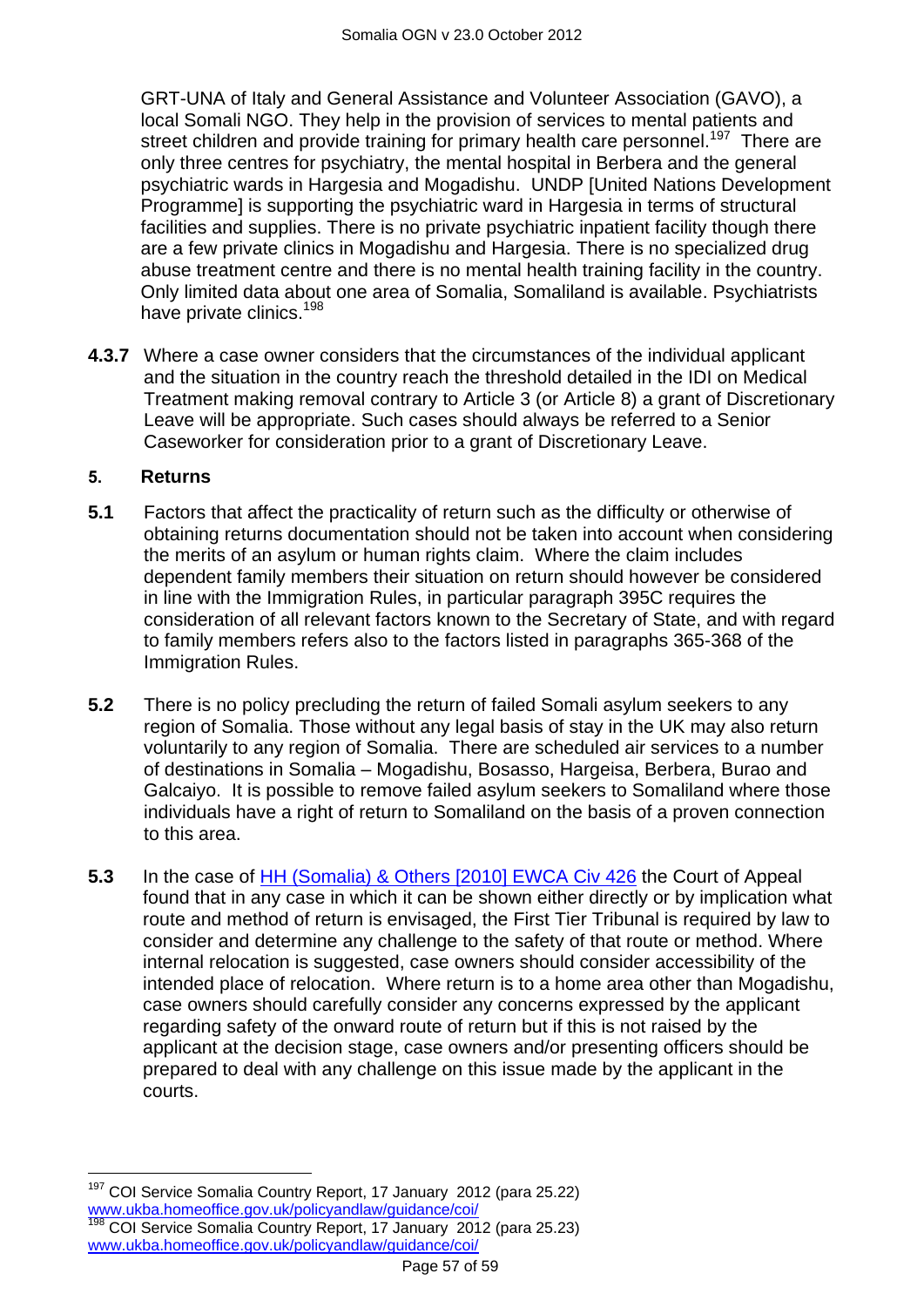GRT-UNA of Italy and General Assistance and Volunteer Association (GAVO), a local Somali NGO. They help in the provision of services to mental patients and street children and provide training for primary health care personnel.<sup>197</sup> There are only three centres for psychiatry, the mental hospital in Berbera and the general psychiatric wards in Hargesia and Mogadishu. UNDP [United Nations Development Programme] is supporting the psychiatric ward in Hargesia in terms of structural facilities and supplies. There is no private psychiatric inpatient facility though there are a few private clinics in Mogadishu and Hargesia. There is no specialized drug abuse treatment centre and there is no mental health training facility in the country. Only limited data about one area of Somalia, Somaliland is available. Psychiatrists have private clinics.<sup>198</sup>

**4.3.7** Where a case owner considers that the circumstances of the individual applicant and the situation in the country reach the threshold detailed in the IDI on Medical Treatment making removal contrary to Article 3 (or Article 8) a grant of Discretionary Leave will be appropriate. Such cases should always be referred to a Senior Caseworker for consideration prior to a grant of Discretionary Leave.

## <span id="page-56-0"></span>**5. Returns**

 $\overline{a}$ 

- **5.1** Factors that affect the practicality of return such as the difficulty or otherwise of obtaining returns documentation should not be taken into account when considering the merits of an asylum or human rights claim. Where the claim includes dependent family members their situation on return should however be considered in line with the Immigration Rules, in particular paragraph 395C requires the consideration of all relevant factors known to the Secretary of State, and with regard to family members refers also to the factors listed in paragraphs 365-368 of the Immigration Rules.
- **5.2** There is no policy precluding the return of failed Somali asylum seekers to any region of Somalia. Those without any legal basis of stay in the UK may also return voluntarily to any region of Somalia. There are scheduled air services to a number of destinations in Somalia – Mogadishu, Bosasso, Hargeisa, Berbera, Burao and Galcaiyo. It is possible to remove failed asylum seekers to Somaliland where those individuals have a right of return to Somaliland on the basis of a proven connection to this area.
- **5.3** In the case of [HH \(Somalia\) & Others \[2010\] EWCA Civ 426](http://www.bailii.org/ew/cases/EWCA/Civ/2010/426.html) the Court of Appeal found that in any case in which it can be shown either directly or by implication what route and method of return is envisaged, the First Tier Tribunal is required by law to consider and determine any challenge to the safety of that route or method. Where internal relocation is suggested, case owners should consider accessibility of the intended place of relocation. Where return is to a home area other than Mogadishu, case owners should carefully consider any concerns expressed by the applicant regarding safety of the onward route of return but if this is not raised by the applicant at the decision stage, case owners and/or presenting officers should be prepared to deal with any challenge on this issue made by the applicant in the courts.

COI Service Somalia Country Report, 17 January 2012 (para 25.22) [www.ukba.homeoffice.gov.uk/policyandlaw/guidance/coi/](http://www.ukba.homeoffice.gov.uk/policyandlaw/guidance/coi/) <sup>198</sup> COI Service Somalia Country Report, 17 January 2012 (para 25.23) [www.ukba.homeoffice.gov.uk/policyandlaw/guidance/coi/](http://www.ukba.homeoffice.gov.uk/policyandlaw/guidance/coi/)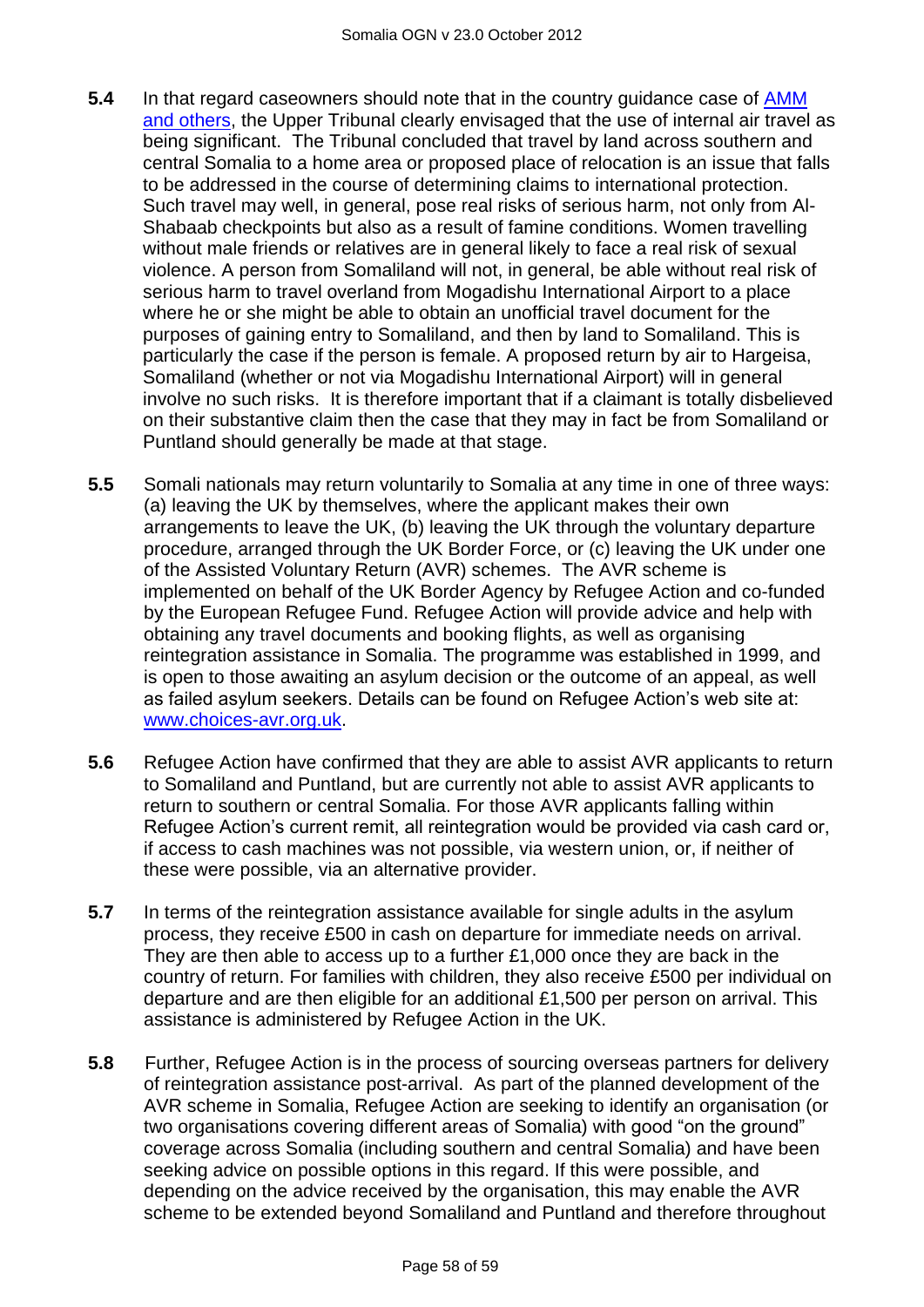- **5.4** In that regard caseowners should note that in the country guidance case of [AMM](http://www.bailii.org/uk/cases/UKUT/IAC/2011/00445_ukut_iac_2011_amm_ors_somalia_cg.html)  [and others,](http://www.bailii.org/uk/cases/UKUT/IAC/2011/00445_ukut_iac_2011_amm_ors_somalia_cg.html) the Upper Tribunal clearly envisaged that the use of internal air travel as being significant. The Tribunal concluded that travel by land across southern and central Somalia to a home area or proposed place of relocation is an issue that falls to be addressed in the course of determining claims to international protection. Such travel may well, in general, pose real risks of serious harm, not only from Al-Shabaab checkpoints but also as a result of famine conditions. Women travelling without male friends or relatives are in general likely to face a real risk of sexual violence. A person from Somaliland will not, in general, be able without real risk of serious harm to travel overland from Mogadishu International Airport to a place where he or she might be able to obtain an unofficial travel document for the purposes of gaining entry to Somaliland, and then by land to Somaliland. This is particularly the case if the person is female. A proposed return by air to Hargeisa, Somaliland (whether or not via Mogadishu International Airport) will in general involve no such risks. It is therefore important that if a claimant is totally disbelieved on their substantive claim then the case that they may in fact be from Somaliland or Puntland should generally be made at that stage.
- **5.5** Somali nationals may return voluntarily to Somalia at any time in one of three ways: (a) leaving the UK by themselves, where the applicant makes their own arrangements to leave the UK, (b) leaving the UK through the voluntary departure procedure, arranged through the UK Border Force, or (c) leaving the UK under one of the Assisted Voluntary Return (AVR) schemes. The AVR scheme is implemented on behalf of the UK Border Agency by Refugee Action and co-funded by the European Refugee Fund. Refugee Action will provide advice and help with obtaining any travel documents and booking flights, as well as organising reintegration assistance in Somalia. The programme was established in 1999, and is open to those awaiting an asylum decision or the outcome of an appeal, as well as failed asylum seekers. Details can be found on Refugee Action"s web site at: [www.choices-avr.org.uk.](http://www.choices-avr.org.uk/)
- **5.6** Refugee Action have confirmed that they are able to assist AVR applicants to return to Somaliland and Puntland, but are currently not able to assist AVR applicants to return to southern or central Somalia. For those AVR applicants falling within Refugee Action"s current remit, all reintegration would be provided via cash card or, if access to cash machines was not possible, via western union, or, if neither of these were possible, via an alternative provider.
- **5.7** In terms of the reintegration assistance available for single adults in the asylum process, they receive £500 in cash on departure for immediate needs on arrival. They are then able to access up to a further £1,000 once they are back in the country of return. For families with children, they also receive £500 per individual on departure and are then eligible for an additional £1,500 per person on arrival. This assistance is administered by Refugee Action in the UK.
- **5.8** Further, Refugee Action is in the process of sourcing overseas partners for delivery of reintegration assistance post-arrival. As part of the planned development of the AVR scheme in Somalia, Refugee Action are seeking to identify an organisation (or two organisations covering different areas of Somalia) with good "on the ground" coverage across Somalia (including southern and central Somalia) and have been seeking advice on possible options in this regard. If this were possible, and depending on the advice received by the organisation, this may enable the AVR scheme to be extended beyond Somaliland and Puntland and therefore throughout